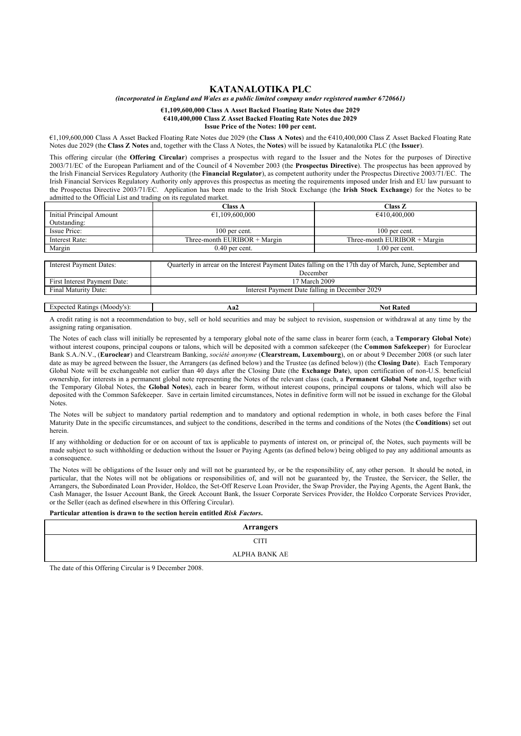### **KATANALOTIKA PLC**

*(incorporated in England and Wales as a public limited company under registered number 6720661)*

#### **€1,109,600,000 Class A Asset Backed Floating Rate Notes due 2029 €410,400,000 Class Z Asset Backed Floating Rate Notes due 2029 Issue Price of the Notes: 100 per cent.**

€1,109,600,000 Class A Asset Backed Floating Rate Notes due 2029 (the **Class A Notes**) and the €410,400,000 Class Z Asset Backed Floating Rate Notes due 2029 (the **Class Z Notes** and, together with the Class A Notes, the **Notes**) will be issued by Katanalotika PLC (the **Issuer**).

This offering circular (the **Offering Circular**) comprises a prospectus with regard to the Issuer and the Notes for the purposes of Directive 2003/71/EC of the European Parliament and of the Council of 4 November 2003 (the **Prospectus Directive**). The prospectus has been approved by the Irish Financial Services Regulatory Authority (the **Financial Regulator**), as competent authority under the Prospectus Directive 2003/71/EC. The Irish Financial Services Regulatory Authority only approves this prospectus as meeting the requirements imposed under Irish and EU law pursuant to the Prospectus Directive 2003/71/EC. Application has been made to the Irish Stock Exchange (the **Irish Stock Exchange**) for the Notes to be admitted to the Official List and trading on its regulated market.

|                          | <b>Class A</b>                 | Class Z                        |
|--------------------------|--------------------------------|--------------------------------|
| Initial Principal Amount | €1,109,600,000                 | €410,400,000                   |
| Outstanding:             |                                |                                |
| Issue Price:             | 100 per cent.                  | $100$ per cent.                |
| Interest Rate:           | Three-month EURIBOR $+$ Margin | Three-month EURIBOR $+$ Margin |
| Margin                   | $0.40$ per cent.               | 1.00 per cent.                 |

| Interest Payment Dates:      | Quarterly in arrear on the Interest Payment Dates falling on the 17th day of March, June, September and<br>December |
|------------------------------|---------------------------------------------------------------------------------------------------------------------|
| First Interest Payment Date: | 17 March 2009                                                                                                       |
| Final Maturity Date:         | Interest Payment Date falling in December 2029                                                                      |
|                              |                                                                                                                     |

Expected Ratings (Moody's): **Aa2 Not Rated** 

A credit rating is not a recommendation to buy, sell or hold securities and may be subject to revision, suspension or withdrawal at any time by the assigning rating organisation.

The Notes of each class will initially be represented by a temporary global note of the same class in bearer form (each, a **Temporary Global Note**) without interest coupons, principal coupons or talons, which will be deposited with a common safekeeper (the **Common Safekeeper**) for Euroclear Bank S.A./N.V., (**Euroclear**) and Clearstream Banking, *société anonyme* (**Clearstream, Luxembourg**), on or about 9 December 2008 (or such later date as may be agreed between the Issuer, the Arrangers (as defined below) and the Trustee (as defined below)) (the **Closing Date**). Each Temporary Global Note will be exchangeable not earlier than 40 days after the Closing Date (the **Exchange Date**), upon certification of non-U.S. beneficial ownership, for interests in a permanent global note representing the Notes of the relevant class (each, a **Permanent Global Note** and, together with the Temporary Global Notes, the **Global Notes**), each in bearer form, without interest coupons, principal coupons or talons, which will also be deposited with the Common Safekeeper. Save in certain limited circumstances, Notes in definitive form will not be issued in exchange for the Global **Notes** 

The Notes will be subject to mandatory partial redemption and to mandatory and optional redemption in whole, in both cases before the Final Maturity Date in the specific circumstances, and subject to the conditions, described in the terms and conditions of the Notes (the **Conditions**) set out herein.

If any withholding or deduction for or on account of tax is applicable to payments of interest on, or principal of, the Notes, such payments will be made subject to such withholding or deduction without the Issuer or Paying Agents (as defined below) being obliged to pay any additional amounts as a consequence.

The Notes will be obligations of the Issuer only and will not be guaranteed by, or be the responsibility of, any other person. It should be noted, in particular, that the Notes will not be obligations or responsibilities of, and will not be guaranteed by, the Trustee, the Servicer, the Seller, the Arrangers, the Subordinated Loan Provider, Holdco, the Set-Off Reserve Loan Provider, the Swap Provider, the Paying Agents, the Agent Bank, the Cash Manager, the Issuer Account Bank, the Greek Account Bank, the Issuer Corporate Services Provider, the Holdco Corporate Services Provider, or the Seller (each as defined elsewhere in this Offering Circular).

### **Particular attention is drawn to the section herein entitled** *Risk Factors***.**

| <b>Arrangers</b> |
|------------------|
| $^{\circ}$ tt    |
| ALPHA BANK AE    |

The date of this Offering Circular is 9 December 2008.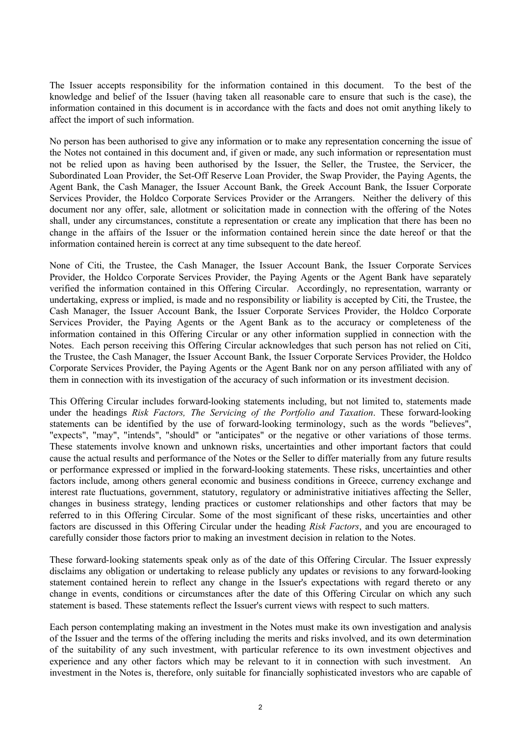The Issuer accepts responsibility for the information contained in this document. To the best of the knowledge and belief of the Issuer (having taken all reasonable care to ensure that such is the case), the information contained in this document is in accordance with the facts and does not omit anything likely to affect the import of such information.

No person has been authorised to give any information or to make any representation concerning the issue of the Notes not contained in this document and, if given or made, any such information or representation must not be relied upon as having been authorised by the Issuer, the Seller, the Trustee, the Servicer, the Subordinated Loan Provider, the Set-Off Reserve Loan Provider, the Swap Provider, the Paying Agents, the Agent Bank, the Cash Manager, the Issuer Account Bank, the Greek Account Bank, the Issuer Corporate Services Provider, the Holdco Corporate Services Provider or the Arrangers. Neither the delivery of this document nor any offer, sale, allotment or solicitation made in connection with the offering of the Notes shall, under any circumstances, constitute a representation or create any implication that there has been no change in the affairs of the Issuer or the information contained herein since the date hereof or that the information contained herein is correct at any time subsequent to the date hereof.

None of Citi, the Trustee, the Cash Manager, the Issuer Account Bank, the Issuer Corporate Services Provider, the Holdco Corporate Services Provider, the Paying Agents or the Agent Bank have separately verified the information contained in this Offering Circular. Accordingly, no representation, warranty or undertaking, express or implied, is made and no responsibility or liability is accepted by Citi, the Trustee, the Cash Manager, the Issuer Account Bank, the Issuer Corporate Services Provider, the Holdco Corporate Services Provider, the Paying Agents or the Agent Bank as to the accuracy or completeness of the information contained in this Offering Circular or any other information supplied in connection with the Notes. Each person receiving this Offering Circular acknowledges that such person has not relied on Citi, the Trustee, the Cash Manager, the Issuer Account Bank, the Issuer Corporate Services Provider, the Holdco Corporate Services Provider, the Paying Agents or the Agent Bank nor on any person affiliated with any of them in connection with its investigation of the accuracy of such information or its investment decision.

This Offering Circular includes forward-looking statements including, but not limited to, statements made under the headings *Risk Factors, The Servicing of the Portfolio and Taxation*. These forward-looking statements can be identified by the use of forward-looking terminology, such as the words "believes", "expects", "may", "intends", "should" or "anticipates" or the negative or other variations of those terms. These statements involve known and unknown risks, uncertainties and other important factors that could cause the actual results and performance of the Notes or the Seller to differ materially from any future results or performance expressed or implied in the forward-looking statements. These risks, uncertainties and other factors include, among others general economic and business conditions in Greece, currency exchange and interest rate fluctuations, government, statutory, regulatory or administrative initiatives affecting the Seller, changes in business strategy, lending practices or customer relationships and other factors that may be referred to in this Offering Circular. Some of the most significant of these risks, uncertainties and other factors are discussed in this Offering Circular under the heading *Risk Factors*, and you are encouraged to carefully consider those factors prior to making an investment decision in relation to the Notes.

These forward-looking statements speak only as of the date of this Offering Circular. The Issuer expressly disclaims any obligation or undertaking to release publicly any updates or revisions to any forward-looking statement contained herein to reflect any change in the Issuer's expectations with regard thereto or any change in events, conditions or circumstances after the date of this Offering Circular on which any such statement is based. These statements reflect the Issuer's current views with respect to such matters.

Each person contemplating making an investment in the Notes must make its own investigation and analysis of the Issuer and the terms of the offering including the merits and risks involved, and its own determination of the suitability of any such investment, with particular reference to its own investment objectives and experience and any other factors which may be relevant to it in connection with such investment. An investment in the Notes is, therefore, only suitable for financially sophisticated investors who are capable of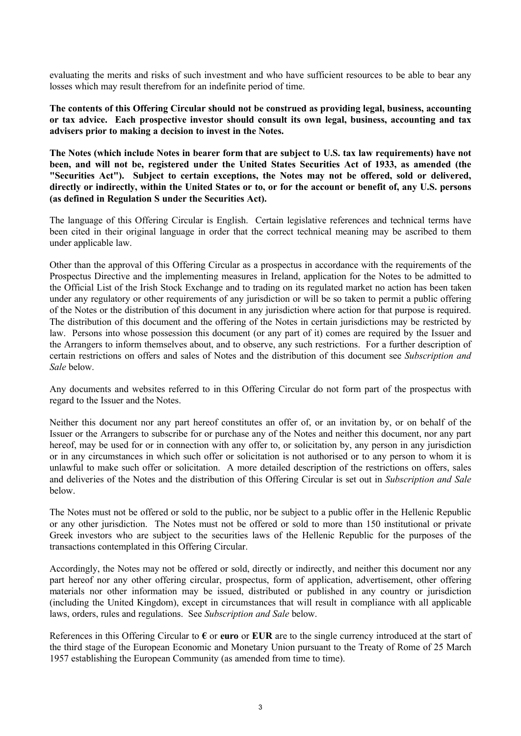evaluating the merits and risks of such investment and who have sufficient resources to be able to bear any losses which may result therefrom for an indefinite period of time.

**The contents of this Offering Circular should not be construed as providing legal, business, accounting or tax advice. Each prospective investor should consult its own legal, business, accounting and tax advisers prior to making a decision to invest in the Notes.**

**The Notes (which include Notes in bearer form that are subject to U.S. tax law requirements) have not been, and will not be, registered under the United States Securities Act of 1933, as amended (the "Securities Act"). Subject to certain exceptions, the Notes may not be offered, sold or delivered, directly or indirectly, within the United States or to, or for the account or benefit of, any U.S. persons (as defined in Regulation S under the Securities Act).**

The language of this Offering Circular is English. Certain legislative references and technical terms have been cited in their original language in order that the correct technical meaning may be ascribed to them under applicable law.

Other than the approval of this Offering Circular as a prospectus in accordance with the requirements of the Prospectus Directive and the implementing measures in Ireland, application for the Notes to be admitted to the Official List of the Irish Stock Exchange and to trading on its regulated market no action has been taken under any regulatory or other requirements of any jurisdiction or will be so taken to permit a public offering of the Notes or the distribution of this document in any jurisdiction where action for that purpose is required. The distribution of this document and the offering of the Notes in certain jurisdictions may be restricted by law. Persons into whose possession this document (or any part of it) comes are required by the Issuer and the Arrangers to inform themselves about, and to observe, any such restrictions. For a further description of certain restrictions on offers and sales of Notes and the distribution of this document see *Subscription and Sale* below.

Any documents and websites referred to in this Offering Circular do not form part of the prospectus with regard to the Issuer and the Notes.

Neither this document nor any part hereof constitutes an offer of, or an invitation by, or on behalf of the Issuer or the Arrangers to subscribe for or purchase any of the Notes and neither this document, nor any part hereof, may be used for or in connection with any offer to, or solicitation by, any person in any jurisdiction or in any circumstances in which such offer or solicitation is not authorised or to any person to whom it is unlawful to make such offer or solicitation. A more detailed description of the restrictions on offers, sales and deliveries of the Notes and the distribution of this Offering Circular is set out in *Subscription and Sale*  below.

The Notes must not be offered or sold to the public, nor be subject to a public offer in the Hellenic Republic or any other jurisdiction. The Notes must not be offered or sold to more than 150 institutional or private Greek investors who are subject to the securities laws of the Hellenic Republic for the purposes of the transactions contemplated in this Offering Circular.

Accordingly, the Notes may not be offered or sold, directly or indirectly, and neither this document nor any part hereof nor any other offering circular, prospectus, form of application, advertisement, other offering materials nor other information may be issued, distributed or published in any country or jurisdiction (including the United Kingdom), except in circumstances that will result in compliance with all applicable laws, orders, rules and regulations. See *Subscription and Sale* below.

References in this Offering Circular to **€** or **euro** or **EUR** are to the single currency introduced at the start of the third stage of the European Economic and Monetary Union pursuant to the Treaty of Rome of 25 March 1957 establishing the European Community (as amended from time to time).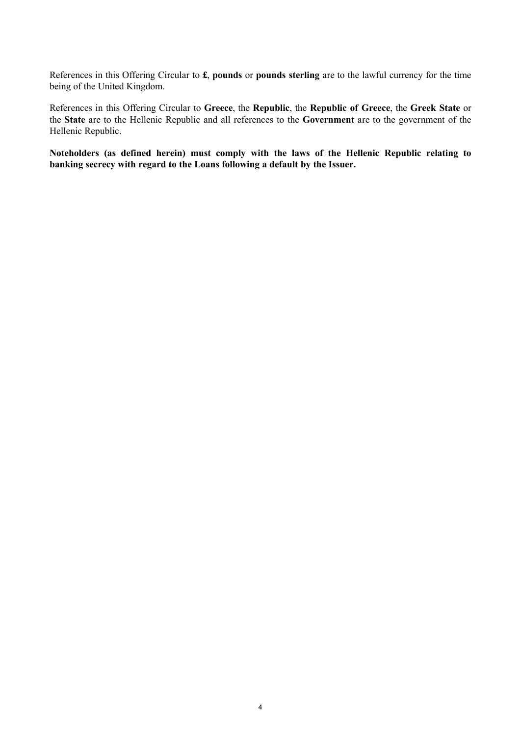References in this Offering Circular to **£**, **pounds** or **pounds sterling** are to the lawful currency for the time being of the United Kingdom.

References in this Offering Circular to **Greece**, the **Republic**, the **Republic of Greece**, the **Greek State** or the **State** are to the Hellenic Republic and all references to the **Government** are to the government of the Hellenic Republic.

**Noteholders (as defined herein) must comply with the laws of the Hellenic Republic relating to banking secrecy with regard to the Loans following a default by the Issuer.**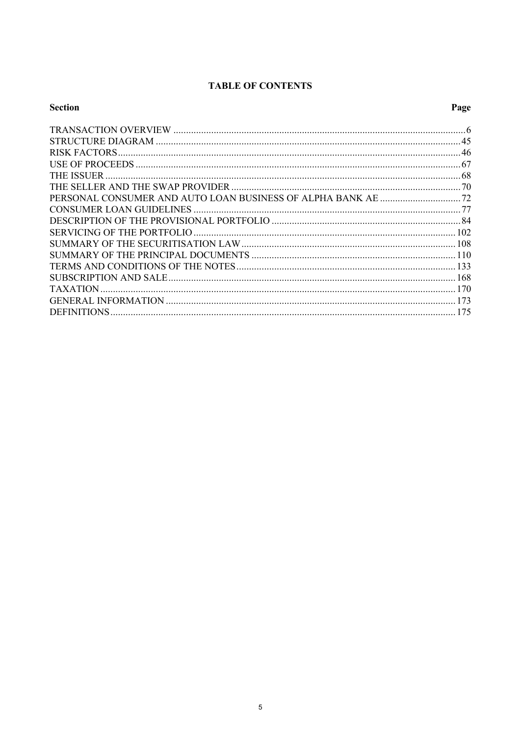# **TABLE OF CONTENTS**

| <b>Section</b> | Page |
|----------------|------|
|                |      |
|                |      |
|                |      |
|                |      |
|                |      |
|                |      |
|                |      |
|                |      |
|                |      |
|                |      |
|                |      |
|                |      |
|                |      |
|                |      |
|                |      |
|                |      |
|                |      |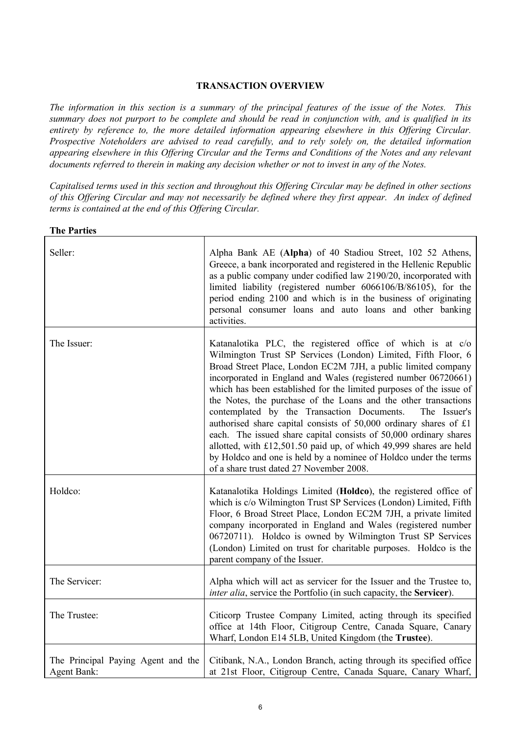## **TRANSACTION OVERVIEW**

*The information in this section is a summary of the principal features of the issue of the Notes. This summary does not purport to be complete and should be read in conjunction with, and is qualified in its entirety by reference to, the more detailed information appearing elsewhere in this Offering Circular. Prospective Noteholders are advised to read carefully, and to rely solely on, the detailed information appearing elsewhere in this Offering Circular and the Terms and Conditions of the Notes and any relevant documents referred to therein in making any decision whether or not to invest in any of the Notes.*

*Capitalised terms used in this section and throughout this Offering Circular may be defined in other sections of this Offering Circular and may not necessarily be defined where they first appear. An index of defined terms is contained at the end of this Offering Circular.*

| <b>The Parties</b>                                       |                                                                                                                                                                                                                                                                                                                                                                                                                                                                                                                                                                                                                                                                                                                                                                                                        |
|----------------------------------------------------------|--------------------------------------------------------------------------------------------------------------------------------------------------------------------------------------------------------------------------------------------------------------------------------------------------------------------------------------------------------------------------------------------------------------------------------------------------------------------------------------------------------------------------------------------------------------------------------------------------------------------------------------------------------------------------------------------------------------------------------------------------------------------------------------------------------|
| Seller:                                                  | Alpha Bank AE (Alpha) of 40 Stadiou Street, 102 52 Athens,<br>Greece, a bank incorporated and registered in the Hellenic Republic<br>as a public company under codified law 2190/20, incorporated with<br>limited liability (registered number 6066106/B/86105), for the<br>period ending 2100 and which is in the business of originating<br>personal consumer loans and auto loans and other banking<br>activities.                                                                                                                                                                                                                                                                                                                                                                                  |
| The Issuer:                                              | Katanalotika PLC, the registered office of which is at c/o<br>Wilmington Trust SP Services (London) Limited, Fifth Floor, 6<br>Broad Street Place, London EC2M 7JH, a public limited company<br>incorporated in England and Wales (registered number 06720661)<br>which has been established for the limited purposes of the issue of<br>the Notes, the purchase of the Loans and the other transactions<br>contemplated by the Transaction Documents.<br>The Issuer's<br>authorised share capital consists of 50,000 ordinary shares of £1<br>each. The issued share capital consists of 50,000 ordinary shares<br>allotted, with £12,501.50 paid up, of which 49,999 shares are held<br>by Holdco and one is held by a nominee of Holdco under the terms<br>of a share trust dated 27 November 2008. |
| Holdco:                                                  | Katanalotika Holdings Limited (Holdco), the registered office of<br>which is c/o Wilmington Trust SP Services (London) Limited, Fifth<br>Floor, 6 Broad Street Place, London EC2M 7JH, a private limited<br>company incorporated in England and Wales (registered number<br>06720711). Holdco is owned by Wilmington Trust SP Services<br>(London) Limited on trust for charitable purposes. Holdco is the<br>parent company of the Issuer.                                                                                                                                                                                                                                                                                                                                                            |
| The Servicer:                                            | Alpha which will act as servicer for the Issuer and the Trustee to,<br><i>inter alia</i> , service the Portfolio (in such capacity, the Servicer).                                                                                                                                                                                                                                                                                                                                                                                                                                                                                                                                                                                                                                                     |
| The Trustee:                                             | Citicorp Trustee Company Limited, acting through its specified<br>office at 14th Floor, Citigroup Centre, Canada Square, Canary<br>Wharf, London E14 5LB, United Kingdom (the Trustee).                                                                                                                                                                                                                                                                                                                                                                                                                                                                                                                                                                                                                |
| The Principal Paying Agent and the<br><b>Agent Bank:</b> | Citibank, N.A., London Branch, acting through its specified office<br>at 21st Floor, Citigroup Centre, Canada Square, Canary Wharf,                                                                                                                                                                                                                                                                                                                                                                                                                                                                                                                                                                                                                                                                    |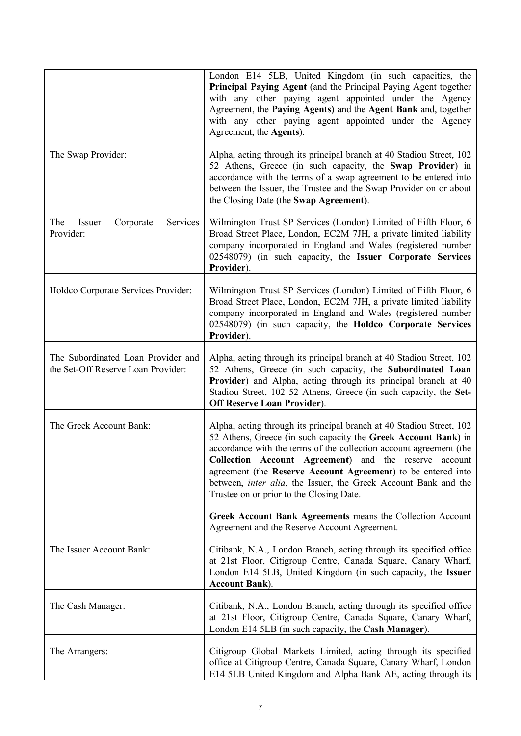|                                                                          | London E14 5LB, United Kingdom (in such capacities, the<br>Principal Paying Agent (and the Principal Paying Agent together<br>with any other paying agent appointed under the Agency<br>Agreement, the Paying Agents) and the Agent Bank and, together<br>with any other paying agent appointed under the Agency<br>Agreement, the Agents).                                                                                                                  |
|--------------------------------------------------------------------------|--------------------------------------------------------------------------------------------------------------------------------------------------------------------------------------------------------------------------------------------------------------------------------------------------------------------------------------------------------------------------------------------------------------------------------------------------------------|
| The Swap Provider:                                                       | Alpha, acting through its principal branch at 40 Stadiou Street, 102<br>52 Athens, Greece (in such capacity, the Swap Provider) in<br>accordance with the terms of a swap agreement to be entered into<br>between the Issuer, the Trustee and the Swap Provider on or about<br>the Closing Date (the Swap Agreement).                                                                                                                                        |
| The<br>Issuer<br>Corporate<br>Services<br>Provider:                      | Wilmington Trust SP Services (London) Limited of Fifth Floor, 6<br>Broad Street Place, London, EC2M 7JH, a private limited liability<br>company incorporated in England and Wales (registered number<br>02548079) (in such capacity, the Issuer Corporate Services<br>Provider).                                                                                                                                                                             |
| Holdco Corporate Services Provider:                                      | Wilmington Trust SP Services (London) Limited of Fifth Floor, 6<br>Broad Street Place, London, EC2M 7JH, a private limited liability<br>company incorporated in England and Wales (registered number<br>02548079) (in such capacity, the Holdco Corporate Services<br>Provider).                                                                                                                                                                             |
| The Subordinated Loan Provider and<br>the Set-Off Reserve Loan Provider: | Alpha, acting through its principal branch at 40 Stadiou Street, 102<br>52 Athens, Greece (in such capacity, the Subordinated Loan<br>Provider) and Alpha, acting through its principal branch at 40<br>Stadiou Street, 102 52 Athens, Greece (in such capacity, the Set-<br><b>Off Reserve Loan Provider).</b>                                                                                                                                              |
| The Greek Account Bank:                                                  | Alpha, acting through its principal branch at 40 Stadiou Street, 102<br>52 Athens, Greece (in such capacity the Greek Account Bank) in<br>accordance with the terms of the collection account agreement (the<br>Collection Account Agreement) and the reserve account<br>agreement (the Reserve Account Agreement) to be entered into<br>between, <i>inter alia</i> , the Issuer, the Greek Account Bank and the<br>Trustee on or prior to the Closing Date. |
|                                                                          | Greek Account Bank Agreements means the Collection Account<br>Agreement and the Reserve Account Agreement.                                                                                                                                                                                                                                                                                                                                                   |
| The Issuer Account Bank:                                                 | Citibank, N.A., London Branch, acting through its specified office<br>at 21st Floor, Citigroup Centre, Canada Square, Canary Wharf,<br>London E14 5LB, United Kingdom (in such capacity, the Issuer<br><b>Account Bank</b> ).                                                                                                                                                                                                                                |
| The Cash Manager:                                                        | Citibank, N.A., London Branch, acting through its specified office<br>at 21st Floor, Citigroup Centre, Canada Square, Canary Wharf,<br>London E14 5LB (in such capacity, the Cash Manager).                                                                                                                                                                                                                                                                  |
| The Arrangers:                                                           | Citigroup Global Markets Limited, acting through its specified<br>office at Citigroup Centre, Canada Square, Canary Wharf, London<br>E14 5LB United Kingdom and Alpha Bank AE, acting through its                                                                                                                                                                                                                                                            |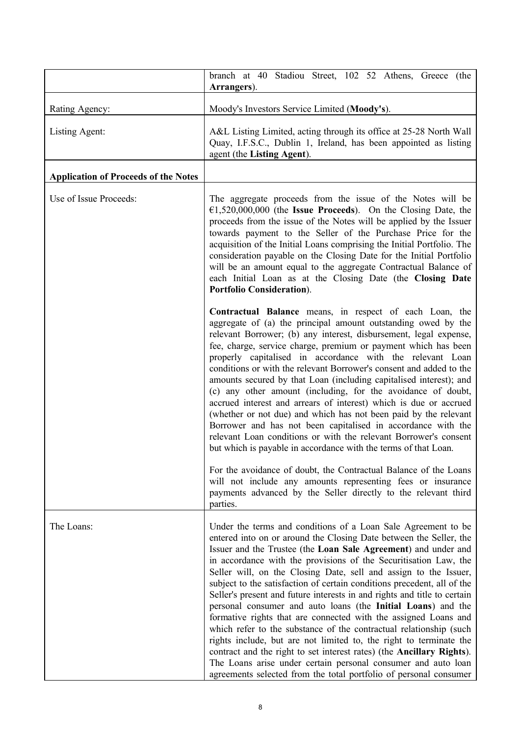|                                             | branch at 40 Stadiou Street, 102 52 Athens, Greece (the<br>Arrangers).                                                                                                                                                                                                                                                                                                                                                                                                                                                                                                                                                                                                                                                                                                                                                                                                                                                                                                                                                                                                                                     |
|---------------------------------------------|------------------------------------------------------------------------------------------------------------------------------------------------------------------------------------------------------------------------------------------------------------------------------------------------------------------------------------------------------------------------------------------------------------------------------------------------------------------------------------------------------------------------------------------------------------------------------------------------------------------------------------------------------------------------------------------------------------------------------------------------------------------------------------------------------------------------------------------------------------------------------------------------------------------------------------------------------------------------------------------------------------------------------------------------------------------------------------------------------------|
| Rating Agency:                              | Moody's Investors Service Limited (Moody's).                                                                                                                                                                                                                                                                                                                                                                                                                                                                                                                                                                                                                                                                                                                                                                                                                                                                                                                                                                                                                                                               |
| Listing Agent:                              | A&L Listing Limited, acting through its office at 25-28 North Wall<br>Quay, I.F.S.C., Dublin 1, Ireland, has been appointed as listing<br>agent (the Listing Agent).                                                                                                                                                                                                                                                                                                                                                                                                                                                                                                                                                                                                                                                                                                                                                                                                                                                                                                                                       |
| <b>Application of Proceeds of the Notes</b> |                                                                                                                                                                                                                                                                                                                                                                                                                                                                                                                                                                                                                                                                                                                                                                                                                                                                                                                                                                                                                                                                                                            |
| Use of Issue Proceeds:                      | The aggregate proceeds from the issue of the Notes will be<br>$E1,520,000,000$ (the Issue Proceeds). On the Closing Date, the<br>proceeds from the issue of the Notes will be applied by the Issuer<br>towards payment to the Seller of the Purchase Price for the<br>acquisition of the Initial Loans comprising the Initial Portfolio. The<br>consideration payable on the Closing Date for the Initial Portfolio<br>will be an amount equal to the aggregate Contractual Balance of<br>each Initial Loan as at the Closing Date (the Closing Date<br>Portfolio Consideration).                                                                                                                                                                                                                                                                                                                                                                                                                                                                                                                          |
|                                             | Contractual Balance means, in respect of each Loan, the<br>aggregate of (a) the principal amount outstanding owed by the<br>relevant Borrower; (b) any interest, disbursement, legal expense,<br>fee, charge, service charge, premium or payment which has been<br>properly capitalised in accordance with the relevant Loan<br>conditions or with the relevant Borrower's consent and added to the<br>amounts secured by that Loan (including capitalised interest); and<br>(c) any other amount (including, for the avoidance of doubt,<br>accrued interest and arrears of interest) which is due or accrued<br>(whether or not due) and which has not been paid by the relevant<br>Borrower and has not been capitalised in accordance with the<br>relevant Loan conditions or with the relevant Borrower's consent<br>but which is payable in accordance with the terms of that Loan.<br>For the avoidance of doubt, the Contractual Balance of the Loans<br>will not include any amounts representing fees or insurance<br>payments advanced by the Seller directly to the relevant third<br>parties. |
| The Loans:                                  | Under the terms and conditions of a Loan Sale Agreement to be<br>entered into on or around the Closing Date between the Seller, the<br>Issuer and the Trustee (the Loan Sale Agreement) and under and<br>in accordance with the provisions of the Securitisation Law, the<br>Seller will, on the Closing Date, sell and assign to the Issuer,<br>subject to the satisfaction of certain conditions precedent, all of the<br>Seller's present and future interests in and rights and title to certain<br>personal consumer and auto loans (the Initial Loans) and the<br>formative rights that are connected with the assigned Loans and<br>which refer to the substance of the contractual relationship (such<br>rights include, but are not limited to, the right to terminate the<br>contract and the right to set interest rates) (the Ancillary Rights).<br>The Loans arise under certain personal consumer and auto loan<br>agreements selected from the total portfolio of personal consumer                                                                                                         |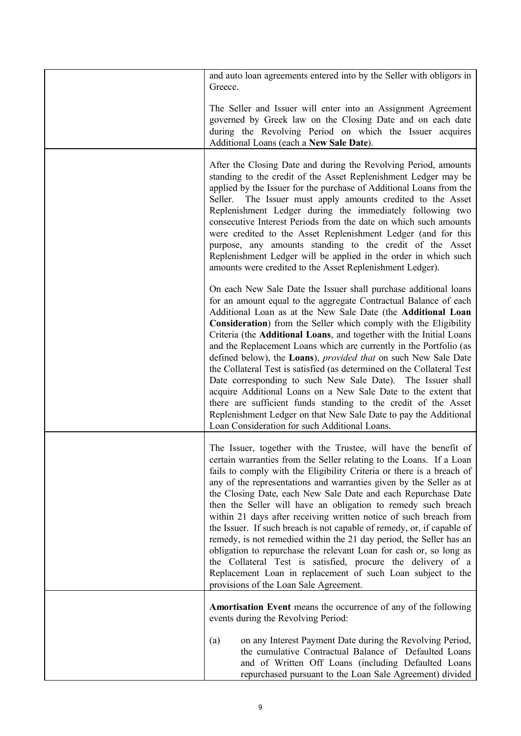| and auto loan agreements entered into by the Seller with obligors in<br>Greece.                                                                                                                                                                                                                                                                                                                                                                                                                                                                                                                                                                                                                                                                                                                                                                                                                   |
|---------------------------------------------------------------------------------------------------------------------------------------------------------------------------------------------------------------------------------------------------------------------------------------------------------------------------------------------------------------------------------------------------------------------------------------------------------------------------------------------------------------------------------------------------------------------------------------------------------------------------------------------------------------------------------------------------------------------------------------------------------------------------------------------------------------------------------------------------------------------------------------------------|
| The Seller and Issuer will enter into an Assignment Agreement<br>governed by Greek law on the Closing Date and on each date<br>during the Revolving Period on which the Issuer acquires<br>Additional Loans (each a New Sale Date).                                                                                                                                                                                                                                                                                                                                                                                                                                                                                                                                                                                                                                                               |
| After the Closing Date and during the Revolving Period, amounts<br>standing to the credit of the Asset Replenishment Ledger may be<br>applied by the Issuer for the purchase of Additional Loans from the<br>Seller. The Issuer must apply amounts credited to the Asset<br>Replenishment Ledger during the immediately following two<br>consecutive Interest Periods from the date on which such amounts<br>were credited to the Asset Replenishment Ledger (and for this<br>purpose, any amounts standing to the credit of the Asset<br>Replenishment Ledger will be applied in the order in which such<br>amounts were credited to the Asset Replenishment Ledger).                                                                                                                                                                                                                            |
| On each New Sale Date the Issuer shall purchase additional loans<br>for an amount equal to the aggregate Contractual Balance of each<br>Additional Loan as at the New Sale Date (the Additional Loan<br>Consideration) from the Seller which comply with the Eligibility<br>Criteria (the Additional Loans, and together with the Initial Loans<br>and the Replacement Loans which are currently in the Portfolio (as<br>defined below), the Loans), <i>provided that</i> on such New Sale Date<br>the Collateral Test is satisfied (as determined on the Collateral Test<br>Date corresponding to such New Sale Date). The Issuer shall<br>acquire Additional Loans on a New Sale Date to the extent that<br>there are sufficient funds standing to the credit of the Asset<br>Replenishment Ledger on that New Sale Date to pay the Additional<br>Loan Consideration for such Additional Loans. |
| The Issuer, together with the Trustee, will have the benefit of<br>certain warranties from the Seller relating to the Loans. If a Loan<br>fails to comply with the Eligibility Criteria or there is a breach of<br>any of the representations and warranties given by the Seller as at<br>the Closing Date, each New Sale Date and each Repurchase Date<br>then the Seller will have an obligation to remedy such breach<br>within 21 days after receiving written notice of such breach from<br>the Issuer. If such breach is not capable of remedy, or, if capable of<br>remedy, is not remedied within the 21 day period, the Seller has an<br>obligation to repurchase the relevant Loan for cash or, so long as<br>the Collateral Test is satisfied, procure the delivery of a<br>Replacement Loan in replacement of such Loan subject to the<br>provisions of the Loan Sale Agreement.      |
| <b>Amortisation Event</b> means the occurrence of any of the following<br>events during the Revolving Period:                                                                                                                                                                                                                                                                                                                                                                                                                                                                                                                                                                                                                                                                                                                                                                                     |
| on any Interest Payment Date during the Revolving Period,<br>(a)<br>the cumulative Contractual Balance of Defaulted Loans<br>and of Written Off Loans (including Defaulted Loans<br>repurchased pursuant to the Loan Sale Agreement) divided                                                                                                                                                                                                                                                                                                                                                                                                                                                                                                                                                                                                                                                      |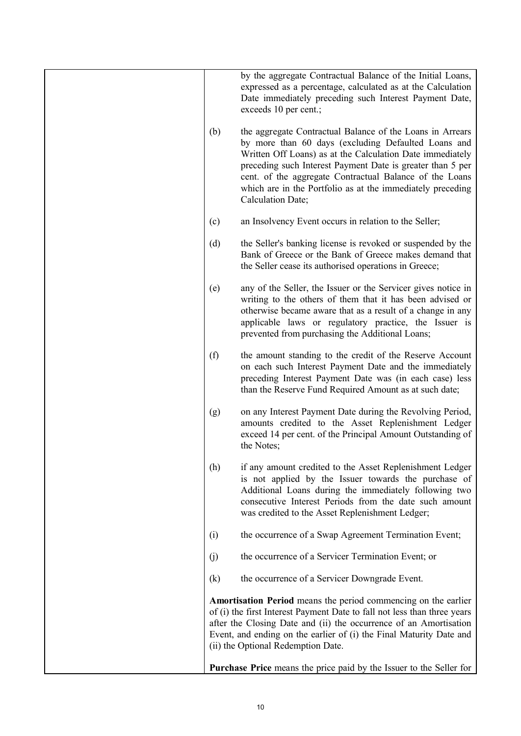|     | by the aggregate Contractual Balance of the Initial Loans,<br>expressed as a percentage, calculated as at the Calculation<br>Date immediately preceding such Interest Payment Date,<br>exceeds 10 per cent.;                                                                                                                                                                              |
|-----|-------------------------------------------------------------------------------------------------------------------------------------------------------------------------------------------------------------------------------------------------------------------------------------------------------------------------------------------------------------------------------------------|
| (b) | the aggregate Contractual Balance of the Loans in Arrears<br>by more than 60 days (excluding Defaulted Loans and<br>Written Off Loans) as at the Calculation Date immediately<br>preceding such Interest Payment Date is greater than 5 per<br>cent. of the aggregate Contractual Balance of the Loans<br>which are in the Portfolio as at the immediately preceding<br>Calculation Date; |
| (c) | an Insolvency Event occurs in relation to the Seller;                                                                                                                                                                                                                                                                                                                                     |
| (d) | the Seller's banking license is revoked or suspended by the<br>Bank of Greece or the Bank of Greece makes demand that<br>the Seller cease its authorised operations in Greece;                                                                                                                                                                                                            |
| (e) | any of the Seller, the Issuer or the Servicer gives notice in<br>writing to the others of them that it has been advised or<br>otherwise became aware that as a result of a change in any<br>applicable laws or regulatory practice, the Issuer is<br>prevented from purchasing the Additional Loans;                                                                                      |
| (f) | the amount standing to the credit of the Reserve Account<br>on each such Interest Payment Date and the immediately<br>preceding Interest Payment Date was (in each case) less<br>than the Reserve Fund Required Amount as at such date;                                                                                                                                                   |
| (g) | on any Interest Payment Date during the Revolving Period,<br>amounts credited to the Asset Replenishment Ledger<br>exceed 14 per cent. of the Principal Amount Outstanding of<br>the Notes;                                                                                                                                                                                               |
| (h) | if any amount credited to the Asset Replenishment Ledger<br>is not applied by the Issuer towards the purchase of<br>Additional Loans during the immediately following two<br>consecutive Interest Periods from the date such amount<br>was credited to the Asset Replenishment Ledger;                                                                                                    |
| (i) | the occurrence of a Swap Agreement Termination Event;                                                                                                                                                                                                                                                                                                                                     |
| (j) | the occurrence of a Servicer Termination Event; or                                                                                                                                                                                                                                                                                                                                        |
| (k) | the occurrence of a Servicer Downgrade Event.                                                                                                                                                                                                                                                                                                                                             |
|     | <b>Amortisation Period</b> means the period commencing on the earlier<br>of (i) the first Interest Payment Date to fall not less than three years<br>after the Closing Date and (ii) the occurrence of an Amortisation<br>Event, and ending on the earlier of (i) the Final Maturity Date and<br>(ii) the Optional Redemption Date.                                                       |
|     | <b>Purchase Price</b> means the price paid by the Issuer to the Seller for                                                                                                                                                                                                                                                                                                                |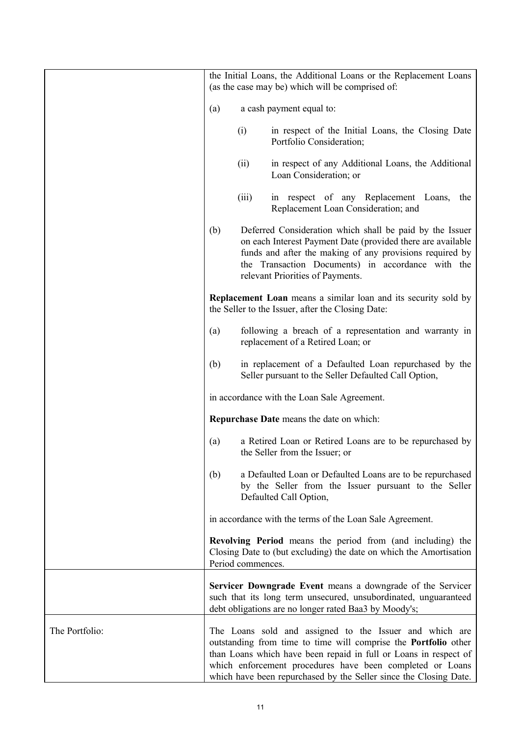|                |     |                   | the Initial Loans, the Additional Loans or the Replacement Loans<br>(as the case may be) which will be comprised of:                                                                                                                                                                                                             |
|----------------|-----|-------------------|----------------------------------------------------------------------------------------------------------------------------------------------------------------------------------------------------------------------------------------------------------------------------------------------------------------------------------|
|                | (a) |                   | a cash payment equal to:                                                                                                                                                                                                                                                                                                         |
|                |     | (i)               | in respect of the Initial Loans, the Closing Date<br>Portfolio Consideration;                                                                                                                                                                                                                                                    |
|                |     | (ii)              | in respect of any Additional Loans, the Additional<br>Loan Consideration; or                                                                                                                                                                                                                                                     |
|                |     | (iii)             | in respect of any Replacement Loans,<br>the<br>Replacement Loan Consideration; and                                                                                                                                                                                                                                               |
|                | (b) |                   | Deferred Consideration which shall be paid by the Issuer<br>on each Interest Payment Date (provided there are available<br>funds and after the making of any provisions required by<br>the Transaction Documents) in accordance with the<br>relevant Priorities of Payments.                                                     |
|                |     |                   | Replacement Loan means a similar loan and its security sold by<br>the Seller to the Issuer, after the Closing Date:                                                                                                                                                                                                              |
|                | (a) |                   | following a breach of a representation and warranty in<br>replacement of a Retired Loan; or                                                                                                                                                                                                                                      |
|                | (b) |                   | in replacement of a Defaulted Loan repurchased by the<br>Seller pursuant to the Seller Defaulted Call Option,                                                                                                                                                                                                                    |
|                |     |                   | in accordance with the Loan Sale Agreement.                                                                                                                                                                                                                                                                                      |
|                |     |                   | Repurchase Date means the date on which:                                                                                                                                                                                                                                                                                         |
|                | (a) |                   | a Retired Loan or Retired Loans are to be repurchased by<br>the Seller from the Issuer; or                                                                                                                                                                                                                                       |
|                | (b) |                   | a Defaulted Loan or Defaulted Loans are to be repurchased<br>by the Seller from the Issuer pursuant to the Seller<br>Defaulted Call Option,                                                                                                                                                                                      |
|                |     |                   | in accordance with the terms of the Loan Sale Agreement.                                                                                                                                                                                                                                                                         |
|                |     | Period commences. | <b>Revolving Period</b> means the period from (and including) the<br>Closing Date to (but excluding) the date on which the Amortisation                                                                                                                                                                                          |
|                |     |                   | Servicer Downgrade Event means a downgrade of the Servicer<br>such that its long term unsecured, unsubordinated, unguaranteed<br>debt obligations are no longer rated Baa3 by Moody's;                                                                                                                                           |
| The Portfolio: |     |                   | The Loans sold and assigned to the Issuer and which are<br>outstanding from time to time will comprise the Portfolio other<br>than Loans which have been repaid in full or Loans in respect of<br>which enforcement procedures have been completed or Loans<br>which have been repurchased by the Seller since the Closing Date. |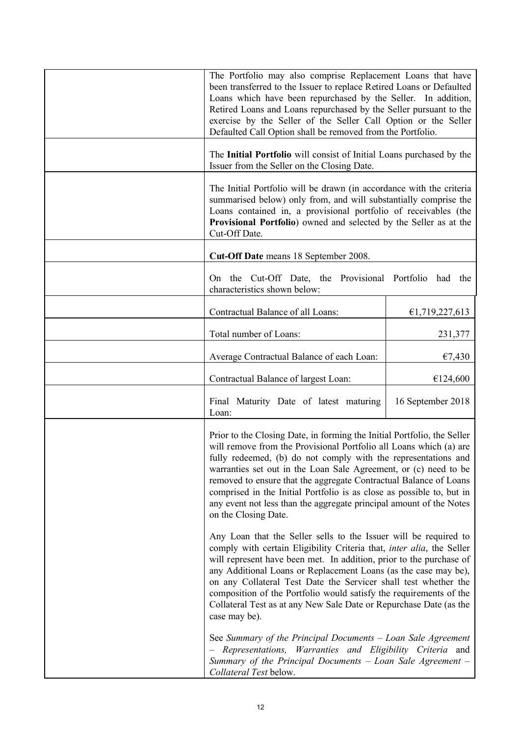| The Portfolio may also comprise Replacement Loans that have<br>been transferred to the Issuer to replace Retired Loans or Defaulted<br>Loans which have been repurchased by the Seller. In addition,<br>Retired Loans and Loans repurchased by the Seller pursuant to the<br>exercise by the Seller of the Seller Call Option or the Seller<br>Defaulted Call Option shall be removed from the Portfolio.                                                                                                                        |                   |
|----------------------------------------------------------------------------------------------------------------------------------------------------------------------------------------------------------------------------------------------------------------------------------------------------------------------------------------------------------------------------------------------------------------------------------------------------------------------------------------------------------------------------------|-------------------|
| The Initial Portfolio will consist of Initial Loans purchased by the<br>Issuer from the Seller on the Closing Date.                                                                                                                                                                                                                                                                                                                                                                                                              |                   |
| The Initial Portfolio will be drawn (in accordance with the criteria<br>summarised below) only from, and will substantially comprise the<br>Loans contained in, a provisional portfolio of receivables (the<br>Provisional Portfolio) owned and selected by the Seller as at the<br>Cut-Off Date.                                                                                                                                                                                                                                |                   |
| Cut-Off Date means 18 September 2008.                                                                                                                                                                                                                                                                                                                                                                                                                                                                                            |                   |
| On the Cut-Off Date, the Provisional Portfolio<br>characteristics shown below:                                                                                                                                                                                                                                                                                                                                                                                                                                                   | had<br>the        |
| Contractual Balance of all Loans:                                                                                                                                                                                                                                                                                                                                                                                                                                                                                                | €1,719,227,613    |
| Total number of Loans:                                                                                                                                                                                                                                                                                                                                                                                                                                                                                                           | 231,377           |
| Average Contractual Balance of each Loan:                                                                                                                                                                                                                                                                                                                                                                                                                                                                                        | €7,430            |
| Contractual Balance of largest Loan:                                                                                                                                                                                                                                                                                                                                                                                                                                                                                             | €124,600          |
| Final Maturity Date of latest maturing<br>Loan:                                                                                                                                                                                                                                                                                                                                                                                                                                                                                  | 16 September 2018 |
| Prior to the Closing Date, in forming the Initial Portfolio, the Seller<br>will remove from the Provisional Portfolio all Loans which (a) are<br>fully redeemed, (b) do not comply with the representations and<br>warranties set out in the Loan Sale Agreement, or (c) need to be<br>removed to ensure that the aggregate Contractual Balance of Loans<br>comprised in the Initial Portfolio is as close as possible to, but in<br>any event not less than the aggregate principal amount of the Notes<br>on the Closing Date. |                   |
| Any Loan that the Seller sells to the Issuer will be required to<br>comply with certain Eligibility Criteria that, <i>inter alia</i> , the Seller<br>will represent have been met. In addition, prior to the purchase of<br>any Additional Loans or Replacement Loans (as the case may be),<br>on any Collateral Test Date the Servicer shall test whether the<br>composition of the Portfolio would satisfy the requirements of the<br>Collateral Test as at any New Sale Date or Repurchase Date (as the<br>case may be).      |                   |
| See Summary of the Principal Documents - Loan Sale Agreement<br>Representations, Warranties and Eligibility Criteria and<br>Summary of the Principal Documents - Loan Sale Agreement -<br>Collateral Test below.                                                                                                                                                                                                                                                                                                                 |                   |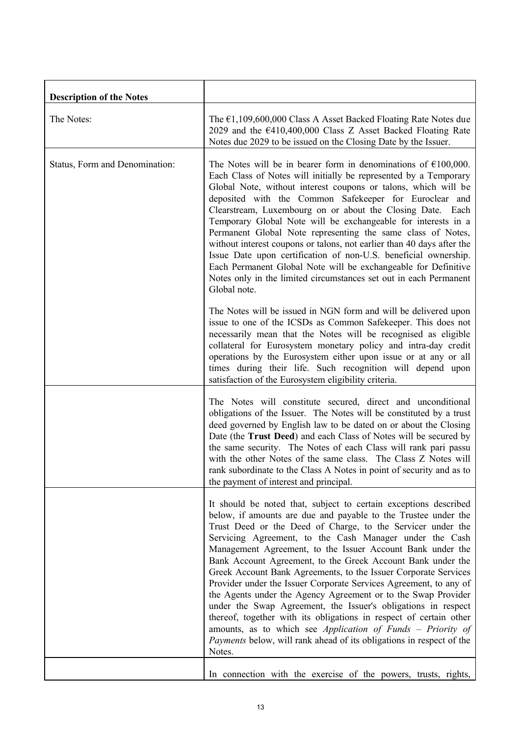| <b>Description of the Notes</b> |                                                                                                                                                                                                                                                                                                                                                                                                                                                                                                                                                                                                                                                                                                                                                                                                                                                                                                   |
|---------------------------------|---------------------------------------------------------------------------------------------------------------------------------------------------------------------------------------------------------------------------------------------------------------------------------------------------------------------------------------------------------------------------------------------------------------------------------------------------------------------------------------------------------------------------------------------------------------------------------------------------------------------------------------------------------------------------------------------------------------------------------------------------------------------------------------------------------------------------------------------------------------------------------------------------|
| The Notes:                      | The $\epsilon$ 1,109,600,000 Class A Asset Backed Floating Rate Notes due<br>2029 and the €410,400,000 Class Z Asset Backed Floating Rate<br>Notes due 2029 to be issued on the Closing Date by the Issuer.                                                                                                                                                                                                                                                                                                                                                                                                                                                                                                                                                                                                                                                                                       |
| Status, Form and Denomination:  | The Notes will be in bearer form in denominations of $\epsilon$ 100,000.<br>Each Class of Notes will initially be represented by a Temporary<br>Global Note, without interest coupons or talons, which will be<br>deposited with the Common Safekeeper for Euroclear and<br>Clearstream, Luxembourg on or about the Closing Date. Each<br>Temporary Global Note will be exchangeable for interests in a<br>Permanent Global Note representing the same class of Notes,<br>without interest coupons or talons, not earlier than 40 days after the<br>Issue Date upon certification of non-U.S. beneficial ownership.<br>Each Permanent Global Note will be exchangeable for Definitive<br>Notes only in the limited circumstances set out in each Permanent<br>Global note.                                                                                                                        |
|                                 | The Notes will be issued in NGN form and will be delivered upon<br>issue to one of the ICSDs as Common Safekeeper. This does not<br>necessarily mean that the Notes will be recognised as eligible<br>collateral for Eurosystem monetary policy and intra-day credit<br>operations by the Eurosystem either upon issue or at any or all<br>times during their life. Such recognition will depend upon<br>satisfaction of the Eurosystem eligibility criteria.                                                                                                                                                                                                                                                                                                                                                                                                                                     |
|                                 | The Notes will constitute secured, direct and unconditional<br>obligations of the Issuer. The Notes will be constituted by a trust<br>deed governed by English law to be dated on or about the Closing<br>Date (the Trust Deed) and each Class of Notes will be secured by<br>the same security. The Notes of each Class will rank pari passu<br>with the other Notes of the same class. The Class Z Notes will<br>rank subordinate to the Class A Notes in point of security and as to<br>the payment of interest and principal.                                                                                                                                                                                                                                                                                                                                                                 |
|                                 | It should be noted that, subject to certain exceptions described<br>below, if amounts are due and payable to the Trustee under the<br>Trust Deed or the Deed of Charge, to the Servicer under the<br>Servicing Agreement, to the Cash Manager under the Cash<br>Management Agreement, to the Issuer Account Bank under the<br>Bank Account Agreement, to the Greek Account Bank under the<br>Greek Account Bank Agreements, to the Issuer Corporate Services<br>Provider under the Issuer Corporate Services Agreement, to any of<br>the Agents under the Agency Agreement or to the Swap Provider<br>under the Swap Agreement, the Issuer's obligations in respect<br>thereof, together with its obligations in respect of certain other<br>amounts, as to which see <i>Application of Funds – Priority of</i><br>Payments below, will rank ahead of its obligations in respect of the<br>Notes. |
|                                 | In connection with the exercise of the powers, trusts, rights,                                                                                                                                                                                                                                                                                                                                                                                                                                                                                                                                                                                                                                                                                                                                                                                                                                    |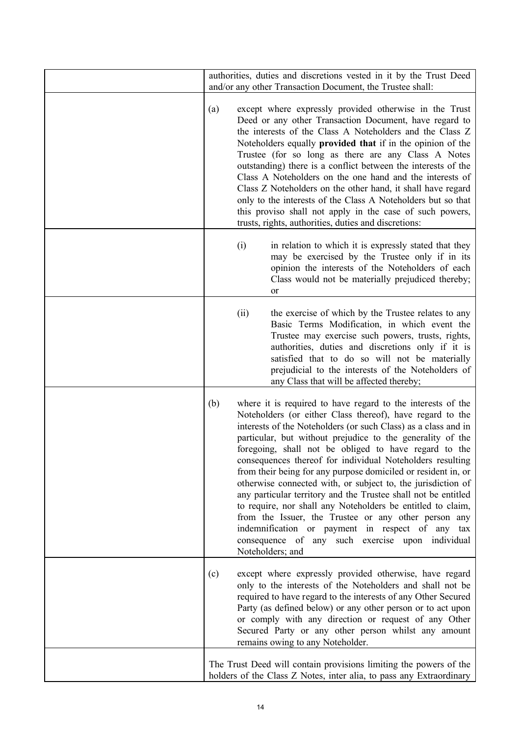| authorities, duties and discretions vested in it by the Trust Deed<br>and/or any other Transaction Document, the Trustee shall:                                                                                                                                                                                                                                                                                                                                                                                                                                                                                                                                                                                                                                                                                                             |
|---------------------------------------------------------------------------------------------------------------------------------------------------------------------------------------------------------------------------------------------------------------------------------------------------------------------------------------------------------------------------------------------------------------------------------------------------------------------------------------------------------------------------------------------------------------------------------------------------------------------------------------------------------------------------------------------------------------------------------------------------------------------------------------------------------------------------------------------|
| (a)<br>except where expressly provided otherwise in the Trust<br>Deed or any other Transaction Document, have regard to<br>the interests of the Class A Noteholders and the Class Z<br>Noteholders equally <b>provided that</b> if in the opinion of the<br>Trustee (for so long as there are any Class A Notes<br>outstanding) there is a conflict between the interests of the<br>Class A Noteholders on the one hand and the interests of<br>Class Z Noteholders on the other hand, it shall have regard<br>only to the interests of the Class A Noteholders but so that<br>this proviso shall not apply in the case of such powers,<br>trusts, rights, authorities, duties and discretions:                                                                                                                                             |
| in relation to which it is expressly stated that they<br>(i)<br>may be exercised by the Trustee only if in its<br>opinion the interests of the Noteholders of each<br>Class would not be materially prejudiced thereby;<br>or                                                                                                                                                                                                                                                                                                                                                                                                                                                                                                                                                                                                               |
| (ii)<br>the exercise of which by the Trustee relates to any<br>Basic Terms Modification, in which event the<br>Trustee may exercise such powers, trusts, rights,<br>authorities, duties and discretions only if it is<br>satisfied that to do so will not be materially<br>prejudicial to the interests of the Noteholders of<br>any Class that will be affected thereby;                                                                                                                                                                                                                                                                                                                                                                                                                                                                   |
| (b)<br>where it is required to have regard to the interests of the<br>Noteholders (or either Class thereof), have regard to the<br>interests of the Noteholders (or such Class) as a class and in<br>particular, but without prejudice to the generality of the<br>foregoing, shall not be obliged to have regard to the<br>consequences thereof for individual Noteholders resulting<br>from their being for any purpose domiciled or resident in, or<br>otherwise connected with, or subject to, the jurisdiction of<br>any particular territory and the Trustee shall not be entitled<br>to require, nor shall any Noteholders be entitled to claim,<br>from the Issuer, the Trustee or any other person any<br>indemnification or payment in respect of any tax<br>consequence of any such exercise upon individual<br>Noteholders; and |
| (c)<br>except where expressly provided otherwise, have regard<br>only to the interests of the Noteholders and shall not be<br>required to have regard to the interests of any Other Secured<br>Party (as defined below) or any other person or to act upon<br>or comply with any direction or request of any Other<br>Secured Party or any other person whilst any amount<br>remains owing to any Noteholder.                                                                                                                                                                                                                                                                                                                                                                                                                               |
| The Trust Deed will contain provisions limiting the powers of the<br>holders of the Class Z Notes, inter alia, to pass any Extraordinary                                                                                                                                                                                                                                                                                                                                                                                                                                                                                                                                                                                                                                                                                                    |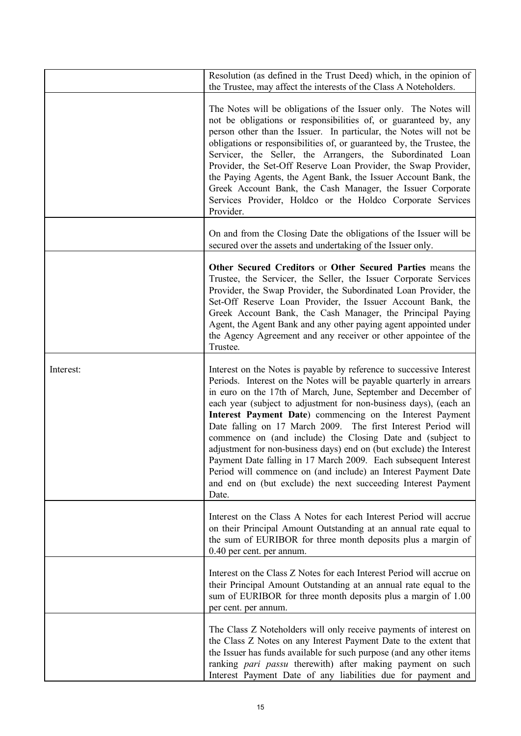|           | Resolution (as defined in the Trust Deed) which, in the opinion of<br>the Trustee, may affect the interests of the Class A Noteholders.                                                                                                                                                                                                                                                                                                                                                                                                                                                                                                                                                                                                                             |
|-----------|---------------------------------------------------------------------------------------------------------------------------------------------------------------------------------------------------------------------------------------------------------------------------------------------------------------------------------------------------------------------------------------------------------------------------------------------------------------------------------------------------------------------------------------------------------------------------------------------------------------------------------------------------------------------------------------------------------------------------------------------------------------------|
|           | The Notes will be obligations of the Issuer only. The Notes will<br>not be obligations or responsibilities of, or guaranteed by, any<br>person other than the Issuer. In particular, the Notes will not be<br>obligations or responsibilities of, or guaranteed by, the Trustee, the<br>Servicer, the Seller, the Arrangers, the Subordinated Loan<br>Provider, the Set-Off Reserve Loan Provider, the Swap Provider,<br>the Paying Agents, the Agent Bank, the Issuer Account Bank, the<br>Greek Account Bank, the Cash Manager, the Issuer Corporate<br>Services Provider, Holdco or the Holdco Corporate Services<br>Provider.                                                                                                                                   |
|           | On and from the Closing Date the obligations of the Issuer will be<br>secured over the assets and undertaking of the Issuer only.                                                                                                                                                                                                                                                                                                                                                                                                                                                                                                                                                                                                                                   |
|           | Other Secured Creditors or Other Secured Parties means the<br>Trustee, the Servicer, the Seller, the Issuer Corporate Services<br>Provider, the Swap Provider, the Subordinated Loan Provider, the<br>Set-Off Reserve Loan Provider, the Issuer Account Bank, the<br>Greek Account Bank, the Cash Manager, the Principal Paying<br>Agent, the Agent Bank and any other paying agent appointed under<br>the Agency Agreement and any receiver or other appointee of the<br>Trustee.                                                                                                                                                                                                                                                                                  |
| Interest: | Interest on the Notes is payable by reference to successive Interest<br>Periods. Interest on the Notes will be payable quarterly in arrears<br>in euro on the 17th of March, June, September and December of<br>each year (subject to adjustment for non-business days), (each an<br>Interest Payment Date) commencing on the Interest Payment<br>Date falling on 17 March 2009. The first Interest Period will<br>commence on (and include) the Closing Date and (subject to<br>adjustment for non-business days) end on (but exclude) the Interest<br>Payment Date falling in 17 March 2009. Each subsequent Interest<br>Period will commence on (and include) an Interest Payment Date<br>and end on (but exclude) the next succeeding Interest Payment<br>Date. |
|           | Interest on the Class A Notes for each Interest Period will accrue<br>on their Principal Amount Outstanding at an annual rate equal to<br>the sum of EURIBOR for three month deposits plus a margin of<br>0.40 per cent. per annum.                                                                                                                                                                                                                                                                                                                                                                                                                                                                                                                                 |
|           | Interest on the Class Z Notes for each Interest Period will accrue on<br>their Principal Amount Outstanding at an annual rate equal to the<br>sum of EURIBOR for three month deposits plus a margin of 1.00<br>per cent. per annum.                                                                                                                                                                                                                                                                                                                                                                                                                                                                                                                                 |
|           | The Class Z Noteholders will only receive payments of interest on<br>the Class Z Notes on any Interest Payment Date to the extent that<br>the Issuer has funds available for such purpose (and any other items<br>ranking pari passu therewith) after making payment on such<br>Interest Payment Date of any liabilities due for payment and                                                                                                                                                                                                                                                                                                                                                                                                                        |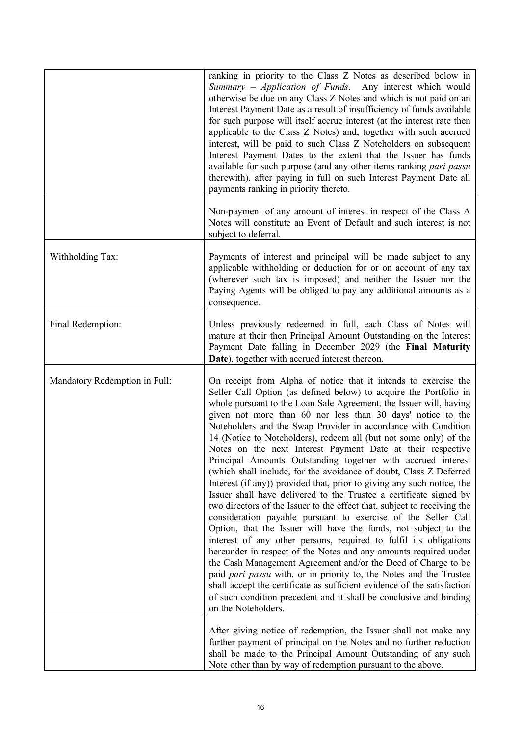|                               | ranking in priority to the Class Z Notes as described below in<br>Summary - Application of Funds. Any interest which would<br>otherwise be due on any Class Z Notes and which is not paid on an<br>Interest Payment Date as a result of insufficiency of funds available<br>for such purpose will itself accrue interest (at the interest rate then<br>applicable to the Class Z Notes) and, together with such accrued<br>interest, will be paid to such Class Z Noteholders on subsequent<br>Interest Payment Dates to the extent that the Issuer has funds<br>available for such purpose (and any other items ranking pari passu<br>therewith), after paying in full on such Interest Payment Date all<br>payments ranking in priority thereto.                                                                                                                                                                                                                                                                                                                                                                                                                                                                                                                                                                                                                                                                                                   |
|-------------------------------|------------------------------------------------------------------------------------------------------------------------------------------------------------------------------------------------------------------------------------------------------------------------------------------------------------------------------------------------------------------------------------------------------------------------------------------------------------------------------------------------------------------------------------------------------------------------------------------------------------------------------------------------------------------------------------------------------------------------------------------------------------------------------------------------------------------------------------------------------------------------------------------------------------------------------------------------------------------------------------------------------------------------------------------------------------------------------------------------------------------------------------------------------------------------------------------------------------------------------------------------------------------------------------------------------------------------------------------------------------------------------------------------------------------------------------------------------|
|                               | Non-payment of any amount of interest in respect of the Class A<br>Notes will constitute an Event of Default and such interest is not<br>subject to deferral.                                                                                                                                                                                                                                                                                                                                                                                                                                                                                                                                                                                                                                                                                                                                                                                                                                                                                                                                                                                                                                                                                                                                                                                                                                                                                        |
| Withholding Tax:              | Payments of interest and principal will be made subject to any<br>applicable withholding or deduction for or on account of any tax<br>(wherever such tax is imposed) and neither the Issuer nor the<br>Paying Agents will be obliged to pay any additional amounts as a<br>consequence.                                                                                                                                                                                                                                                                                                                                                                                                                                                                                                                                                                                                                                                                                                                                                                                                                                                                                                                                                                                                                                                                                                                                                              |
| Final Redemption:             | Unless previously redeemed in full, each Class of Notes will<br>mature at their then Principal Amount Outstanding on the Interest<br>Payment Date falling in December 2029 (the Final Maturity<br>Date), together with accrued interest thereon.                                                                                                                                                                                                                                                                                                                                                                                                                                                                                                                                                                                                                                                                                                                                                                                                                                                                                                                                                                                                                                                                                                                                                                                                     |
| Mandatory Redemption in Full: | On receipt from Alpha of notice that it intends to exercise the<br>Seller Call Option (as defined below) to acquire the Portfolio in<br>whole pursuant to the Loan Sale Agreement, the Issuer will, having<br>given not more than 60 nor less than 30 days' notice to the<br>Noteholders and the Swap Provider in accordance with Condition<br>14 (Notice to Noteholders), redeem all (but not some only) of the<br>Notes on the next Interest Payment Date at their respective<br>Principal Amounts Outstanding together with accrued interest<br>(which shall include, for the avoidance of doubt, Class Z Deferred<br>Interest (if any)) provided that, prior to giving any such notice, the<br>Issuer shall have delivered to the Trustee a certificate signed by<br>two directors of the Issuer to the effect that, subject to receiving the<br>consideration payable pursuant to exercise of the Seller Call<br>Option, that the Issuer will have the funds, not subject to the<br>interest of any other persons, required to fulfil its obligations<br>hereunder in respect of the Notes and any amounts required under<br>the Cash Management Agreement and/or the Deed of Charge to be<br>paid <i>pari passu</i> with, or in priority to, the Notes and the Trustee<br>shall accept the certificate as sufficient evidence of the satisfaction<br>of such condition precedent and it shall be conclusive and binding<br>on the Noteholders. |
|                               | After giving notice of redemption, the Issuer shall not make any<br>further payment of principal on the Notes and no further reduction<br>shall be made to the Principal Amount Outstanding of any such<br>Note other than by way of redemption pursuant to the above.                                                                                                                                                                                                                                                                                                                                                                                                                                                                                                                                                                                                                                                                                                                                                                                                                                                                                                                                                                                                                                                                                                                                                                               |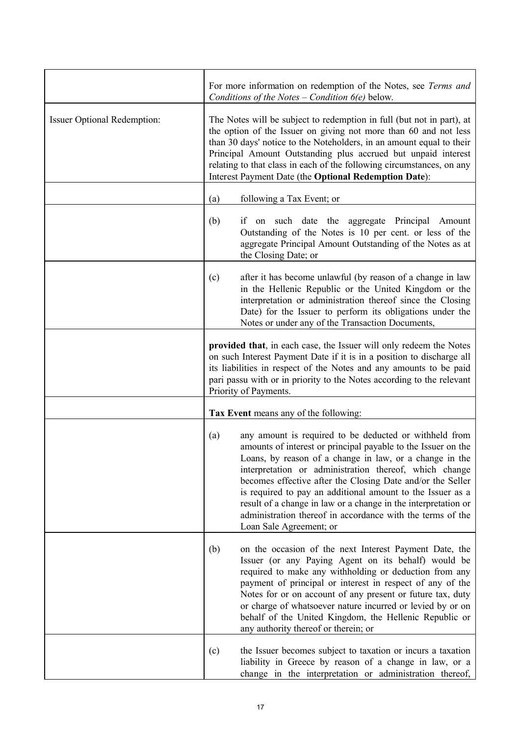|                                    | For more information on redemption of the Notes, see Terms and<br>Conditions of the Notes $-$ Condition $6(e)$ below.                                                                                                                                                                                                                                                                                                                                                                                                                      |
|------------------------------------|--------------------------------------------------------------------------------------------------------------------------------------------------------------------------------------------------------------------------------------------------------------------------------------------------------------------------------------------------------------------------------------------------------------------------------------------------------------------------------------------------------------------------------------------|
| <b>Issuer Optional Redemption:</b> | The Notes will be subject to redemption in full (but not in part), at<br>the option of the Issuer on giving not more than 60 and not less<br>than 30 days' notice to the Noteholders, in an amount equal to their<br>Principal Amount Outstanding plus accrued but unpaid interest<br>relating to that class in each of the following circumstances, on any<br>Interest Payment Date (the Optional Redemption Date):                                                                                                                       |
|                                    | following a Tax Event; or<br>(a)                                                                                                                                                                                                                                                                                                                                                                                                                                                                                                           |
|                                    | (b)<br>if on such date the aggregate Principal<br>Amount<br>Outstanding of the Notes is 10 per cent. or less of the<br>aggregate Principal Amount Outstanding of the Notes as at<br>the Closing Date; or                                                                                                                                                                                                                                                                                                                                   |
|                                    | after it has become unlawful (by reason of a change in law<br>(c)<br>in the Hellenic Republic or the United Kingdom or the<br>interpretation or administration thereof since the Closing<br>Date) for the Issuer to perform its obligations under the<br>Notes or under any of the Transaction Documents,                                                                                                                                                                                                                                  |
|                                    | provided that, in each case, the Issuer will only redeem the Notes<br>on such Interest Payment Date if it is in a position to discharge all<br>its liabilities in respect of the Notes and any amounts to be paid<br>pari passu with or in priority to the Notes according to the relevant<br>Priority of Payments.                                                                                                                                                                                                                        |
|                                    | Tax Event means any of the following:                                                                                                                                                                                                                                                                                                                                                                                                                                                                                                      |
|                                    | any amount is required to be deducted or withheld from<br>(a)<br>amounts of interest or principal payable to the Issuer on the<br>Loans, by reason of a change in law, or a change in the<br>interpretation or administration thereof, which change<br>becomes effective after the Closing Date and/or the Seller<br>is required to pay an additional amount to the Issuer as a<br>result of a change in law or a change in the interpretation or<br>administration thereof in accordance with the terms of the<br>Loan Sale Agreement; or |
|                                    | (b)<br>on the occasion of the next Interest Payment Date, the<br>Issuer (or any Paying Agent on its behalf) would be<br>required to make any withholding or deduction from any<br>payment of principal or interest in respect of any of the<br>Notes for or on account of any present or future tax, duty<br>or charge of whatsoever nature incurred or levied by or on<br>behalf of the United Kingdom, the Hellenic Republic or<br>any authority thereof or therein; or                                                                  |
|                                    | the Issuer becomes subject to taxation or incurs a taxation<br>(c)<br>liability in Greece by reason of a change in law, or a<br>change in the interpretation or administration thereof,                                                                                                                                                                                                                                                                                                                                                    |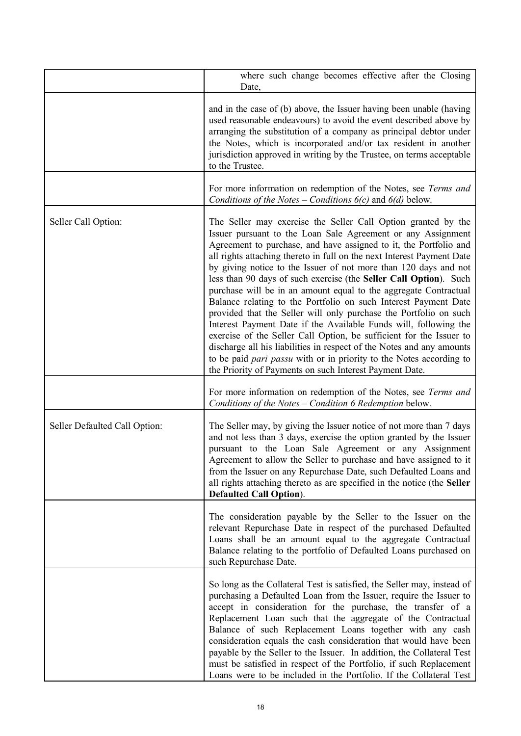|                               | where such change becomes effective after the Closing<br>Date,                                                                                                                                                                                                                                                                                                                                                                                                                                                                                                                                                                                                                                                                                                                                                                                                                                                                                                                                 |
|-------------------------------|------------------------------------------------------------------------------------------------------------------------------------------------------------------------------------------------------------------------------------------------------------------------------------------------------------------------------------------------------------------------------------------------------------------------------------------------------------------------------------------------------------------------------------------------------------------------------------------------------------------------------------------------------------------------------------------------------------------------------------------------------------------------------------------------------------------------------------------------------------------------------------------------------------------------------------------------------------------------------------------------|
|                               | and in the case of (b) above, the Issuer having been unable (having<br>used reasonable endeavours) to avoid the event described above by<br>arranging the substitution of a company as principal debtor under<br>the Notes, which is incorporated and/or tax resident in another<br>jurisdiction approved in writing by the Trustee, on terms acceptable<br>to the Trustee.                                                                                                                                                                                                                                                                                                                                                                                                                                                                                                                                                                                                                    |
|                               | For more information on redemption of the Notes, see Terms and<br>Conditions of the Notes – Conditions $6(c)$ and $6(d)$ below.                                                                                                                                                                                                                                                                                                                                                                                                                                                                                                                                                                                                                                                                                                                                                                                                                                                                |
| Seller Call Option:           | The Seller may exercise the Seller Call Option granted by the<br>Issuer pursuant to the Loan Sale Agreement or any Assignment<br>Agreement to purchase, and have assigned to it, the Portfolio and<br>all rights attaching thereto in full on the next Interest Payment Date<br>by giving notice to the Issuer of not more than 120 days and not<br>less than 90 days of such exercise (the Seller Call Option). Such<br>purchase will be in an amount equal to the aggregate Contractual<br>Balance relating to the Portfolio on such Interest Payment Date<br>provided that the Seller will only purchase the Portfolio on such<br>Interest Payment Date if the Available Funds will, following the<br>exercise of the Seller Call Option, be sufficient for the Issuer to<br>discharge all his liabilities in respect of the Notes and any amounts<br>to be paid <i>pari passu</i> with or in priority to the Notes according to<br>the Priority of Payments on such Interest Payment Date. |
|                               | For more information on redemption of the Notes, see Terms and<br>Conditions of the Notes - Condition 6 Redemption below.                                                                                                                                                                                                                                                                                                                                                                                                                                                                                                                                                                                                                                                                                                                                                                                                                                                                      |
| Seller Defaulted Call Option: | The Seller may, by giving the Issuer notice of not more than 7 days<br>and not less than 3 days, exercise the option granted by the Issuer<br>pursuant to the Loan Sale Agreement or any Assignment<br>Agreement to allow the Seller to purchase and have assigned to it<br>from the Issuer on any Repurchase Date, such Defaulted Loans and<br>all rights attaching thereto as are specified in the notice (the Seller<br><b>Defaulted Call Option</b> ).                                                                                                                                                                                                                                                                                                                                                                                                                                                                                                                                     |
|                               | The consideration payable by the Seller to the Issuer on the<br>relevant Repurchase Date in respect of the purchased Defaulted<br>Loans shall be an amount equal to the aggregate Contractual<br>Balance relating to the portfolio of Defaulted Loans purchased on<br>such Repurchase Date.                                                                                                                                                                                                                                                                                                                                                                                                                                                                                                                                                                                                                                                                                                    |
|                               | So long as the Collateral Test is satisfied, the Seller may, instead of<br>purchasing a Defaulted Loan from the Issuer, require the Issuer to<br>accept in consideration for the purchase, the transfer of a<br>Replacement Loan such that the aggregate of the Contractual<br>Balance of such Replacement Loans together with any cash<br>consideration equals the cash consideration that would have been<br>payable by the Seller to the Issuer. In addition, the Collateral Test<br>must be satisfied in respect of the Portfolio, if such Replacement<br>Loans were to be included in the Portfolio. If the Collateral Test                                                                                                                                                                                                                                                                                                                                                               |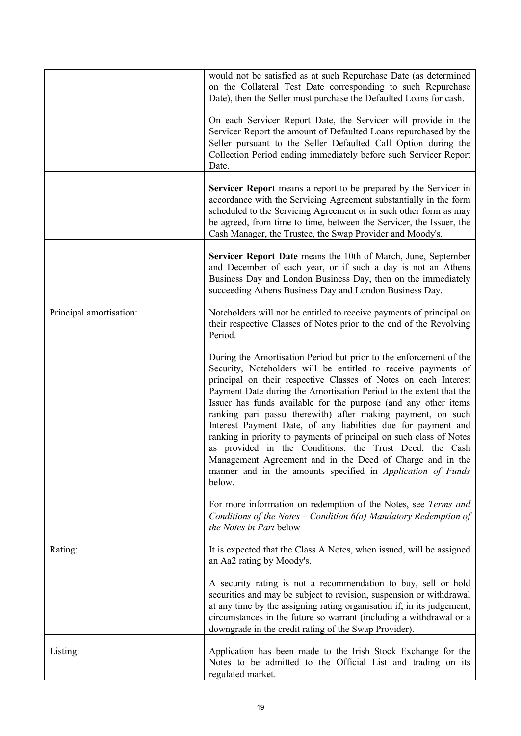|                         | would not be satisfied as at such Repurchase Date (as determined<br>on the Collateral Test Date corresponding to such Repurchase<br>Date), then the Seller must purchase the Defaulted Loans for cash.                                                                                                                                                                                                                                                                                                                                                                                                                                                                                                                                                         |
|-------------------------|----------------------------------------------------------------------------------------------------------------------------------------------------------------------------------------------------------------------------------------------------------------------------------------------------------------------------------------------------------------------------------------------------------------------------------------------------------------------------------------------------------------------------------------------------------------------------------------------------------------------------------------------------------------------------------------------------------------------------------------------------------------|
|                         | On each Servicer Report Date, the Servicer will provide in the<br>Servicer Report the amount of Defaulted Loans repurchased by the<br>Seller pursuant to the Seller Defaulted Call Option during the<br>Collection Period ending immediately before such Servicer Report<br>Date.                                                                                                                                                                                                                                                                                                                                                                                                                                                                              |
|                         | <b>Servicer Report</b> means a report to be prepared by the Servicer in<br>accordance with the Servicing Agreement substantially in the form<br>scheduled to the Servicing Agreement or in such other form as may<br>be agreed, from time to time, between the Servicer, the Issuer, the<br>Cash Manager, the Trustee, the Swap Provider and Moody's.                                                                                                                                                                                                                                                                                                                                                                                                          |
|                         | Servicer Report Date means the 10th of March, June, September<br>and December of each year, or if such a day is not an Athens<br>Business Day and London Business Day, then on the immediately<br>succeeding Athens Business Day and London Business Day.                                                                                                                                                                                                                                                                                                                                                                                                                                                                                                      |
| Principal amortisation: | Noteholders will not be entitled to receive payments of principal on<br>their respective Classes of Notes prior to the end of the Revolving<br>Period.                                                                                                                                                                                                                                                                                                                                                                                                                                                                                                                                                                                                         |
|                         | During the Amortisation Period but prior to the enforcement of the<br>Security, Noteholders will be entitled to receive payments of<br>principal on their respective Classes of Notes on each Interest<br>Payment Date during the Amortisation Period to the extent that the<br>Issuer has funds available for the purpose (and any other items<br>ranking pari passu therewith) after making payment, on such<br>Interest Payment Date, of any liabilities due for payment and<br>ranking in priority to payments of principal on such class of Notes<br>as provided in the Conditions, the Trust Deed, the Cash<br>Management Agreement and in the Deed of Charge and in the<br>manner and in the amounts specified in <i>Application of Funds</i><br>below. |
|                         | For more information on redemption of the Notes, see Terms and<br>Conditions of the Notes – Condition $6(a)$ Mandatory Redemption of<br>the Notes in Part below                                                                                                                                                                                                                                                                                                                                                                                                                                                                                                                                                                                                |
| Rating:                 | It is expected that the Class A Notes, when issued, will be assigned<br>an Aa2 rating by Moody's.                                                                                                                                                                                                                                                                                                                                                                                                                                                                                                                                                                                                                                                              |
|                         | A security rating is not a recommendation to buy, sell or hold<br>securities and may be subject to revision, suspension or withdrawal<br>at any time by the assigning rating organisation if, in its judgement,<br>circumstances in the future so warrant (including a withdrawal or a<br>downgrade in the credit rating of the Swap Provider).                                                                                                                                                                                                                                                                                                                                                                                                                |
| Listing:                | Application has been made to the Irish Stock Exchange for the<br>Notes to be admitted to the Official List and trading on its<br>regulated market.                                                                                                                                                                                                                                                                                                                                                                                                                                                                                                                                                                                                             |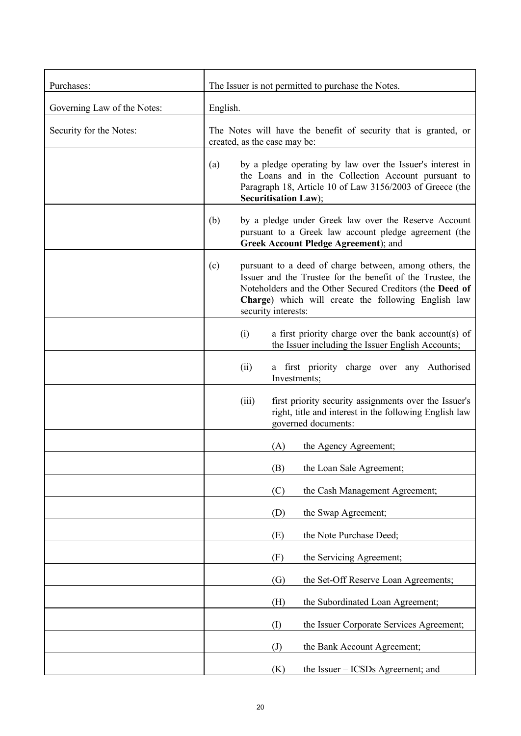| Purchases:                  | The Issuer is not permitted to purchase the Notes.                                                                                                                                                                                                                     |
|-----------------------------|------------------------------------------------------------------------------------------------------------------------------------------------------------------------------------------------------------------------------------------------------------------------|
| Governing Law of the Notes: | English.                                                                                                                                                                                                                                                               |
| Security for the Notes:     | The Notes will have the benefit of security that is granted, or<br>created, as the case may be:                                                                                                                                                                        |
|                             | by a pledge operating by law over the Issuer's interest in<br>(a)<br>the Loans and in the Collection Account pursuant to<br>Paragraph 18, Article 10 of Law 3156/2003 of Greece (the<br>Securitisation Law);                                                           |
|                             | by a pledge under Greek law over the Reserve Account<br>(b)<br>pursuant to a Greek law account pledge agreement (the<br>Greek Account Pledge Agreement); and                                                                                                           |
|                             | (c)<br>pursuant to a deed of charge between, among others, the<br>Issuer and the Trustee for the benefit of the Trustee, the<br>Noteholders and the Other Secured Creditors (the Deed of<br>Charge) which will create the following English law<br>security interests: |
|                             | a first priority charge over the bank account(s) of<br>(i)<br>the Issuer including the Issuer English Accounts;                                                                                                                                                        |
|                             | (ii)<br>a first priority charge over any Authorised<br>Investments;                                                                                                                                                                                                    |
|                             | first priority security assignments over the Issuer's<br>(iii)<br>right, title and interest in the following English law<br>governed documents:                                                                                                                        |
|                             | the Agency Agreement;<br>(A)                                                                                                                                                                                                                                           |
|                             | the Loan Sale Agreement;<br>(B)                                                                                                                                                                                                                                        |
|                             | the Cash Management Agreement;<br>(C)                                                                                                                                                                                                                                  |
|                             | the Swap Agreement;<br>(D)                                                                                                                                                                                                                                             |
|                             | (E)<br>the Note Purchase Deed;                                                                                                                                                                                                                                         |
|                             | (F)<br>the Servicing Agreement;                                                                                                                                                                                                                                        |
|                             | (G)<br>the Set-Off Reserve Loan Agreements;                                                                                                                                                                                                                            |
|                             | (H)<br>the Subordinated Loan Agreement;                                                                                                                                                                                                                                |
|                             | (I)<br>the Issuer Corporate Services Agreement;                                                                                                                                                                                                                        |
|                             | the Bank Account Agreement;<br>$\left( J\right)$                                                                                                                                                                                                                       |
|                             | the Issuer – ICSDs Agreement; and<br>(K)                                                                                                                                                                                                                               |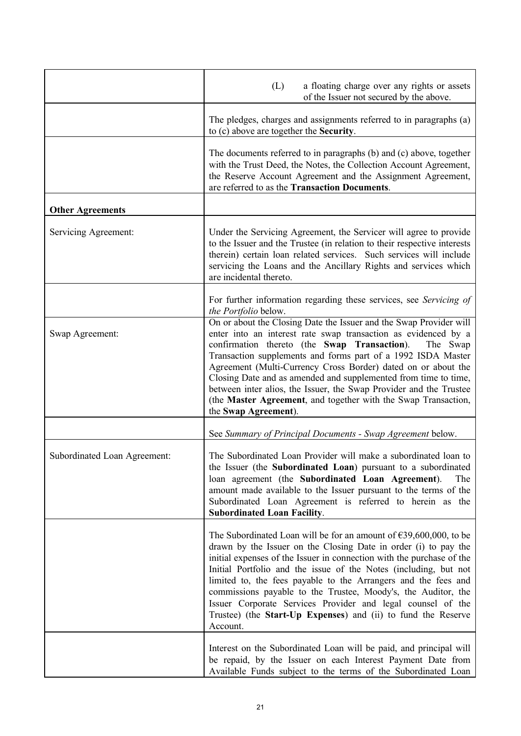|                              | a floating charge over any rights or assets<br>(L)<br>of the Issuer not secured by the above.                                                                                                                                                                                                                                                                                                                                                                                                                                                                                      |
|------------------------------|------------------------------------------------------------------------------------------------------------------------------------------------------------------------------------------------------------------------------------------------------------------------------------------------------------------------------------------------------------------------------------------------------------------------------------------------------------------------------------------------------------------------------------------------------------------------------------|
|                              | The pledges, charges and assignments referred to in paragraphs (a)<br>to (c) above are together the Security.                                                                                                                                                                                                                                                                                                                                                                                                                                                                      |
|                              | The documents referred to in paragraphs (b) and (c) above, together<br>with the Trust Deed, the Notes, the Collection Account Agreement,<br>the Reserve Account Agreement and the Assignment Agreement,<br>are referred to as the Transaction Documents.                                                                                                                                                                                                                                                                                                                           |
| <b>Other Agreements</b>      |                                                                                                                                                                                                                                                                                                                                                                                                                                                                                                                                                                                    |
| Servicing Agreement:         | Under the Servicing Agreement, the Servicer will agree to provide<br>to the Issuer and the Trustee (in relation to their respective interests<br>therein) certain loan related services. Such services will include<br>servicing the Loans and the Ancillary Rights and services which<br>are incidental thereto.                                                                                                                                                                                                                                                                  |
|                              | For further information regarding these services, see Servicing of<br>the Portfolio below.                                                                                                                                                                                                                                                                                                                                                                                                                                                                                         |
| Swap Agreement:              | On or about the Closing Date the Issuer and the Swap Provider will<br>enter into an interest rate swap transaction as evidenced by a<br>confirmation thereto (the Swap Transaction).<br>The Swap<br>Transaction supplements and forms part of a 1992 ISDA Master<br>Agreement (Multi-Currency Cross Border) dated on or about the<br>Closing Date and as amended and supplemented from time to time,<br>between inter alios, the Issuer, the Swap Provider and the Trustee<br>(the Master Agreement, and together with the Swap Transaction,<br>the Swap Agreement).               |
|                              | See Summary of Principal Documents - Swap Agreement below.                                                                                                                                                                                                                                                                                                                                                                                                                                                                                                                         |
| Subordinated Loan Agreement: | The Subordinated Loan Provider will make a subordinated loan to<br>the Issuer (the Subordinated Loan) pursuant to a subordinated<br>loan agreement (the Subordinated Loan Agreement).<br>The<br>amount made available to the Issuer pursuant to the terms of the<br>Subordinated Loan Agreement is referred to herein as the<br><b>Subordinated Loan Facility.</b>                                                                                                                                                                                                                 |
|                              | The Subordinated Loan will be for an amount of $\epsilon$ 39,600,000, to be<br>drawn by the Issuer on the Closing Date in order (i) to pay the<br>initial expenses of the Issuer in connection with the purchase of the<br>Initial Portfolio and the issue of the Notes (including, but not<br>limited to, the fees payable to the Arrangers and the fees and<br>commissions payable to the Trustee, Moody's, the Auditor, the<br>Issuer Corporate Services Provider and legal counsel of the<br>Trustee) (the <b>Start-Up Expenses</b> ) and (ii) to fund the Reserve<br>Account. |
|                              | Interest on the Subordinated Loan will be paid, and principal will<br>be repaid, by the Issuer on each Interest Payment Date from<br>Available Funds subject to the terms of the Subordinated Loan                                                                                                                                                                                                                                                                                                                                                                                 |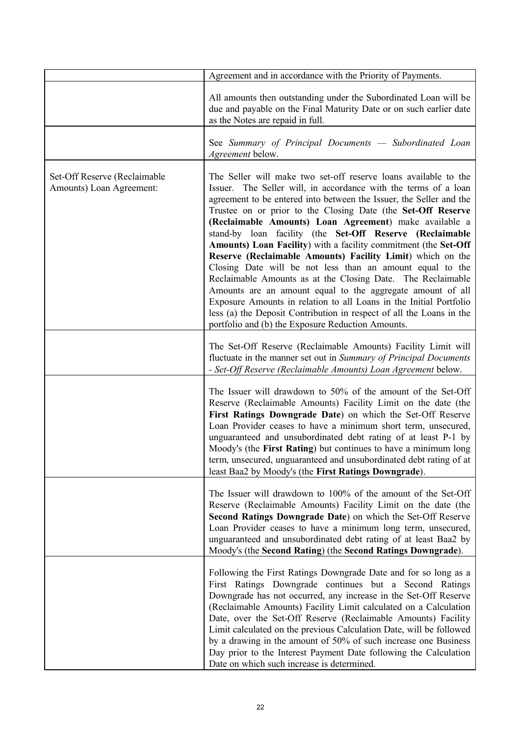|                                                          | Agreement and in accordance with the Priority of Payments.                                                                                                                                                                                                                                                                                                                                                                                                                                                                                                                                                                                                                                                                                                                                                                                                                                                                    |
|----------------------------------------------------------|-------------------------------------------------------------------------------------------------------------------------------------------------------------------------------------------------------------------------------------------------------------------------------------------------------------------------------------------------------------------------------------------------------------------------------------------------------------------------------------------------------------------------------------------------------------------------------------------------------------------------------------------------------------------------------------------------------------------------------------------------------------------------------------------------------------------------------------------------------------------------------------------------------------------------------|
|                                                          | All amounts then outstanding under the Subordinated Loan will be<br>due and payable on the Final Maturity Date or on such earlier date<br>as the Notes are repaid in full.                                                                                                                                                                                                                                                                                                                                                                                                                                                                                                                                                                                                                                                                                                                                                    |
|                                                          | See Summary of Principal Documents - Subordinated Loan<br>Agreement below.                                                                                                                                                                                                                                                                                                                                                                                                                                                                                                                                                                                                                                                                                                                                                                                                                                                    |
| Set-Off Reserve (Reclaimable<br>Amounts) Loan Agreement: | The Seller will make two set-off reserve loans available to the<br>Issuer. The Seller will, in accordance with the terms of a loan<br>agreement to be entered into between the Issuer, the Seller and the<br>Trustee on or prior to the Closing Date (the Set-Off Reserve<br>(Reclaimable Amounts) Loan Agreement) make available a<br>stand-by loan facility (the Set-Off Reserve (Reclaimable<br>Amounts) Loan Facility) with a facility commitment (the Set-Off<br>Reserve (Reclaimable Amounts) Facility Limit) which on the<br>Closing Date will be not less than an amount equal to the<br>Reclaimable Amounts as at the Closing Date. The Reclaimable<br>Amounts are an amount equal to the aggregate amount of all<br>Exposure Amounts in relation to all Loans in the Initial Portfolio<br>less (a) the Deposit Contribution in respect of all the Loans in the<br>portfolio and (b) the Exposure Reduction Amounts. |
|                                                          | The Set-Off Reserve (Reclaimable Amounts) Facility Limit will<br>fluctuate in the manner set out in Summary of Principal Documents<br>- Set-Off Reserve (Reclaimable Amounts) Loan Agreement below.                                                                                                                                                                                                                                                                                                                                                                                                                                                                                                                                                                                                                                                                                                                           |
|                                                          | The Issuer will drawdown to 50% of the amount of the Set-Off<br>Reserve (Reclaimable Amounts) Facility Limit on the date (the<br>First Ratings Downgrade Date) on which the Set-Off Reserve<br>Loan Provider ceases to have a minimum short term, unsecured,<br>unguaranteed and unsubordinated debt rating of at least P-1 by<br>Moody's (the First Rating) but continues to have a minimum long<br>term, unsecured, unguaranteed and unsubordinated debt rating of at<br>least Baa2 by Moody's (the First Ratings Downgrade).                                                                                                                                                                                                                                                                                                                                                                                               |
|                                                          | The Issuer will drawdown to 100% of the amount of the Set-Off<br>Reserve (Reclaimable Amounts) Facility Limit on the date (the<br>Second Ratings Downgrade Date) on which the Set-Off Reserve<br>Loan Provider ceases to have a minimum long term, unsecured,<br>unguaranteed and unsubordinated debt rating of at least Baa2 by<br>Moody's (the Second Rating) (the Second Ratings Downgrade).                                                                                                                                                                                                                                                                                                                                                                                                                                                                                                                               |
|                                                          | Following the First Ratings Downgrade Date and for so long as a<br>First Ratings Downgrade continues but a Second Ratings<br>Downgrade has not occurred, any increase in the Set-Off Reserve<br>(Reclaimable Amounts) Facility Limit calculated on a Calculation<br>Date, over the Set-Off Reserve (Reclaimable Amounts) Facility<br>Limit calculated on the previous Calculation Date, will be followed<br>by a drawing in the amount of 50% of such increase one Business<br>Day prior to the Interest Payment Date following the Calculation<br>Date on which such increase is determined.                                                                                                                                                                                                                                                                                                                                 |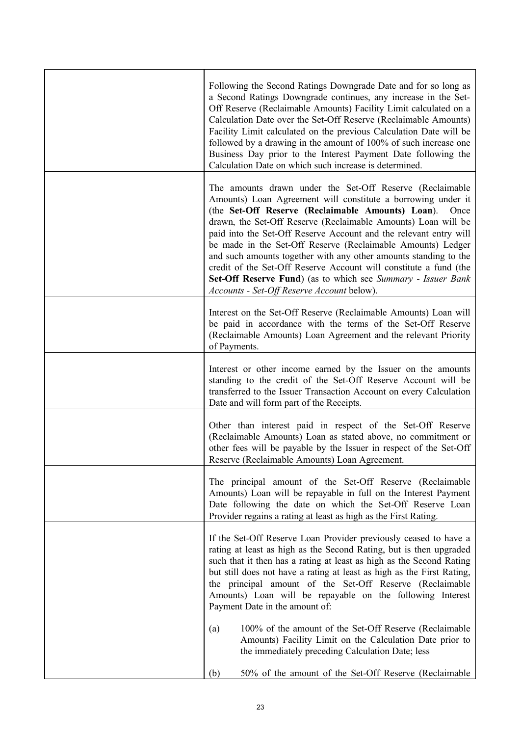| Following the Second Ratings Downgrade Date and for so long as<br>a Second Ratings Downgrade continues, any increase in the Set-<br>Off Reserve (Reclaimable Amounts) Facility Limit calculated on a<br>Calculation Date over the Set-Off Reserve (Reclaimable Amounts)<br>Facility Limit calculated on the previous Calculation Date will be<br>followed by a drawing in the amount of 100% of such increase one<br>Business Day prior to the Interest Payment Date following the<br>Calculation Date on which such increase is determined.                                                                                                      |
|---------------------------------------------------------------------------------------------------------------------------------------------------------------------------------------------------------------------------------------------------------------------------------------------------------------------------------------------------------------------------------------------------------------------------------------------------------------------------------------------------------------------------------------------------------------------------------------------------------------------------------------------------|
| The amounts drawn under the Set-Off Reserve (Reclaimable<br>Amounts) Loan Agreement will constitute a borrowing under it<br>(the Set-Off Reserve (Reclaimable Amounts) Loan).<br>Once<br>drawn, the Set-Off Reserve (Reclaimable Amounts) Loan will be<br>paid into the Set-Off Reserve Account and the relevant entry will<br>be made in the Set-Off Reserve (Reclaimable Amounts) Ledger<br>and such amounts together with any other amounts standing to the<br>credit of the Set-Off Reserve Account will constitute a fund (the<br>Set-Off Reserve Fund) (as to which see Summary - Issuer Bank<br>Accounts - Set-Off Reserve Account below). |
| Interest on the Set-Off Reserve (Reclaimable Amounts) Loan will<br>be paid in accordance with the terms of the Set-Off Reserve<br>(Reclaimable Amounts) Loan Agreement and the relevant Priority<br>of Payments.                                                                                                                                                                                                                                                                                                                                                                                                                                  |
| Interest or other income earned by the Issuer on the amounts<br>standing to the credit of the Set-Off Reserve Account will be<br>transferred to the Issuer Transaction Account on every Calculation<br>Date and will form part of the Receipts.                                                                                                                                                                                                                                                                                                                                                                                                   |
| Other than interest paid in respect of the Set-Off Reserve<br>(Reclaimable Amounts) Loan as stated above, no commitment or<br>other fees will be payable by the Issuer in respect of the Set-Off<br>Reserve (Reclaimable Amounts) Loan Agreement.                                                                                                                                                                                                                                                                                                                                                                                                 |
| The principal amount of the Set-Off Reserve (Reclaimable<br>Amounts) Loan will be repayable in full on the Interest Payment<br>Date following the date on which the Set-Off Reserve Loan<br>Provider regains a rating at least as high as the First Rating.                                                                                                                                                                                                                                                                                                                                                                                       |
| If the Set-Off Reserve Loan Provider previously ceased to have a<br>rating at least as high as the Second Rating, but is then upgraded<br>such that it then has a rating at least as high as the Second Rating<br>but still does not have a rating at least as high as the First Rating,<br>the principal amount of the Set-Off Reserve (Reclaimable<br>Amounts) Loan will be repayable on the following Interest<br>Payment Date in the amount of:                                                                                                                                                                                               |
| 100% of the amount of the Set-Off Reserve (Reclaimable<br>(a)<br>Amounts) Facility Limit on the Calculation Date prior to<br>the immediately preceding Calculation Date; less                                                                                                                                                                                                                                                                                                                                                                                                                                                                     |
| 50% of the amount of the Set-Off Reserve (Reclaimable<br>(b)                                                                                                                                                                                                                                                                                                                                                                                                                                                                                                                                                                                      |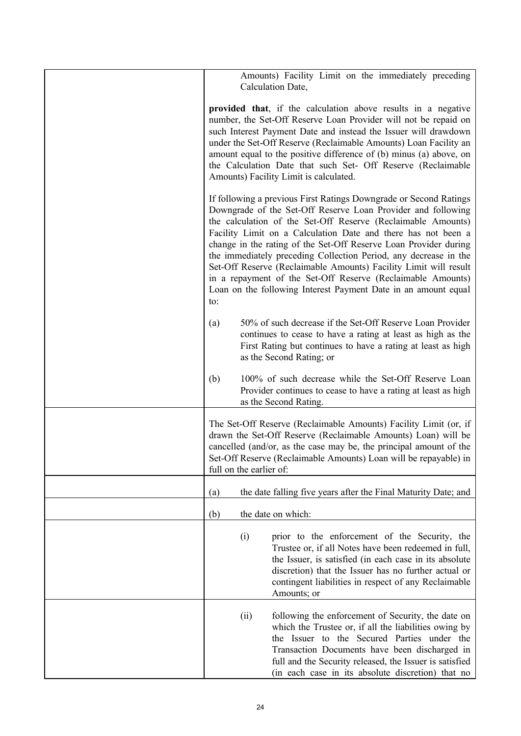| Amounts) Facility Limit on the immediately preceding<br>Calculation Date,                                                                                                                                                                                                                                                                                                                                                                                                                                                                                                                                              |
|------------------------------------------------------------------------------------------------------------------------------------------------------------------------------------------------------------------------------------------------------------------------------------------------------------------------------------------------------------------------------------------------------------------------------------------------------------------------------------------------------------------------------------------------------------------------------------------------------------------------|
| provided that, if the calculation above results in a negative<br>number, the Set-Off Reserve Loan Provider will not be repaid on<br>such Interest Payment Date and instead the Issuer will drawdown<br>under the Set-Off Reserve (Reclaimable Amounts) Loan Facility an<br>amount equal to the positive difference of (b) minus (a) above, on<br>the Calculation Date that such Set- Off Reserve (Reclaimable<br>Amounts) Facility Limit is calculated.                                                                                                                                                                |
| If following a previous First Ratings Downgrade or Second Ratings<br>Downgrade of the Set-Off Reserve Loan Provider and following<br>the calculation of the Set-Off Reserve (Reclaimable Amounts)<br>Facility Limit on a Calculation Date and there has not been a<br>change in the rating of the Set-Off Reserve Loan Provider during<br>the immediately preceding Collection Period, any decrease in the<br>Set-Off Reserve (Reclaimable Amounts) Facility Limit will result<br>in a repayment of the Set-Off Reserve (Reclaimable Amounts)<br>Loan on the following Interest Payment Date in an amount equal<br>to: |
| 50% of such decrease if the Set-Off Reserve Loan Provider<br>(a)<br>continues to cease to have a rating at least as high as the<br>First Rating but continues to have a rating at least as high<br>as the Second Rating; or                                                                                                                                                                                                                                                                                                                                                                                            |
| 100% of such decrease while the Set-Off Reserve Loan<br>(b)<br>Provider continues to cease to have a rating at least as high<br>as the Second Rating.                                                                                                                                                                                                                                                                                                                                                                                                                                                                  |
| The Set-Off Reserve (Reclaimable Amounts) Facility Limit (or, if<br>drawn the Set-Off Reserve (Reclaimable Amounts) Loan) will be<br>cancelled (and/or, as the case may be, the principal amount of the<br>Set-Off Reserve (Reclaimable Amounts) Loan will be repayable) in<br>full on the earlier of:                                                                                                                                                                                                                                                                                                                 |
| the date falling five years after the Final Maturity Date; and<br>(a)                                                                                                                                                                                                                                                                                                                                                                                                                                                                                                                                                  |
| (b)<br>the date on which:                                                                                                                                                                                                                                                                                                                                                                                                                                                                                                                                                                                              |
| (i)<br>prior to the enforcement of the Security, the<br>Trustee or, if all Notes have been redeemed in full,<br>the Issuer, is satisfied (in each case in its absolute<br>discretion) that the Issuer has no further actual or<br>contingent liabilities in respect of any Reclaimable<br>Amounts; or                                                                                                                                                                                                                                                                                                                  |
| following the enforcement of Security, the date on<br>(ii)<br>which the Trustee or, if all the liabilities owing by<br>the Issuer to the Secured Parties under the<br>Transaction Documents have been discharged in<br>full and the Security released, the Issuer is satisfied<br>(in each case in its absolute discretion) that no                                                                                                                                                                                                                                                                                    |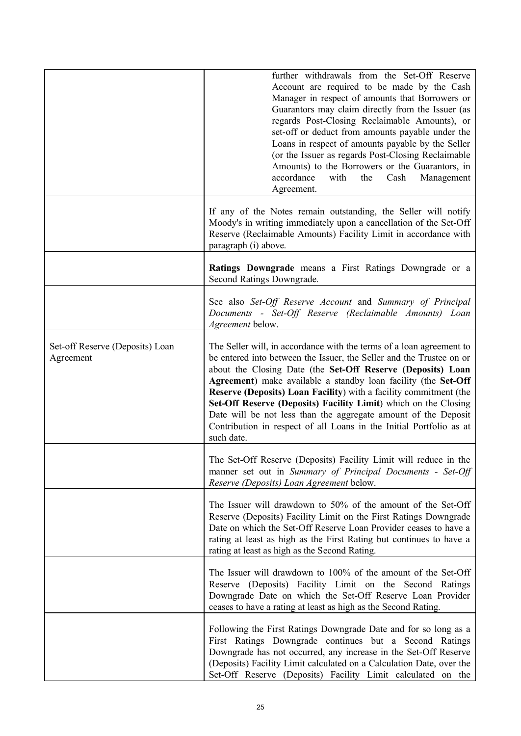|                                              | further withdrawals from the Set-Off Reserve<br>Account are required to be made by the Cash<br>Manager in respect of amounts that Borrowers or<br>Guarantors may claim directly from the Issuer (as<br>regards Post-Closing Reclaimable Amounts), or<br>set-off or deduct from amounts payable under the<br>Loans in respect of amounts payable by the Seller<br>(or the Issuer as regards Post-Closing Reclaimable<br>Amounts) to the Borrowers or the Guarantors, in<br>accordance<br>with<br>the<br>Cash<br>Management<br>Agreement.                                             |
|----------------------------------------------|-------------------------------------------------------------------------------------------------------------------------------------------------------------------------------------------------------------------------------------------------------------------------------------------------------------------------------------------------------------------------------------------------------------------------------------------------------------------------------------------------------------------------------------------------------------------------------------|
|                                              | If any of the Notes remain outstanding, the Seller will notify<br>Moody's in writing immediately upon a cancellation of the Set-Off<br>Reserve (Reclaimable Amounts) Facility Limit in accordance with<br>paragraph (i) above.                                                                                                                                                                                                                                                                                                                                                      |
|                                              | Ratings Downgrade means a First Ratings Downgrade or a<br>Second Ratings Downgrade.                                                                                                                                                                                                                                                                                                                                                                                                                                                                                                 |
|                                              | See also Set-Off Reserve Account and Summary of Principal<br>Documents - Set-Off Reserve (Reclaimable Amounts) Loan<br><i>Agreement</i> below.                                                                                                                                                                                                                                                                                                                                                                                                                                      |
| Set-off Reserve (Deposits) Loan<br>Agreement | The Seller will, in accordance with the terms of a loan agreement to<br>be entered into between the Issuer, the Seller and the Trustee on or<br>about the Closing Date (the Set-Off Reserve (Deposits) Loan<br>Agreement) make available a standby loan facility (the Set-Off<br><b>Reserve (Deposits) Loan Facility)</b> with a facility commitment (the<br>Set-Off Reserve (Deposits) Facility Limit) which on the Closing<br>Date will be not less than the aggregate amount of the Deposit<br>Contribution in respect of all Loans in the Initial Portfolio as at<br>such date. |
|                                              | The Set-Off Reserve (Deposits) Facility Limit will reduce in the<br>manner set out in Summary of Principal Documents - Set-Off<br>Reserve (Deposits) Loan Agreement below.                                                                                                                                                                                                                                                                                                                                                                                                          |
|                                              | The Issuer will drawdown to 50% of the amount of the Set-Off<br>Reserve (Deposits) Facility Limit on the First Ratings Downgrade<br>Date on which the Set-Off Reserve Loan Provider ceases to have a<br>rating at least as high as the First Rating but continues to have a<br>rating at least as high as the Second Rating.                                                                                                                                                                                                                                                        |
|                                              | The Issuer will drawdown to 100% of the amount of the Set-Off<br>Reserve (Deposits) Facility Limit on the Second Ratings<br>Downgrade Date on which the Set-Off Reserve Loan Provider<br>ceases to have a rating at least as high as the Second Rating.                                                                                                                                                                                                                                                                                                                             |
|                                              | Following the First Ratings Downgrade Date and for so long as a<br>First Ratings Downgrade continues but a Second Ratings<br>Downgrade has not occurred, any increase in the Set-Off Reserve<br>(Deposits) Facility Limit calculated on a Calculation Date, over the<br>Set-Off Reserve (Deposits) Facility Limit calculated on the                                                                                                                                                                                                                                                 |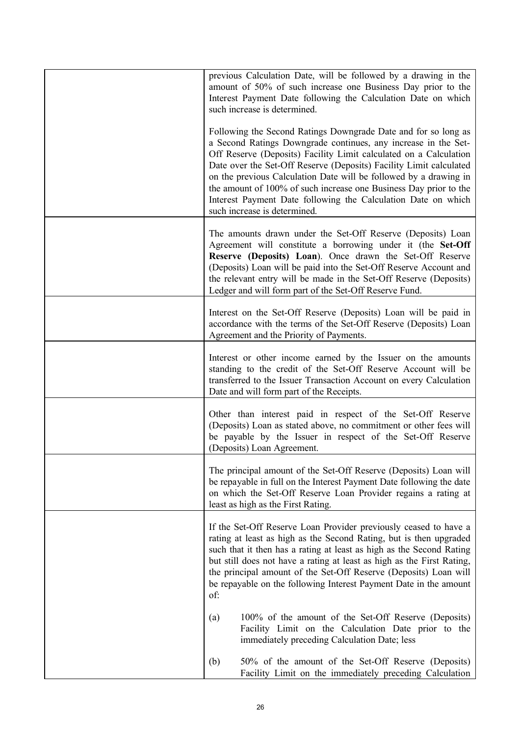| previous Calculation Date, will be followed by a drawing in the<br>amount of 50% of such increase one Business Day prior to the<br>Interest Payment Date following the Calculation Date on which<br>such increase is determined.                                                                                                                                                                                                                                                                                       |
|------------------------------------------------------------------------------------------------------------------------------------------------------------------------------------------------------------------------------------------------------------------------------------------------------------------------------------------------------------------------------------------------------------------------------------------------------------------------------------------------------------------------|
| Following the Second Ratings Downgrade Date and for so long as<br>a Second Ratings Downgrade continues, any increase in the Set-<br>Off Reserve (Deposits) Facility Limit calculated on a Calculation<br>Date over the Set-Off Reserve (Deposits) Facility Limit calculated<br>on the previous Calculation Date will be followed by a drawing in<br>the amount of 100% of such increase one Business Day prior to the<br>Interest Payment Date following the Calculation Date on which<br>such increase is determined. |
| The amounts drawn under the Set-Off Reserve (Deposits) Loan<br>Agreement will constitute a borrowing under it (the Set-Off<br>Reserve (Deposits) Loan). Once drawn the Set-Off Reserve<br>(Deposits) Loan will be paid into the Set-Off Reserve Account and<br>the relevant entry will be made in the Set-Off Reserve (Deposits)<br>Ledger and will form part of the Set-Off Reserve Fund.                                                                                                                             |
| Interest on the Set-Off Reserve (Deposits) Loan will be paid in<br>accordance with the terms of the Set-Off Reserve (Deposits) Loan<br>Agreement and the Priority of Payments.                                                                                                                                                                                                                                                                                                                                         |
| Interest or other income earned by the Issuer on the amounts<br>standing to the credit of the Set-Off Reserve Account will be<br>transferred to the Issuer Transaction Account on every Calculation<br>Date and will form part of the Receipts.                                                                                                                                                                                                                                                                        |
| Other than interest paid in respect of the Set-Off Reserve<br>(Deposits) Loan as stated above, no commitment or other fees will<br>be payable by the Issuer in respect of the Set-Off Reserve<br>(Deposits) Loan Agreement.                                                                                                                                                                                                                                                                                            |
| The principal amount of the Set-Off Reserve (Deposits) Loan will<br>be repayable in full on the Interest Payment Date following the date<br>on which the Set-Off Reserve Loan Provider regains a rating at<br>least as high as the First Rating.                                                                                                                                                                                                                                                                       |
| If the Set-Off Reserve Loan Provider previously ceased to have a<br>rating at least as high as the Second Rating, but is then upgraded<br>such that it then has a rating at least as high as the Second Rating<br>but still does not have a rating at least as high as the First Rating,<br>the principal amount of the Set-Off Reserve (Deposits) Loan will<br>be repayable on the following Interest Payment Date in the amount<br>of:                                                                               |
| 100% of the amount of the Set-Off Reserve (Deposits)<br>(a)<br>Facility Limit on the Calculation Date prior to the<br>immediately preceding Calculation Date; less                                                                                                                                                                                                                                                                                                                                                     |
| 50% of the amount of the Set-Off Reserve (Deposits)<br>(b)<br>Facility Limit on the immediately preceding Calculation                                                                                                                                                                                                                                                                                                                                                                                                  |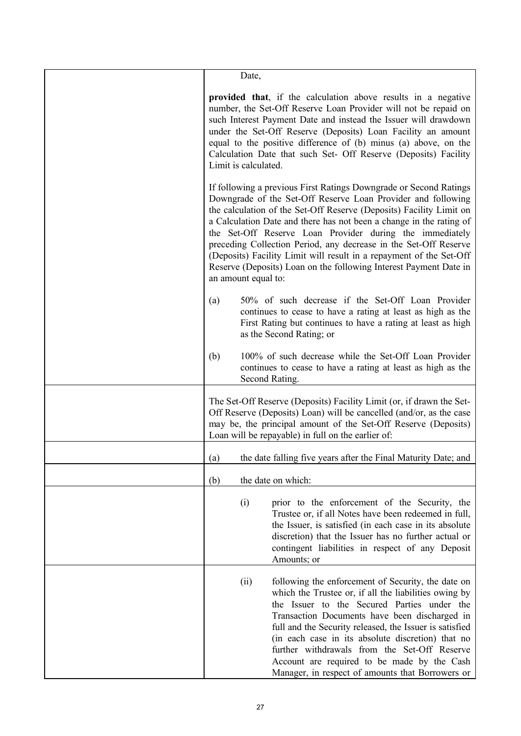| Date,                                                                                                                                                                                                                                                                                                                                                                                                                                                                                                                                                                              |
|------------------------------------------------------------------------------------------------------------------------------------------------------------------------------------------------------------------------------------------------------------------------------------------------------------------------------------------------------------------------------------------------------------------------------------------------------------------------------------------------------------------------------------------------------------------------------------|
|                                                                                                                                                                                                                                                                                                                                                                                                                                                                                                                                                                                    |
| provided that, if the calculation above results in a negative<br>number, the Set-Off Reserve Loan Provider will not be repaid on<br>such Interest Payment Date and instead the Issuer will drawdown<br>under the Set-Off Reserve (Deposits) Loan Facility an amount<br>equal to the positive difference of (b) minus (a) above, on the<br>Calculation Date that such Set- Off Reserve (Deposits) Facility<br>Limit is calculated.                                                                                                                                                  |
| If following a previous First Ratings Downgrade or Second Ratings<br>Downgrade of the Set-Off Reserve Loan Provider and following<br>the calculation of the Set-Off Reserve (Deposits) Facility Limit on<br>a Calculation Date and there has not been a change in the rating of<br>the Set-Off Reserve Loan Provider during the immediately<br>preceding Collection Period, any decrease in the Set-Off Reserve<br>(Deposits) Facility Limit will result in a repayment of the Set-Off<br>Reserve (Deposits) Loan on the following Interest Payment Date in<br>an amount equal to: |
| 50% of such decrease if the Set-Off Loan Provider<br>(a)<br>continues to cease to have a rating at least as high as the<br>First Rating but continues to have a rating at least as high<br>as the Second Rating; or                                                                                                                                                                                                                                                                                                                                                                |
| 100% of such decrease while the Set-Off Loan Provider<br>(b)<br>continues to cease to have a rating at least as high as the<br>Second Rating.                                                                                                                                                                                                                                                                                                                                                                                                                                      |
| The Set-Off Reserve (Deposits) Facility Limit (or, if drawn the Set-<br>Off Reserve (Deposits) Loan) will be cancelled (and/or, as the case<br>may be, the principal amount of the Set-Off Reserve (Deposits)<br>Loan will be repayable) in full on the earlier of:                                                                                                                                                                                                                                                                                                                |
| the date falling five years after the Final Maturity Date; and<br>(a)                                                                                                                                                                                                                                                                                                                                                                                                                                                                                                              |
| (b)<br>the date on which:                                                                                                                                                                                                                                                                                                                                                                                                                                                                                                                                                          |
| (i)<br>prior to the enforcement of the Security, the<br>Trustee or, if all Notes have been redeemed in full,<br>the Issuer, is satisfied (in each case in its absolute<br>discretion) that the Issuer has no further actual or<br>contingent liabilities in respect of any Deposit<br>Amounts; or                                                                                                                                                                                                                                                                                  |
| following the enforcement of Security, the date on<br>(ii)<br>which the Trustee or, if all the liabilities owing by<br>the Issuer to the Secured Parties under the<br>Transaction Documents have been discharged in<br>full and the Security released, the Issuer is satisfied<br>(in each case in its absolute discretion) that no<br>further withdrawals from the Set-Off Reserve<br>Account are required to be made by the Cash<br>Manager, in respect of amounts that Borrowers or                                                                                             |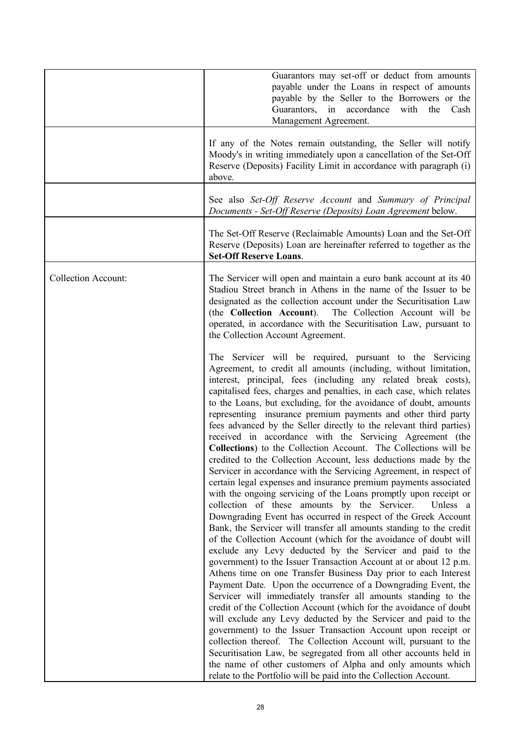|                            | Guarantors may set-off or deduct from amounts<br>payable under the Loans in respect of amounts<br>payable by the Seller to the Borrowers or the<br>in accordance<br>Guarantors,<br>with<br>the<br>Cash<br>Management Agreement.                                                                                                                                                                                                                                                                                                                                                                                                                                                                                                                                                                                                                                                                                                                                                                                                                                                                                                                                                                                                                                                                                                                                                                                                                                                                                                                                                                                                                                                                                                                                                                                                                                                                                                                                                                           |
|----------------------------|-----------------------------------------------------------------------------------------------------------------------------------------------------------------------------------------------------------------------------------------------------------------------------------------------------------------------------------------------------------------------------------------------------------------------------------------------------------------------------------------------------------------------------------------------------------------------------------------------------------------------------------------------------------------------------------------------------------------------------------------------------------------------------------------------------------------------------------------------------------------------------------------------------------------------------------------------------------------------------------------------------------------------------------------------------------------------------------------------------------------------------------------------------------------------------------------------------------------------------------------------------------------------------------------------------------------------------------------------------------------------------------------------------------------------------------------------------------------------------------------------------------------------------------------------------------------------------------------------------------------------------------------------------------------------------------------------------------------------------------------------------------------------------------------------------------------------------------------------------------------------------------------------------------------------------------------------------------------------------------------------------------|
|                            | If any of the Notes remain outstanding, the Seller will notify<br>Moody's in writing immediately upon a cancellation of the Set-Off<br>Reserve (Deposits) Facility Limit in accordance with paragraph (i)<br>above.                                                                                                                                                                                                                                                                                                                                                                                                                                                                                                                                                                                                                                                                                                                                                                                                                                                                                                                                                                                                                                                                                                                                                                                                                                                                                                                                                                                                                                                                                                                                                                                                                                                                                                                                                                                       |
|                            | See also Set-Off Reserve Account and Summary of Principal<br>Documents - Set-Off Reserve (Deposits) Loan Agreement below.                                                                                                                                                                                                                                                                                                                                                                                                                                                                                                                                                                                                                                                                                                                                                                                                                                                                                                                                                                                                                                                                                                                                                                                                                                                                                                                                                                                                                                                                                                                                                                                                                                                                                                                                                                                                                                                                                 |
|                            | The Set-Off Reserve (Reclaimable Amounts) Loan and the Set-Off<br>Reserve (Deposits) Loan are hereinafter referred to together as the<br><b>Set-Off Reserve Loans.</b>                                                                                                                                                                                                                                                                                                                                                                                                                                                                                                                                                                                                                                                                                                                                                                                                                                                                                                                                                                                                                                                                                                                                                                                                                                                                                                                                                                                                                                                                                                                                                                                                                                                                                                                                                                                                                                    |
| <b>Collection Account:</b> | The Servicer will open and maintain a euro bank account at its 40<br>Stadiou Street branch in Athens in the name of the Issuer to be<br>designated as the collection account under the Securitisation Law<br>(the Collection Account). The Collection Account will be<br>operated, in accordance with the Securitisation Law, pursuant to<br>the Collection Account Agreement.                                                                                                                                                                                                                                                                                                                                                                                                                                                                                                                                                                                                                                                                                                                                                                                                                                                                                                                                                                                                                                                                                                                                                                                                                                                                                                                                                                                                                                                                                                                                                                                                                            |
|                            | The Servicer will be required, pursuant to the Servicing<br>Agreement, to credit all amounts (including, without limitation,<br>interest, principal, fees (including any related break costs),<br>capitalised fees, charges and penalties, in each case, which relates<br>to the Loans, but excluding, for the avoidance of doubt, amounts<br>representing insurance premium payments and other third party<br>fees advanced by the Seller directly to the relevant third parties)<br>received in accordance with the Servicing Agreement (the<br>Collections) to the Collection Account. The Collections will be<br>credited to the Collection Account, less deductions made by the<br>Servicer in accordance with the Servicing Agreement, in respect of<br>certain legal expenses and insurance premium payments associated<br>with the ongoing servicing of the Loans promptly upon receipt or<br>collection of these amounts by the Servicer.<br>Unless a<br>Downgrading Event has occurred in respect of the Greek Account<br>Bank, the Servicer will transfer all amounts standing to the credit<br>of the Collection Account (which for the avoidance of doubt will<br>exclude any Levy deducted by the Servicer and paid to the<br>government) to the Issuer Transaction Account at or about 12 p.m.<br>Athens time on one Transfer Business Day prior to each Interest<br>Payment Date. Upon the occurrence of a Downgrading Event, the<br>Servicer will immediately transfer all amounts standing to the<br>credit of the Collection Account (which for the avoidance of doubt<br>will exclude any Levy deducted by the Servicer and paid to the<br>government) to the Issuer Transaction Account upon receipt or<br>collection thereof. The Collection Account will, pursuant to the<br>Securitisation Law, be segregated from all other accounts held in<br>the name of other customers of Alpha and only amounts which<br>relate to the Portfolio will be paid into the Collection Account. |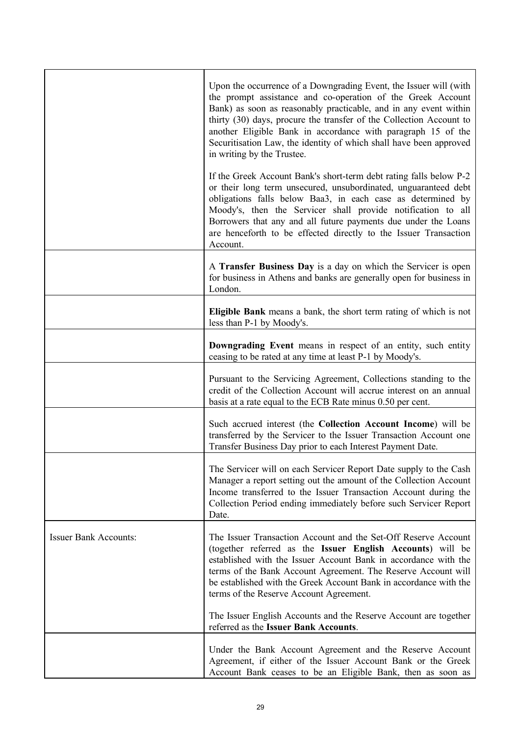|                              | Upon the occurrence of a Downgrading Event, the Issuer will (with<br>the prompt assistance and co-operation of the Greek Account<br>Bank) as soon as reasonably practicable, and in any event within<br>thirty (30) days, procure the transfer of the Collection Account to<br>another Eligible Bank in accordance with paragraph 15 of the<br>Securitisation Law, the identity of which shall have been approved<br>in writing by the Trustee. |
|------------------------------|-------------------------------------------------------------------------------------------------------------------------------------------------------------------------------------------------------------------------------------------------------------------------------------------------------------------------------------------------------------------------------------------------------------------------------------------------|
|                              | If the Greek Account Bank's short-term debt rating falls below P-2<br>or their long term unsecured, unsubordinated, unguaranteed debt<br>obligations falls below Baa3, in each case as determined by<br>Moody's, then the Servicer shall provide notification to all<br>Borrowers that any and all future payments due under the Loans<br>are henceforth to be effected directly to the Issuer Transaction<br>Account.                          |
|                              | A Transfer Business Day is a day on which the Servicer is open<br>for business in Athens and banks are generally open for business in<br>London.                                                                                                                                                                                                                                                                                                |
|                              | Eligible Bank means a bank, the short term rating of which is not<br>less than P-1 by Moody's.                                                                                                                                                                                                                                                                                                                                                  |
|                              | Downgrading Event means in respect of an entity, such entity<br>ceasing to be rated at any time at least P-1 by Moody's.                                                                                                                                                                                                                                                                                                                        |
|                              | Pursuant to the Servicing Agreement, Collections standing to the<br>credit of the Collection Account will accrue interest on an annual<br>basis at a rate equal to the ECB Rate minus 0.50 per cent.                                                                                                                                                                                                                                            |
|                              | Such accrued interest (the Collection Account Income) will be<br>transferred by the Servicer to the Issuer Transaction Account one<br>Transfer Business Day prior to each Interest Payment Date.                                                                                                                                                                                                                                                |
|                              | The Servicer will on each Servicer Report Date supply to the Cash<br>Manager a report setting out the amount of the Collection Account<br>Income transferred to the Issuer Transaction Account during the<br>Collection Period ending immediately before such Servicer Report<br>Date.                                                                                                                                                          |
| <b>Issuer Bank Accounts:</b> | The Issuer Transaction Account and the Set-Off Reserve Account<br>(together referred as the Issuer English Accounts) will be<br>established with the Issuer Account Bank in accordance with the<br>terms of the Bank Account Agreement. The Reserve Account will<br>be established with the Greek Account Bank in accordance with the<br>terms of the Reserve Account Agreement.                                                                |
|                              | The Issuer English Accounts and the Reserve Account are together<br>referred as the Issuer Bank Accounts.                                                                                                                                                                                                                                                                                                                                       |
|                              | Under the Bank Account Agreement and the Reserve Account<br>Agreement, if either of the Issuer Account Bank or the Greek<br>Account Bank ceases to be an Eligible Bank, then as soon as                                                                                                                                                                                                                                                         |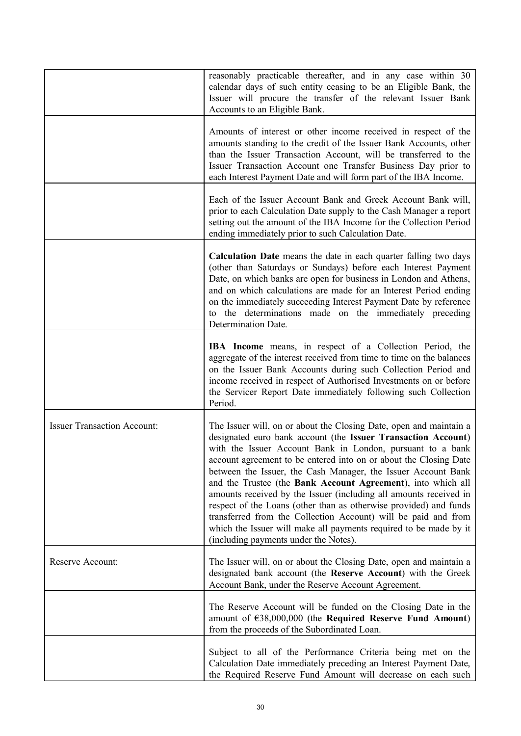|                                    | reasonably practicable thereafter, and in any case within 30<br>calendar days of such entity ceasing to be an Eligible Bank, the<br>Issuer will procure the transfer of the relevant Issuer Bank<br>Accounts to an Eligible Bank.                                                                                                                                                                                                                                                                                                                                                                                                                                                                                                 |
|------------------------------------|-----------------------------------------------------------------------------------------------------------------------------------------------------------------------------------------------------------------------------------------------------------------------------------------------------------------------------------------------------------------------------------------------------------------------------------------------------------------------------------------------------------------------------------------------------------------------------------------------------------------------------------------------------------------------------------------------------------------------------------|
|                                    | Amounts of interest or other income received in respect of the<br>amounts standing to the credit of the Issuer Bank Accounts, other<br>than the Issuer Transaction Account, will be transferred to the<br>Issuer Transaction Account one Transfer Business Day prior to<br>each Interest Payment Date and will form part of the IBA Income.                                                                                                                                                                                                                                                                                                                                                                                       |
|                                    | Each of the Issuer Account Bank and Greek Account Bank will,<br>prior to each Calculation Date supply to the Cash Manager a report<br>setting out the amount of the IBA Income for the Collection Period<br>ending immediately prior to such Calculation Date.                                                                                                                                                                                                                                                                                                                                                                                                                                                                    |
|                                    | Calculation Date means the date in each quarter falling two days<br>(other than Saturdays or Sundays) before each Interest Payment<br>Date, on which banks are open for business in London and Athens,<br>and on which calculations are made for an Interest Period ending<br>on the immediately succeeding Interest Payment Date by reference<br>to the determinations made on the immediately preceding<br>Determination Date.                                                                                                                                                                                                                                                                                                  |
|                                    | <b>IBA</b> Income means, in respect of a Collection Period, the<br>aggregate of the interest received from time to time on the balances<br>on the Issuer Bank Accounts during such Collection Period and<br>income received in respect of Authorised Investments on or before<br>the Servicer Report Date immediately following such Collection<br>Period.                                                                                                                                                                                                                                                                                                                                                                        |
| <b>Issuer Transaction Account:</b> | The Issuer will, on or about the Closing Date, open and maintain a<br>designated euro bank account (the Issuer Transaction Account)<br>with the Issuer Account Bank in London, pursuant to a bank<br>account agreement to be entered into on or about the Closing Date<br>between the Issuer, the Cash Manager, the Issuer Account Bank<br>and the Trustee (the Bank Account Agreement), into which all<br>amounts received by the Issuer (including all amounts received in<br>respect of the Loans (other than as otherwise provided) and funds<br>transferred from the Collection Account) will be paid and from<br>which the Issuer will make all payments required to be made by it<br>(including payments under the Notes). |
| Reserve Account:                   | The Issuer will, on or about the Closing Date, open and maintain a<br>designated bank account (the Reserve Account) with the Greek<br>Account Bank, under the Reserve Account Agreement.                                                                                                                                                                                                                                                                                                                                                                                                                                                                                                                                          |
|                                    | The Reserve Account will be funded on the Closing Date in the<br>amount of $638,000,000$ (the Required Reserve Fund Amount)<br>from the proceeds of the Subordinated Loan.                                                                                                                                                                                                                                                                                                                                                                                                                                                                                                                                                        |
|                                    | Subject to all of the Performance Criteria being met on the<br>Calculation Date immediately preceding an Interest Payment Date,<br>the Required Reserve Fund Amount will decrease on each such                                                                                                                                                                                                                                                                                                                                                                                                                                                                                                                                    |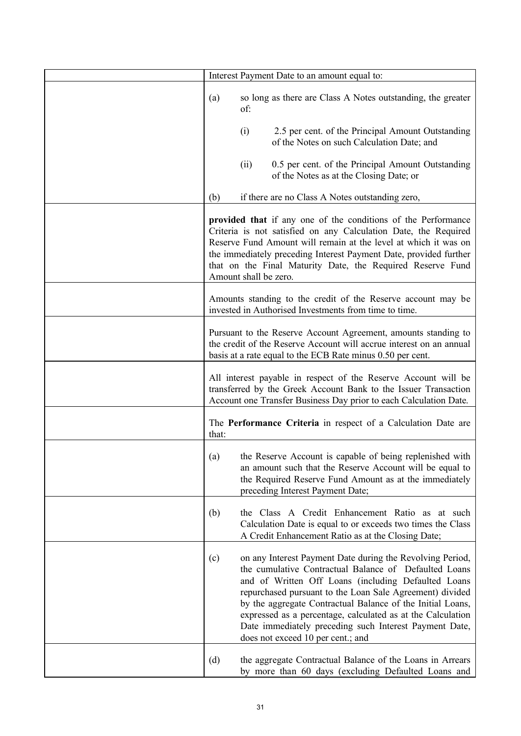| Interest Payment Date to an amount equal to:                                                                                                                                                                                                                                                                                                                                                                                                                             |
|--------------------------------------------------------------------------------------------------------------------------------------------------------------------------------------------------------------------------------------------------------------------------------------------------------------------------------------------------------------------------------------------------------------------------------------------------------------------------|
| so long as there are Class A Notes outstanding, the greater<br>(a)<br>of:                                                                                                                                                                                                                                                                                                                                                                                                |
| 2.5 per cent. of the Principal Amount Outstanding<br>(i)<br>of the Notes on such Calculation Date; and                                                                                                                                                                                                                                                                                                                                                                   |
| 0.5 per cent. of the Principal Amount Outstanding<br>(ii)<br>of the Notes as at the Closing Date; or                                                                                                                                                                                                                                                                                                                                                                     |
| (b)<br>if there are no Class A Notes outstanding zero,                                                                                                                                                                                                                                                                                                                                                                                                                   |
| provided that if any one of the conditions of the Performance<br>Criteria is not satisfied on any Calculation Date, the Required<br>Reserve Fund Amount will remain at the level at which it was on<br>the immediately preceding Interest Payment Date, provided further<br>that on the Final Maturity Date, the Required Reserve Fund<br>Amount shall be zero.                                                                                                          |
| Amounts standing to the credit of the Reserve account may be<br>invested in Authorised Investments from time to time.                                                                                                                                                                                                                                                                                                                                                    |
| Pursuant to the Reserve Account Agreement, amounts standing to<br>the credit of the Reserve Account will accrue interest on an annual<br>basis at a rate equal to the ECB Rate minus 0.50 per cent.                                                                                                                                                                                                                                                                      |
| All interest payable in respect of the Reserve Account will be<br>transferred by the Greek Account Bank to the Issuer Transaction<br>Account one Transfer Business Day prior to each Calculation Date.                                                                                                                                                                                                                                                                   |
| The Performance Criteria in respect of a Calculation Date are<br>that:                                                                                                                                                                                                                                                                                                                                                                                                   |
| the Reserve Account is capable of being replenished with<br>(a)<br>an amount such that the Reserve Account will be equal to<br>the Required Reserve Fund Amount as at the immediately<br>preceding Interest Payment Date;                                                                                                                                                                                                                                                |
| (b)<br>the Class A Credit Enhancement Ratio as at such<br>Calculation Date is equal to or exceeds two times the Class<br>A Credit Enhancement Ratio as at the Closing Date;                                                                                                                                                                                                                                                                                              |
| on any Interest Payment Date during the Revolving Period,<br>(c)<br>the cumulative Contractual Balance of Defaulted Loans<br>and of Written Off Loans (including Defaulted Loans<br>repurchased pursuant to the Loan Sale Agreement) divided<br>by the aggregate Contractual Balance of the Initial Loans,<br>expressed as a percentage, calculated as at the Calculation<br>Date immediately preceding such Interest Payment Date,<br>does not exceed 10 per cent.; and |
| (d)<br>the aggregate Contractual Balance of the Loans in Arrears<br>by more than 60 days (excluding Defaulted Loans and                                                                                                                                                                                                                                                                                                                                                  |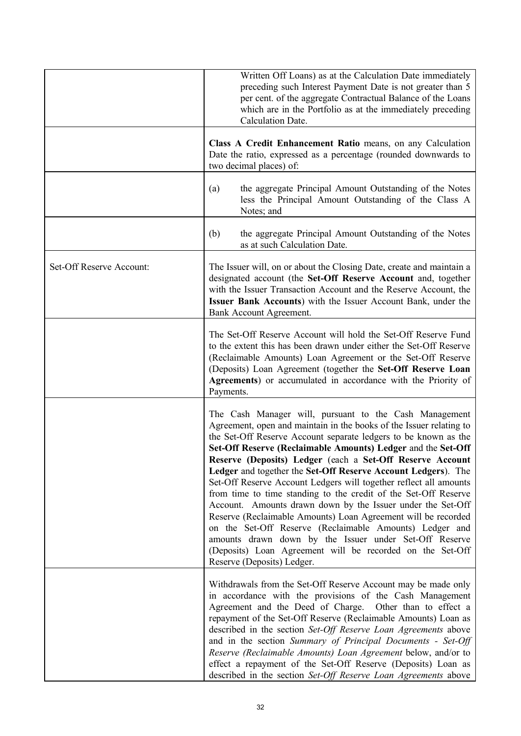|                          | Written Off Loans) as at the Calculation Date immediately<br>preceding such Interest Payment Date is not greater than 5<br>per cent. of the aggregate Contractual Balance of the Loans<br>which are in the Portfolio as at the immediately preceding<br><b>Calculation Date.</b>                                                                                                                                                                                                                                                                                                                                                                                                                                                                                                                                                                                                       |
|--------------------------|----------------------------------------------------------------------------------------------------------------------------------------------------------------------------------------------------------------------------------------------------------------------------------------------------------------------------------------------------------------------------------------------------------------------------------------------------------------------------------------------------------------------------------------------------------------------------------------------------------------------------------------------------------------------------------------------------------------------------------------------------------------------------------------------------------------------------------------------------------------------------------------|
|                          | Class A Credit Enhancement Ratio means, on any Calculation<br>Date the ratio, expressed as a percentage (rounded downwards to<br>two decimal places) of:                                                                                                                                                                                                                                                                                                                                                                                                                                                                                                                                                                                                                                                                                                                               |
|                          | the aggregate Principal Amount Outstanding of the Notes<br>(a)<br>less the Principal Amount Outstanding of the Class A<br>Notes; and                                                                                                                                                                                                                                                                                                                                                                                                                                                                                                                                                                                                                                                                                                                                                   |
|                          | the aggregate Principal Amount Outstanding of the Notes<br>(b)<br>as at such Calculation Date.                                                                                                                                                                                                                                                                                                                                                                                                                                                                                                                                                                                                                                                                                                                                                                                         |
| Set-Off Reserve Account: | The Issuer will, on or about the Closing Date, create and maintain a<br>designated account (the Set-Off Reserve Account and, together<br>with the Issuer Transaction Account and the Reserve Account, the<br>Issuer Bank Accounts) with the Issuer Account Bank, under the<br>Bank Account Agreement.                                                                                                                                                                                                                                                                                                                                                                                                                                                                                                                                                                                  |
|                          | The Set-Off Reserve Account will hold the Set-Off Reserve Fund<br>to the extent this has been drawn under either the Set-Off Reserve<br>(Reclaimable Amounts) Loan Agreement or the Set-Off Reserve<br>(Deposits) Loan Agreement (together the Set-Off Reserve Loan<br>Agreements) or accumulated in accordance with the Priority of<br>Payments.                                                                                                                                                                                                                                                                                                                                                                                                                                                                                                                                      |
|                          | The Cash Manager will, pursuant to the Cash Management<br>Agreement, open and maintain in the books of the Issuer relating to<br>the Set-Off Reserve Account separate ledgers to be known as the<br>Set-Off Reserve (Reclaimable Amounts) Ledger and the Set-Off<br>Reserve (Deposits) Ledger (each a Set-Off Reserve Account<br>Ledger and together the Set-Off Reserve Account Ledgers). The<br>Set-Off Reserve Account Ledgers will together reflect all amounts<br>from time to time standing to the credit of the Set-Off Reserve<br>Account. Amounts drawn down by the Issuer under the Set-Off<br>Reserve (Reclaimable Amounts) Loan Agreement will be recorded<br>on the Set-Off Reserve (Reclaimable Amounts) Ledger and<br>amounts drawn down by the Issuer under Set-Off Reserve<br>(Deposits) Loan Agreement will be recorded on the Set-Off<br>Reserve (Deposits) Ledger. |
|                          | Withdrawals from the Set-Off Reserve Account may be made only<br>in accordance with the provisions of the Cash Management<br>Agreement and the Deed of Charge. Other than to effect a<br>repayment of the Set-Off Reserve (Reclaimable Amounts) Loan as<br>described in the section Set-Off Reserve Loan Agreements above<br>and in the section Summary of Principal Documents - Set-Off<br>Reserve (Reclaimable Amounts) Loan Agreement below, and/or to<br>effect a repayment of the Set-Off Reserve (Deposits) Loan as<br>described in the section Set-Off Reserve Loan Agreements above                                                                                                                                                                                                                                                                                            |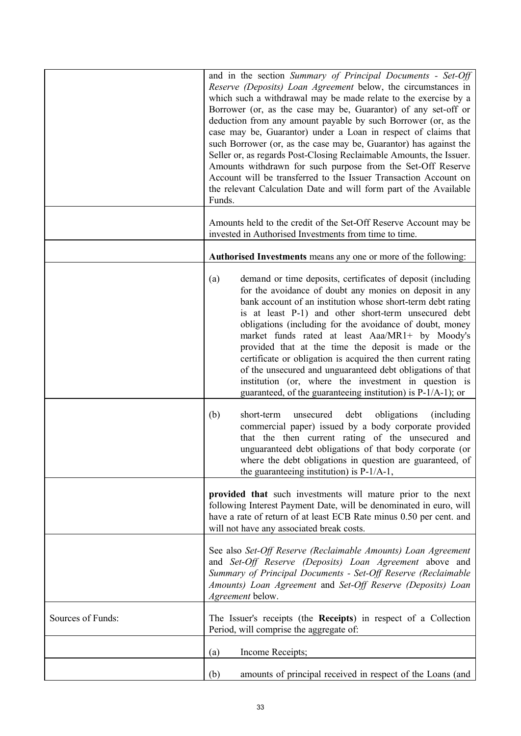|                   | and in the section Summary of Principal Documents - Set-Off<br>Reserve (Deposits) Loan Agreement below, the circumstances in<br>which such a withdrawal may be made relate to the exercise by a<br>Borrower (or, as the case may be, Guarantor) of any set-off or<br>deduction from any amount payable by such Borrower (or, as the<br>case may be, Guarantor) under a Loan in respect of claims that<br>such Borrower (or, as the case may be, Guarantor) has against the<br>Seller or, as regards Post-Closing Reclaimable Amounts, the Issuer.<br>Amounts withdrawn for such purpose from the Set-Off Reserve<br>Account will be transferred to the Issuer Transaction Account on<br>the relevant Calculation Date and will form part of the Available<br>Funds. |  |
|-------------------|---------------------------------------------------------------------------------------------------------------------------------------------------------------------------------------------------------------------------------------------------------------------------------------------------------------------------------------------------------------------------------------------------------------------------------------------------------------------------------------------------------------------------------------------------------------------------------------------------------------------------------------------------------------------------------------------------------------------------------------------------------------------|--|
|                   | Amounts held to the credit of the Set-Off Reserve Account may be<br>invested in Authorised Investments from time to time.                                                                                                                                                                                                                                                                                                                                                                                                                                                                                                                                                                                                                                           |  |
|                   | Authorised Investments means any one or more of the following:                                                                                                                                                                                                                                                                                                                                                                                                                                                                                                                                                                                                                                                                                                      |  |
|                   | demand or time deposits, certificates of deposit (including<br>(a)<br>for the avoidance of doubt any monies on deposit in any<br>bank account of an institution whose short-term debt rating<br>is at least P-1) and other short-term unsecured debt<br>obligations (including for the avoidance of doubt, money<br>market funds rated at least Aaa/MR1+ by Moody's<br>provided that at the time the deposit is made or the<br>certificate or obligation is acquired the then current rating<br>of the unsecured and unguaranteed debt obligations of that<br>institution (or, where the investment in question is<br>guaranteed, of the guaranteeing institution) is $P-1/A-1$ ; or                                                                                |  |
|                   | (b)<br>short-term<br>unsecured<br>debt<br>obligations<br>(including)<br>commercial paper) issued by a body corporate provided<br>that the then current rating of the unsecured and<br>unguaranteed debt obligations of that body corporate (or<br>where the debt obligations in question are guaranteed, of<br>the guaranteeing institution) is $P-1/A-1$ ,                                                                                                                                                                                                                                                                                                                                                                                                         |  |
|                   | provided that such investments will mature prior to the next<br>following Interest Payment Date, will be denominated in euro, will<br>have a rate of return of at least ECB Rate minus 0.50 per cent. and<br>will not have any associated break costs.                                                                                                                                                                                                                                                                                                                                                                                                                                                                                                              |  |
|                   | See also Set-Off Reserve (Reclaimable Amounts) Loan Agreement<br>and Set-Off Reserve (Deposits) Loan Agreement above and<br>Summary of Principal Documents - Set-Off Reserve (Reclaimable<br>Amounts) Loan Agreement and Set-Off Reserve (Deposits) Loan<br>Agreement below.                                                                                                                                                                                                                                                                                                                                                                                                                                                                                        |  |
| Sources of Funds: | The Issuer's receipts (the Receipts) in respect of a Collection<br>Period, will comprise the aggregate of:                                                                                                                                                                                                                                                                                                                                                                                                                                                                                                                                                                                                                                                          |  |
|                   | Income Receipts;<br>(a)                                                                                                                                                                                                                                                                                                                                                                                                                                                                                                                                                                                                                                                                                                                                             |  |
|                   | amounts of principal received in respect of the Loans (and<br>(b)                                                                                                                                                                                                                                                                                                                                                                                                                                                                                                                                                                                                                                                                                                   |  |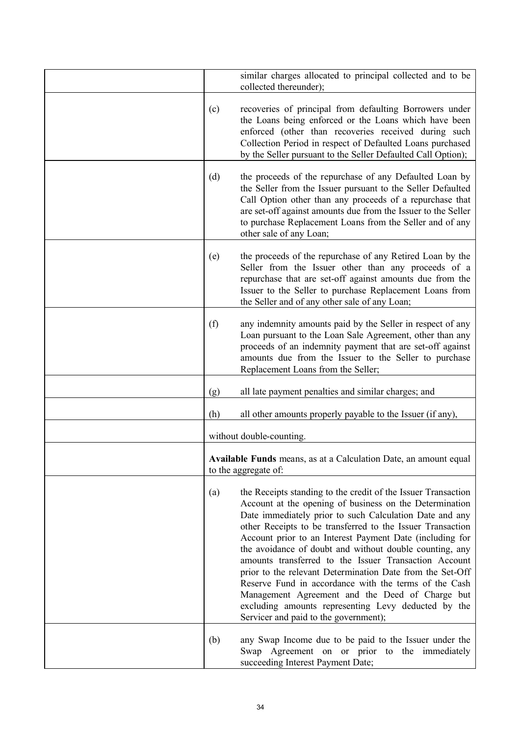|     | similar charges allocated to principal collected and to be<br>collected thereunder);                                                                                                                                                                                                                                                                                                                                                                                                                                                                                                                                                                                                                       |
|-----|------------------------------------------------------------------------------------------------------------------------------------------------------------------------------------------------------------------------------------------------------------------------------------------------------------------------------------------------------------------------------------------------------------------------------------------------------------------------------------------------------------------------------------------------------------------------------------------------------------------------------------------------------------------------------------------------------------|
| (c) | recoveries of principal from defaulting Borrowers under<br>the Loans being enforced or the Loans which have been<br>enforced (other than recoveries received during such<br>Collection Period in respect of Defaulted Loans purchased<br>by the Seller pursuant to the Seller Defaulted Call Option);                                                                                                                                                                                                                                                                                                                                                                                                      |
| (d) | the proceeds of the repurchase of any Defaulted Loan by<br>the Seller from the Issuer pursuant to the Seller Defaulted<br>Call Option other than any proceeds of a repurchase that<br>are set-off against amounts due from the Issuer to the Seller<br>to purchase Replacement Loans from the Seller and of any<br>other sale of any Loan;                                                                                                                                                                                                                                                                                                                                                                 |
| (e) | the proceeds of the repurchase of any Retired Loan by the<br>Seller from the Issuer other than any proceeds of a<br>repurchase that are set-off against amounts due from the<br>Issuer to the Seller to purchase Replacement Loans from<br>the Seller and of any other sale of any Loan;                                                                                                                                                                                                                                                                                                                                                                                                                   |
| (f) | any indemnity amounts paid by the Seller in respect of any<br>Loan pursuant to the Loan Sale Agreement, other than any<br>proceeds of an indemnity payment that are set-off against<br>amounts due from the Issuer to the Seller to purchase<br>Replacement Loans from the Seller;                                                                                                                                                                                                                                                                                                                                                                                                                         |
| (g) | all late payment penalties and similar charges; and                                                                                                                                                                                                                                                                                                                                                                                                                                                                                                                                                                                                                                                        |
| (h) | all other amounts properly payable to the Issuer (if any),                                                                                                                                                                                                                                                                                                                                                                                                                                                                                                                                                                                                                                                 |
|     | without double-counting.                                                                                                                                                                                                                                                                                                                                                                                                                                                                                                                                                                                                                                                                                   |
|     | <b>Available Funds</b> means, as at a Calculation Date, an amount equal<br>to the aggregate of:                                                                                                                                                                                                                                                                                                                                                                                                                                                                                                                                                                                                            |
| (a) | the Receipts standing to the credit of the Issuer Transaction<br>Account at the opening of business on the Determination<br>Date immediately prior to such Calculation Date and any<br>other Receipts to be transferred to the Issuer Transaction<br>Account prior to an Interest Payment Date (including for<br>the avoidance of doubt and without double counting, any<br>amounts transferred to the Issuer Transaction Account<br>prior to the relevant Determination Date from the Set-Off<br>Reserve Fund in accordance with the terms of the Cash<br>Management Agreement and the Deed of Charge but<br>excluding amounts representing Levy deducted by the<br>Servicer and paid to the government); |
| (b) | any Swap Income due to be paid to the Issuer under the<br>Swap Agreement on or prior to the immediately<br>succeeding Interest Payment Date;                                                                                                                                                                                                                                                                                                                                                                                                                                                                                                                                                               |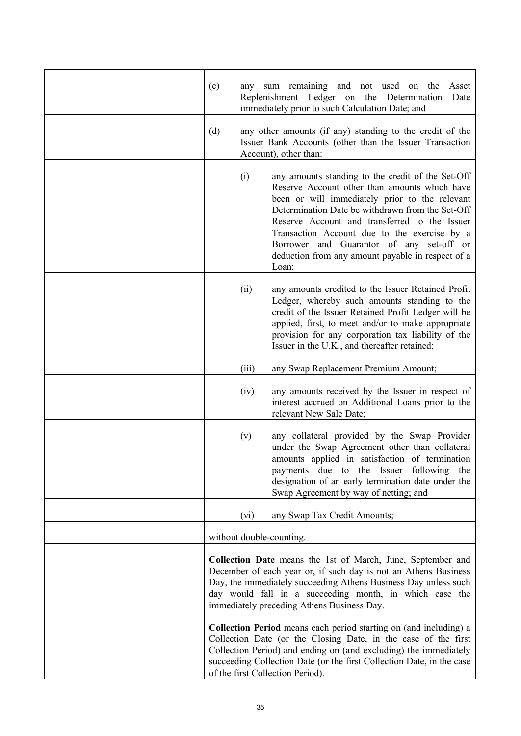| (c) | any   | sum remaining and not used on<br>the<br>Asset<br>Replenishment Ledger on the Determination<br>Date<br>immediately prior to such Calculation Date; and                                                                                                                                                                                                                                                               |
|-----|-------|---------------------------------------------------------------------------------------------------------------------------------------------------------------------------------------------------------------------------------------------------------------------------------------------------------------------------------------------------------------------------------------------------------------------|
| (d) |       | any other amounts (if any) standing to the credit of the<br>Issuer Bank Accounts (other than the Issuer Transaction<br>Account), other than:                                                                                                                                                                                                                                                                        |
|     | (i)   | any amounts standing to the credit of the Set-Off<br>Reserve Account other than amounts which have<br>been or will immediately prior to the relevant<br>Determination Date be withdrawn from the Set-Off<br>Reserve Account and transferred to the Issuer<br>Transaction Account due to the exercise by a<br>Borrower and Guarantor of any set-off or<br>deduction from any amount payable in respect of a<br>Loan; |
|     | (ii)  | any amounts credited to the Issuer Retained Profit<br>Ledger, whereby such amounts standing to the<br>credit of the Issuer Retained Profit Ledger will be<br>applied, first, to meet and/or to make appropriate<br>provision for any corporation tax liability of the<br>Issuer in the U.K., and thereafter retained;                                                                                               |
|     | (iii) | any Swap Replacement Premium Amount;                                                                                                                                                                                                                                                                                                                                                                                |
|     | (iv)  | any amounts received by the Issuer in respect of<br>interest accrued on Additional Loans prior to the<br>relevant New Sale Date;                                                                                                                                                                                                                                                                                    |
|     | (v)   | any collateral provided by the Swap Provider<br>under the Swap Agreement other than collateral<br>amounts applied in satisfaction of termination<br>payments due to the Issuer following<br>the<br>designation of an early termination date under the<br>Swap Agreement by way of netting; and                                                                                                                      |
|     | (vi)  | any Swap Tax Credit Amounts;                                                                                                                                                                                                                                                                                                                                                                                        |
|     |       | without double-counting.                                                                                                                                                                                                                                                                                                                                                                                            |
|     |       | Collection Date means the 1st of March, June, September and<br>December of each year or, if such day is not an Athens Business<br>Day, the immediately succeeding Athens Business Day unless such<br>day would fall in a succeeding month, in which case the<br>immediately preceding Athens Business Day.                                                                                                          |
|     |       | <b>Collection Period</b> means each period starting on (and including) a<br>Collection Date (or the Closing Date, in the case of the first<br>Collection Period) and ending on (and excluding) the immediately<br>succeeding Collection Date (or the first Collection Date, in the case<br>of the first Collection Period).                                                                                         |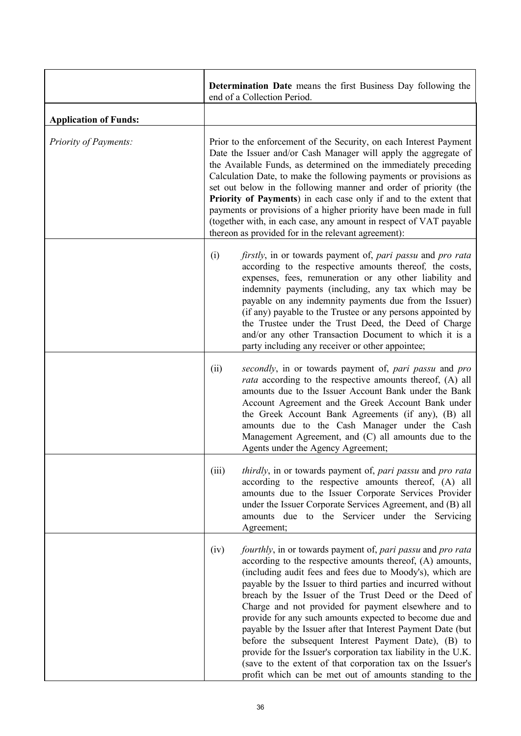|                              | <b>Determination Date</b> means the first Business Day following the<br>end of a Collection Period.                                                                                                                                                                                                                                                                                                                                                                                                                                                                                                                                                                                                                                                        |  |
|------------------------------|------------------------------------------------------------------------------------------------------------------------------------------------------------------------------------------------------------------------------------------------------------------------------------------------------------------------------------------------------------------------------------------------------------------------------------------------------------------------------------------------------------------------------------------------------------------------------------------------------------------------------------------------------------------------------------------------------------------------------------------------------------|--|
| <b>Application of Funds:</b> |                                                                                                                                                                                                                                                                                                                                                                                                                                                                                                                                                                                                                                                                                                                                                            |  |
| Priority of Payments:        | Prior to the enforcement of the Security, on each Interest Payment<br>Date the Issuer and/or Cash Manager will apply the aggregate of<br>the Available Funds, as determined on the immediately preceding<br>Calculation Date, to make the following payments or provisions as<br>set out below in the following manner and order of priority (the<br>Priority of Payments) in each case only if and to the extent that<br>payments or provisions of a higher priority have been made in full<br>(together with, in each case, any amount in respect of VAT payable<br>thereon as provided for in the relevant agreement):                                                                                                                                  |  |
|                              | firstly, in or towards payment of, pari passu and pro rata<br>(i)<br>according to the respective amounts thereof, the costs,<br>expenses, fees, remuneration or any other liability and<br>indemnity payments (including, any tax which may be<br>payable on any indemnity payments due from the Issuer)<br>(if any) payable to the Trustee or any persons appointed by<br>the Trustee under the Trust Deed, the Deed of Charge<br>and/or any other Transaction Document to which it is a<br>party including any receiver or other appointee;                                                                                                                                                                                                              |  |
|                              | secondly, in or towards payment of, pari passu and pro<br>(ii)<br><i>rata</i> according to the respective amounts thereof, (A) all<br>amounts due to the Issuer Account Bank under the Bank<br>Account Agreement and the Greek Account Bank under<br>the Greek Account Bank Agreements (if any), (B) all<br>amounts due to the Cash Manager under the Cash<br>Management Agreement, and (C) all amounts due to the<br>Agents under the Agency Agreement;                                                                                                                                                                                                                                                                                                   |  |
|                              | (iii)<br>thirdly, in or towards payment of, pari passu and pro rata<br>according to the respective amounts thereof, (A) all<br>amounts due to the Issuer Corporate Services Provider<br>under the Issuer Corporate Services Agreement, and (B) all<br>amounts due to the Servicer under the Servicing<br>Agreement;                                                                                                                                                                                                                                                                                                                                                                                                                                        |  |
|                              | fourthly, in or towards payment of, pari passu and pro rata<br>(iv)<br>according to the respective amounts thereof, (A) amounts,<br>(including audit fees and fees due to Moody's), which are<br>payable by the Issuer to third parties and incurred without<br>breach by the Issuer of the Trust Deed or the Deed of<br>Charge and not provided for payment elsewhere and to<br>provide for any such amounts expected to become due and<br>payable by the Issuer after that Interest Payment Date (but<br>before the subsequent Interest Payment Date), (B) to<br>provide for the Issuer's corporation tax liability in the U.K.<br>(save to the extent of that corporation tax on the Issuer's<br>profit which can be met out of amounts standing to the |  |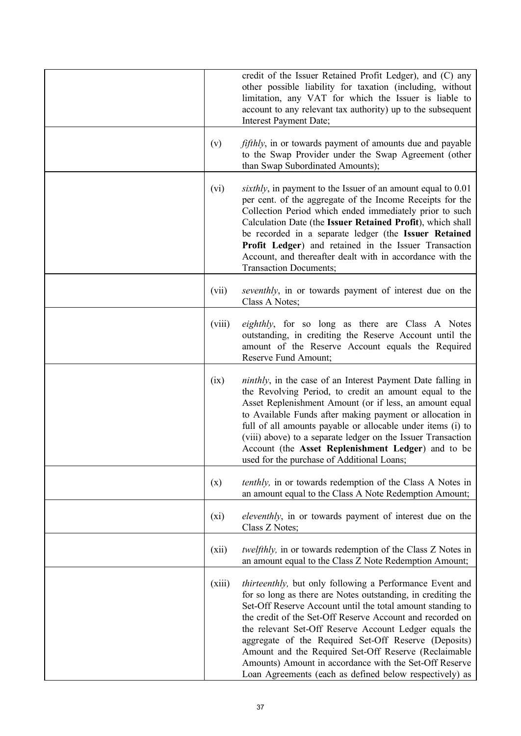|         | credit of the Issuer Retained Profit Ledger), and (C) any<br>other possible liability for taxation (including, without<br>limitation, any VAT for which the Issuer is liable to<br>account to any relevant tax authority) up to the subsequent<br>Interest Payment Date;                                                                                                                                                                                                                                                                           |
|---------|----------------------------------------------------------------------------------------------------------------------------------------------------------------------------------------------------------------------------------------------------------------------------------------------------------------------------------------------------------------------------------------------------------------------------------------------------------------------------------------------------------------------------------------------------|
| (v)     | <i>fifthly</i> , in or towards payment of amounts due and payable<br>to the Swap Provider under the Swap Agreement (other<br>than Swap Subordinated Amounts);                                                                                                                                                                                                                                                                                                                                                                                      |
| (vi)    | sixthly, in payment to the Issuer of an amount equal to 0.01<br>per cent. of the aggregate of the Income Receipts for the<br>Collection Period which ended immediately prior to such<br>Calculation Date (the Issuer Retained Profit), which shall<br>be recorded in a separate ledger (the Issuer Retained<br>Profit Ledger) and retained in the Issuer Transaction<br>Account, and thereafter dealt with in accordance with the<br><b>Transaction Documents;</b>                                                                                 |
| (vii)   | seventhly, in or towards payment of interest due on the<br>Class A Notes;                                                                                                                                                                                                                                                                                                                                                                                                                                                                          |
| (viii)  | <i>eighthly</i> , for so long as there are Class A Notes<br>outstanding, in crediting the Reserve Account until the<br>amount of the Reserve Account equals the Required<br>Reserve Fund Amount;                                                                                                                                                                                                                                                                                                                                                   |
| (ix)    | <i>ninthly</i> , in the case of an Interest Payment Date falling in<br>the Revolving Period, to credit an amount equal to the<br>Asset Replenishment Amount (or if less, an amount equal<br>to Available Funds after making payment or allocation in<br>full of all amounts payable or allocable under items (i) to<br>(viii) above) to a separate ledger on the Issuer Transaction<br>Account (the Asset Replenishment Ledger) and to be<br>used for the purchase of Additional Loans;                                                            |
| (x)     | <i>tenthly</i> , in or towards redemption of the Class A Notes in<br>an amount equal to the Class A Note Redemption Amount;                                                                                                                                                                                                                                                                                                                                                                                                                        |
| $(x_i)$ | <i>eleventhly</i> , in or towards payment of interest due on the<br>Class Z Notes;                                                                                                                                                                                                                                                                                                                                                                                                                                                                 |
| (xii)   | <i>twelfthly</i> , in or towards redemption of the Class Z Notes in<br>an amount equal to the Class Z Note Redemption Amount;                                                                                                                                                                                                                                                                                                                                                                                                                      |
| (xiii)  | thirteenthly, but only following a Performance Event and<br>for so long as there are Notes outstanding, in crediting the<br>Set-Off Reserve Account until the total amount standing to<br>the credit of the Set-Off Reserve Account and recorded on<br>the relevant Set-Off Reserve Account Ledger equals the<br>aggregate of the Required Set-Off Reserve (Deposits)<br>Amount and the Required Set-Off Reserve (Reclaimable<br>Amounts) Amount in accordance with the Set-Off Reserve<br>Loan Agreements (each as defined below respectively) as |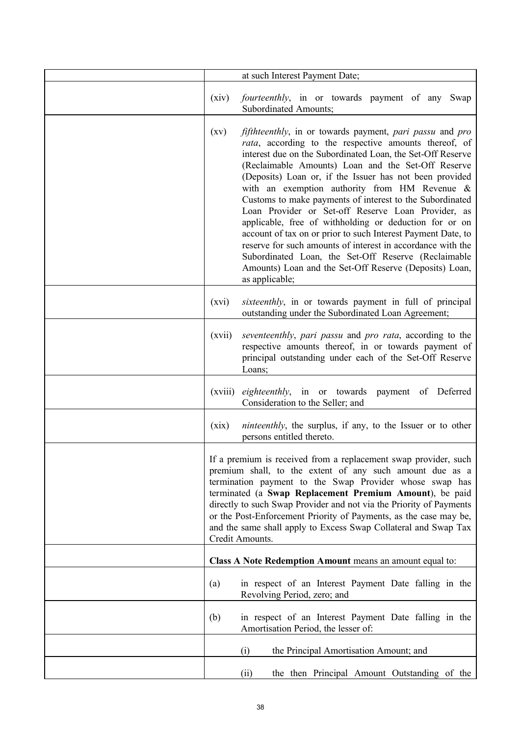|                                                                                                                                                                                                                                                                                                                                                                                                                                                                                     | at such Interest Payment Date;                                                                                                                                                                                                                                                                                                                                                                                                                                                                                                                                                                                                                                                                                                                                                                                        |
|-------------------------------------------------------------------------------------------------------------------------------------------------------------------------------------------------------------------------------------------------------------------------------------------------------------------------------------------------------------------------------------------------------------------------------------------------------------------------------------|-----------------------------------------------------------------------------------------------------------------------------------------------------------------------------------------------------------------------------------------------------------------------------------------------------------------------------------------------------------------------------------------------------------------------------------------------------------------------------------------------------------------------------------------------------------------------------------------------------------------------------------------------------------------------------------------------------------------------------------------------------------------------------------------------------------------------|
|                                                                                                                                                                                                                                                                                                                                                                                                                                                                                     |                                                                                                                                                                                                                                                                                                                                                                                                                                                                                                                                                                                                                                                                                                                                                                                                                       |
| (xiv)                                                                                                                                                                                                                                                                                                                                                                                                                                                                               | <i>fourteenthly</i> , in or towards payment of any Swap<br>Subordinated Amounts;                                                                                                                                                                                                                                                                                                                                                                                                                                                                                                                                                                                                                                                                                                                                      |
| $\left( xy\right)$                                                                                                                                                                                                                                                                                                                                                                                                                                                                  | <i>fifthteenthly</i> , in or towards payment, <i>pari passu</i> and <i>pro</i><br>rata, according to the respective amounts thereof, of<br>interest due on the Subordinated Loan, the Set-Off Reserve<br>(Reclaimable Amounts) Loan and the Set-Off Reserve<br>(Deposits) Loan or, if the Issuer has not been provided<br>with an exemption authority from HM Revenue &<br>Customs to make payments of interest to the Subordinated<br>Loan Provider or Set-off Reserve Loan Provider, as<br>applicable, free of withholding or deduction for or on<br>account of tax on or prior to such Interest Payment Date, to<br>reserve for such amounts of interest in accordance with the<br>Subordinated Loan, the Set-Off Reserve (Reclaimable<br>Amounts) Loan and the Set-Off Reserve (Deposits) Loan,<br>as applicable; |
| (xvi)                                                                                                                                                                                                                                                                                                                                                                                                                                                                               | <i>sixteenthly</i> , in or towards payment in full of principal<br>outstanding under the Subordinated Loan Agreement;                                                                                                                                                                                                                                                                                                                                                                                                                                                                                                                                                                                                                                                                                                 |
| (xvii)                                                                                                                                                                                                                                                                                                                                                                                                                                                                              | seventeenthly, pari passu and pro rata, according to the<br>respective amounts thereof, in or towards payment of<br>principal outstanding under each of the Set-Off Reserve<br>Loans;                                                                                                                                                                                                                                                                                                                                                                                                                                                                                                                                                                                                                                 |
| (xviii)                                                                                                                                                                                                                                                                                                                                                                                                                                                                             | eighteenthly, in or towards payment of Deferred<br>Consideration to the Seller; and                                                                                                                                                                                                                                                                                                                                                                                                                                                                                                                                                                                                                                                                                                                                   |
| (xix)                                                                                                                                                                                                                                                                                                                                                                                                                                                                               | <i>ninteenthly</i> , the surplus, if any, to the Issuer or to other<br>persons entitled thereto.                                                                                                                                                                                                                                                                                                                                                                                                                                                                                                                                                                                                                                                                                                                      |
| If a premium is received from a replacement swap provider, such<br>premium shall, to the extent of any such amount due as a<br>termination payment to the Swap Provider whose swap has<br>terminated (a Swap Replacement Premium Amount), be paid<br>directly to such Swap Provider and not via the Priority of Payments<br>or the Post-Enforcement Priority of Payments, as the case may be,<br>and the same shall apply to Excess Swap Collateral and Swap Tax<br>Credit Amounts. |                                                                                                                                                                                                                                                                                                                                                                                                                                                                                                                                                                                                                                                                                                                                                                                                                       |
| Class A Note Redemption Amount means an amount equal to:                                                                                                                                                                                                                                                                                                                                                                                                                            |                                                                                                                                                                                                                                                                                                                                                                                                                                                                                                                                                                                                                                                                                                                                                                                                                       |
| (a)                                                                                                                                                                                                                                                                                                                                                                                                                                                                                 | in respect of an Interest Payment Date falling in the<br>Revolving Period, zero; and                                                                                                                                                                                                                                                                                                                                                                                                                                                                                                                                                                                                                                                                                                                                  |
| (b)                                                                                                                                                                                                                                                                                                                                                                                                                                                                                 | in respect of an Interest Payment Date falling in the<br>Amortisation Period, the lesser of:                                                                                                                                                                                                                                                                                                                                                                                                                                                                                                                                                                                                                                                                                                                          |
|                                                                                                                                                                                                                                                                                                                                                                                                                                                                                     | (i)<br>the Principal Amortisation Amount; and                                                                                                                                                                                                                                                                                                                                                                                                                                                                                                                                                                                                                                                                                                                                                                         |
|                                                                                                                                                                                                                                                                                                                                                                                                                                                                                     | the then Principal Amount Outstanding of the<br>(ii)                                                                                                                                                                                                                                                                                                                                                                                                                                                                                                                                                                                                                                                                                                                                                                  |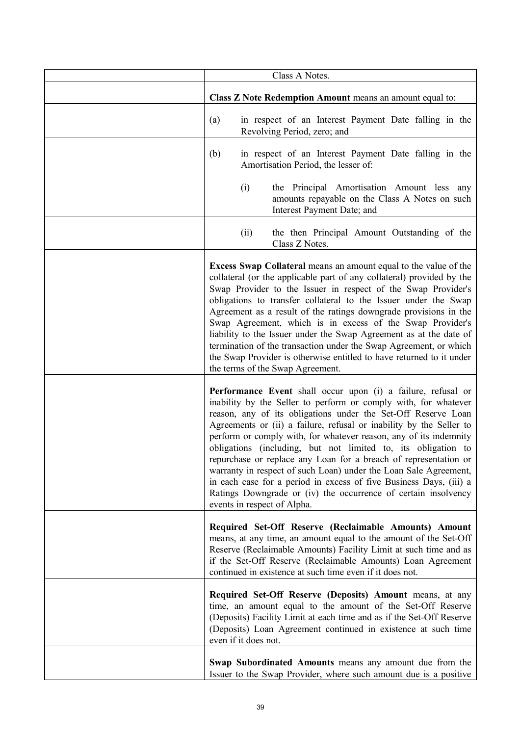| Class A Notes.                                                                                                                                                                                                                                                                                                                                                                                                                                                                                                                                                                                                                                                                                                               |  |  |
|------------------------------------------------------------------------------------------------------------------------------------------------------------------------------------------------------------------------------------------------------------------------------------------------------------------------------------------------------------------------------------------------------------------------------------------------------------------------------------------------------------------------------------------------------------------------------------------------------------------------------------------------------------------------------------------------------------------------------|--|--|
| Class Z Note Redemption Amount means an amount equal to:                                                                                                                                                                                                                                                                                                                                                                                                                                                                                                                                                                                                                                                                     |  |  |
| in respect of an Interest Payment Date falling in the<br>(a)<br>Revolving Period, zero; and                                                                                                                                                                                                                                                                                                                                                                                                                                                                                                                                                                                                                                  |  |  |
| (b)<br>in respect of an Interest Payment Date falling in the<br>Amortisation Period, the lesser of:                                                                                                                                                                                                                                                                                                                                                                                                                                                                                                                                                                                                                          |  |  |
| (i)<br>the Principal Amortisation Amount less any<br>amounts repayable on the Class A Notes on such<br>Interest Payment Date; and                                                                                                                                                                                                                                                                                                                                                                                                                                                                                                                                                                                            |  |  |
| the then Principal Amount Outstanding of the<br>(ii)<br>Class Z Notes.                                                                                                                                                                                                                                                                                                                                                                                                                                                                                                                                                                                                                                                       |  |  |
| <b>Excess Swap Collateral means an amount equal to the value of the</b><br>collateral (or the applicable part of any collateral) provided by the<br>Swap Provider to the Issuer in respect of the Swap Provider's<br>obligations to transfer collateral to the Issuer under the Swap<br>Agreement as a result of the ratings downgrade provisions in the<br>Swap Agreement, which is in excess of the Swap Provider's<br>liability to the Issuer under the Swap Agreement as at the date of<br>termination of the transaction under the Swap Agreement, or which<br>the Swap Provider is otherwise entitled to have returned to it under<br>the terms of the Swap Agreement.                                                 |  |  |
| Performance Event shall occur upon (i) a failure, refusal or<br>inability by the Seller to perform or comply with, for whatever<br>reason, any of its obligations under the Set-Off Reserve Loan<br>Agreements or (ii) a failure, refusal or inability by the Seller to<br>perform or comply with, for whatever reason, any of its indemnity<br>obligations (including, but not limited to, its obligation to<br>repurchase or replace any Loan for a breach of representation or<br>warranty in respect of such Loan) under the Loan Sale Agreement,<br>in each case for a period in excess of five Business Days, (iii) a<br>Ratings Downgrade or (iv) the occurrence of certain insolvency<br>events in respect of Alpha. |  |  |
| Required Set-Off Reserve (Reclaimable Amounts) Amount<br>means, at any time, an amount equal to the amount of the Set-Off<br>Reserve (Reclaimable Amounts) Facility Limit at such time and as<br>if the Set-Off Reserve (Reclaimable Amounts) Loan Agreement<br>continued in existence at such time even if it does not.                                                                                                                                                                                                                                                                                                                                                                                                     |  |  |
| Required Set-Off Reserve (Deposits) Amount means, at any<br>time, an amount equal to the amount of the Set-Off Reserve<br>(Deposits) Facility Limit at each time and as if the Set-Off Reserve<br>(Deposits) Loan Agreement continued in existence at such time<br>even if it does not.                                                                                                                                                                                                                                                                                                                                                                                                                                      |  |  |
| Swap Subordinated Amounts means any amount due from the<br>Issuer to the Swap Provider, where such amount due is a positive                                                                                                                                                                                                                                                                                                                                                                                                                                                                                                                                                                                                  |  |  |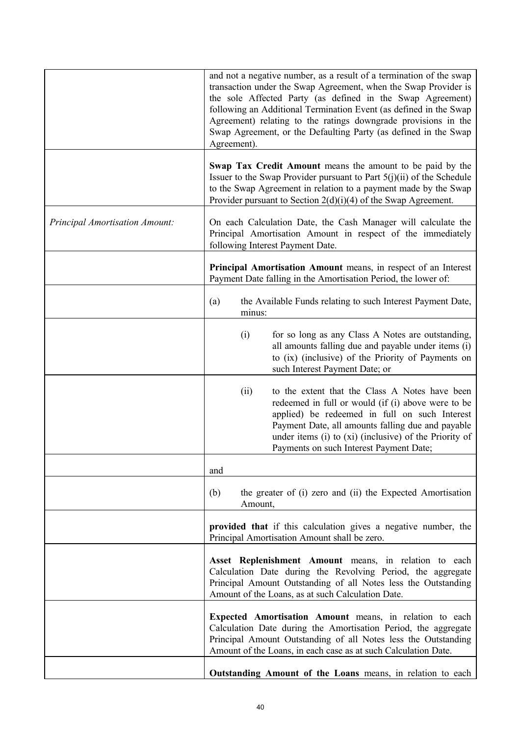|                                       | and not a negative number, as a result of a termination of the swap<br>transaction under the Swap Agreement, when the Swap Provider is<br>the sole Affected Party (as defined in the Swap Agreement)<br>following an Additional Termination Event (as defined in the Swap<br>Agreement) relating to the ratings downgrade provisions in the<br>Swap Agreement, or the Defaulting Party (as defined in the Swap<br>Agreement). |
|---------------------------------------|-------------------------------------------------------------------------------------------------------------------------------------------------------------------------------------------------------------------------------------------------------------------------------------------------------------------------------------------------------------------------------------------------------------------------------|
|                                       | Swap Tax Credit Amount means the amount to be paid by the<br>Issuer to the Swap Provider pursuant to Part $5(j)(ii)$ of the Schedule<br>to the Swap Agreement in relation to a payment made by the Swap<br>Provider pursuant to Section $2(d)(i)(4)$ of the Swap Agreement.                                                                                                                                                   |
| <b>Principal Amortisation Amount:</b> | On each Calculation Date, the Cash Manager will calculate the<br>Principal Amortisation Amount in respect of the immediately<br>following Interest Payment Date.                                                                                                                                                                                                                                                              |
|                                       | Principal Amortisation Amount means, in respect of an Interest<br>Payment Date falling in the Amortisation Period, the lower of:                                                                                                                                                                                                                                                                                              |
|                                       | the Available Funds relating to such Interest Payment Date,<br>(a)<br>minus:                                                                                                                                                                                                                                                                                                                                                  |
|                                       | (i)<br>for so long as any Class A Notes are outstanding,<br>all amounts falling due and payable under items (i)<br>to (ix) (inclusive) of the Priority of Payments on<br>such Interest Payment Date; or                                                                                                                                                                                                                       |
|                                       | to the extent that the Class A Notes have been<br>(ii)<br>redeemed in full or would (if (i) above were to be<br>applied) be redeemed in full on such Interest<br>Payment Date, all amounts falling due and payable<br>under items (i) to (xi) (inclusive) of the Priority of<br>Payments on such Interest Payment Date;                                                                                                       |
|                                       | and                                                                                                                                                                                                                                                                                                                                                                                                                           |
|                                       | the greater of (i) zero and (ii) the Expected Amortisation<br>(b)<br>Amount,                                                                                                                                                                                                                                                                                                                                                  |
|                                       | provided that if this calculation gives a negative number, the<br>Principal Amortisation Amount shall be zero.                                                                                                                                                                                                                                                                                                                |
|                                       | Asset Replenishment Amount means, in relation to each<br>Calculation Date during the Revolving Period, the aggregate<br>Principal Amount Outstanding of all Notes less the Outstanding<br>Amount of the Loans, as at such Calculation Date.                                                                                                                                                                                   |
|                                       | Expected Amortisation Amount means, in relation to each<br>Calculation Date during the Amortisation Period, the aggregate<br>Principal Amount Outstanding of all Notes less the Outstanding<br>Amount of the Loans, in each case as at such Calculation Date.                                                                                                                                                                 |
|                                       | Outstanding Amount of the Loans means, in relation to each                                                                                                                                                                                                                                                                                                                                                                    |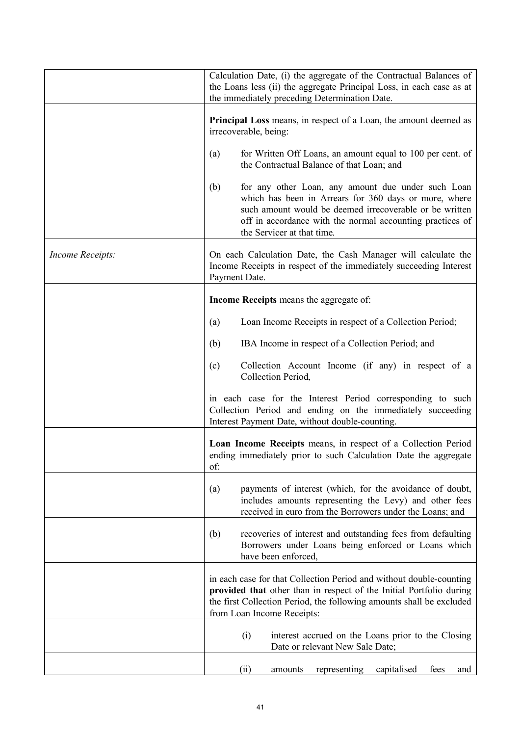|                  | Calculation Date, (i) the aggregate of the Contractual Balances of<br>the Loans less (ii) the aggregate Principal Loss, in each case as at<br>the immediately preceding Determination Date.                                                                              |  |
|------------------|--------------------------------------------------------------------------------------------------------------------------------------------------------------------------------------------------------------------------------------------------------------------------|--|
|                  | Principal Loss means, in respect of a Loan, the amount deemed as<br>irrecoverable, being:                                                                                                                                                                                |  |
|                  | for Written Off Loans, an amount equal to 100 per cent. of<br>(a)<br>the Contractual Balance of that Loan; and                                                                                                                                                           |  |
|                  | (b)<br>for any other Loan, any amount due under such Loan<br>which has been in Arrears for 360 days or more, where<br>such amount would be deemed irrecoverable or be written<br>off in accordance with the normal accounting practices of<br>the Servicer at that time. |  |
| Income Receipts: | On each Calculation Date, the Cash Manager will calculate the<br>Income Receipts in respect of the immediately succeeding Interest<br>Payment Date.                                                                                                                      |  |
|                  | Income Receipts means the aggregate of:                                                                                                                                                                                                                                  |  |
|                  | Loan Income Receipts in respect of a Collection Period;<br>(a)                                                                                                                                                                                                           |  |
|                  | IBA Income in respect of a Collection Period; and<br>(b)                                                                                                                                                                                                                 |  |
|                  | Collection Account Income (if any) in respect of a<br>(c)<br>Collection Period,                                                                                                                                                                                          |  |
|                  | in each case for the Interest Period corresponding to such<br>Collection Period and ending on the immediately succeeding<br>Interest Payment Date, without double-counting.                                                                                              |  |
|                  | Loan Income Receipts means, in respect of a Collection Period<br>ending immediately prior to such Calculation Date the aggregate<br>of:                                                                                                                                  |  |
|                  | payments of interest (which, for the avoidance of doubt,<br>(a)<br>includes amounts representing the Levy) and other fees<br>received in euro from the Borrowers under the Loans; and                                                                                    |  |
|                  | recoveries of interest and outstanding fees from defaulting<br>(b)<br>Borrowers under Loans being enforced or Loans which<br>have been enforced,                                                                                                                         |  |
|                  | in each case for that Collection Period and without double-counting<br>provided that other than in respect of the Initial Portfolio during<br>the first Collection Period, the following amounts shall be excluded<br>from Loan Income Receipts:                         |  |
|                  | (i)<br>interest accrued on the Loans prior to the Closing<br>Date or relevant New Sale Date;                                                                                                                                                                             |  |
|                  | (ii)<br>representing<br>capitalised<br>fees<br>amounts<br>and                                                                                                                                                                                                            |  |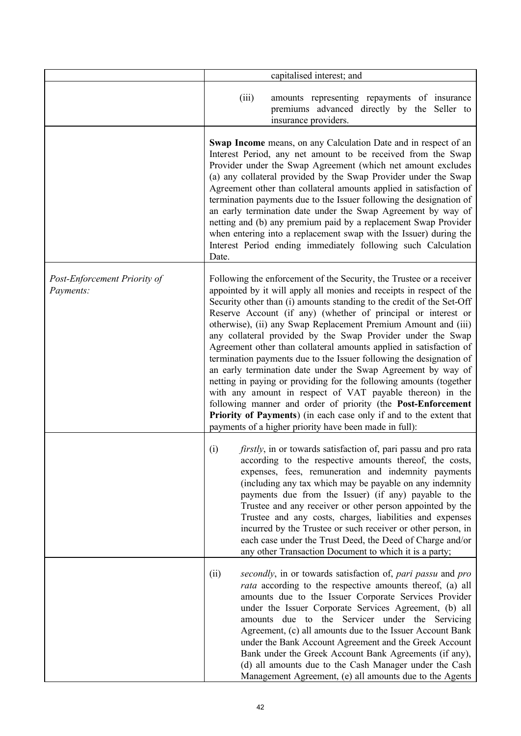|                                           | capitalised interest; and                                                                                                                                                                                                                                                                                                                                                                                                                                                                                                                                                                                                                                                                                                                                                                                                                                                                                                                                               |                                                                                                                                                                                                                                                                                                                                                                                                                                                                                                                                                                                                                        |  |
|-------------------------------------------|-------------------------------------------------------------------------------------------------------------------------------------------------------------------------------------------------------------------------------------------------------------------------------------------------------------------------------------------------------------------------------------------------------------------------------------------------------------------------------------------------------------------------------------------------------------------------------------------------------------------------------------------------------------------------------------------------------------------------------------------------------------------------------------------------------------------------------------------------------------------------------------------------------------------------------------------------------------------------|------------------------------------------------------------------------------------------------------------------------------------------------------------------------------------------------------------------------------------------------------------------------------------------------------------------------------------------------------------------------------------------------------------------------------------------------------------------------------------------------------------------------------------------------------------------------------------------------------------------------|--|
|                                           | (iii)                                                                                                                                                                                                                                                                                                                                                                                                                                                                                                                                                                                                                                                                                                                                                                                                                                                                                                                                                                   | amounts representing repayments of insurance<br>premiums advanced directly by the Seller to<br>insurance providers.                                                                                                                                                                                                                                                                                                                                                                                                                                                                                                    |  |
|                                           | <b>Swap Income</b> means, on any Calculation Date and in respect of an<br>Interest Period, any net amount to be received from the Swap<br>Provider under the Swap Agreement (which net amount excludes<br>(a) any collateral provided by the Swap Provider under the Swap<br>Agreement other than collateral amounts applied in satisfaction of<br>termination payments due to the Issuer following the designation of<br>an early termination date under the Swap Agreement by way of<br>netting and (b) any premium paid by a replacement Swap Provider<br>when entering into a replacement swap with the Issuer) during the<br>Interest Period ending immediately following such Calculation<br>Date.                                                                                                                                                                                                                                                                |                                                                                                                                                                                                                                                                                                                                                                                                                                                                                                                                                                                                                        |  |
| Post-Enforcement Priority of<br>Payments: | Following the enforcement of the Security, the Trustee or a receiver<br>appointed by it will apply all monies and receipts in respect of the<br>Security other than (i) amounts standing to the credit of the Set-Off<br>Reserve Account (if any) (whether of principal or interest or<br>otherwise), (ii) any Swap Replacement Premium Amount and (iii)<br>any collateral provided by the Swap Provider under the Swap<br>Agreement other than collateral amounts applied in satisfaction of<br>termination payments due to the Issuer following the designation of<br>an early termination date under the Swap Agreement by way of<br>netting in paying or providing for the following amounts (together<br>with any amount in respect of VAT payable thereon) in the<br>following manner and order of priority (the Post-Enforcement<br>Priority of Payments) (in each case only if and to the extent that<br>payments of a higher priority have been made in full): |                                                                                                                                                                                                                                                                                                                                                                                                                                                                                                                                                                                                                        |  |
|                                           | (i)                                                                                                                                                                                                                                                                                                                                                                                                                                                                                                                                                                                                                                                                                                                                                                                                                                                                                                                                                                     | firstly, in or towards satisfaction of, pari passu and pro rata<br>according to the respective amounts thereof, the costs,<br>expenses, fees, remuneration and indemnity payments<br>(including any tax which may be payable on any indemnity<br>payments due from the Issuer) (if any) payable to the<br>Trustee and any receiver or other person appointed by the<br>Trustee and any costs, charges, liabilities and expenses<br>incurred by the Trustee or such receiver or other person, in<br>each case under the Trust Deed, the Deed of Charge and/or<br>any other Transaction Document to which it is a party; |  |
|                                           | (ii)                                                                                                                                                                                                                                                                                                                                                                                                                                                                                                                                                                                                                                                                                                                                                                                                                                                                                                                                                                    | secondly, in or towards satisfaction of, pari passu and pro<br><i>rata</i> according to the respective amounts thereof, (a) all<br>amounts due to the Issuer Corporate Services Provider<br>under the Issuer Corporate Services Agreement, (b) all<br>amounts due to the Servicer under the Servicing<br>Agreement, (c) all amounts due to the Issuer Account Bank<br>under the Bank Account Agreement and the Greek Account<br>Bank under the Greek Account Bank Agreements (if any),<br>(d) all amounts due to the Cash Manager under the Cash<br>Management Agreement, (e) all amounts due to the Agents            |  |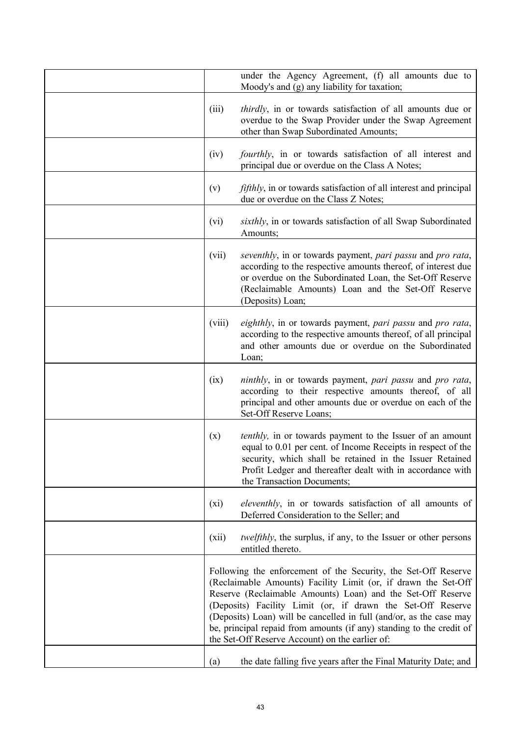|        | under the Agency Agreement, (f) all amounts due to<br>Moody's and (g) any liability for taxation;                                                                                                                                                                                                                                                                                                                                                                |
|--------|------------------------------------------------------------------------------------------------------------------------------------------------------------------------------------------------------------------------------------------------------------------------------------------------------------------------------------------------------------------------------------------------------------------------------------------------------------------|
| (iii)  | <i>thirdly</i> , in or towards satisfaction of all amounts due or<br>overdue to the Swap Provider under the Swap Agreement<br>other than Swap Subordinated Amounts;                                                                                                                                                                                                                                                                                              |
| (iv)   | <i>fourthly</i> , in or towards satisfaction of all interest and<br>principal due or overdue on the Class A Notes;                                                                                                                                                                                                                                                                                                                                               |
| (v)    | <i>fifthly</i> , in or towards satisfaction of all interest and principal<br>due or overdue on the Class Z Notes;                                                                                                                                                                                                                                                                                                                                                |
| (vi)   | sixthly, in or towards satisfaction of all Swap Subordinated<br>Amounts;                                                                                                                                                                                                                                                                                                                                                                                         |
| (vii)  | seventhly, in or towards payment, pari passu and pro rata,<br>according to the respective amounts thereof, of interest due<br>or overdue on the Subordinated Loan, the Set-Off Reserve<br>(Reclaimable Amounts) Loan and the Set-Off Reserve<br>(Deposits) Loan;                                                                                                                                                                                                 |
| (viii) | eighthly, in or towards payment, pari passu and pro rata,<br>according to the respective amounts thereof, of all principal<br>and other amounts due or overdue on the Subordinated<br>Loan;                                                                                                                                                                                                                                                                      |
| (ix)   | <i>ninthly</i> , in or towards payment, <i>pari passu</i> and <i>pro rata</i> ,<br>according to their respective amounts thereof, of all<br>principal and other amounts due or overdue on each of the<br>Set-Off Reserve Loans;                                                                                                                                                                                                                                  |
| (x)    | <i>tenthly</i> , in or towards payment to the Issuer of an amount<br>equal to 0.01 per cent. of Income Receipts in respect of the<br>security, which shall be retained in the Issuer Retained<br>Profit Ledger and thereafter dealt with in accordance with<br>the Transaction Documents;                                                                                                                                                                        |
| (xi)   | eleventhly, in or towards satisfaction of all amounts of<br>Deferred Consideration to the Seller; and                                                                                                                                                                                                                                                                                                                                                            |
| (xii)  | <i>twelfthly</i> , the surplus, if any, to the Issuer or other persons<br>entitled thereto.                                                                                                                                                                                                                                                                                                                                                                      |
|        | Following the enforcement of the Security, the Set-Off Reserve<br>(Reclaimable Amounts) Facility Limit (or, if drawn the Set-Off<br>Reserve (Reclaimable Amounts) Loan) and the Set-Off Reserve<br>(Deposits) Facility Limit (or, if drawn the Set-Off Reserve<br>(Deposits) Loan) will be cancelled in full (and/or, as the case may<br>be, principal repaid from amounts (if any) standing to the credit of<br>the Set-Off Reserve Account) on the earlier of: |
| (a)    | the date falling five years after the Final Maturity Date; and                                                                                                                                                                                                                                                                                                                                                                                                   |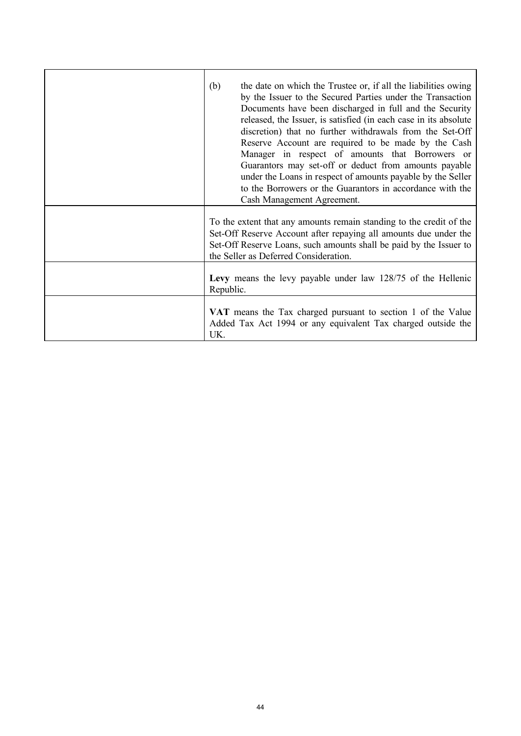| the date on which the Trustee or, if all the liabilities owing<br>(b)<br>by the Issuer to the Secured Parties under the Transaction<br>Documents have been discharged in full and the Security<br>released, the Issuer, is satisfied (in each case in its absolute<br>discretion) that no further withdrawals from the Set-Off<br>Reserve Account are required to be made by the Cash<br>Manager in respect of amounts that Borrowers or<br>Guarantors may set-off or deduct from amounts payable<br>under the Loans in respect of amounts payable by the Seller<br>to the Borrowers or the Guarantors in accordance with the<br>Cash Management Agreement. |
|-------------------------------------------------------------------------------------------------------------------------------------------------------------------------------------------------------------------------------------------------------------------------------------------------------------------------------------------------------------------------------------------------------------------------------------------------------------------------------------------------------------------------------------------------------------------------------------------------------------------------------------------------------------|
| To the extent that any amounts remain standing to the credit of the<br>Set-Off Reserve Account after repaying all amounts due under the<br>Set-Off Reserve Loans, such amounts shall be paid by the Issuer to<br>the Seller as Deferred Consideration.                                                                                                                                                                                                                                                                                                                                                                                                      |
| Levy means the levy payable under law 128/75 of the Hellenic<br>Republic.                                                                                                                                                                                                                                                                                                                                                                                                                                                                                                                                                                                   |
| VAT means the Tax charged pursuant to section 1 of the Value<br>Added Tax Act 1994 or any equivalent Tax charged outside the<br>UK.                                                                                                                                                                                                                                                                                                                                                                                                                                                                                                                         |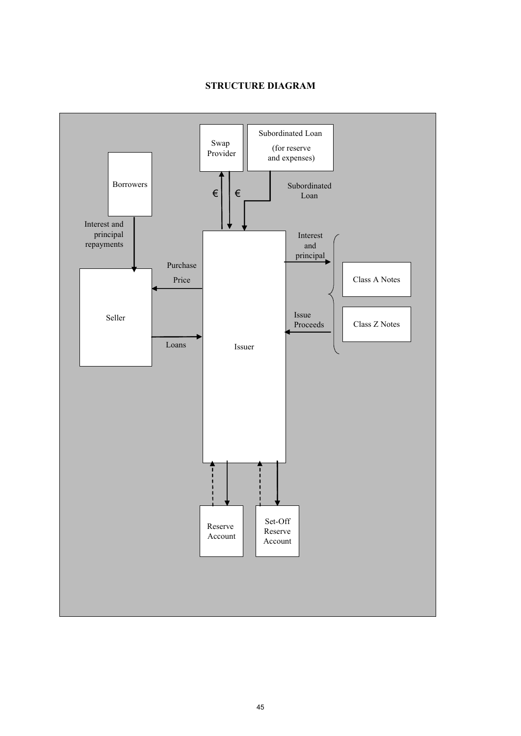# **STRUCTURE DIAGRAM**

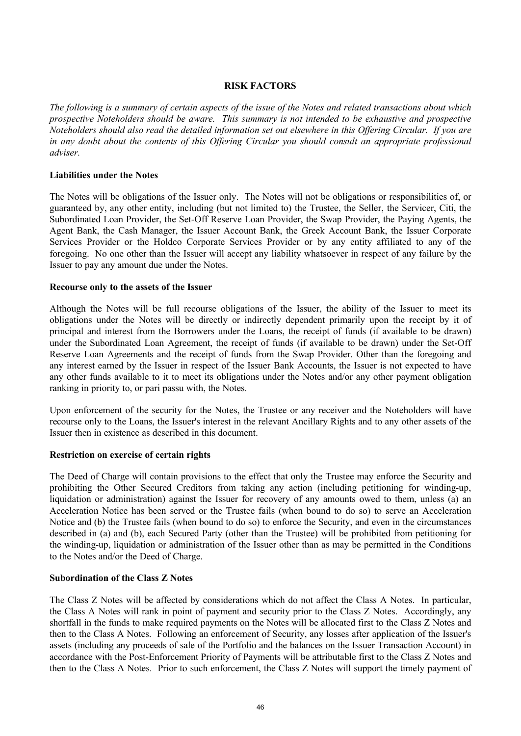## **RISK FACTORS**

*The following is a summary of certain aspects of the issue of the Notes and related transactions about which prospective Noteholders should be aware. This summary is not intended to be exhaustive and prospective Noteholders should also read the detailed information set out elsewhere in this Offering Circular. If you are in any doubt about the contents of this Offering Circular you should consult an appropriate professional adviser.*

### **Liabilities under the Notes**

The Notes will be obligations of the Issuer only. The Notes will not be obligations or responsibilities of, or guaranteed by, any other entity, including (but not limited to) the Trustee, the Seller, the Servicer, Citi, the Subordinated Loan Provider, the Set-Off Reserve Loan Provider, the Swap Provider, the Paying Agents, the Agent Bank, the Cash Manager, the Issuer Account Bank, the Greek Account Bank, the Issuer Corporate Services Provider or the Holdco Corporate Services Provider or by any entity affiliated to any of the foregoing. No one other than the Issuer will accept any liability whatsoever in respect of any failure by the Issuer to pay any amount due under the Notes.

### **Recourse only to the assets of the Issuer**

Although the Notes will be full recourse obligations of the Issuer, the ability of the Issuer to meet its obligations under the Notes will be directly or indirectly dependent primarily upon the receipt by it of principal and interest from the Borrowers under the Loans, the receipt of funds (if available to be drawn) under the Subordinated Loan Agreement, the receipt of funds (if available to be drawn) under the Set-Off Reserve Loan Agreements and the receipt of funds from the Swap Provider. Other than the foregoing and any interest earned by the Issuer in respect of the Issuer Bank Accounts, the Issuer is not expected to have any other funds available to it to meet its obligations under the Notes and/or any other payment obligation ranking in priority to, or pari passu with, the Notes.

Upon enforcement of the security for the Notes, the Trustee or any receiver and the Noteholders will have recourse only to the Loans, the Issuer's interest in the relevant Ancillary Rights and to any other assets of the Issuer then in existence as described in this document.

### **Restriction on exercise of certain rights**

The Deed of Charge will contain provisions to the effect that only the Trustee may enforce the Security and prohibiting the Other Secured Creditors from taking any action (including petitioning for winding-up, liquidation or administration) against the Issuer for recovery of any amounts owed to them, unless (a) an Acceleration Notice has been served or the Trustee fails (when bound to do so) to serve an Acceleration Notice and (b) the Trustee fails (when bound to do so) to enforce the Security, and even in the circumstances described in (a) and (b), each Secured Party (other than the Trustee) will be prohibited from petitioning for the winding-up, liquidation or administration of the Issuer other than as may be permitted in the Conditions to the Notes and/or the Deed of Charge.

### **Subordination of the Class Z Notes**

The Class Z Notes will be affected by considerations which do not affect the Class A Notes. In particular, the Class A Notes will rank in point of payment and security prior to the Class Z Notes. Accordingly, any shortfall in the funds to make required payments on the Notes will be allocated first to the Class Z Notes and then to the Class A Notes. Following an enforcement of Security, any losses after application of the Issuer's assets (including any proceeds of sale of the Portfolio and the balances on the Issuer Transaction Account) in accordance with the Post-Enforcement Priority of Payments will be attributable first to the Class Z Notes and then to the Class A Notes. Prior to such enforcement, the Class Z Notes will support the timely payment of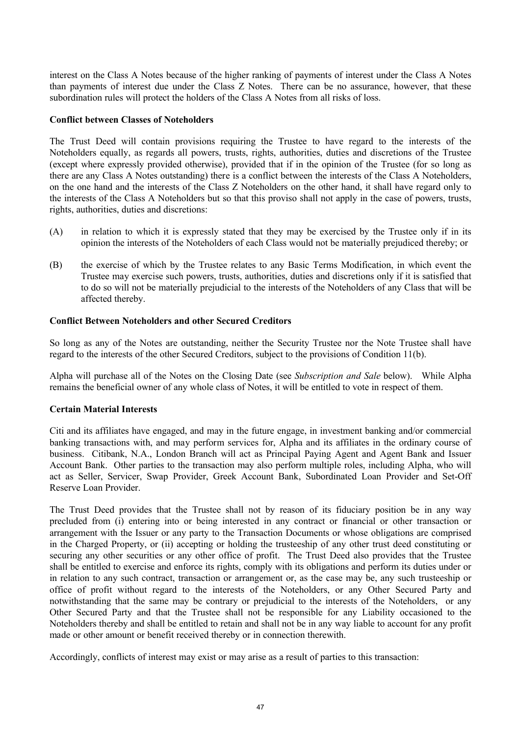interest on the Class A Notes because of the higher ranking of payments of interest under the Class A Notes than payments of interest due under the Class Z Notes. There can be no assurance, however, that these subordination rules will protect the holders of the Class A Notes from all risks of loss.

# **Conflict between Classes of Noteholders**

The Trust Deed will contain provisions requiring the Trustee to have regard to the interests of the Noteholders equally, as regards all powers, trusts, rights, authorities, duties and discretions of the Trustee (except where expressly provided otherwise), provided that if in the opinion of the Trustee (for so long as there are any Class A Notes outstanding) there is a conflict between the interests of the Class A Noteholders, on the one hand and the interests of the Class Z Noteholders on the other hand, it shall have regard only to the interests of the Class A Noteholders but so that this proviso shall not apply in the case of powers, trusts, rights, authorities, duties and discretions:

- (A) in relation to which it is expressly stated that they may be exercised by the Trustee only if in its opinion the interests of the Noteholders of each Class would not be materially prejudiced thereby; or
- (B) the exercise of which by the Trustee relates to any Basic Terms Modification, in which event the Trustee may exercise such powers, trusts, authorities, duties and discretions only if it is satisfied that to do so will not be materially prejudicial to the interests of the Noteholders of any Class that will be affected thereby.

# **Conflict Between Noteholders and other Secured Creditors**

So long as any of the Notes are outstanding, neither the Security Trustee nor the Note Trustee shall have regard to the interests of the other Secured Creditors, subject to the provisions of Condition 11(b).

Alpha will purchase all of the Notes on the Closing Date (see *Subscription and Sale* below). While Alpha remains the beneficial owner of any whole class of Notes, it will be entitled to vote in respect of them.

### **Certain Material Interests**

Citi and its affiliates have engaged, and may in the future engage, in investment banking and/or commercial banking transactions with, and may perform services for, Alpha and its affiliates in the ordinary course of business. Citibank, N.A., London Branch will act as Principal Paying Agent and Agent Bank and Issuer Account Bank. Other parties to the transaction may also perform multiple roles, including Alpha, who will act as Seller, Servicer, Swap Provider, Greek Account Bank, Subordinated Loan Provider and Set-Off Reserve Loan Provider.

The Trust Deed provides that the Trustee shall not by reason of its fiduciary position be in any way precluded from (i) entering into or being interested in any contract or financial or other transaction or arrangement with the Issuer or any party to the Transaction Documents or whose obligations are comprised in the Charged Property, or (ii) accepting or holding the trusteeship of any other trust deed constituting or securing any other securities or any other office of profit. The Trust Deed also provides that the Trustee shall be entitled to exercise and enforce its rights, comply with its obligations and perform its duties under or in relation to any such contract, transaction or arrangement or, as the case may be, any such trusteeship or office of profit without regard to the interests of the Noteholders, or any Other Secured Party and notwithstanding that the same may be contrary or prejudicial to the interests of the Noteholders, or any Other Secured Party and that the Trustee shall not be responsible for any Liability occasioned to the Noteholders thereby and shall be entitled to retain and shall not be in any way liable to account for any profit made or other amount or benefit received thereby or in connection therewith.

Accordingly, conflicts of interest may exist or may arise as a result of parties to this transaction: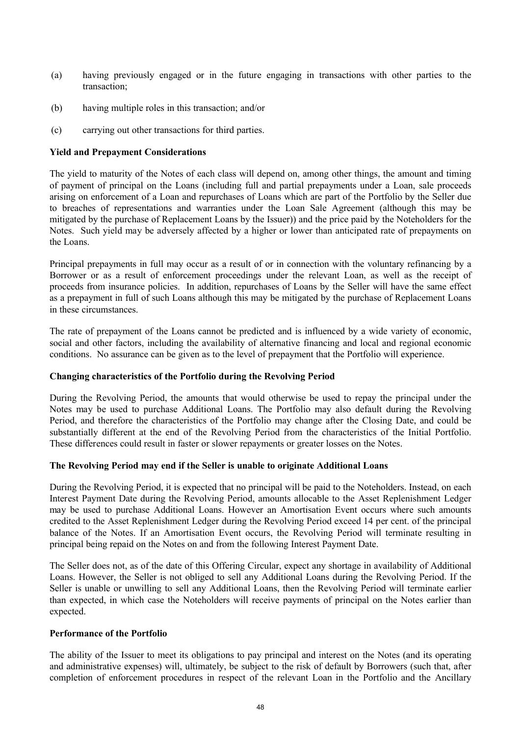- (a) having previously engaged or in the future engaging in transactions with other parties to the transaction;
- (b) having multiple roles in this transaction; and/or
- (c) carrying out other transactions for third parties.

# **Yield and Prepayment Considerations**

The yield to maturity of the Notes of each class will depend on, among other things, the amount and timing of payment of principal on the Loans (including full and partial prepayments under a Loan, sale proceeds arising on enforcement of a Loan and repurchases of Loans which are part of the Portfolio by the Seller due to breaches of representations and warranties under the Loan Sale Agreement (although this may be mitigated by the purchase of Replacement Loans by the Issuer)) and the price paid by the Noteholders for the Notes. Such yield may be adversely affected by a higher or lower than anticipated rate of prepayments on the Loans.

Principal prepayments in full may occur as a result of or in connection with the voluntary refinancing by a Borrower or as a result of enforcement proceedings under the relevant Loan, as well as the receipt of proceeds from insurance policies. In addition, repurchases of Loans by the Seller will have the same effect as a prepayment in full of such Loans although this may be mitigated by the purchase of Replacement Loans in these circumstances.

The rate of prepayment of the Loans cannot be predicted and is influenced by a wide variety of economic, social and other factors, including the availability of alternative financing and local and regional economic conditions. No assurance can be given as to the level of prepayment that the Portfolio will experience.

### **Changing characteristics of the Portfolio during the Revolving Period**

During the Revolving Period, the amounts that would otherwise be used to repay the principal under the Notes may be used to purchase Additional Loans. The Portfolio may also default during the Revolving Period, and therefore the characteristics of the Portfolio may change after the Closing Date, and could be substantially different at the end of the Revolving Period from the characteristics of the Initial Portfolio. These differences could result in faster or slower repayments or greater losses on the Notes.

### **The Revolving Period may end if the Seller is unable to originate Additional Loans**

During the Revolving Period, it is expected that no principal will be paid to the Noteholders. Instead, on each Interest Payment Date during the Revolving Period, amounts allocable to the Asset Replenishment Ledger may be used to purchase Additional Loans. However an Amortisation Event occurs where such amounts credited to the Asset Replenishment Ledger during the Revolving Period exceed 14 per cent. of the principal balance of the Notes. If an Amortisation Event occurs, the Revolving Period will terminate resulting in principal being repaid on the Notes on and from the following Interest Payment Date.

The Seller does not, as of the date of this Offering Circular, expect any shortage in availability of Additional Loans. However, the Seller is not obliged to sell any Additional Loans during the Revolving Period. If the Seller is unable or unwilling to sell any Additional Loans, then the Revolving Period will terminate earlier than expected, in which case the Noteholders will receive payments of principal on the Notes earlier than expected.

### **Performance of the Portfolio**

The ability of the Issuer to meet its obligations to pay principal and interest on the Notes (and its operating and administrative expenses) will, ultimately, be subject to the risk of default by Borrowers (such that, after completion of enforcement procedures in respect of the relevant Loan in the Portfolio and the Ancillary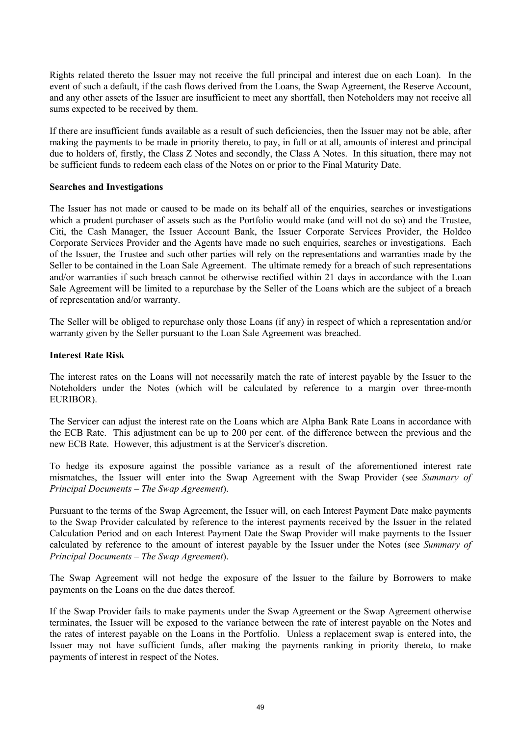Rights related thereto the Issuer may not receive the full principal and interest due on each Loan). In the event of such a default, if the cash flows derived from the Loans, the Swap Agreement, the Reserve Account, and any other assets of the Issuer are insufficient to meet any shortfall, then Noteholders may not receive all sums expected to be received by them.

If there are insufficient funds available as a result of such deficiencies, then the Issuer may not be able, after making the payments to be made in priority thereto, to pay, in full or at all, amounts of interest and principal due to holders of, firstly, the Class Z Notes and secondly, the Class A Notes. In this situation, there may not be sufficient funds to redeem each class of the Notes on or prior to the Final Maturity Date.

### **Searches and Investigations**

The Issuer has not made or caused to be made on its behalf all of the enquiries, searches or investigations which a prudent purchaser of assets such as the Portfolio would make (and will not do so) and the Trustee, Citi, the Cash Manager, the Issuer Account Bank, the Issuer Corporate Services Provider, the Holdco Corporate Services Provider and the Agents have made no such enquiries, searches or investigations. Each of the Issuer, the Trustee and such other parties will rely on the representations and warranties made by the Seller to be contained in the Loan Sale Agreement. The ultimate remedy for a breach of such representations and/or warranties if such breach cannot be otherwise rectified within 21 days in accordance with the Loan Sale Agreement will be limited to a repurchase by the Seller of the Loans which are the subject of a breach of representation and/or warranty.

The Seller will be obliged to repurchase only those Loans (if any) in respect of which a representation and/or warranty given by the Seller pursuant to the Loan Sale Agreement was breached.

#### **Interest Rate Risk**

The interest rates on the Loans will not necessarily match the rate of interest payable by the Issuer to the Noteholders under the Notes (which will be calculated by reference to a margin over three-month EURIBOR).

The Servicer can adjust the interest rate on the Loans which are Alpha Bank Rate Loans in accordance with the ECB Rate. This adjustment can be up to 200 per cent. of the difference between the previous and the new ECB Rate. However, this adjustment is at the Servicer's discretion.

To hedge its exposure against the possible variance as a result of the aforementioned interest rate mismatches, the Issuer will enter into the Swap Agreement with the Swap Provider (see *Summary of Principal Documents – The Swap Agreement*).

Pursuant to the terms of the Swap Agreement, the Issuer will, on each Interest Payment Date make payments to the Swap Provider calculated by reference to the interest payments received by the Issuer in the related Calculation Period and on each Interest Payment Date the Swap Provider will make payments to the Issuer calculated by reference to the amount of interest payable by the Issuer under the Notes (see *Summary of Principal Documents – The Swap Agreement*).

The Swap Agreement will not hedge the exposure of the Issuer to the failure by Borrowers to make payments on the Loans on the due dates thereof.

If the Swap Provider fails to make payments under the Swap Agreement or the Swap Agreement otherwise terminates, the Issuer will be exposed to the variance between the rate of interest payable on the Notes and the rates of interest payable on the Loans in the Portfolio. Unless a replacement swap is entered into, the Issuer may not have sufficient funds, after making the payments ranking in priority thereto, to make payments of interest in respect of the Notes.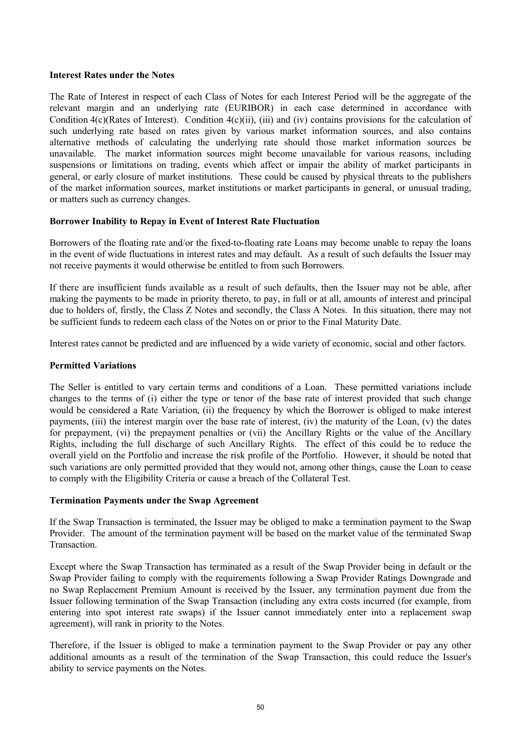#### **Interest Rates under the Notes**

The Rate of Interest in respect of each Class of Notes for each Interest Period will be the aggregate of the relevant margin and an underlying rate (EURIBOR) in each case determined in accordance with Condition 4(c)(Rates of Interest). Condition 4(c)(ii), (iii) and (iv) contains provisions for the calculation of such underlying rate based on rates given by various market information sources, and also contains alternative methods of calculating the underlying rate should those market information sources be unavailable. The market information sources might become unavailable for various reasons, including suspensions or limitations on trading, events which affect or impair the ability of market participants in general, or early closure of market institutions. These could be caused by physical threats to the publishers of the market information sources, market institutions or market participants in general, or unusual trading, or matters such as currency changes.

### **Borrower Inability to Repay in Event of Interest Rate Fluctuation**

Borrowers of the floating rate and/or the fixed-to-floating rate Loans may become unable to repay the loans in the event of wide fluctuations in interest rates and may default. As a result of such defaults the Issuer may not receive payments it would otherwise be entitled to from such Borrowers.

If there are insufficient funds available as a result of such defaults, then the Issuer may not be able, after making the payments to be made in priority thereto, to pay, in full or at all, amounts of interest and principal due to holders of, firstly, the Class Z Notes and secondly, the Class A Notes. In this situation, there may not be sufficient funds to redeem each class of the Notes on or prior to the Final Maturity Date.

Interest rates cannot be predicted and are influenced by a wide variety of economic, social and other factors.

# **Permitted Variations**

The Seller is entitled to vary certain terms and conditions of a Loan. These permitted variations include changes to the terms of (i) either the type or tenor of the base rate of interest provided that such change would be considered a Rate Variation, (ii) the frequency by which the Borrower is obliged to make interest payments, (iii) the interest margin over the base rate of interest, (iv) the maturity of the Loan, (v) the dates for prepayment, (vi) the prepayment penalties or (vii) the Ancillary Rights or the value of the Ancillary Rights, including the full discharge of such Ancillary Rights. The effect of this could be to reduce the overall yield on the Portfolio and increase the risk profile of the Portfolio. However, it should be noted that such variations are only permitted provided that they would not, among other things, cause the Loan to cease to comply with the Eligibility Criteria or cause a breach of the Collateral Test.

### **Termination Payments under the Swap Agreement**

If the Swap Transaction is terminated, the Issuer may be obliged to make a termination payment to the Swap Provider. The amount of the termination payment will be based on the market value of the terminated Swap **Transaction** 

Except where the Swap Transaction has terminated as a result of the Swap Provider being in default or the Swap Provider failing to comply with the requirements following a Swap Provider Ratings Downgrade and no Swap Replacement Premium Amount is received by the Issuer, any termination payment due from the Issuer following termination of the Swap Transaction (including any extra costs incurred (for example, from entering into spot interest rate swaps) if the Issuer cannot immediately enter into a replacement swap agreement), will rank in priority to the Notes.

Therefore, if the Issuer is obliged to make a termination payment to the Swap Provider or pay any other additional amounts as a result of the termination of the Swap Transaction, this could reduce the Issuer's ability to service payments on the Notes.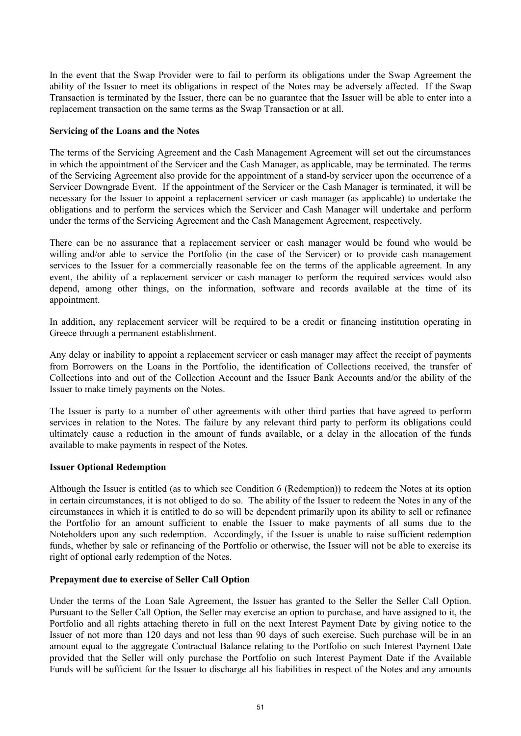In the event that the Swap Provider were to fail to perform its obligations under the Swap Agreement the ability of the Issuer to meet its obligations in respect of the Notes may be adversely affected. If the Swap Transaction is terminated by the Issuer, there can be no guarantee that the Issuer will be able to enter into a replacement transaction on the same terms as the Swap Transaction or at all.

### **Servicing of the Loans and the Notes**

The terms of the Servicing Agreement and the Cash Management Agreement will set out the circumstances in which the appointment of the Servicer and the Cash Manager, as applicable, may be terminated. The terms of the Servicing Agreement also provide for the appointment of a stand-by servicer upon the occurrence of a Servicer Downgrade Event. If the appointment of the Servicer or the Cash Manager is terminated, it will be necessary for the Issuer to appoint a replacement servicer or cash manager (as applicable) to undertake the obligations and to perform the services which the Servicer and Cash Manager will undertake and perform under the terms of the Servicing Agreement and the Cash Management Agreement, respectively.

There can be no assurance that a replacement servicer or cash manager would be found who would be willing and/or able to service the Portfolio (in the case of the Servicer) or to provide cash management services to the Issuer for a commercially reasonable fee on the terms of the applicable agreement. In any event, the ability of a replacement servicer or cash manager to perform the required services would also depend, among other things, on the information, software and records available at the time of its appointment.

In addition, any replacement servicer will be required to be a credit or financing institution operating in Greece through a permanent establishment.

Any delay or inability to appoint a replacement servicer or cash manager may affect the receipt of payments from Borrowers on the Loans in the Portfolio, the identification of Collections received, the transfer of Collections into and out of the Collection Account and the Issuer Bank Accounts and/or the ability of the Issuer to make timely payments on the Notes.

The Issuer is party to a number of other agreements with other third parties that have agreed to perform services in relation to the Notes. The failure by any relevant third party to perform its obligations could ultimately cause a reduction in the amount of funds available, or a delay in the allocation of the funds available to make payments in respect of the Notes.

### **Issuer Optional Redemption**

Although the Issuer is entitled (as to which see Condition 6 (Redemption)) to redeem the Notes at its option in certain circumstances, it is not obliged to do so. The ability of the Issuer to redeem the Notes in any of the circumstances in which it is entitled to do so will be dependent primarily upon its ability to sell or refinance the Portfolio for an amount sufficient to enable the Issuer to make payments of all sums due to the Noteholders upon any such redemption. Accordingly, if the Issuer is unable to raise sufficient redemption funds, whether by sale or refinancing of the Portfolio or otherwise, the Issuer will not be able to exercise its right of optional early redemption of the Notes.

### **Prepayment due to exercise of Seller Call Option**

Under the terms of the Loan Sale Agreement, the Issuer has granted to the Seller the Seller Call Option. Pursuant to the Seller Call Option, the Seller may exercise an option to purchase, and have assigned to it, the Portfolio and all rights attaching thereto in full on the next Interest Payment Date by giving notice to the Issuer of not more than 120 days and not less than 90 days of such exercise. Such purchase will be in an amount equal to the aggregate Contractual Balance relating to the Portfolio on such Interest Payment Date provided that the Seller will only purchase the Portfolio on such Interest Payment Date if the Available Funds will be sufficient for the Issuer to discharge all his liabilities in respect of the Notes and any amounts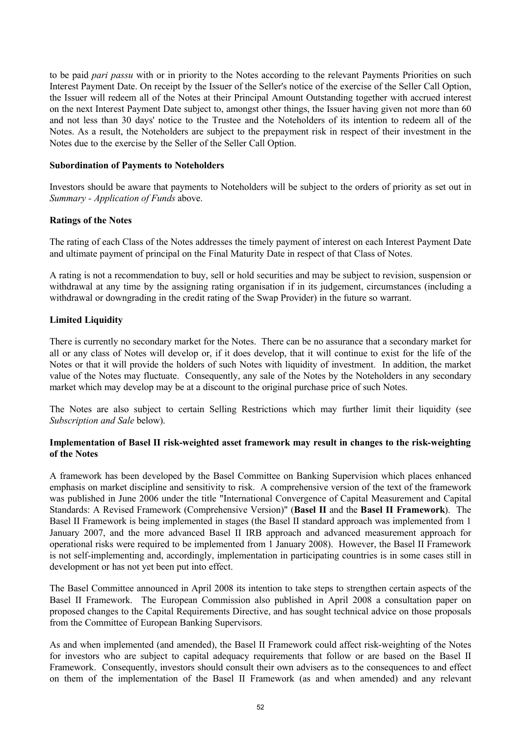to be paid *pari passu* with or in priority to the Notes according to the relevant Payments Priorities on such Interest Payment Date. On receipt by the Issuer of the Seller's notice of the exercise of the Seller Call Option, the Issuer will redeem all of the Notes at their Principal Amount Outstanding together with accrued interest on the next Interest Payment Date subject to, amongst other things, the Issuer having given not more than 60 and not less than 30 days' notice to the Trustee and the Noteholders of its intention to redeem all of the Notes. As a result, the Noteholders are subject to the prepayment risk in respect of their investment in the Notes due to the exercise by the Seller of the Seller Call Option.

### **Subordination of Payments to Noteholders**

Investors should be aware that payments to Noteholders will be subject to the orders of priority as set out in *Summary - Application of Funds* above.

# **Ratings of the Notes**

The rating of each Class of the Notes addresses the timely payment of interest on each Interest Payment Date and ultimate payment of principal on the Final Maturity Date in respect of that Class of Notes.

A rating is not a recommendation to buy, sell or hold securities and may be subject to revision, suspension or withdrawal at any time by the assigning rating organisation if in its judgement, circumstances (including a withdrawal or downgrading in the credit rating of the Swap Provider) in the future so warrant.

# **Limited Liquidity**

There is currently no secondary market for the Notes. There can be no assurance that a secondary market for all or any class of Notes will develop or, if it does develop, that it will continue to exist for the life of the Notes or that it will provide the holders of such Notes with liquidity of investment. In addition, the market value of the Notes may fluctuate. Consequently, any sale of the Notes by the Noteholders in any secondary market which may develop may be at a discount to the original purchase price of such Notes.

The Notes are also subject to certain Selling Restrictions which may further limit their liquidity (see *Subscription and Sale* below).

### **Implementation of Basel II risk-weighted asset framework may result in changes to the risk-weighting of the Notes**

A framework has been developed by the Basel Committee on Banking Supervision which places enhanced emphasis on market discipline and sensitivity to risk. A comprehensive version of the text of the framework was published in June 2006 under the title "International Convergence of Capital Measurement and Capital Standards: A Revised Framework (Comprehensive Version)" (**Basel II** and the **Basel II Framework**). The Basel II Framework is being implemented in stages (the Basel II standard approach was implemented from 1 January 2007, and the more advanced Basel II IRB approach and advanced measurement approach for operational risks were required to be implemented from 1 January 2008). However, the Basel II Framework is not self-implementing and, accordingly, implementation in participating countries is in some cases still in development or has not yet been put into effect.

The Basel Committee announced in April 2008 its intention to take steps to strengthen certain aspects of the Basel II Framework. The European Commission also published in April 2008 a consultation paper on proposed changes to the Capital Requirements Directive, and has sought technical advice on those proposals from the Committee of European Banking Supervisors.

As and when implemented (and amended), the Basel II Framework could affect risk-weighting of the Notes for investors who are subject to capital adequacy requirements that follow or are based on the Basel II Framework. Consequently, investors should consult their own advisers as to the consequences to and effect on them of the implementation of the Basel II Framework (as and when amended) and any relevant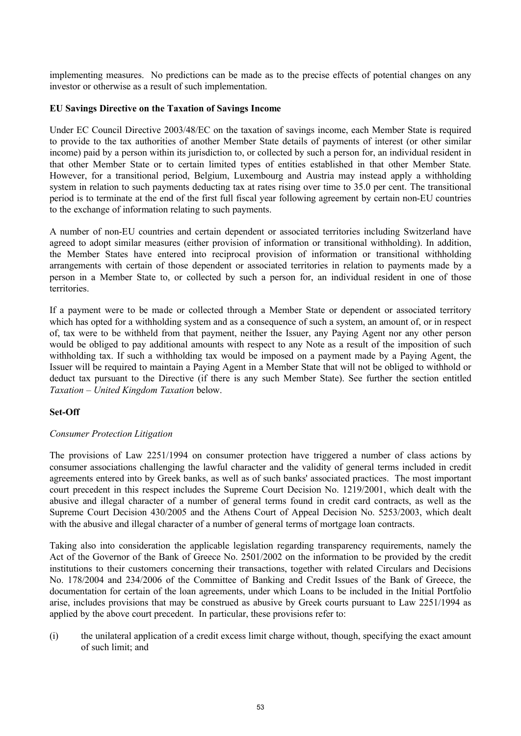implementing measures. No predictions can be made as to the precise effects of potential changes on any investor or otherwise as a result of such implementation.

#### **EU Savings Directive on the Taxation of Savings Income**

Under EC Council Directive 2003/48/EC on the taxation of savings income, each Member State is required to provide to the tax authorities of another Member State details of payments of interest (or other similar income) paid by a person within its jurisdiction to, or collected by such a person for, an individual resident in that other Member State or to certain limited types of entities established in that other Member State. However, for a transitional period, Belgium, Luxembourg and Austria may instead apply a withholding system in relation to such payments deducting tax at rates rising over time to 35.0 per cent. The transitional period is to terminate at the end of the first full fiscal year following agreement by certain non-EU countries to the exchange of information relating to such payments.

A number of non-EU countries and certain dependent or associated territories including Switzerland have agreed to adopt similar measures (either provision of information or transitional withholding). In addition, the Member States have entered into reciprocal provision of information or transitional withholding arrangements with certain of those dependent or associated territories in relation to payments made by a person in a Member State to, or collected by such a person for, an individual resident in one of those **territories** 

If a payment were to be made or collected through a Member State or dependent or associated territory which has opted for a withholding system and as a consequence of such a system, an amount of, or in respect of, tax were to be withheld from that payment, neither the Issuer, any Paying Agent nor any other person would be obliged to pay additional amounts with respect to any Note as a result of the imposition of such withholding tax. If such a withholding tax would be imposed on a payment made by a Paying Agent, the Issuer will be required to maintain a Paying Agent in a Member State that will not be obliged to withhold or deduct tax pursuant to the Directive (if there is any such Member State). See further the section entitled *Taxation – United Kingdom Taxation* below.

### **Set-Off**

### *Consumer Protection Litigation*

The provisions of Law 2251/1994 on consumer protection have triggered a number of class actions by consumer associations challenging the lawful character and the validity of general terms included in credit agreements entered into by Greek banks, as well as of such banks' associated practices. The most important court precedent in this respect includes the Supreme Court Decision No. 1219/2001, which dealt with the abusive and illegal character of a number of general terms found in credit card contracts, as well as the Supreme Court Decision 430/2005 and the Athens Court of Appeal Decision No. 5253/2003, which dealt with the abusive and illegal character of a number of general terms of mortgage loan contracts.

Taking also into consideration the applicable legislation regarding transparency requirements, namely the Act of the Governor of the Bank of Greece No. 2501/2002 on the information to be provided by the credit institutions to their customers concerning their transactions, together with related Circulars and Decisions No. 178/2004 and 234/2006 of the Committee of Banking and Credit Issues of the Bank of Greece, the documentation for certain of the loan agreements, under which Loans to be included in the Initial Portfolio arise, includes provisions that may be construed as abusive by Greek courts pursuant to Law 2251/1994 as applied by the above court precedent. In particular, these provisions refer to:

(i) the unilateral application of a credit excess limit charge without, though, specifying the exact amount of such limit; and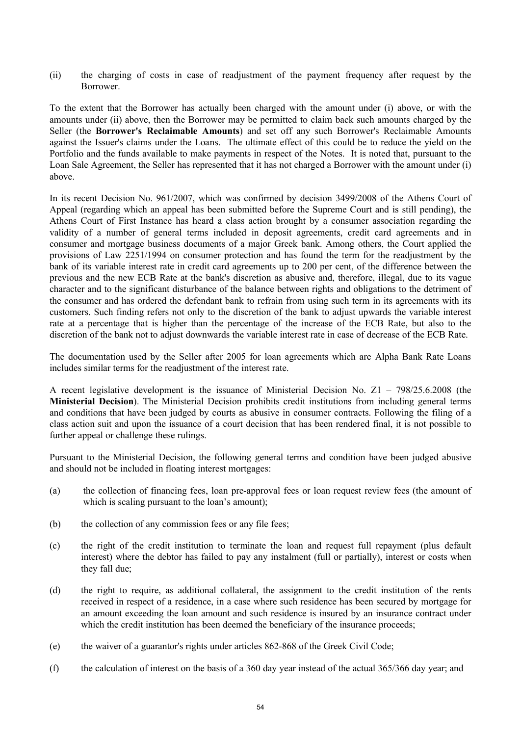(ii) the charging of costs in case of readjustment of the payment frequency after request by the **Borrower** 

To the extent that the Borrower has actually been charged with the amount under (i) above, or with the amounts under (ii) above, then the Borrower may be permitted to claim back such amounts charged by the Seller (the **Borrower's Reclaimable Amounts**) and set off any such Borrower's Reclaimable Amounts against the Issuer's claims under the Loans. The ultimate effect of this could be to reduce the yield on the Portfolio and the funds available to make payments in respect of the Notes. It is noted that, pursuant to the Loan Sale Agreement, the Seller has represented that it has not charged a Borrower with the amount under (i) above.

In its recent Decision No. 961/2007, which was confirmed by decision 3499/2008 of the Athens Court of Appeal (regarding which an appeal has been submitted before the Supreme Court and is still pending), the Athens Court of First Instance has heard a class action brought by a consumer association regarding the validity of a number of general terms included in deposit agreements, credit card agreements and in consumer and mortgage business documents of a major Greek bank. Among others, the Court applied the provisions of Law 2251/1994 on consumer protection and has found the term for the readjustment by the bank of its variable interest rate in credit card agreements up to 200 per cent, of the difference between the previous and the new ECB Rate at the bank's discretion as abusive and, therefore, illegal, due to its vague character and to the significant disturbance of the balance between rights and obligations to the detriment of the consumer and has ordered the defendant bank to refrain from using such term in its agreements with its customers. Such finding refers not only to the discretion of the bank to adjust upwards the variable interest rate at a percentage that is higher than the percentage of the increase of the ECB Rate, but also to the discretion of the bank not to adjust downwards the variable interest rate in case of decrease of the ECB Rate.

The documentation used by the Seller after 2005 for loan agreements which are Alpha Bank Rate Loans includes similar terms for the readjustment of the interest rate.

A recent legislative development is the issuance of Ministerial Decision No. Z1 – 798/25.6.2008 (the **Ministerial Decision**). The Ministerial Decision prohibits credit institutions from including general terms and conditions that have been judged by courts as abusive in consumer contracts. Following the filing of a class action suit and upon the issuance of a court decision that has been rendered final, it is not possible to further appeal or challenge these rulings.

Pursuant to the Ministerial Decision, the following general terms and condition have been judged abusive and should not be included in floating interest mortgages:

- (a) the collection of financing fees, loan pre-approval fees or loan request review fees (the amount of which is scaling pursuant to the loan's amount);
- (b) the collection of any commission fees or any file fees;
- (c) the right of the credit institution to terminate the loan and request full repayment (plus default interest) where the debtor has failed to pay any instalment (full or partially), interest or costs when they fall due;
- (d) the right to require, as additional collateral, the assignment to the credit institution of the rents received in respect of a residence, in a case where such residence has been secured by mortgage for an amount exceeding the loan amount and such residence is insured by an insurance contract under which the credit institution has been deemed the beneficiary of the insurance proceeds;
- (e) the waiver of a guarantor's rights under articles 862-868 of the Greek Civil Code;
- (f) the calculation of interest on the basis of a 360 day year instead of the actual 365/366 day year; and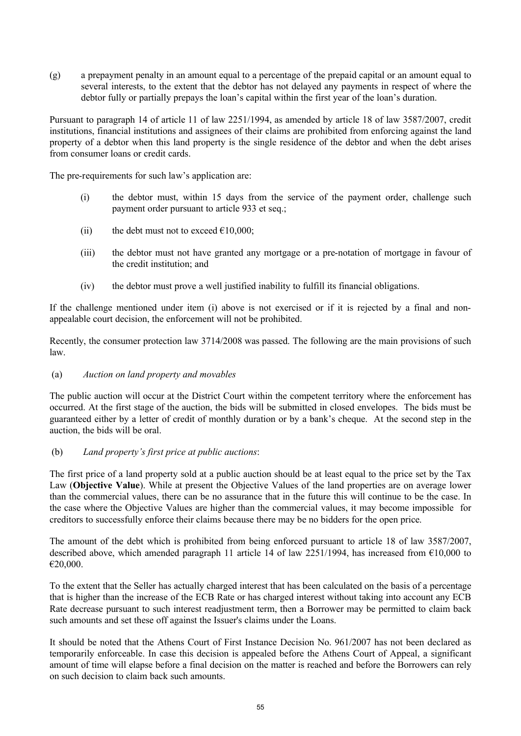(g) a prepayment penalty in an amount equal to a percentage of the prepaid capital or an amount equal to several interests, to the extent that the debtor has not delayed any payments in respect of where the debtor fully or partially prepays the loan's capital within the first year of the loan's duration.

Pursuant to paragraph 14 of article 11 of law 2251/1994, as amended by article 18 of law 3587/2007, credit institutions, financial institutions and assignees of their claims are prohibited from enforcing against the land property of a debtor when this land property is the single residence of the debtor and when the debt arises from consumer loans or credit cards.

The pre-requirements for such law's application are:

- (i) the debtor must, within 15 days from the service of the payment order, challenge such payment order pursuant to article 933 et seq.;
- (ii) the debt must not to exceed  $\epsilon$ 10,000;
- (iii) the debtor must not have granted any mortgage or a pre-notation of mortgage in favour of the credit institution; and
- (iv) the debtor must prove a well justified inability to fulfill its financial obligations.

If the challenge mentioned under item (i) above is not exercised or if it is rejected by a final and nonappealable court decision, the enforcement will not be prohibited.

Recently, the consumer protection law 3714/2008 was passed. The following are the main provisions of such law.

# (a) *Auction on land property and movables*

The public auction will occur at the District Court within the competent territory where the enforcement has occurred. At the first stage of the auction, the bids will be submitted in closed envelopes. The bids must be guaranteed either by a letter of credit of monthly duration or by a bank's cheque. At the second step in the auction, the bids will be oral.

# (b) *Land property's first price at public auctions*:

The first price of a land property sold at a public auction should be at least equal to the price set by the Tax Law (**Objective Value**). While at present the Objective Values of the land properties are on average lower than the commercial values, there can be no assurance that in the future this will continue to be the case. In the case where the Objective Values are higher than the commercial values, it may become impossible for creditors to successfully enforce their claims because there may be no bidders for the open price.

The amount of the debt which is prohibited from being enforced pursuant to article 18 of law 3587/2007, described above, which amended paragraph 11 article 14 of law 2251/1994, has increased from €10,000 to €20,000.

To the extent that the Seller has actually charged interest that has been calculated on the basis of a percentage that is higher than the increase of the ECB Rate or has charged interest without taking into account any ECB Rate decrease pursuant to such interest readjustment term, then a Borrower may be permitted to claim back such amounts and set these off against the Issuer's claims under the Loans.

It should be noted that the Athens Court of First Instance Decision No. 961/2007 has not been declared as temporarily enforceable. In case this decision is appealed before the Athens Court of Appeal, a significant amount of time will elapse before a final decision on the matter is reached and before the Borrowers can rely on such decision to claim back such amounts.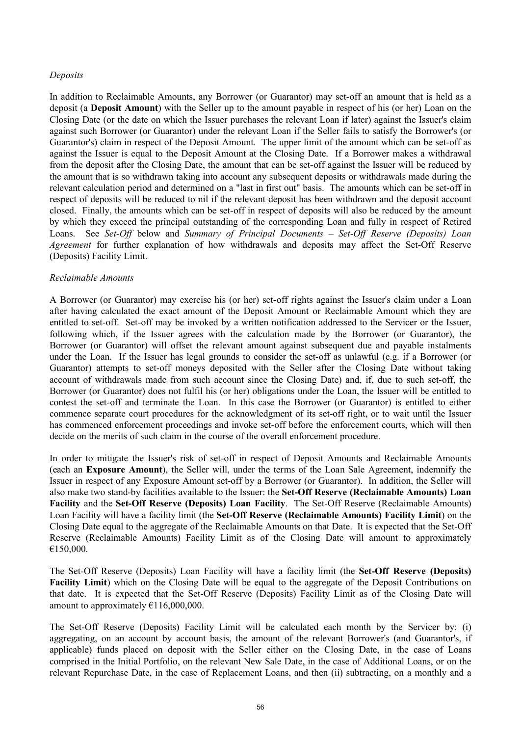## *Deposits*

In addition to Reclaimable Amounts, any Borrower (or Guarantor) may set-off an amount that is held as a deposit (a **Deposit Amount**) with the Seller up to the amount payable in respect of his (or her) Loan on the Closing Date (or the date on which the Issuer purchases the relevant Loan if later) against the Issuer's claim against such Borrower (or Guarantor) under the relevant Loan if the Seller fails to satisfy the Borrower's (or Guarantor's) claim in respect of the Deposit Amount. The upper limit of the amount which can be set-off as against the Issuer is equal to the Deposit Amount at the Closing Date. If a Borrower makes a withdrawal from the deposit after the Closing Date, the amount that can be set-off against the Issuer will be reduced by the amount that is so withdrawn taking into account any subsequent deposits or withdrawals made during the relevant calculation period and determined on a "last in first out" basis. The amounts which can be set-off in respect of deposits will be reduced to nil if the relevant deposit has been withdrawn and the deposit account closed. Finally, the amounts which can be set-off in respect of deposits will also be reduced by the amount by which they exceed the principal outstanding of the corresponding Loan and fully in respect of Retired Loans. See *Set-Off* below and *Summary of Principal Documents – Set-Off Reserve (Deposits) Loan Agreement* for further explanation of how withdrawals and deposits may affect the Set-Off Reserve (Deposits) Facility Limit.

### *Reclaimable Amounts*

A Borrower (or Guarantor) may exercise his (or her) set-off rights against the Issuer's claim under a Loan after having calculated the exact amount of the Deposit Amount or Reclaimable Amount which they are entitled to set-off. Set-off may be invoked by a written notification addressed to the Servicer or the Issuer, following which, if the Issuer agrees with the calculation made by the Borrower (or Guarantor), the Borrower (or Guarantor) will offset the relevant amount against subsequent due and payable instalments under the Loan. If the Issuer has legal grounds to consider the set-off as unlawful (e.g. if a Borrower (or Guarantor) attempts to set-off moneys deposited with the Seller after the Closing Date without taking account of withdrawals made from such account since the Closing Date) and, if, due to such set-off, the Borrower (or Guarantor) does not fulfil his (or her) obligations under the Loan, the Issuer will be entitled to contest the set-off and terminate the Loan. In this case the Borrower (or Guarantor) is entitled to either commence separate court procedures for the acknowledgment of its set-off right, or to wait until the Issuer has commenced enforcement proceedings and invoke set-off before the enforcement courts, which will then decide on the merits of such claim in the course of the overall enforcement procedure.

In order to mitigate the Issuer's risk of set-off in respect of Deposit Amounts and Reclaimable Amounts (each an **Exposure Amount**), the Seller will, under the terms of the Loan Sale Agreement, indemnify the Issuer in respect of any Exposure Amount set-off by a Borrower (or Guarantor). In addition, the Seller will also make two stand-by facilities available to the Issuer: the **Set-Off Reserve (Reclaimable Amounts) Loan Facility** and the **Set-Off Reserve (Deposits) Loan Facility**. The Set-Off Reserve (Reclaimable Amounts) Loan Facility will have a facility limit (the **Set-Off Reserve (Reclaimable Amounts) Facility Limit**) on the Closing Date equal to the aggregate of the Reclaimable Amounts on that Date. It is expected that the Set-Off Reserve (Reclaimable Amounts) Facility Limit as of the Closing Date will amount to approximately €150,000.

The Set-Off Reserve (Deposits) Loan Facility will have a facility limit (the **Set-Off Reserve (Deposits) Facility Limit**) which on the Closing Date will be equal to the aggregate of the Deposit Contributions on that date. It is expected that the Set-Off Reserve (Deposits) Facility Limit as of the Closing Date will amount to approximately  $£116,000,000$ .

The Set-Off Reserve (Deposits) Facility Limit will be calculated each month by the Servicer by: (i) aggregating, on an account by account basis, the amount of the relevant Borrower's (and Guarantor's, if applicable) funds placed on deposit with the Seller either on the Closing Date, in the case of Loans comprised in the Initial Portfolio, on the relevant New Sale Date, in the case of Additional Loans, or on the relevant Repurchase Date, in the case of Replacement Loans, and then (ii) subtracting, on a monthly and a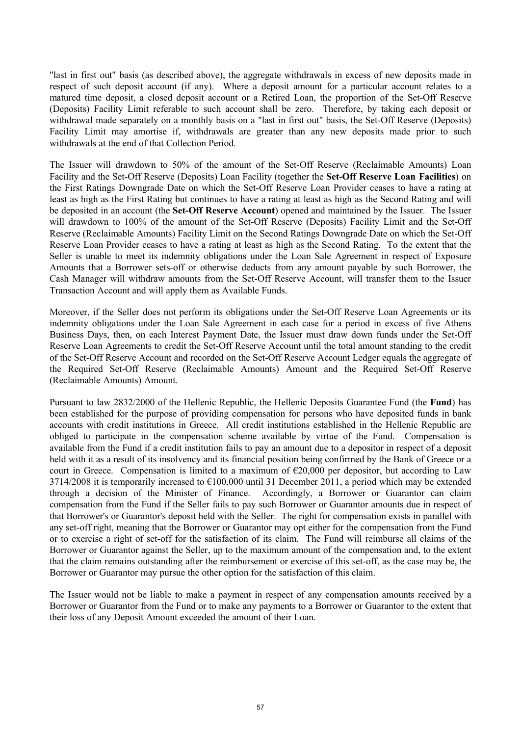"last in first out" basis (as described above), the aggregate withdrawals in excess of new deposits made in respect of such deposit account (if any). Where a deposit amount for a particular account relates to a matured time deposit, a closed deposit account or a Retired Loan, the proportion of the Set-Off Reserve (Deposits) Facility Limit referable to such account shall be zero. Therefore, by taking each deposit or withdrawal made separately on a monthly basis on a "last in first out" basis, the Set-Off Reserve (Deposits) Facility Limit may amortise if, withdrawals are greater than any new deposits made prior to such withdrawals at the end of that Collection Period.

The Issuer will drawdown to 50% of the amount of the Set-Off Reserve (Reclaimable Amounts) Loan Facility and the Set-Off Reserve (Deposits) Loan Facility (together the **Set-Off Reserve Loan Facilities**) on the First Ratings Downgrade Date on which the Set-Off Reserve Loan Provider ceases to have a rating at least as high as the First Rating but continues to have a rating at least as high as the Second Rating and will be deposited in an account (the **Set-Off Reserve Account**) opened and maintained by the Issuer. The Issuer will drawdown to 100% of the amount of the Set-Off Reserve (Deposits) Facility Limit and the Set-Off Reserve (Reclaimable Amounts) Facility Limit on the Second Ratings Downgrade Date on which the Set-Off Reserve Loan Provider ceases to have a rating at least as high as the Second Rating. To the extent that the Seller is unable to meet its indemnity obligations under the Loan Sale Agreement in respect of Exposure Amounts that a Borrower sets-off or otherwise deducts from any amount payable by such Borrower, the Cash Manager will withdraw amounts from the Set-Off Reserve Account, will transfer them to the Issuer Transaction Account and will apply them as Available Funds.

Moreover, if the Seller does not perform its obligations under the Set-Off Reserve Loan Agreements or its indemnity obligations under the Loan Sale Agreement in each case for a period in excess of five Athens Business Days, then, on each Interest Payment Date, the Issuer must draw down funds under the Set-Off Reserve Loan Agreements to credit the Set-Off Reserve Account until the total amount standing to the credit of the Set-Off Reserve Account and recorded on the Set-Off Reserve Account Ledger equals the aggregate of the Required Set-Off Reserve (Reclaimable Amounts) Amount and the Required Set-Off Reserve (Reclaimable Amounts) Amount.

Pursuant to law 2832/2000 of the Hellenic Republic, the Hellenic Deposits Guarantee Fund (the **Fund**) has been established for the purpose of providing compensation for persons who have deposited funds in bank accounts with credit institutions in Greece. All credit institutions established in the Hellenic Republic are obliged to participate in the compensation scheme available by virtue of the Fund. Compensation is available from the Fund if a credit institution fails to pay an amount due to a depositor in respect of a deposit held with it as a result of its insolvency and its financial position being confirmed by the Bank of Greece or a court in Greece. Compensation is limited to a maximum of  $\epsilon$ 20,000 per depositor, but according to Law 3714/2008 it is temporarily increased to  $\epsilon$ 100,000 until 31 December 2011, a period which may be extended through a decision of the Minister of Finance. Accordingly, a Borrower or Guarantor can claim compensation from the Fund if the Seller fails to pay such Borrower or Guarantor amounts due in respect of that Borrower's or Guarantor's deposit held with the Seller. The right for compensation exists in parallel with any set-off right, meaning that the Borrower or Guarantor may opt either for the compensation from the Fund or to exercise a right of set-off for the satisfaction of its claim. The Fund will reimburse all claims of the Borrower or Guarantor against the Seller, up to the maximum amount of the compensation and, to the extent that the claim remains outstanding after the reimbursement or exercise of this set-off, as the case may be, the Borrower or Guarantor may pursue the other option for the satisfaction of this claim.

The Issuer would not be liable to make a payment in respect of any compensation amounts received by a Borrower or Guarantor from the Fund or to make any payments to a Borrower or Guarantor to the extent that their loss of any Deposit Amount exceeded the amount of their Loan.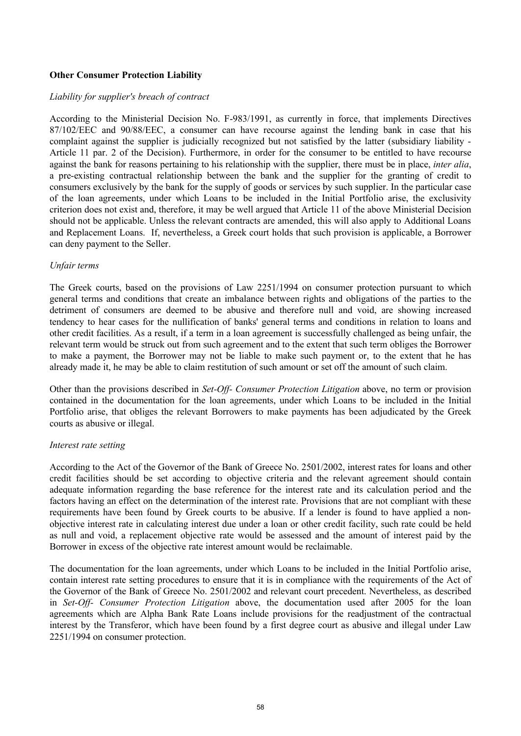## **Other Consumer Protection Liability**

#### *Liability for supplier's breach of contract*

According to the Ministerial Decision No. F-983/1991, as currently in force, that implements Directives 87/102/EEC and 90/88/EEC, a consumer can have recourse against the lending bank in case that his complaint against the supplier is judicially recognized but not satisfied by the latter (subsidiary liability - Article 11 par. 2 of the Decision). Furthermore, in order for the consumer to be entitled to have recourse against the bank for reasons pertaining to his relationship with the supplier, there must be in place, *inter alia*, a pre-existing contractual relationship between the bank and the supplier for the granting of credit to consumers exclusively by the bank for the supply of goods or services by such supplier. In the particular case of the loan agreements, under which Loans to be included in the Initial Portfolio arise, the exclusivity criterion does not exist and, therefore, it may be well argued that Article 11 of the above Ministerial Decision should not be applicable. Unless the relevant contracts are amended, this will also apply to Additional Loans and Replacement Loans. If, nevertheless, a Greek court holds that such provision is applicable, a Borrower can deny payment to the Seller.

#### *Unfair terms*

The Greek courts, based on the provisions of Law 2251/1994 on consumer protection pursuant to which general terms and conditions that create an imbalance between rights and obligations of the parties to the detriment of consumers are deemed to be abusive and therefore null and void, are showing increased tendency to hear cases for the nullification of banks' general terms and conditions in relation to loans and other credit facilities. As a result, if a term in a loan agreement is successfully challenged as being unfair, the relevant term would be struck out from such agreement and to the extent that such term obliges the Borrower to make a payment, the Borrower may not be liable to make such payment or, to the extent that he has already made it, he may be able to claim restitution of such amount or set off the amount of such claim.

Other than the provisions described in *Set-Off- Consumer Protection Litigation* above, no term or provision contained in the documentation for the loan agreements, under which Loans to be included in the Initial Portfolio arise, that obliges the relevant Borrowers to make payments has been adjudicated by the Greek courts as abusive or illegal.

#### *Interest rate setting*

According to the Act of the Governor of the Bank of Greece No. 2501/2002, interest rates for loans and other credit facilities should be set according to objective criteria and the relevant agreement should contain adequate information regarding the base reference for the interest rate and its calculation period and the factors having an effect on the determination of the interest rate. Provisions that are not compliant with these requirements have been found by Greek courts to be abusive. If a lender is found to have applied a nonobjective interest rate in calculating interest due under a loan or other credit facility, such rate could be held as null and void, a replacement objective rate would be assessed and the amount of interest paid by the Borrower in excess of the objective rate interest amount would be reclaimable.

The documentation for the loan agreements, under which Loans to be included in the Initial Portfolio arise, contain interest rate setting procedures to ensure that it is in compliance with the requirements of the Act of the Governor of the Bank of Greece No. 2501/2002 and relevant court precedent. Nevertheless, as described in *Set-Off- Consumer Protection Litigation* above, the documentation used after 2005 for the loan agreements which are Alpha Bank Rate Loans include provisions for the readjustment of the contractual interest by the Transferor, which have been found by a first degree court as abusive and illegal under Law 2251/1994 on consumer protection.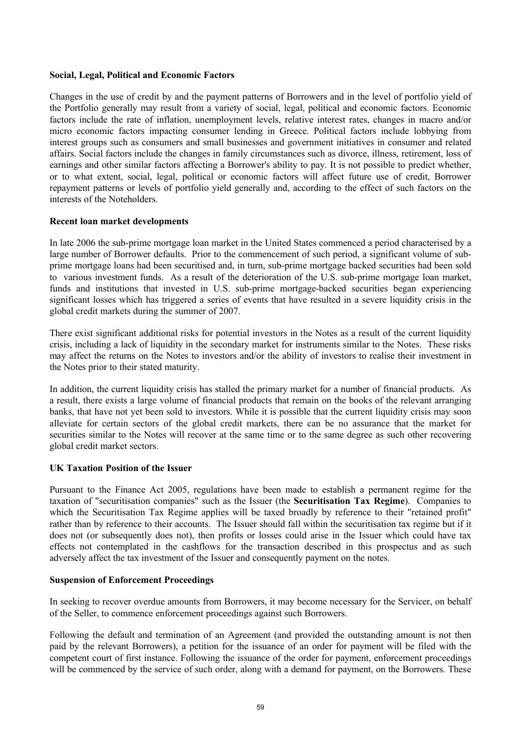## **Social, Legal, Political and Economic Factors**

Changes in the use of credit by and the payment patterns of Borrowers and in the level of portfolio yield of the Portfolio generally may result from a variety of social, legal, political and economic factors. Economic factors include the rate of inflation, unemployment levels, relative interest rates, changes in macro and/or micro economic factors impacting consumer lending in Greece. Political factors include lobbying from interest groups such as consumers and small businesses and government initiatives in consumer and related affairs. Social factors include the changes in family circumstances such as divorce, illness, retirement, loss of earnings and other similar factors affecting a Borrower's ability to pay. It is not possible to predict whether, or to what extent, social, legal, political or economic factors will affect future use of credit, Borrower repayment patterns or levels of portfolio yield generally and, according to the effect of such factors on the interests of the Noteholders.

# **Recent loan market developments**

In late 2006 the sub-prime mortgage loan market in the United States commenced a period characterised by a large number of Borrower defaults. Prior to the commencement of such period, a significant volume of subprime mortgage loans had been securitised and, in turn, sub-prime mortgage backed securities had been sold to various investment funds. As a result of the deterioration of the U.S. sub-prime mortgage loan market, funds and institutions that invested in U.S. sub-prime mortgage-backed securities began experiencing significant losses which has triggered a series of events that have resulted in a severe liquidity crisis in the global credit markets during the summer of 2007.

There exist significant additional risks for potential investors in the Notes as a result of the current liquidity crisis, including a lack of liquidity in the secondary market for instruments similar to the Notes. These risks may affect the returns on the Notes to investors and/or the ability of investors to realise their investment in the Notes prior to their stated maturity.

In addition, the current liquidity crisis has stalled the primary market for a number of financial products. As a result, there exists a large volume of financial products that remain on the books of the relevant arranging banks, that have not yet been sold to investors. While it is possible that the current liquidity crisis may soon alleviate for certain sectors of the global credit markets, there can be no assurance that the market for securities similar to the Notes will recover at the same time or to the same degree as such other recovering global credit market sectors.

# **UK Taxation Position of the Issuer**

Pursuant to the Finance Act 2005, regulations have been made to establish a permanent regime for the taxation of "securitisation companies" such as the Issuer (the **Securitisation Tax Regime**). Companies to which the Securitisation Tax Regime applies will be taxed broadly by reference to their "retained profit" rather than by reference to their accounts. The Issuer should fall within the securitisation tax regime but if it does not (or subsequently does not), then profits or losses could arise in the Issuer which could have tax effects not contemplated in the cashflows for the transaction described in this prospectus and as such adversely affect the tax investment of the Issuer and consequently payment on the notes.

# **Suspension of Enforcement Proceedings**

In seeking to recover overdue amounts from Borrowers, it may become necessary for the Servicer, on behalf of the Seller, to commence enforcement proceedings against such Borrowers.

Following the default and termination of an Agreement (and provided the outstanding amount is not then paid by the relevant Borrowers), a petition for the issuance of an order for payment will be filed with the competent court of first instance. Following the issuance of the order for payment, enforcement proceedings will be commenced by the service of such order, along with a demand for payment, on the Borrowers. These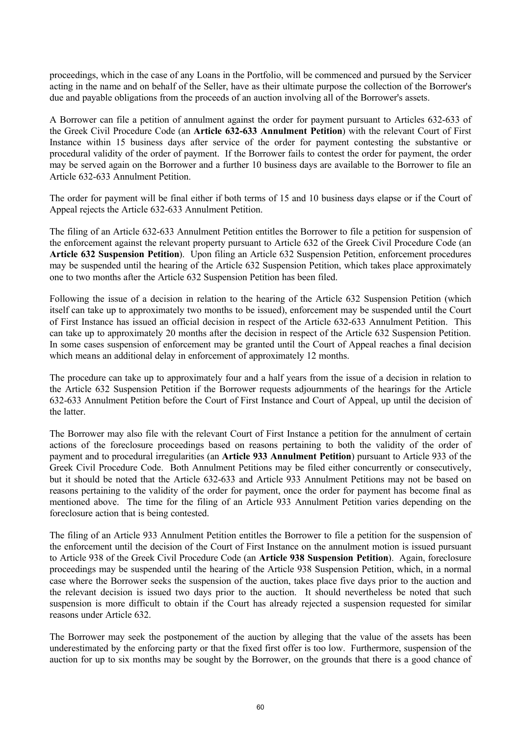proceedings, which in the case of any Loans in the Portfolio, will be commenced and pursued by the Servicer acting in the name and on behalf of the Seller, have as their ultimate purpose the collection of the Borrower's due and payable obligations from the proceeds of an auction involving all of the Borrower's assets.

A Borrower can file a petition of annulment against the order for payment pursuant to Articles 632-633 of the Greek Civil Procedure Code (an **Article 632-633 Annulment Petition**) with the relevant Court of First Instance within 15 business days after service of the order for payment contesting the substantive or procedural validity of the order of payment. If the Borrower fails to contest the order for payment, the order may be served again on the Borrower and a further 10 business days are available to the Borrower to file an Article 632-633 Annulment Petition.

The order for payment will be final either if both terms of 15 and 10 business days elapse or if the Court of Appeal rejects the Article 632-633 Annulment Petition.

The filing of an Article 632-633 Annulment Petition entitles the Borrower to file a petition for suspension of the enforcement against the relevant property pursuant to Article 632 of the Greek Civil Procedure Code (an **Article 632 Suspension Petition**). Upon filing an Article 632 Suspension Petition, enforcement procedures may be suspended until the hearing of the Article 632 Suspension Petition, which takes place approximately one to two months after the Article 632 Suspension Petition has been filed.

Following the issue of a decision in relation to the hearing of the Article 632 Suspension Petition (which itself can take up to approximately two months to be issued), enforcement may be suspended until the Court of First Instance has issued an official decision in respect of the Article 632-633 Annulment Petition. This can take up to approximately 20 months after the decision in respect of the Article 632 Suspension Petition. In some cases suspension of enforcement may be granted until the Court of Appeal reaches a final decision which means an additional delay in enforcement of approximately 12 months.

The procedure can take up to approximately four and a half years from the issue of a decision in relation to the Article 632 Suspension Petition if the Borrower requests adjournments of the hearings for the Article 632-633 Annulment Petition before the Court of First Instance and Court of Appeal, up until the decision of the latter.

The Borrower may also file with the relevant Court of First Instance a petition for the annulment of certain actions of the foreclosure proceedings based on reasons pertaining to both the validity of the order of payment and to procedural irregularities (an **Article 933 Annulment Petition**) pursuant to Article 933 of the Greek Civil Procedure Code. Both Annulment Petitions may be filed either concurrently or consecutively, but it should be noted that the Article 632-633 and Article 933 Annulment Petitions may not be based on reasons pertaining to the validity of the order for payment, once the order for payment has become final as mentioned above. The time for the filing of an Article 933 Annulment Petition varies depending on the foreclosure action that is being contested.

The filing of an Article 933 Annulment Petition entitles the Borrower to file a petition for the suspension of the enforcement until the decision of the Court of First Instance on the annulment motion is issued pursuant to Article 938 of the Greek Civil Procedure Code (an **Article 938 Suspension Petition**). Again, foreclosure proceedings may be suspended until the hearing of the Article 938 Suspension Petition, which, in a normal case where the Borrower seeks the suspension of the auction, takes place five days prior to the auction and the relevant decision is issued two days prior to the auction. It should nevertheless be noted that such suspension is more difficult to obtain if the Court has already rejected a suspension requested for similar reasons under Article 632.

The Borrower may seek the postponement of the auction by alleging that the value of the assets has been underestimated by the enforcing party or that the fixed first offer is too low. Furthermore, suspension of the auction for up to six months may be sought by the Borrower, on the grounds that there is a good chance of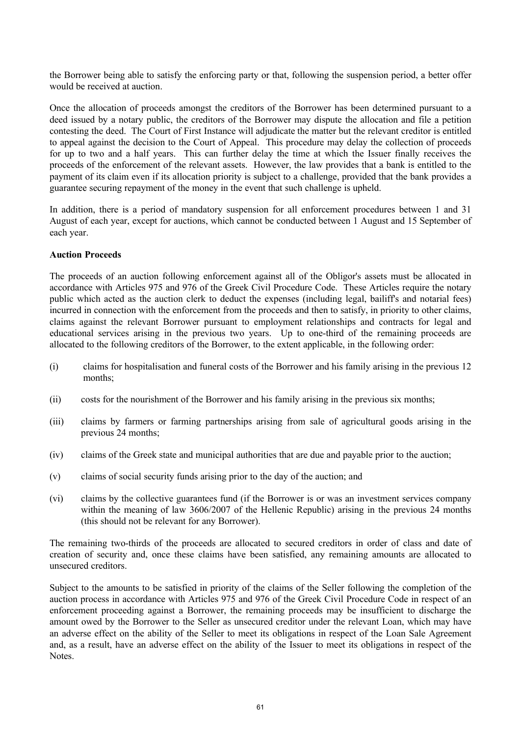the Borrower being able to satisfy the enforcing party or that, following the suspension period, a better offer would be received at auction.

Once the allocation of proceeds amongst the creditors of the Borrower has been determined pursuant to a deed issued by a notary public, the creditors of the Borrower may dispute the allocation and file a petition contesting the deed. The Court of First Instance will adjudicate the matter but the relevant creditor is entitled to appeal against the decision to the Court of Appeal. This procedure may delay the collection of proceeds for up to two and a half years. This can further delay the time at which the Issuer finally receives the proceeds of the enforcement of the relevant assets. However, the law provides that a bank is entitled to the payment of its claim even if its allocation priority is subject to a challenge, provided that the bank provides a guarantee securing repayment of the money in the event that such challenge is upheld.

In addition, there is a period of mandatory suspension for all enforcement procedures between 1 and 31 August of each year, except for auctions, which cannot be conducted between 1 August and 15 September of each year.

### **Auction Proceeds**

The proceeds of an auction following enforcement against all of the Obligor's assets must be allocated in accordance with Articles 975 and 976 of the Greek Civil Procedure Code. These Articles require the notary public which acted as the auction clerk to deduct the expenses (including legal, bailiff's and notarial fees) incurred in connection with the enforcement from the proceeds and then to satisfy, in priority to other claims, claims against the relevant Borrower pursuant to employment relationships and contracts for legal and educational services arising in the previous two years. Up to one-third of the remaining proceeds are allocated to the following creditors of the Borrower, to the extent applicable, in the following order:

- (i) claims for hospitalisation and funeral costs of the Borrower and his family arising in the previous 12 months;
- (ii) costs for the nourishment of the Borrower and his family arising in the previous six months;
- (iii) claims by farmers or farming partnerships arising from sale of agricultural goods arising in the previous 24 months;
- (iv) claims of the Greek state and municipal authorities that are due and payable prior to the auction;
- (v) claims of social security funds arising prior to the day of the auction; and
- (vi) claims by the collective guarantees fund (if the Borrower is or was an investment services company within the meaning of law 3606/2007 of the Hellenic Republic) arising in the previous 24 months (this should not be relevant for any Borrower).

The remaining two-thirds of the proceeds are allocated to secured creditors in order of class and date of creation of security and, once these claims have been satisfied, any remaining amounts are allocated to unsecured creditors.

Subject to the amounts to be satisfied in priority of the claims of the Seller following the completion of the auction process in accordance with Articles 975 and 976 of the Greek Civil Procedure Code in respect of an enforcement proceeding against a Borrower, the remaining proceeds may be insufficient to discharge the amount owed by the Borrower to the Seller as unsecured creditor under the relevant Loan, which may have an adverse effect on the ability of the Seller to meet its obligations in respect of the Loan Sale Agreement and, as a result, have an adverse effect on the ability of the Issuer to meet its obligations in respect of the Notes.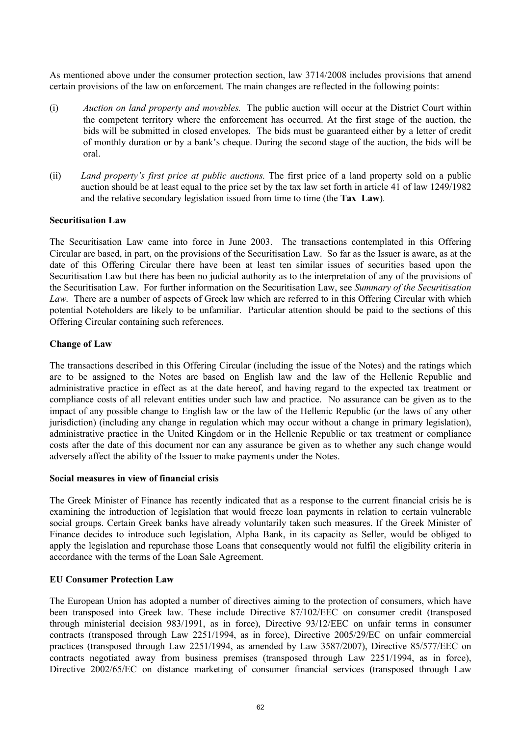As mentioned above under the consumer protection section, law 3714/2008 includes provisions that amend certain provisions of the law on enforcement. The main changes are reflected in the following points:

- (i) *Auction on land property and movables.* The public auction will occur at the District Court within the competent territory where the enforcement has occurred. At the first stage of the auction, the bids will be submitted in closed envelopes. The bids must be guaranteed either by a letter of credit of monthly duration or by a bank's cheque. During the second stage of the auction, the bids will be oral.
- (ii) *Land property's first price at public auctions.* The first price of a land property sold on a public auction should be at least equal to the price set by the tax law set forth in article 41 of law 1249/1982 and the relative secondary legislation issued from time to time (the **Tax Law**).

#### **Securitisation Law**

The Securitisation Law came into force in June 2003. The transactions contemplated in this Offering Circular are based, in part, on the provisions of the Securitisation Law. So far as the Issuer is aware, as at the date of this Offering Circular there have been at least ten similar issues of securities based upon the Securitisation Law but there has been no judicial authority as to the interpretation of any of the provisions of the Securitisation Law. For further information on the Securitisation Law, see *Summary of the Securitisation Law*. There are a number of aspects of Greek law which are referred to in this Offering Circular with which potential Noteholders are likely to be unfamiliar. Particular attention should be paid to the sections of this Offering Circular containing such references.

#### **Change of Law**

The transactions described in this Offering Circular (including the issue of the Notes) and the ratings which are to be assigned to the Notes are based on English law and the law of the Hellenic Republic and administrative practice in effect as at the date hereof, and having regard to the expected tax treatment or compliance costs of all relevant entities under such law and practice. No assurance can be given as to the impact of any possible change to English law or the law of the Hellenic Republic (or the laws of any other jurisdiction) (including any change in regulation which may occur without a change in primary legislation), administrative practice in the United Kingdom or in the Hellenic Republic or tax treatment or compliance costs after the date of this document nor can any assurance be given as to whether any such change would adversely affect the ability of the Issuer to make payments under the Notes.

#### **Social measures in view of financial crisis**

The Greek Minister of Finance has recently indicated that as a response to the current financial crisis he is examining the introduction of legislation that would freeze loan payments in relation to certain vulnerable social groups. Certain Greek banks have already voluntarily taken such measures. If the Greek Minister of Finance decides to introduce such legislation, Alpha Bank, in its capacity as Seller, would be obliged to apply the legislation and repurchase those Loans that consequently would not fulfil the eligibility criteria in accordance with the terms of the Loan Sale Agreement.

### **EU Consumer Protection Law**

The European Union has adopted a number of directives aiming to the protection of consumers, which have been transposed into Greek law. These include Directive 87/102/EEC on consumer credit (transposed through ministerial decision 983/1991, as in force), Directive 93/12/EEC on unfair terms in consumer contracts (transposed through Law 2251/1994, as in force), Directive 2005/29/EC on unfair commercial practices (transposed through Law 2251/1994, as amended by Law 3587/2007), Directive 85/577/EEC on contracts negotiated away from business premises (transposed through Law 2251/1994, as in force), Directive 2002/65/EC on distance marketing of consumer financial services (transposed through Law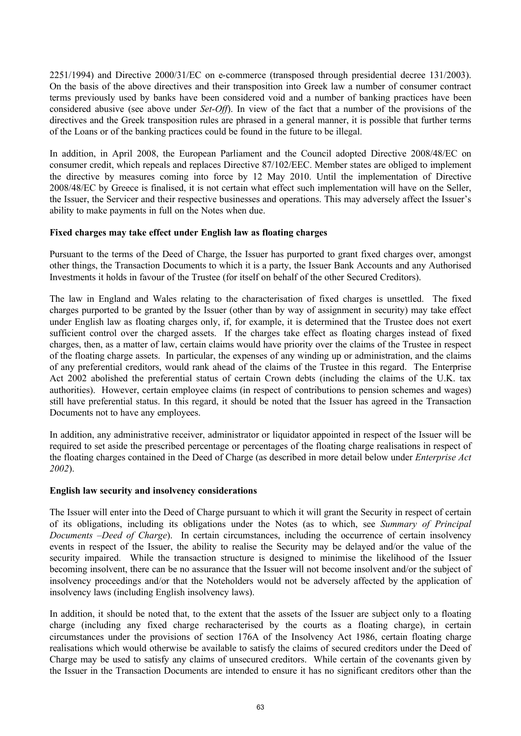2251/1994) and Directive 2000/31/EC on e-commerce (transposed through presidential decree 131/2003). On the basis of the above directives and their transposition into Greek law a number of consumer contract terms previously used by banks have been considered void and a number of banking practices have been considered abusive (see above under *Set-Off*). In view of the fact that a number of the provisions of the directives and the Greek transposition rules are phrased in a general manner, it is possible that further terms of the Loans or of the banking practices could be found in the future to be illegal.

In addition, in April 2008, the European Parliament and the Council adopted Directive 2008/48/EC on consumer credit, which repeals and replaces Directive 87/102/EEC. Member states are obliged to implement the directive by measures coming into force by 12 May 2010. Until the implementation of Directive 2008/48/EC by Greece is finalised, it is not certain what effect such implementation will have on the Seller, the Issuer, the Servicer and their respective businesses and operations. This may adversely affect the Issuer's ability to make payments in full on the Notes when due.

# **Fixed charges may take effect under English law as floating charges**

Pursuant to the terms of the Deed of Charge, the Issuer has purported to grant fixed charges over, amongst other things, the Transaction Documents to which it is a party, the Issuer Bank Accounts and any Authorised Investments it holds in favour of the Trustee (for itself on behalf of the other Secured Creditors).

The law in England and Wales relating to the characterisation of fixed charges is unsettled. The fixed charges purported to be granted by the Issuer (other than by way of assignment in security) may take effect under English law as floating charges only, if, for example, it is determined that the Trustee does not exert sufficient control over the charged assets. If the charges take effect as floating charges instead of fixed charges, then, as a matter of law, certain claims would have priority over the claims of the Trustee in respect of the floating charge assets. In particular, the expenses of any winding up or administration, and the claims of any preferential creditors, would rank ahead of the claims of the Trustee in this regard. The Enterprise Act 2002 abolished the preferential status of certain Crown debts (including the claims of the U.K. tax authorities). However, certain employee claims (in respect of contributions to pension schemes and wages) still have preferential status. In this regard, it should be noted that the Issuer has agreed in the Transaction Documents not to have any employees.

In addition, any administrative receiver, administrator or liquidator appointed in respect of the Issuer will be required to set aside the prescribed percentage or percentages of the floating charge realisations in respect of the floating charges contained in the Deed of Charge (as described in more detail below under *Enterprise Act 2002*).

### **English law security and insolvency considerations**

The Issuer will enter into the Deed of Charge pursuant to which it will grant the Security in respect of certain of its obligations, including its obligations under the Notes (as to which, see *Summary of Principal Documents –Deed of Charge*). In certain circumstances, including the occurrence of certain insolvency events in respect of the Issuer, the ability to realise the Security may be delayed and/or the value of the security impaired. While the transaction structure is designed to minimise the likelihood of the Issuer becoming insolvent, there can be no assurance that the Issuer will not become insolvent and/or the subject of insolvency proceedings and/or that the Noteholders would not be adversely affected by the application of insolvency laws (including English insolvency laws).

In addition, it should be noted that, to the extent that the assets of the Issuer are subject only to a floating charge (including any fixed charge recharacterised by the courts as a floating charge), in certain circumstances under the provisions of section 176A of the Insolvency Act 1986, certain floating charge realisations which would otherwise be available to satisfy the claims of secured creditors under the Deed of Charge may be used to satisfy any claims of unsecured creditors. While certain of the covenants given by the Issuer in the Transaction Documents are intended to ensure it has no significant creditors other than the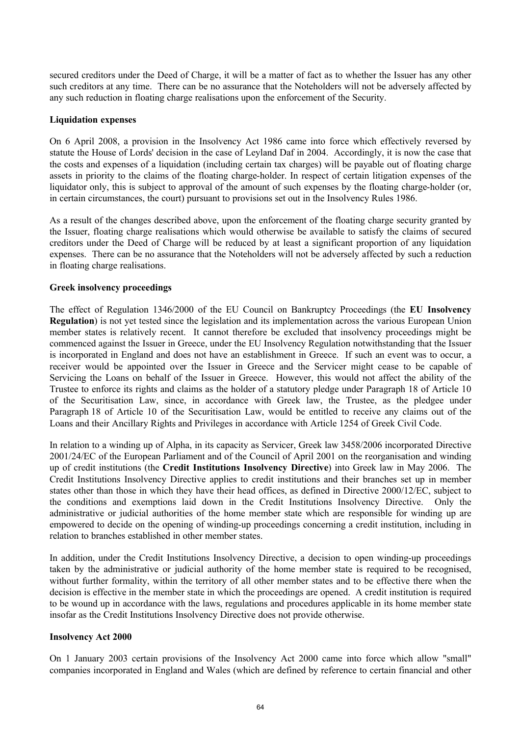secured creditors under the Deed of Charge, it will be a matter of fact as to whether the Issuer has any other such creditors at any time. There can be no assurance that the Noteholders will not be adversely affected by any such reduction in floating charge realisations upon the enforcement of the Security.

### **Liquidation expenses**

On 6 April 2008, a provision in the Insolvency Act 1986 came into force which effectively reversed by statute the House of Lords' decision in the case of Leyland Daf in 2004. Accordingly, it is now the case that the costs and expenses of a liquidation (including certain tax charges) will be payable out of floating charge assets in priority to the claims of the floating charge-holder. In respect of certain litigation expenses of the liquidator only, this is subject to approval of the amount of such expenses by the floating charge-holder (or, in certain circumstances, the court) pursuant to provisions set out in the Insolvency Rules 1986.

As a result of the changes described above, upon the enforcement of the floating charge security granted by the Issuer, floating charge realisations which would otherwise be available to satisfy the claims of secured creditors under the Deed of Charge will be reduced by at least a significant proportion of any liquidation expenses. There can be no assurance that the Noteholders will not be adversely affected by such a reduction in floating charge realisations.

# **Greek insolvency proceedings**

The effect of Regulation 1346/2000 of the EU Council on Bankruptcy Proceedings (the **EU Insolvency Regulation**) is not yet tested since the legislation and its implementation across the various European Union member states is relatively recent. It cannot therefore be excluded that insolvency proceedings might be commenced against the Issuer in Greece, under the EU Insolvency Regulation notwithstanding that the Issuer is incorporated in England and does not have an establishment in Greece. If such an event was to occur, a receiver would be appointed over the Issuer in Greece and the Servicer might cease to be capable of Servicing the Loans on behalf of the Issuer in Greece. However, this would not affect the ability of the Trustee to enforce its rights and claims as the holder of a statutory pledge under Paragraph 18 of Article 10 of the Securitisation Law, since, in accordance with Greek law, the Trustee, as the pledgee under Paragraph 18 of Article 10 of the Securitisation Law, would be entitled to receive any claims out of the Loans and their Ancillary Rights and Privileges in accordance with Article 1254 of Greek Civil Code.

In relation to a winding up of Alpha, in its capacity as Servicer, Greek law 3458/2006 incorporated Directive 2001/24/EC of the European Parliament and of the Council of April 2001 on the reorganisation and winding up of credit institutions (the **Credit Institutions Insolvency Directive**) into Greek law in May 2006. The Credit Institutions Insolvency Directive applies to credit institutions and their branches set up in member states other than those in which they have their head offices, as defined in Directive 2000/12/EC, subject to the conditions and exemptions laid down in the Credit Institutions Insolvency Directive. Only the administrative or judicial authorities of the home member state which are responsible for winding up are empowered to decide on the opening of winding-up proceedings concerning a credit institution, including in relation to branches established in other member states.

In addition, under the Credit Institutions Insolvency Directive, a decision to open winding-up proceedings taken by the administrative or judicial authority of the home member state is required to be recognised, without further formality, within the territory of all other member states and to be effective there when the decision is effective in the member state in which the proceedings are opened. A credit institution is required to be wound up in accordance with the laws, regulations and procedures applicable in its home member state insofar as the Credit Institutions Insolvency Directive does not provide otherwise.

### **Insolvency Act 2000**

On 1 January 2003 certain provisions of the Insolvency Act 2000 came into force which allow "small" companies incorporated in England and Wales (which are defined by reference to certain financial and other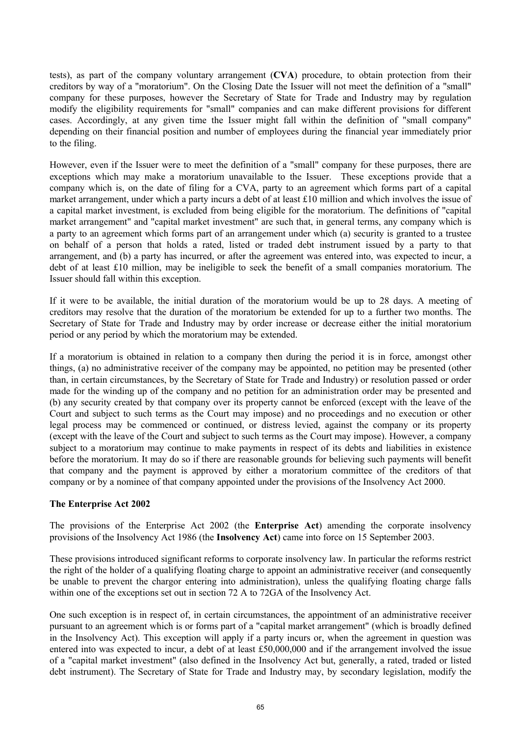tests), as part of the company voluntary arrangement (**CVA**) procedure, to obtain protection from their creditors by way of a "moratorium". On the Closing Date the Issuer will not meet the definition of a "small" company for these purposes, however the Secretary of State for Trade and Industry may by regulation modify the eligibility requirements for "small" companies and can make different provisions for different cases. Accordingly, at any given time the Issuer might fall within the definition of "small company" depending on their financial position and number of employees during the financial year immediately prior to the filing.

However, even if the Issuer were to meet the definition of a "small" company for these purposes, there are exceptions which may make a moratorium unavailable to the Issuer. These exceptions provide that a company which is, on the date of filing for a CVA, party to an agreement which forms part of a capital market arrangement, under which a party incurs a debt of at least £10 million and which involves the issue of a capital market investment, is excluded from being eligible for the moratorium. The definitions of "capital market arrangement" and "capital market investment" are such that, in general terms, any company which is a party to an agreement which forms part of an arrangement under which (a) security is granted to a trustee on behalf of a person that holds a rated, listed or traded debt instrument issued by a party to that arrangement, and (b) a party has incurred, or after the agreement was entered into, was expected to incur, a debt of at least £10 million, may be ineligible to seek the benefit of a small companies moratorium. The Issuer should fall within this exception.

If it were to be available, the initial duration of the moratorium would be up to 28 days. A meeting of creditors may resolve that the duration of the moratorium be extended for up to a further two months. The Secretary of State for Trade and Industry may by order increase or decrease either the initial moratorium period or any period by which the moratorium may be extended.

If a moratorium is obtained in relation to a company then during the period it is in force, amongst other things, (a) no administrative receiver of the company may be appointed, no petition may be presented (other than, in certain circumstances, by the Secretary of State for Trade and Industry) or resolution passed or order made for the winding up of the company and no petition for an administration order may be presented and (b) any security created by that company over its property cannot be enforced (except with the leave of the Court and subject to such terms as the Court may impose) and no proceedings and no execution or other legal process may be commenced or continued, or distress levied, against the company or its property (except with the leave of the Court and subject to such terms as the Court may impose). However, a company subject to a moratorium may continue to make payments in respect of its debts and liabilities in existence before the moratorium. It may do so if there are reasonable grounds for believing such payments will benefit that company and the payment is approved by either a moratorium committee of the creditors of that company or by a nominee of that company appointed under the provisions of the Insolvency Act 2000.

### **The Enterprise Act 2002**

The provisions of the Enterprise Act 2002 (the **Enterprise Act**) amending the corporate insolvency provisions of the Insolvency Act 1986 (the **Insolvency Act**) came into force on 15 September 2003.

These provisions introduced significant reforms to corporate insolvency law. In particular the reforms restrict the right of the holder of a qualifying floating charge to appoint an administrative receiver (and consequently be unable to prevent the chargor entering into administration), unless the qualifying floating charge falls within one of the exceptions set out in section 72 A to 72GA of the Insolvency Act.

One such exception is in respect of, in certain circumstances, the appointment of an administrative receiver pursuant to an agreement which is or forms part of a "capital market arrangement" (which is broadly defined in the Insolvency Act). This exception will apply if a party incurs or, when the agreement in question was entered into was expected to incur, a debt of at least £50,000,000 and if the arrangement involved the issue of a "capital market investment" (also defined in the Insolvency Act but, generally, a rated, traded or listed debt instrument). The Secretary of State for Trade and Industry may, by secondary legislation, modify the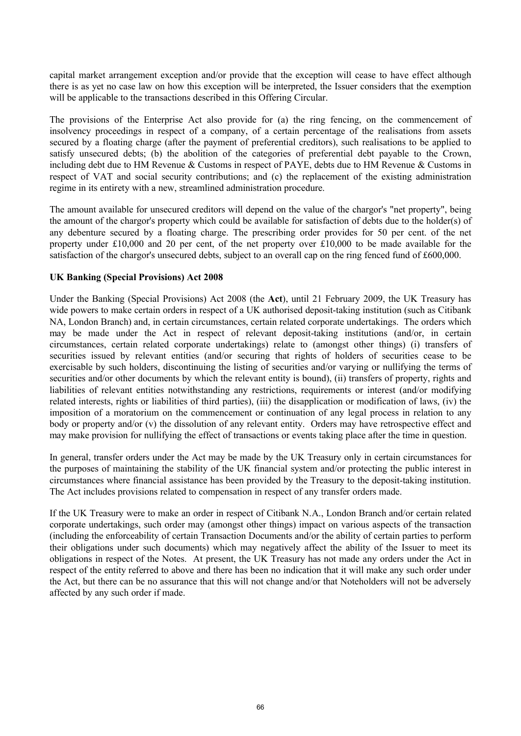capital market arrangement exception and/or provide that the exception will cease to have effect although there is as yet no case law on how this exception will be interpreted, the Issuer considers that the exemption will be applicable to the transactions described in this Offering Circular.

The provisions of the Enterprise Act also provide for (a) the ring fencing, on the commencement of insolvency proceedings in respect of a company, of a certain percentage of the realisations from assets secured by a floating charge (after the payment of preferential creditors), such realisations to be applied to satisfy unsecured debts; (b) the abolition of the categories of preferential debt payable to the Crown, including debt due to HM Revenue & Customs in respect of PAYE, debts due to HM Revenue & Customs in respect of VAT and social security contributions; and (c) the replacement of the existing administration regime in its entirety with a new, streamlined administration procedure.

The amount available for unsecured creditors will depend on the value of the chargor's "net property", being the amount of the chargor's property which could be available for satisfaction of debts due to the holder(s) of any debenture secured by a floating charge. The prescribing order provides for 50 per cent. of the net property under £10,000 and 20 per cent, of the net property over £10,000 to be made available for the satisfaction of the chargor's unsecured debts, subject to an overall cap on the ring fenced fund of £600,000.

### **UK Banking (Special Provisions) Act 2008**

Under the Banking (Special Provisions) Act 2008 (the **Act**), until 21 February 2009, the UK Treasury has wide powers to make certain orders in respect of a UK authorised deposit-taking institution (such as Citibank NA, London Branch) and, in certain circumstances, certain related corporate undertakings. The orders which may be made under the Act in respect of relevant deposit-taking institutions (and/or, in certain circumstances, certain related corporate undertakings) relate to (amongst other things) (i) transfers of securities issued by relevant entities (and/or securing that rights of holders of securities cease to be exercisable by such holders, discontinuing the listing of securities and/or varying or nullifying the terms of securities and/or other documents by which the relevant entity is bound), (ii) transfers of property, rights and liabilities of relevant entities notwithstanding any restrictions, requirements or interest (and/or modifying related interests, rights or liabilities of third parties), (iii) the disapplication or modification of laws, (iv) the imposition of a moratorium on the commencement or continuation of any legal process in relation to any body or property and/or (v) the dissolution of any relevant entity. Orders may have retrospective effect and may make provision for nullifying the effect of transactions or events taking place after the time in question.

In general, transfer orders under the Act may be made by the UK Treasury only in certain circumstances for the purposes of maintaining the stability of the UK financial system and/or protecting the public interest in circumstances where financial assistance has been provided by the Treasury to the deposit-taking institution. The Act includes provisions related to compensation in respect of any transfer orders made.

If the UK Treasury were to make an order in respect of Citibank N.A., London Branch and/or certain related corporate undertakings, such order may (amongst other things) impact on various aspects of the transaction (including the enforceability of certain Transaction Documents and/or the ability of certain parties to perform their obligations under such documents) which may negatively affect the ability of the Issuer to meet its obligations in respect of the Notes. At present, the UK Treasury has not made any orders under the Act in respect of the entity referred to above and there has been no indication that it will make any such order under the Act, but there can be no assurance that this will not change and/or that Noteholders will not be adversely affected by any such order if made.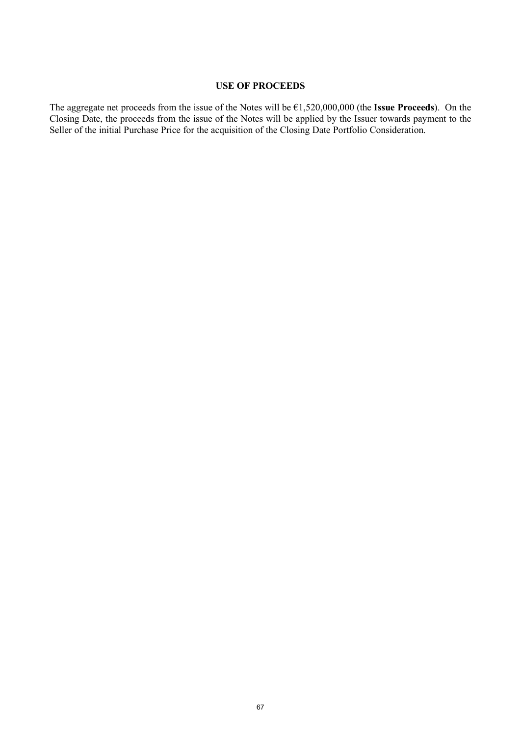# **USE OF PROCEEDS**

The aggregate net proceeds from the issue of the Notes will be €1,520,000,000 (the **Issue Proceeds**). On the Closing Date, the proceeds from the issue of the Notes will be applied by the Issuer towards payment to the Seller of the initial Purchase Price for the acquisition of the Closing Date Portfolio Consideration.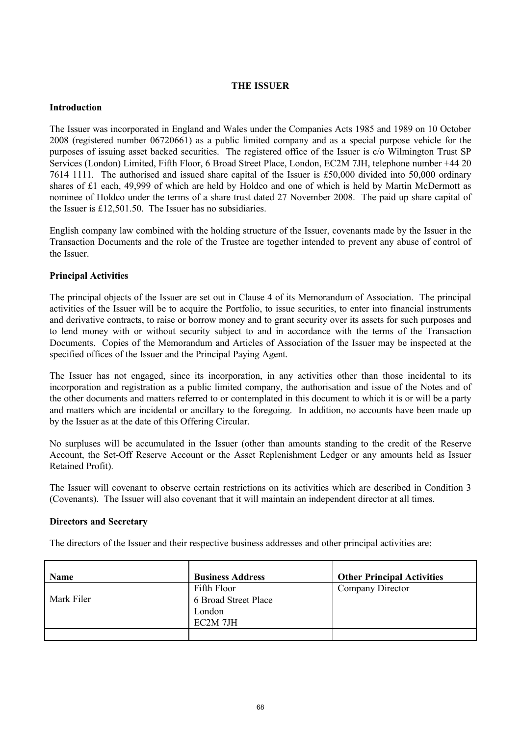# **THE ISSUER**

#### **Introduction**

The Issuer was incorporated in England and Wales under the Companies Acts 1985 and 1989 on 10 October 2008 (registered number 06720661) as a public limited company and as a special purpose vehicle for the purposes of issuing asset backed securities. The registered office of the Issuer is c/o Wilmington Trust SP Services (London) Limited, Fifth Floor, 6 Broad Street Place, London, EC2M 7JH, telephone number +44 20 7614 1111. The authorised and issued share capital of the Issuer is £50,000 divided into 50,000 ordinary shares of £1 each, 49,999 of which are held by Holdco and one of which is held by Martin McDermott as nominee of Holdco under the terms of a share trust dated 27 November 2008. The paid up share capital of the Issuer is £12,501.50. The Issuer has no subsidiaries.

English company law combined with the holding structure of the Issuer, covenants made by the Issuer in the Transaction Documents and the role of the Trustee are together intended to prevent any abuse of control of the Issuer.

### **Principal Activities**

The principal objects of the Issuer are set out in Clause 4 of its Memorandum of Association. The principal activities of the Issuer will be to acquire the Portfolio, to issue securities, to enter into financial instruments and derivative contracts, to raise or borrow money and to grant security over its assets for such purposes and to lend money with or without security subject to and in accordance with the terms of the Transaction Documents. Copies of the Memorandum and Articles of Association of the Issuer may be inspected at the specified offices of the Issuer and the Principal Paying Agent.

The Issuer has not engaged, since its incorporation, in any activities other than those incidental to its incorporation and registration as a public limited company, the authorisation and issue of the Notes and of the other documents and matters referred to or contemplated in this document to which it is or will be a party and matters which are incidental or ancillary to the foregoing. In addition, no accounts have been made up by the Issuer as at the date of this Offering Circular.

No surpluses will be accumulated in the Issuer (other than amounts standing to the credit of the Reserve Account, the Set-Off Reserve Account or the Asset Replenishment Ledger or any amounts held as Issuer Retained Profit).

The Issuer will covenant to observe certain restrictions on its activities which are described in Condition 3 (Covenants). The Issuer will also covenant that it will maintain an independent director at all times.

### **Directors and Secretary**

The directors of the Issuer and their respective business addresses and other principal activities are:

| <b>Name</b> | <b>Business Address</b> | <b>Other Principal Activities</b> |
|-------------|-------------------------|-----------------------------------|
|             | Fifth Floor             | Company Director                  |
| Mark Filer  | 6 Broad Street Place    |                                   |
|             | London                  |                                   |
|             | EC2M 7JH                |                                   |
|             |                         |                                   |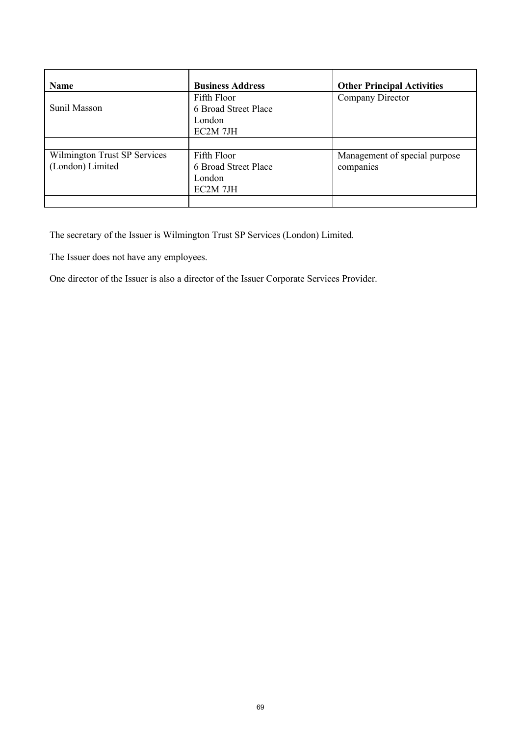| <b>Name</b>                                      | <b>Business Address</b>                                   | <b>Other Principal Activities</b>          |
|--------------------------------------------------|-----------------------------------------------------------|--------------------------------------------|
| Sunil Masson                                     | Fifth Floor<br>6 Broad Street Place<br>London<br>EC2M 7JH | Company Director                           |
|                                                  |                                                           |                                            |
| Wilmington Trust SP Services<br>(London) Limited | Fifth Floor<br>6 Broad Street Place<br>London<br>EC2M 7JH | Management of special purpose<br>companies |
|                                                  |                                                           |                                            |

The secretary of the Issuer is Wilmington Trust SP Services (London) Limited.

The Issuer does not have any employees.

One director of the Issuer is also a director of the Issuer Corporate Services Provider.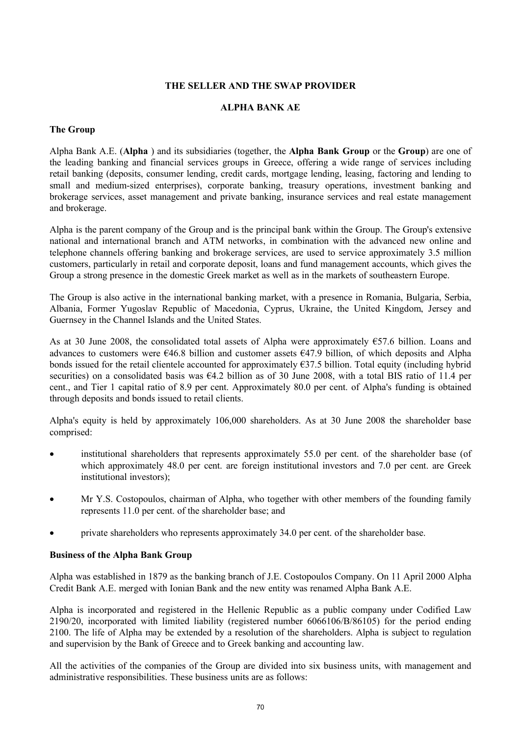#### **THE SELLER AND THE SWAP PROVIDER**

#### **ALPHA BANK AE**

#### **The Group**

Alpha Bank A.E. (**Alpha** ) and its subsidiaries (together, the **Alpha Bank Group** or the **Group**) are one of the leading banking and financial services groups in Greece, offering a wide range of services including retail banking (deposits, consumer lending, credit cards, mortgage lending, leasing, factoring and lending to small and medium-sized enterprises), corporate banking, treasury operations, investment banking and brokerage services, asset management and private banking, insurance services and real estate management and brokerage.

Alpha is the parent company of the Group and is the principal bank within the Group. The Group's extensive national and international branch and ATM networks, in combination with the advanced new online and telephone channels offering banking and brokerage services, are used to service approximately 3.5 million customers, particularly in retail and corporate deposit, loans and fund management accounts, which gives the Group a strong presence in the domestic Greek market as well as in the markets of southeastern Europe.

The Group is also active in the international banking market, with a presence in Romania, Bulgaria, Serbia, Albania, Former Yugoslav Republic of Macedonia, Cyprus, Ukraine, the United Kingdom, Jersey and Guernsey in the Channel Islands and the United States.

As at 30 June 2008, the consolidated total assets of Alpha were approximately €57.6 billion. Loans and advances to customers were €46.8 billion and customer assets €47.9 billion, of which deposits and Alpha bonds issued for the retail clientele accounted for approximately €37.5 billion. Total equity (including hybrid securities) on a consolidated basis was  $64.2$  billion as of 30 June 2008, with a total BIS ratio of 11.4 per cent., and Tier 1 capital ratio of 8.9 per cent. Approximately 80.0 per cent. of Alpha's funding is obtained through deposits and bonds issued to retail clients.

Alpha's equity is held by approximately 106,000 shareholders. As at 30 June 2008 the shareholder base comprised:

- institutional shareholders that represents approximately 55.0 per cent. of the shareholder base (of which approximately 48.0 per cent. are foreign institutional investors and 7.0 per cent. are Greek institutional investors);
- · Mr Y.S. Costopoulos, chairman of Alpha, who together with other members of the founding family represents 11.0 per cent. of the shareholder base; and
- private shareholders who represents approximately 34.0 per cent. of the shareholder base.

## **Business of the Alpha Bank Group**

Alpha was established in 1879 as the banking branch of J.E. Costopoulos Company. On 11 April 2000 Alpha Credit Bank A.E. merged with Ionian Bank and the new entity was renamed Alpha Bank A.E.

Alpha is incorporated and registered in the Hellenic Republic as a public company under Codified Law 2190/20, incorporated with limited liability (registered number 6066106/B/86105) for the period ending 2100. The life of Alpha may be extended by a resolution of the shareholders. Alpha is subject to regulation and supervision by the Bank of Greece and to Greek banking and accounting law.

All the activities of the companies of the Group are divided into six business units, with management and administrative responsibilities. These business units are as follows: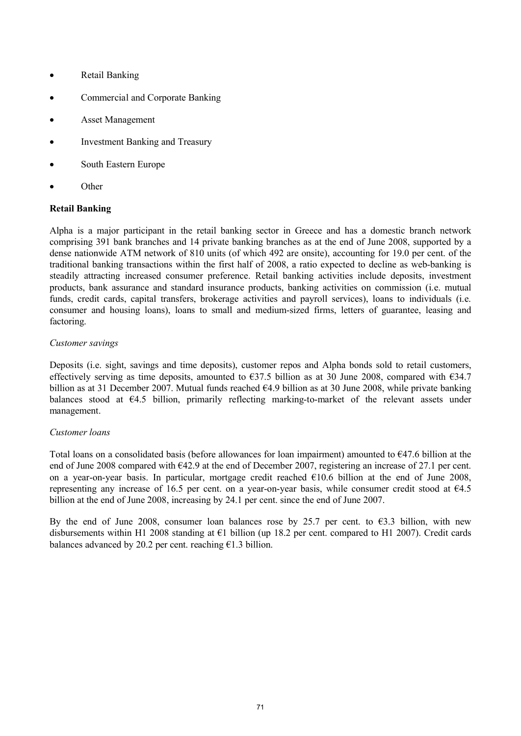- · Retail Banking
- · Commercial and Corporate Banking
- Asset Management
- Investment Banking and Treasury
- South Eastern Europe
- · Other

# **Retail Banking**

Alpha is a major participant in the retail banking sector in Greece and has a domestic branch network comprising 391 bank branches and 14 private banking branches as at the end of June 2008, supported by a dense nationwide ATM network of 810 units (of which 492 are onsite), accounting for 19.0 per cent. of the traditional banking transactions within the first half of 2008, a ratio expected to decline as web-banking is steadily attracting increased consumer preference. Retail banking activities include deposits, investment products, bank assurance and standard insurance products, banking activities on commission (i.e. mutual funds, credit cards, capital transfers, brokerage activities and payroll services), loans to individuals (i.e. consumer and housing loans), loans to small and medium-sized firms, letters of guarantee, leasing and factoring.

### *Customer savings*

Deposits (i.e. sight, savings and time deposits), customer repos and Alpha bonds sold to retail customers, effectively serving as time deposits, amounted to  $\epsilon$ 37.5 billion as at 30 June 2008, compared with  $\epsilon$ 34.7 billion as at 31 December 2007. Mutual funds reached €4.9 billion as at 30 June 2008, while private banking balances stood at €4.5 billion, primarily reflecting marking-to-market of the relevant assets under management.

### *Customer loans*

Total loans on a consolidated basis (before allowances for loan impairment) amounted to  $647.6$  billion at the end of June 2008 compared with  $642.9$  at the end of December 2007, registering an increase of 27.1 per cent. on a year-on-year basis. In particular, mortgage credit reached €10.6 billion at the end of June 2008, representing any increase of 16.5 per cent. on a year-on-year basis, while consumer credit stood at €4.5 billion at the end of June 2008, increasing by 24.1 per cent. since the end of June 2007.

By the end of June 2008, consumer loan balances rose by 25.7 per cent. to  $\epsilon$ 3.3 billion, with new disbursements within H1 2008 standing at  $\epsilon$ 1 billion (up 18.2 per cent. compared to H1 2007). Credit cards balances advanced by 20.2 per cent. reaching  $E1.3$  billion.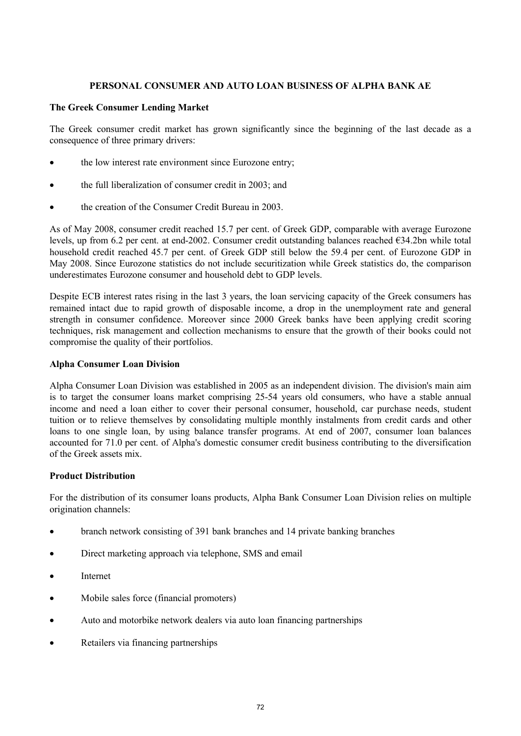# **PERSONAL CONSUMER AND AUTO LOAN BUSINESS OF ALPHA BANK AE**

## **The Greek Consumer Lending Market**

The Greek consumer credit market has grown significantly since the beginning of the last decade as a consequence of three primary drivers:

- the low interest rate environment since Eurozone entry;
- the full liberalization of consumer credit in 2003; and
- the creation of the Consumer Credit Bureau in 2003.

As of May 2008, consumer credit reached 15.7 per cent. of Greek GDP, comparable with average Eurozone levels, up from 6.2 per cent. at end-2002. Consumer credit outstanding balances reached €34.2bn while total household credit reached 45.7 per cent. of Greek GDP still below the 59.4 per cent. of Eurozone GDP in May 2008. Since Eurozone statistics do not include securitization while Greek statistics do, the comparison underestimates Eurozone consumer and household debt to GDP levels.

Despite ECB interest rates rising in the last 3 years, the loan servicing capacity of the Greek consumers has remained intact due to rapid growth of disposable income, a drop in the unemployment rate and general strength in consumer confidence. Moreover since 2000 Greek banks have been applying credit scoring techniques, risk management and collection mechanisms to ensure that the growth of their books could not compromise the quality of their portfolios.

# **Alpha Consumer Loan Division**

Alpha Consumer Loan Division was established in 2005 as an independent division. The division's main aim is to target the consumer loans market comprising 25-54 years old consumers, who have a stable annual income and need a loan either to cover their personal consumer, household, car purchase needs, student tuition or to relieve themselves by consolidating multiple monthly instalments from credit cards and other loans to one single loan, by using balance transfer programs. At end of 2007, consumer loan balances accounted for 71.0 per cent. of Alpha's domestic consumer credit business contributing to the diversification of the Greek assets mix.

# **Product Distribution**

For the distribution of its consumer loans products, Alpha Bank Consumer Loan Division relies on multiple origination channels:

- branch network consisting of 391 bank branches and 14 private banking branches
- Direct marketing approach via telephone, SMS and email
- **Internet**
- Mobile sales force (financial promoters)
- Auto and motorbike network dealers via auto loan financing partnerships
- Retailers via financing partnerships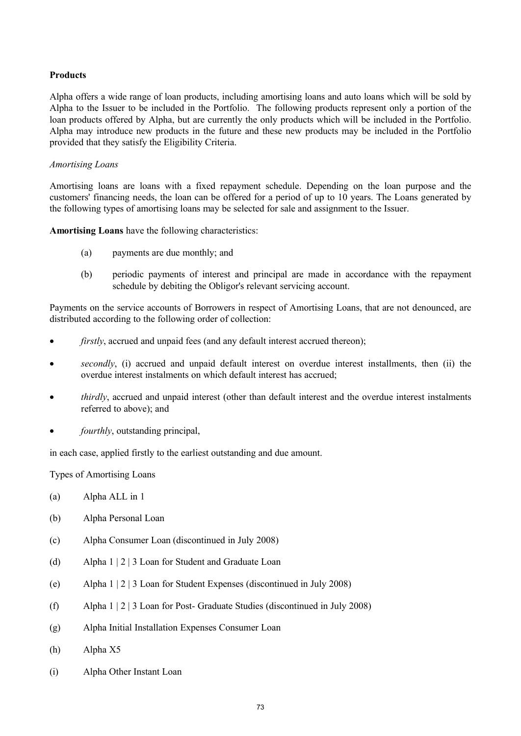## **Products**

Alpha offers a wide range of loan products, including amortising loans and auto loans which will be sold by Alpha to the Issuer to be included in the Portfolio. The following products represent only a portion of the loan products offered by Alpha, but are currently the only products which will be included in the Portfolio. Alpha may introduce new products in the future and these new products may be included in the Portfolio provided that they satisfy the Eligibility Criteria.

#### *Amortising Loans*

Amortising loans are loans with a fixed repayment schedule. Depending on the loan purpose and the customers' financing needs, the loan can be offered for a period of up to 10 years. The Loans generated by the following types of amortising loans may be selected for sale and assignment to the Issuer.

**Amortising Loans** have the following characteristics:

- (a) payments are due monthly; and
- (b) periodic payments of interest and principal are made in accordance with the repayment schedule by debiting the Obligor's relevant servicing account.

Payments on the service accounts of Borrowers in respect of Amortising Loans, that are not denounced, are distributed according to the following order of collection:

- *firstly*, accrued and unpaid fees (and any default interest accrued thereon);
- secondly, (i) accrued and unpaid default interest on overdue interest installments, then (ii) the overdue interest instalments on which default interest has accrued;
- · *thirdly*, accrued and unpaid interest (other than default interest and the overdue interest instalments referred to above); and
- *fourthly*, outstanding principal,

in each case, applied firstly to the earliest outstanding and due amount.

Types of Amortising Loans

- (a) Alpha ALL in 1
- (b) Alpha Personal Loan
- (c) Alpha Consumer Loan (discontinued in July 2008)
- (d) Alpha 1 | 2 | 3 Loan for Student and Graduate Loan
- (e) Alpha 1 | 2 | 3 Loan for Student Expenses (discontinued in July 2008)
- (f) Alpha 1 | 2 | 3 Loan for Post- Graduate Studies (discontinued in July 2008)
- (g) Alpha Initial Installation Expenses Consumer Loan
- (h) Alpha X5
- (i) Alpha Other Instant Loan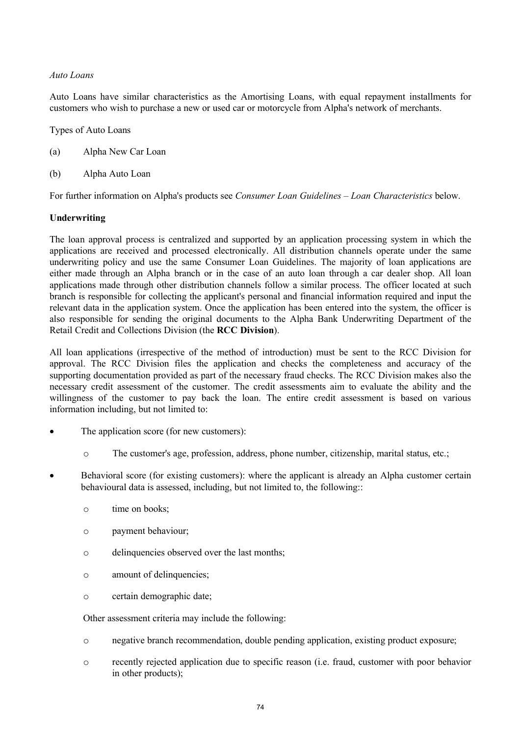## *Auto Loans*

Auto Loans have similar characteristics as the Amortising Loans, with equal repayment installments for customers who wish to purchase a new or used car or motorcycle from Alpha's network of merchants.

Types of Auto Loans

- (a) Alpha New Car Loan
- (b) Alpha Auto Loan

For further information on Alpha's products see *Consumer Loan Guidelines – Loan Characteristics* below.

## **Underwriting**

The loan approval process is centralized and supported by an application processing system in which the applications are received and processed electronically. All distribution channels operate under the same underwriting policy and use the same Consumer Loan Guidelines. The majority of loan applications are either made through an Alpha branch or in the case of an auto loan through a car dealer shop. All loan applications made through other distribution channels follow a similar process. The officer located at such branch is responsible for collecting the applicant's personal and financial information required and input the relevant data in the application system. Once the application has been entered into the system, the officer is also responsible for sending the original documents to the Alpha Bank Underwriting Department of the Retail Credit and Collections Division (the **RCC Division**).

All loan applications (irrespective of the method of introduction) must be sent to the RCC Division for approval. The RCC Division files the application and checks the completeness and accuracy of the supporting documentation provided as part of the necessary fraud checks. The RCC Division makes also the necessary credit assessment of the customer. The credit assessments aim to evaluate the ability and the willingness of the customer to pay back the loan. The entire credit assessment is based on various information including, but not limited to:

- The application score (for new customers):
	- o The customer's age, profession, address, phone number, citizenship, marital status, etc.;
- Behavioral score (for existing customers): where the applicant is already an Alpha customer certain behavioural data is assessed, including, but not limited to, the following::
	- o time on books;
	- o payment behaviour;
	- o delinquencies observed over the last months;
	- o amount of delinquencies;
	- o certain demographic date;

Other assessment criteria may include the following:

- o negative branch recommendation, double pending application, existing product exposure;
- o recently rejected application due to specific reason (i.e. fraud, customer with poor behavior in other products);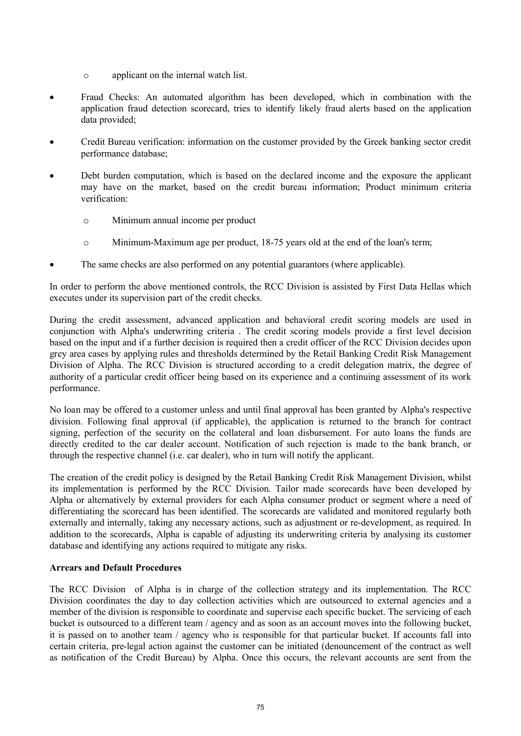- o applicant on the internal watch list.
- · Fraud Checks: An automated algorithm has been developed, which in combination with the application fraud detection scorecard, tries to identify likely fraud alerts based on the application data provided;
- · Credit Bureau verification: information on the customer provided by the Greek banking sector credit performance database;
- Debt burden computation, which is based on the declared income and the exposure the applicant may have on the market, based on the credit bureau information; Product minimum criteria verification:
	- o Minimum annual income per product
	- o Minimum-Maximum age per product, 18-75 years old at the end of the loan's term;
- · The same checks are also performed on any potential guarantors (where applicable).

In order to perform the above mentioned controls, the RCC Division is assisted by First Data Hellas which executes under its supervision part of the credit checks.

During the credit assessment, advanced application and behavioral credit scoring models are used in conjunction with Alpha's underwriting criteria . The credit scoring models provide a first level decision based on the input and if a further decision is required then a credit officer of the RCC Division decides upon grey area cases by applying rules and thresholds determined by the Retail Banking Credit Risk Management Division of Alpha. The RCC Division is structured according to a credit delegation matrix, the degree of authority of a particular credit officer being based on its experience and a continuing assessment of its work performance.

No loan may be offered to a customer unless and until final approval has been granted by Alpha's respective division. Following final approval (if applicable), the application is returned to the branch for contract signing, perfection of the security on the collateral and loan disbursement. For auto loans the funds are directly credited to the car dealer account. Notification of such rejection is made to the bank branch, or through the respective channel (i.e. car dealer), who in turn will notify the applicant.

The creation of the credit policy is designed by the Retail Banking Credit Risk Management Division, whilst its implementation is performed by the RCC Division. Tailor made scorecards have been developed by Alpha or alternatively by external providers for each Alpha consumer product or segment where a need of differentiating the scorecard has been identified. The scorecards are validated and monitored regularly both externally and internally, taking any necessary actions, such as adjustment or re-development, as required. In addition to the scorecards, Alpha is capable of adjusting its underwriting criteria by analysing its customer database and identifying any actions required to mitigate any risks.

#### **Arrears and Default Procedures**

The RCC Division of Alpha is in charge of the collection strategy and its implementation. The RCC Division coordinates the day to day collection activities which are outsourced to external agencies and a member of the division is responsible to coordinate and supervise each specific bucket. The servicing of each bucket is outsourced to a different team / agency and as soon as an account moves into the following bucket, it is passed on to another team / agency who is responsible for that particular bucket. If accounts fall into certain criteria, pre-legal action against the customer can be initiated (denouncement of the contract as well as notification of the Credit Bureau) by Alpha. Once this occurs, the relevant accounts are sent from the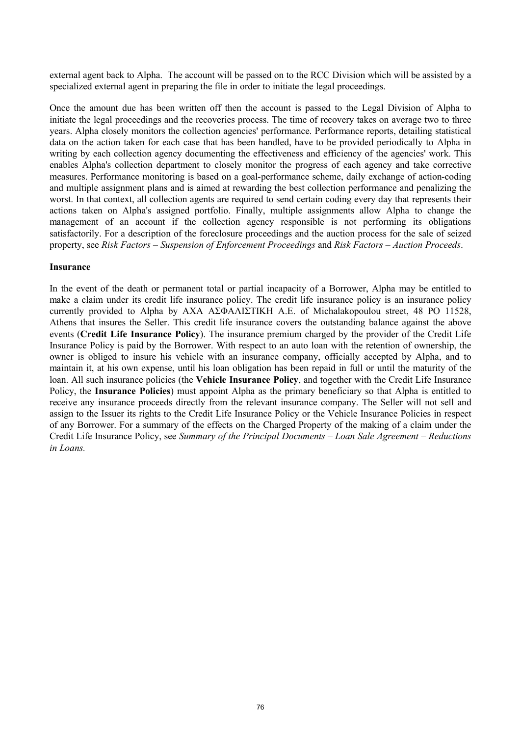external agent back to Alpha. The account will be passed on to the RCC Division which will be assisted by a specialized external agent in preparing the file in order to initiate the legal proceedings.

Once the amount due has been written off then the account is passed to the Legal Division of Alpha to initiate the legal proceedings and the recoveries process. The time of recovery takes on average two to three years. Alpha closely monitors the collection agencies' performance. Performance reports, detailing statistical data on the action taken for each case that has been handled, have to be provided periodically to Alpha in writing by each collection agency documenting the effectiveness and efficiency of the agencies' work. This enables Alpha's collection department to closely monitor the progress of each agency and take corrective measures. Performance monitoring is based on a goal-performance scheme, daily exchange of action-coding and multiple assignment plans and is aimed at rewarding the best collection performance and penalizing the worst. In that context, all collection agents are required to send certain coding every day that represents their actions taken on Alpha's assigned portfolio. Finally, multiple assignments allow Alpha to change the management of an account if the collection agency responsible is not performing its obligations satisfactorily. For a description of the foreclosure proceedings and the auction process for the sale of seized property, see *Risk Factors – Suspension of Enforcement Proceedings* and *Risk Factors – Auction Proceeds*.

#### **Insurance**

In the event of the death or permanent total or partial incapacity of a Borrower, Alpha may be entitled to make a claim under its credit life insurance policy. The credit life insurance policy is an insurance policy currently provided to Alpha by AXA ΑΣΦΑΛΙΣΤΙΚΗ A.E. of Michalakopoulou street, 48 PO 11528, Athens that insures the Seller. This credit life insurance covers the outstanding balance against the above events (**Credit Life Insurance Policy**). The insurance premium charged by the provider of the Credit Life Insurance Policy is paid by the Borrower. With respect to an auto loan with the retention of ownership, the owner is obliged to insure his vehicle with an insurance company, officially accepted by Alpha, and to maintain it, at his own expense, until his loan obligation has been repaid in full or until the maturity of the loan. All such insurance policies (the **Vehicle Insurance Policy**, and together with the Credit Life Insurance Policy, the **Insurance Policies**) must appoint Alpha as the primary beneficiary so that Alpha is entitled to receive any insurance proceeds directly from the relevant insurance company. The Seller will not sell and assign to the Issuer its rights to the Credit Life Insurance Policy or the Vehicle Insurance Policies in respect of any Borrower. For a summary of the effects on the Charged Property of the making of a claim under the Credit Life Insurance Policy, see *Summary of the Principal Documents – Loan Sale Agreement – Reductions in Loans.*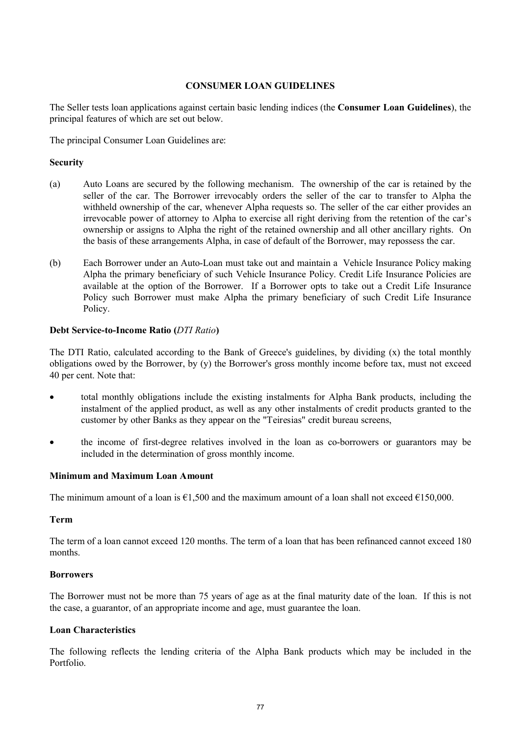## **CONSUMER LOAN GUIDELINES**

The Seller tests loan applications against certain basic lending indices (the **Consumer Loan Guidelines**), the principal features of which are set out below.

The principal Consumer Loan Guidelines are:

# **Security**

- (a) Auto Loans are secured by the following mechanism. The ownership of the car is retained by the seller of the car. The Borrower irrevocably orders the seller of the car to transfer to Alpha the withheld ownership of the car, whenever Alpha requests so. The seller of the car either provides an irrevocable power of attorney to Alpha to exercise all right deriving from the retention of the car's ownership or assigns to Alpha the right of the retained ownership and all other ancillary rights. On the basis of these arrangements Alpha, in case of default of the Borrower, may repossess the car.
- (b) Each Borrower under an Auto-Loan must take out and maintain a Vehicle Insurance Policy making Alpha the primary beneficiary of such Vehicle Insurance Policy. Credit Life Insurance Policies are available at the option of the Borrower. If a Borrower opts to take out a Credit Life Insurance Policy such Borrower must make Alpha the primary beneficiary of such Credit Life Insurance Policy.

## **Debt Service-to-Income Ratio (***DTI Ratio***)**

The DTI Ratio, calculated according to the Bank of Greece's guidelines, by dividing (x) the total monthly obligations owed by the Borrower, by (y) the Borrower's gross monthly income before tax, must not exceed 40 per cent. Note that:

- · total monthly obligations include the existing instalments for Alpha Bank products, including the instalment of the applied product, as well as any other instalments of credit products granted to the customer by other Banks as they appear on the "Teiresias" credit bureau screens,
- the income of first-degree relatives involved in the loan as co-borrowers or guarantors may be included in the determination of gross monthly income.

#### **Minimum and Maximum Loan Amount**

The minimum amount of a loan is  $\epsilon$ 1,500 and the maximum amount of a loan shall not exceed  $\epsilon$ 150,000.

#### **Term**

The term of a loan cannot exceed 120 months. The term of a loan that has been refinanced cannot exceed 180 months.

#### **Borrowers**

The Borrower must not be more than 75 years of age as at the final maturity date of the loan. If this is not the case, a guarantor, of an appropriate income and age, must guarantee the loan.

#### **Loan Characteristics**

The following reflects the lending criteria of the Alpha Bank products which may be included in the Portfolio.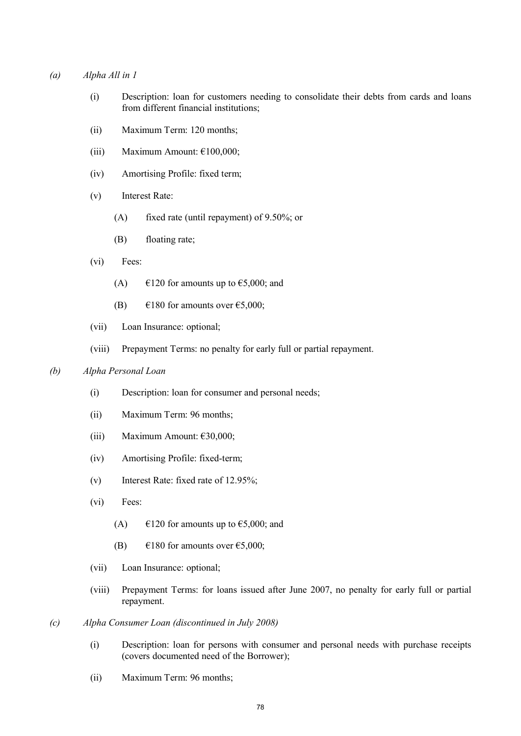#### *(a) Alpha All in 1*

- (i) Description: loan for customers needing to consolidate their debts from cards and loans from different financial institutions;
- (ii) Maximum Term: 120 months;
- (iii) Maximum Amount:  $£100,000$ ;
- (iv) Amortising Profile: fixed term;
- (v) Interest Rate:
	- (A) fixed rate (until repayment) of 9.50%; or
	- (B) floating rate;
- (vi) Fees:
	- (A)  $\epsilon$ 120 for amounts up to  $\epsilon$ 5,000; and
	- (B)  $\epsilon$ 180 for amounts over  $\epsilon$ 5,000;
- (vii) Loan Insurance: optional;
- (viii) Prepayment Terms: no penalty for early full or partial repayment.

#### *(b) Alpha Personal Loan*

- (i) Description: loan for consumer and personal needs;
- (ii) Maximum Term: 96 months;
- (iii) Maximum Amount: €30,000;
- (iv) Amortising Profile: fixed-term;
- (v) Interest Rate: fixed rate of 12.95%;
- (vi) Fees:
	- (A)  $\epsilon$ 120 for amounts up to  $\epsilon$ 5,000; and
	- (B)  $\epsilon$ 180 for amounts over  $\epsilon$ 5,000;
- (vii) Loan Insurance: optional;
- (viii) Prepayment Terms: for loans issued after June 2007, no penalty for early full or partial repayment.
- *(c) Alpha Consumer Loan (discontinued in July 2008)*
	- (i) Description: loan for persons with consumer and personal needs with purchase receipts (covers documented need of the Borrower);
	- (ii) Maximum Term: 96 months;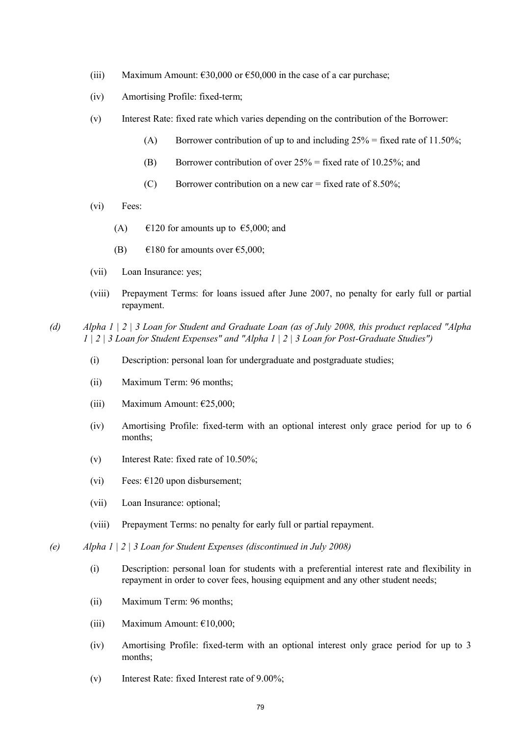- (iii) Maximum Amount:  $\epsilon$ 30,000 or  $\epsilon$ 50,000 in the case of a car purchase;
- (iv) Amortising Profile: fixed-term;
- (v) Interest Rate: fixed rate which varies depending on the contribution of the Borrower:
	- (A) Borrower contribution of up to and including  $25\%$  = fixed rate of 11.50%;
	- (B) Borrower contribution of over  $25\%$  = fixed rate of 10.25%; and
	- (C) Borrower contribution on a new car = fixed rate of  $8.50\%$ ;
- (vi) Fees:
	- (A)  $\epsilon$ 120 for amounts up to  $\epsilon$ 5,000; and
	- (B)  $\epsilon$ 180 for amounts over  $\epsilon$ 5,000;
- (vii) Loan Insurance: yes;
- (viii) Prepayment Terms: for loans issued after June 2007, no penalty for early full or partial repayment.
- *(d) Alpha 1 | 2 | 3 Loan for Student and Graduate Loan (as of July 2008, this product replaced "Alpha 1 | 2 | 3 Loan for Student Expenses" and "Alpha 1 | 2 | 3 Loan for Post-Graduate Studies")*
	- (i) Description: personal loan for undergraduate and postgraduate studies;
	- (ii) Maximum Term: 96 months;
	- (iii) Maximum Amount:  $\epsilon$ 25,000;
	- (iv) Amortising Profile: fixed-term with an optional interest only grace period for up to 6 months;
	- (v) Interest Rate: fixed rate of 10.50%;
	- (vi) Fees:  $\epsilon$ 120 upon disbursement;
	- (vii) Loan Insurance: optional;
	- (viii) Prepayment Terms: no penalty for early full or partial repayment.
- *(e) Alpha 1 | 2 | 3 Loan for Student Expenses (discontinued in July 2008)*
	- (i) Description: personal loan for students with a preferential interest rate and flexibility in repayment in order to cover fees, housing equipment and any other student needs;
	- (ii) Maximum Term: 96 months;
	- (iii) Maximum Amount:  $£10,000;$
	- (iv) Amortising Profile: fixed-term with an optional interest only grace period for up to 3 months;
	- (v) Interest Rate: fixed Interest rate of 9.00%;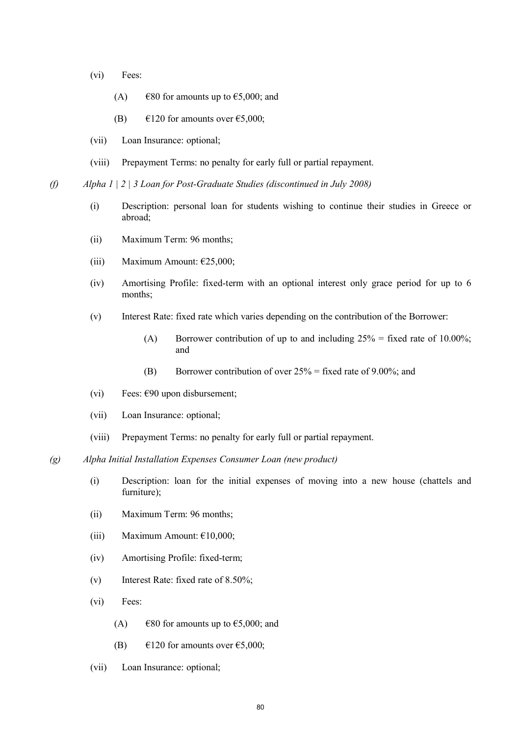- (vi) Fees:
	- (A)  $\epsilon$ 80 for amounts up to  $\epsilon$ 5,000; and
	- (B)  $\epsilon$ 120 for amounts over  $\epsilon$ 5,000;
- (vii) Loan Insurance: optional;
- (viii) Prepayment Terms: no penalty for early full or partial repayment.

*(f) Alpha 1 | 2 | 3 Loan for Post-Graduate Studies (discontinued in July 2008)*

- (i) Description: personal loan for students wishing to continue their studies in Greece or abroad;
- (ii) Maximum Term: 96 months;
- (iii) Maximum Amount:  $\epsilon$ 25,000;
- (iv) Amortising Profile: fixed-term with an optional interest only grace period for up to 6 months;
- (v) Interest Rate: fixed rate which varies depending on the contribution of the Borrower:
	- (A) Borrower contribution of up to and including  $25\%$  = fixed rate of 10.00%; and
	- (B) Borrower contribution of over  $25\%$  = fixed rate of 9.00%; and
- (vi) Fees:  $\epsilon$ 90 upon disbursement;
- (vii) Loan Insurance: optional;
- (viii) Prepayment Terms: no penalty for early full or partial repayment.
- *(g) Alpha Initial Installation Expenses Consumer Loan (new product)* 
	- (i) Description: loan for the initial expenses of moving into a new house (chattels and furniture);
	- (ii) Maximum Term: 96 months;
	- (iii) Maximum Amount:  $£10,000;$
	- (iv) Amortising Profile: fixed-term;
	- (v) Interest Rate: fixed rate of 8.50%;
	- (vi) Fees:
		- (A)  $\epsilon$ 80 for amounts up to  $\epsilon$ 5,000; and
		- (B)  $\epsilon$ 120 for amounts over  $\epsilon$ 5,000;
	- (vii) Loan Insurance: optional;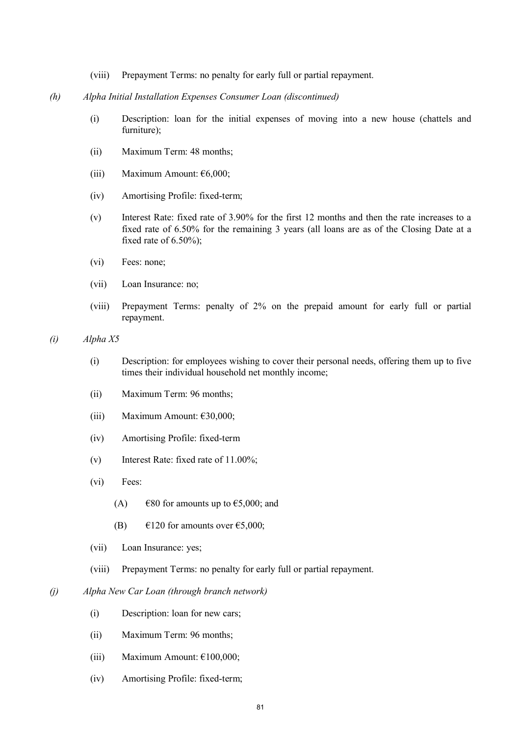- (viii) Prepayment Terms: no penalty for early full or partial repayment.
- *(h) Alpha Initial Installation Expenses Consumer Loan (discontinued)*
	- (i) Description: loan for the initial expenses of moving into a new house (chattels and furniture);
	- (ii) Maximum Term: 48 months;
	- (iii) Maximum Amount: €6,000;
	- (iv) Amortising Profile: fixed-term;
	- (v) Interest Rate: fixed rate of 3.90% for the first 12 months and then the rate increases to a fixed rate of 6.50% for the remaining 3 years (all loans are as of the Closing Date at a fixed rate of 6.50%);
	- (vi) Fees: none;
	- (vii) Loan Insurance: no;
	- (viii) Prepayment Terms: penalty of 2% on the prepaid amount for early full or partial repayment.

*(i) Alpha X5*

- (i) Description: for employees wishing to cover their personal needs, offering them up to five times their individual household net monthly income;
- (ii) Maximum Term: 96 months;
- (iii) Maximum Amount:  $\epsilon$ 30,000;
- (iv) Amortising Profile: fixed-term
- (v) Interest Rate: fixed rate of 11.00%;
- (vi) Fees:
	- (A)  $\epsilon$ 80 for amounts up to  $\epsilon$ 5,000; and
	- (B)  $\epsilon$ 120 for amounts over  $\epsilon$ 5,000;
- (vii) Loan Insurance: yes;
- (viii) Prepayment Terms: no penalty for early full or partial repayment.
- *(j) Alpha New Car Loan (through branch network)*
	- (i) Description: loan for new cars;
	- (ii) Maximum Term: 96 months;
	- (iii) Maximum Amount:  $£100,000;$
	- (iv) Amortising Profile: fixed-term;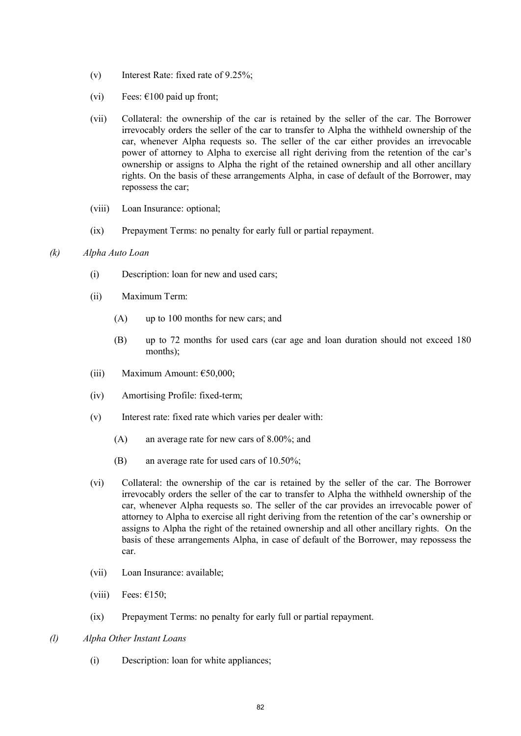- (v) Interest Rate: fixed rate of 9.25%;
- (vi) Fees:  $\epsilon$ 100 paid up front;
- (vii) Collateral: the ownership of the car is retained by the seller of the car. The Borrower irrevocably orders the seller of the car to transfer to Alpha the withheld ownership of the car, whenever Alpha requests so. The seller of the car either provides an irrevocable power of attorney to Alpha to exercise all right deriving from the retention of the car's ownership or assigns to Alpha the right of the retained ownership and all other ancillary rights. On the basis of these arrangements Alpha, in case of default of the Borrower, may repossess the car;
- (viii) Loan Insurance: optional;
- (ix) Prepayment Terms: no penalty for early full or partial repayment.
- *(k) Alpha Auto Loan* 
	- (i) Description: loan for new and used cars;
	- (ii) Maximum Term:
		- (A) up to 100 months for new cars; and
		- (B) up to 72 months for used cars (car age and loan duration should not exceed 180 months);
	- (iii) Maximum Amount:  $€50,000$ ;
	- (iv) Amortising Profile: fixed-term;
	- (v) Interest rate: fixed rate which varies per dealer with:
		- (A) an average rate for new cars of 8.00%; and
		- (B) an average rate for used cars of 10.50%;
	- (vi) Collateral: the ownership of the car is retained by the seller of the car. The Borrower irrevocably orders the seller of the car to transfer to Alpha the withheld ownership of the car, whenever Alpha requests so. The seller of the car provides an irrevocable power of attorney to Alpha to exercise all right deriving from the retention of the car's ownership or assigns to Alpha the right of the retained ownership and all other ancillary rights. On the basis of these arrangements Alpha, in case of default of the Borrower, may repossess the car.
	- (vii) Loan Insurance: available;
	- (viii) Fees:  $\epsilon$ 150;
	- (ix) Prepayment Terms: no penalty for early full or partial repayment.
- *(l) Alpha Other Instant Loans* 
	- (i) Description: loan for white appliances;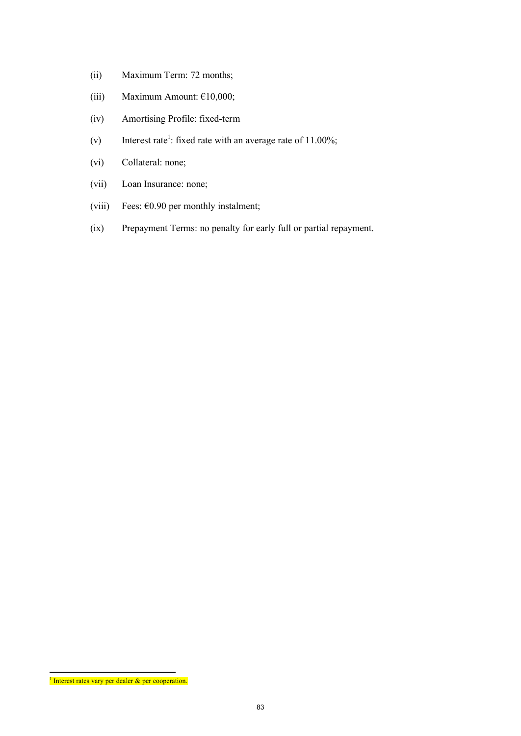- (ii) Maximum Term: 72 months;
- (iii) Maximum Amount:  $£10,000;$
- (iv) Amortising Profile: fixed-term
- (v) Interest rate<sup>1</sup>: fixed rate with an average rate of  $11.00\%$ ;
- (vi) Collateral: none;
- (vii) Loan Insurance: none;
- (viii) Fees:  $60.90$  per monthly instalment;
- (ix) Prepayment Terms: no penalty for early full or partial repayment.

<sup>&</sup>lt;sup>1</sup> Interest rates vary per dealer  $\&$  per cooperation.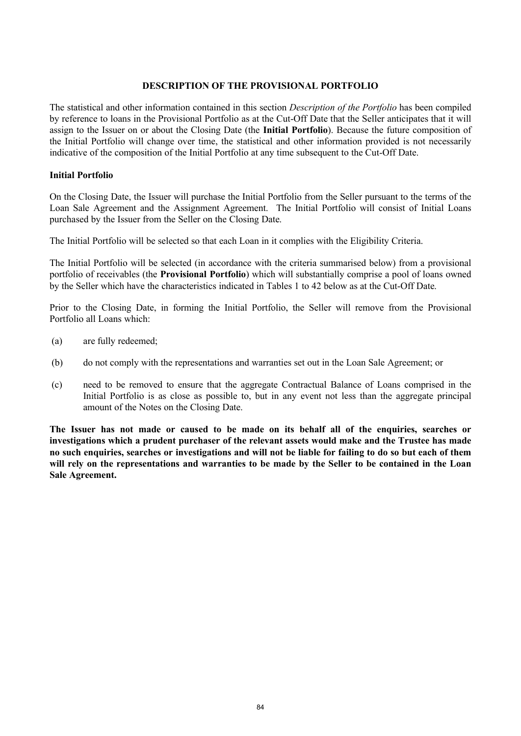#### **DESCRIPTION OF THE PROVISIONAL PORTFOLIO**

The statistical and other information contained in this section *Description of the Portfolio* has been compiled by reference to loans in the Provisional Portfolio as at the Cut-Off Date that the Seller anticipates that it will assign to the Issuer on or about the Closing Date (the **Initial Portfolio**). Because the future composition of the Initial Portfolio will change over time, the statistical and other information provided is not necessarily indicative of the composition of the Initial Portfolio at any time subsequent to the Cut-Off Date.

# **Initial Portfolio**

On the Closing Date, the Issuer will purchase the Initial Portfolio from the Seller pursuant to the terms of the Loan Sale Agreement and the Assignment Agreement. The Initial Portfolio will consist of Initial Loans purchased by the Issuer from the Seller on the Closing Date.

The Initial Portfolio will be selected so that each Loan in it complies with the Eligibility Criteria.

The Initial Portfolio will be selected (in accordance with the criteria summarised below) from a provisional portfolio of receivables (the **Provisional Portfolio**) which will substantially comprise a pool of loans owned by the Seller which have the characteristics indicated in Tables 1 to 42 below as at the Cut-Off Date.

Prior to the Closing Date, in forming the Initial Portfolio, the Seller will remove from the Provisional Portfolio all Loans which:

- (a) are fully redeemed;
- (b) do not comply with the representations and warranties set out in the Loan Sale Agreement; or
- (c) need to be removed to ensure that the aggregate Contractual Balance of Loans comprised in the Initial Portfolio is as close as possible to, but in any event not less than the aggregate principal amount of the Notes on the Closing Date.

**The Issuer has not made or caused to be made on its behalf all of the enquiries, searches or investigations which a prudent purchaser of the relevant assets would make and the Trustee has made no such enquiries, searches or investigations and will not be liable for failing to do so but each of them will rely on the representations and warranties to be made by the Seller to be contained in the Loan Sale Agreement.**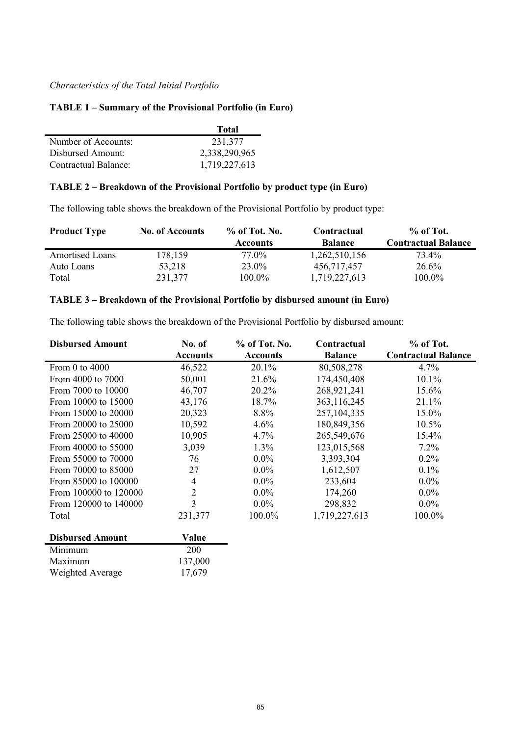# *Characteristics of the Total Initial Portfolio*

#### **TABLE 1 – Summary of the Provisional Portfolio (in Euro)**

|                             | <b>Total</b>  |
|-----------------------------|---------------|
| Number of Accounts:         | 231,377       |
| Disbursed Amount:           | 2,338,290,965 |
| <b>Contractual Balance:</b> | 1,719,227,613 |

## **TABLE 2 – Breakdown of the Provisional Portfolio by product type (in Euro)**

The following table shows the breakdown of the Provisional Portfolio by product type:

| <b>Product Type</b>    | <b>No. of Accounts</b> | $\%$ of Tot. No. | Contractual    | $%$ of Tot.                |
|------------------------|------------------------|------------------|----------------|----------------------------|
|                        |                        | <b>Accounts</b>  | <b>Balance</b> | <b>Contractual Balance</b> |
| <b>Amortised Loans</b> | 178,159                | 77.0%            | 1,262,510,156  | 73.4%                      |
| Auto Loans             | 53,218                 | 23.0%            | 456,717,457    | 26.6%                      |
| Total                  | 231,377                | $100.0\%$        | 1,719,227,613  | $100.0\%$                  |

## **TABLE 3 – Breakdown of the Provisional Portfolio by disbursed amount (in Euro)**

The following table shows the breakdown of the Provisional Portfolio by disbursed amount:

| <b>Disbursed Amount</b> | No. of          | % of Tot. No.   | Contractual    | % of Tot.                  |
|-------------------------|-----------------|-----------------|----------------|----------------------------|
|                         | <b>Accounts</b> | <b>Accounts</b> | <b>Balance</b> | <b>Contractual Balance</b> |
| From 0 to 4000          | 46,522          | 20.1%           | 80,508,278     | 4.7%                       |
| From 4000 to 7000       | 50,001          | 21.6%           | 174,450,408    | $10.1\%$                   |
| From 7000 to 10000      | 46,707          | 20.2%           | 268,921,241    | 15.6%                      |
| From 10000 to 15000     | 43,176          | 18.7%           | 363,116,245    | 21.1%                      |
| From 15000 to 20000     | 20,323          | 8.8%            | 257, 104, 335  | 15.0%                      |
| From 20000 to 25000     | 10,592          | 4.6%            | 180,849,356    | 10.5%                      |
| From 25000 to 40000     | 10,905          | 4.7%            | 265,549,676    | 15.4%                      |
| From 40000 to 55000     | 3,039           | 1.3%            | 123,015,568    | 7.2%                       |
| From 55000 to 70000     | 76              | $0.0\%$         | 3,393,304      | $0.2\%$                    |
| From 70000 to 85000     | 27              | $0.0\%$         | 1,612,507      | 0.1%                       |
| From 85000 to 100000    | 4               | $0.0\%$         | 233,604        | $0.0\%$                    |
| From 100000 to 120000   | $\overline{2}$  | $0.0\%$         | 174,260        | $0.0\%$                    |
| From 120000 to 140000   | $\overline{3}$  | $0.0\%$         | 298,832        | $0.0\%$                    |
| Total                   | 231,377         | 100.0%          | 1,719,227,613  | 100.0%                     |
| <b>Disbursed Amount</b> | Value           |                 |                |                            |

| 200     |
|---------|
| 137,000 |
| 17,679  |
|         |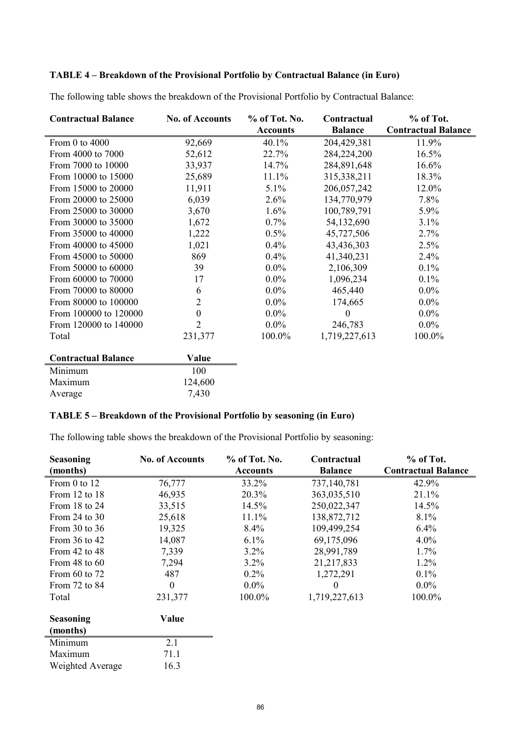# **TABLE 4 – Breakdown of the Provisional Portfolio by Contractual Balance (in Euro)**

The following table shows the breakdown of the Provisional Portfolio by Contractual Balance:

| <b>Contractual Balance</b> | <b>No. of Accounts</b> | % of Tot. No.   | Contractual    | % of Tot.                  |
|----------------------------|------------------------|-----------------|----------------|----------------------------|
|                            |                        | <b>Accounts</b> | <b>Balance</b> | <b>Contractual Balance</b> |
| From 0 to 4000             | 92,669                 | 40.1%           | 204,429,381    | 11.9%                      |
| From 4000 to 7000          | 52,612                 | 22.7%           | 284,224,200    | 16.5%                      |
| From 7000 to 10000         | 33,937                 | 14.7%           | 284,891,648    | 16.6%                      |
| From 10000 to 15000        | 25,689                 | 11.1%           | 315,338,211    | 18.3%                      |
| From 15000 to 20000        | 11,911                 | 5.1%            | 206, 057, 242  | 12.0%                      |
| From 20000 to 25000        | 6,039                  | 2.6%            | 134,770,979    | 7.8%                       |
| From 25000 to 30000        | 3,670                  | $1.6\%$         | 100,789,791    | 5.9%                       |
| From 30000 to 35000        | 1,672                  | 0.7%            | 54,132,690     | 3.1%                       |
| From 35000 to 40000        | 1,222                  | 0.5%            | 45,727,506     | 2.7%                       |
| From 40000 to 45000        | 1,021                  | 0.4%            | 43,436,303     | 2.5%                       |
| From 45000 to 50000        | 869                    | 0.4%            | 41,340,231     | 2.4%                       |
| From 50000 to 60000        | 39                     | $0.0\%$         | 2,106,309      | $0.1\%$                    |
| From 60000 to 70000        | 17                     | $0.0\%$         | 1,096,234      | $0.1\%$                    |
| From 70000 to 80000        | 6                      | $0.0\%$         | 465,440        | $0.0\%$                    |
| From 80000 to 100000       | $\overline{2}$         | $0.0\%$         | 174,665        | $0.0\%$                    |
| From 100000 to 120000      | $\boldsymbol{0}$       | $0.0\%$         | $\theta$       | $0.0\%$                    |
| From 120000 to 140000      | $\overline{2}$         | $0.0\%$         | 246,783        | $0.0\%$                    |
| Total                      | 231,377                | 100.0%          | 1,719,227,613  | 100.0%                     |
| <b>Contractual Balance</b> | Value                  |                 |                |                            |
| Minimum                    | 100                    |                 |                |                            |
| Maximum                    | 124,600                |                 |                |                            |
| Average                    | 7,430                  |                 |                |                            |

## **TABLE 5 – Breakdown of the Provisional Portfolio by seasoning (in Euro)**

The following table shows the breakdown of the Provisional Portfolio by seasoning:

| <b>Seasoning</b><br>(months) | <b>No. of Accounts</b> | $%$ of Tot. No.<br><b>Accounts</b> | Contractual<br><b>Balance</b> | $%$ of Tot.<br><b>Contractual Balance</b> |
|------------------------------|------------------------|------------------------------------|-------------------------------|-------------------------------------------|
| From 0 to 12                 | 76,777                 | 33.2%                              | 737,140,781                   | 42.9%                                     |
| From $12$ to $18$            | 46,935                 | 20.3%                              | 363,035,510                   | 21.1%                                     |
| From 18 to 24                | 33,515                 | 14.5%                              | 250,022,347                   | 14.5%                                     |
| From 24 to $30$              | 25,618                 | 11.1%                              | 138,872,712                   | 8.1%                                      |
| From 30 to 36                | 19,325                 | 8.4%                               | 109,499,254                   | 6.4%                                      |
| From $36$ to $42$            | 14,087                 | 6.1%                               | 69,175,096                    | $4.0\%$                                   |
| From $42$ to $48$            | 7,339                  | $3.2\%$                            | 28,991,789                    | 1.7%                                      |
| From 48 to $60$              | 7,294                  | $3.2\%$                            | 21,217,833                    | $1.2\%$                                   |
| From 60 to 72                | 487                    | $0.2\%$                            | 1,272,291                     | 0.1%                                      |
| From 72 to 84                | $\boldsymbol{0}$       | $0.0\%$                            | 0                             | $0.0\%$                                   |
| Total                        | 231,377                | 100.0%                             | 1,719,227,613                 | 100.0%                                    |
| <b>Seasoning</b>             | Value                  |                                    |                               |                                           |
| (months)                     |                        |                                    |                               |                                           |
| Minimum                      | 2.1                    |                                    |                               |                                           |
| Maximum                      | 71.1                   |                                    |                               |                                           |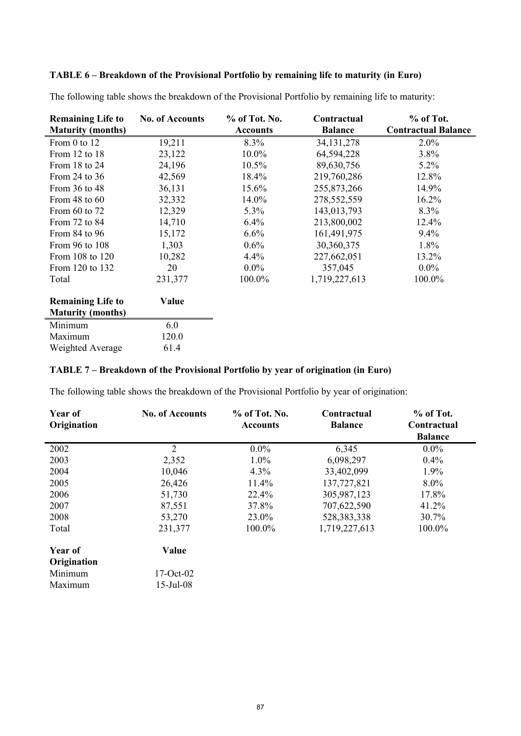# **TABLE 6 – Breakdown of the Provisional Portfolio by remaining life to maturity (in Euro)**

| <b>Remaining Life to</b> | <b>No. of Accounts</b> | % of Tot. No.   | Contractual    | % of Tot.                  |
|--------------------------|------------------------|-----------------|----------------|----------------------------|
| <b>Maturity (months)</b> |                        | <b>Accounts</b> | <b>Balance</b> | <b>Contractual Balance</b> |
| From 0 to 12             | 19,211                 | $8.3\%$         | 34, 131, 278   | $2.0\%$                    |
| From 12 to 18            | 23,122                 | $10.0\%$        | 64,594,228     | 3.8%                       |
| From 18 to 24            | 24,196                 | 10.5%           | 89,630,756     | $5.2\%$                    |
| From 24 to 36            | 42,569                 | 18.4%           | 219,760,286    | 12.8%                      |
| From 36 to 48            | 36,131                 | 15.6%           | 255, 873, 266  | 14.9%                      |
| From 48 to $60$          | 32,332                 | 14.0%           | 278,552,559    | 16.2%                      |
| From 60 to 72            | 12,329                 | $5.3\%$         | 143,013,793    | 8.3%                       |
| From 72 to 84            | 14,710                 | 6.4%            | 213,800,002    | 12.4%                      |
| From 84 to 96            | 15,172                 | 6.6%            | 161,491,975    | 9.4%                       |
| From 96 to 108           | 1,303                  | 0.6%            | 30,360,375     | 1.8%                       |
| From 108 to 120          | 10,282                 | 4.4%            | 227,662,051    | 13.2%                      |
| From 120 to 132          | 20                     | $0.0\%$         | 357,045        | $0.0\%$                    |
| Total                    | 231,377                | 100.0%          | 1,719,227,613  | 100.0%                     |
| <b>Remaining Life to</b> | Value                  |                 |                |                            |
| <b>Maturity (months)</b> |                        |                 |                |                            |
| Minimum                  | 6.0                    |                 |                |                            |
| Maximum                  | 120.0                  |                 |                |                            |
| Weighted Average         | 61.4                   |                 |                |                            |

The following table shows the breakdown of the Provisional Portfolio by remaining life to maturity:

# **TABLE 7 – Breakdown of the Provisional Portfolio by year of origination (in Euro)**

The following table shows the breakdown of the Provisional Portfolio by year of origination:

| Year of<br>Origination | <b>No. of Accounts</b> | $%$ of Tot. No.<br><b>Accounts</b> | Contractual<br><b>Balance</b> | % of Tot.<br>Contractual<br><b>Balance</b> |
|------------------------|------------------------|------------------------------------|-------------------------------|--------------------------------------------|
| 2002                   | $\overline{2}$         | $0.0\%$                            | 6,345                         | $0.0\%$                                    |
| 2003                   | 2,352                  | $1.0\%$                            | 6,098,297                     | 0.4%                                       |
| 2004                   | 10,046                 | 4.3%                               | 33,402,099                    | 1.9%                                       |
| 2005                   | 26,426                 | 11.4%                              | 137,727,821                   | $8.0\%$                                    |
| 2006                   | 51,730                 | 22.4%                              | 305,987,123                   | 17.8%                                      |
| 2007                   | 87,551                 | 37.8%                              | 707,622,590                   | 41.2%                                      |
| 2008                   | 53,270                 | 23.0%                              | 528, 383, 338                 | 30.7%                                      |
| Total                  | 231,377                | 100.0%                             | 1,719,227,613                 | 100.0%                                     |
| Year of                | Value                  |                                    |                               |                                            |
| Origination            |                        |                                    |                               |                                            |
| Minimum                | $17-Oct-02$            |                                    |                               |                                            |
| Maximum                | 15-Jul-08              |                                    |                               |                                            |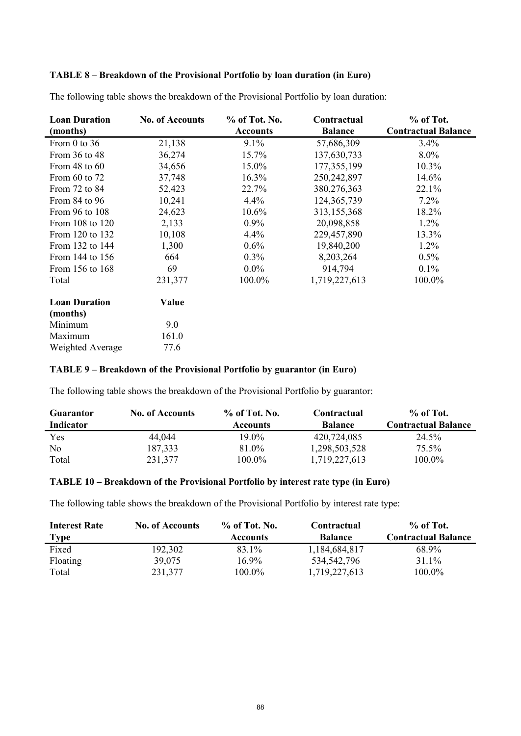# **TABLE 8 – Breakdown of the Provisional Portfolio by loan duration (in Euro)**

| <b>Loan Duration</b> | <b>No. of Accounts</b> | % of Tot. No.   | Contractual    | % of Tot.                  |
|----------------------|------------------------|-----------------|----------------|----------------------------|
| (months)             |                        | <b>Accounts</b> | <b>Balance</b> | <b>Contractual Balance</b> |
| From $0$ to $36$     | 21,138                 | $9.1\%$         | 57,686,309     | 3.4%                       |
| From 36 to 48        | 36,274                 | 15.7%           | 137,630,733    | $8.0\%$                    |
| From $48$ to $60$    | 34,656                 | 15.0%           | 177,355,199    | 10.3%                      |
| From 60 to 72        | 37,748                 | 16.3%           | 250,242,897    | 14.6%                      |
| From 72 to 84        | 52,423                 | 22.7%           | 380,276,363    | 22.1%                      |
| From 84 to 96        | 10,241                 | 4.4%            | 124, 365, 739  | $7.2\%$                    |
| From 96 to 108       | 24,623                 | $10.6\%$        | 313,155,368    | 18.2%                      |
| From 108 to 120      | 2,133                  | $0.9\%$         | 20,098,858     | $1.2\%$                    |
| From 120 to 132      | 10,108                 | 4.4%            | 229,457,890    | 13.3%                      |
| From 132 to 144      | 1,300                  | 0.6%            | 19,840,200     | $1.2\%$                    |
| From 144 to 156      | 664                    | 0.3%            | 8,203,264      | $0.5\%$                    |
| From 156 to 168      | 69                     | $0.0\%$         | 914,794        | $0.1\%$                    |
| Total                | 231,377                | 100.0%          | 1,719,227,613  | 100.0%                     |
| <b>Loan Duration</b> | Value                  |                 |                |                            |
| (months)             |                        |                 |                |                            |
| Minimum              | 9.0                    |                 |                |                            |
| Maximum              | 161.0                  |                 |                |                            |
| Weighted Average     | 77.6                   |                 |                |                            |

The following table shows the breakdown of the Provisional Portfolio by loan duration:

## **TABLE 9 – Breakdown of the Provisional Portfolio by guarantor (in Euro)**

The following table shows the breakdown of the Provisional Portfolio by guarantor:

| <b>Guarantor</b> | <b>No. of Accounts</b> | $%$ of Tot. No. | Contractual    | $%$ of Tot.                |
|------------------|------------------------|-----------------|----------------|----------------------------|
| <b>Indicator</b> |                        | <b>Accounts</b> | <b>Balance</b> | <b>Contractual Balance</b> |
| Yes              | 44,044                 | 19.0%           | 420,724,085    | 24.5%                      |
| No               | 187,333                | 81.0%           | 1,298,503,528  | 75.5%                      |
| Total            | 231,377                | $100.0\%$       | 1,719,227,613  | 100.0%                     |

# **TABLE 10 – Breakdown of the Provisional Portfolio by interest rate type (in Euro)**

The following table shows the breakdown of the Provisional Portfolio by interest rate type:

| <b>Interest Rate</b> | <b>No. of Accounts</b> | $%$ of Tot. No. | Contractual    | % of Tot.                  |
|----------------------|------------------------|-----------------|----------------|----------------------------|
| <u>Type</u>          |                        | <b>Accounts</b> | <b>Balance</b> | <b>Contractual Balance</b> |
| Fixed                | 192,302                | 83.1%           | 1,184,684,817  | 68.9%                      |
| Floating             | 39.075                 | 16.9%           | 534,542,796    | $31.1\%$                   |
| Total                | 231,377                | 100.0%          | 1,719,227,613  | 100.0%                     |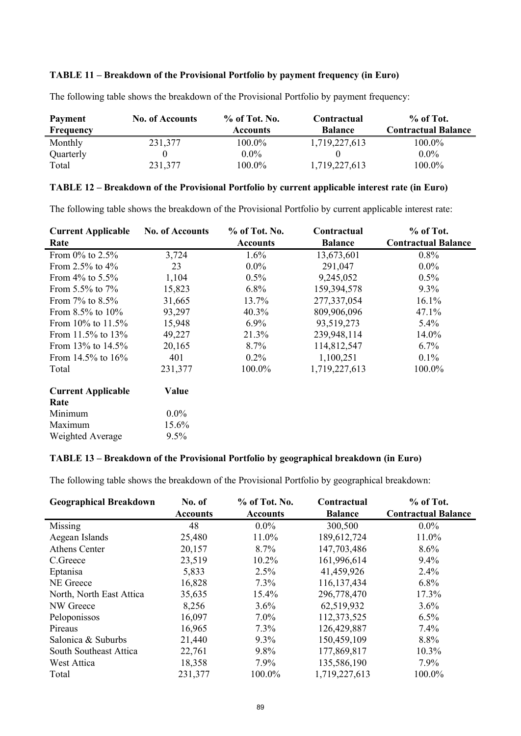## **TABLE 11 – Breakdown of the Provisional Portfolio by payment frequency (in Euro)**

| <b>Payment</b> | <b>No. of Accounts</b> | $%$ of Tot. No. | Contractual    | % of Tot.                  |
|----------------|------------------------|-----------------|----------------|----------------------------|
| Frequency      |                        | <b>Accounts</b> | <b>Balance</b> | <b>Contractual Balance</b> |
| Monthly        | 231,377                | 100.0%          | 1,719,227,613  | $100.0\%$                  |
| Quarterly      |                        | $0.0\%$         |                | $0.0\%$                    |
| Total          | 231,377                | $100.0\%$       | 1,719,227,613  | 100.0%                     |

The following table shows the breakdown of the Provisional Portfolio by payment frequency:

## **TABLE 12 – Breakdown of the Provisional Portfolio by current applicable interest rate (in Euro)**

The following table shows the breakdown of the Provisional Portfolio by current applicable interest rate:

| <b>Current Applicable</b>         | <b>No. of Accounts</b> | % of Tot. No.   | Contractual    | % of Tot.                  |
|-----------------------------------|------------------------|-----------------|----------------|----------------------------|
| Rate                              |                        | <b>Accounts</b> | <b>Balance</b> | <b>Contractual Balance</b> |
| From $0\%$ to 2.5%                | 3,724                  | $1.6\%$         | 13,673,601     | $0.8\%$                    |
| From 2.5% to $4\%$                | 23                     | $0.0\%$         | 291,047        | $0.0\%$                    |
| From $4\%$ to 5.5%                | 1,104                  | 0.5%            | 9,245,052      | $0.5\%$                    |
| From $5.5\%$ to $7\%$             | 15,823                 | $6.8\%$         | 159,394,578    | $9.3\%$                    |
| From $7\%$ to $8.5\%$             | 31,665                 | 13.7%           | 277,337,054    | 16.1%                      |
| From $8.5\%$ to $10\%$            | 93,297                 | 40.3%           | 809,906,096    | 47.1%                      |
| From $10\%$ to $11.5\%$           | 15,948                 | $6.9\%$         | 93,519,273     | $5.4\%$                    |
| From 11.5% to 13%                 | 49,227                 | 21.3%           | 239,948,114    | 14.0%                      |
| From 13% to 14.5%                 | 20,165                 | 8.7%            | 114,812,547    | 6.7%                       |
| From 14.5% to $16\%$              | 401                    | $0.2\%$         | 1,100,251      | $0.1\%$                    |
| Total                             | 231,377                | 100.0%          | 1,719,227,613  | 100.0%                     |
| <b>Current Applicable</b><br>Rate | Value                  |                 |                |                            |
| Minimum                           | $0.0\%$                |                 |                |                            |
| Maximum                           | 15.6%                  |                 |                |                            |
| Weighted Average                  | $9.5\%$                |                 |                |                            |

# **TABLE 13 – Breakdown of the Provisional Portfolio by geographical breakdown (in Euro)**

The following table shows the breakdown of the Provisional Portfolio by geographical breakdown:

| <b>Geographical Breakdown</b> | No. of          | $%$ of Tot. No. | Contractual    | % of Tot.                  |
|-------------------------------|-----------------|-----------------|----------------|----------------------------|
|                               | <b>Accounts</b> | <b>Accounts</b> | <b>Balance</b> | <b>Contractual Balance</b> |
| Missing                       | 48              | $0.0\%$         | 300,500        | $0.0\%$                    |
| Aegean Islands                | 25,480          | 11.0%           | 189,612,724    | 11.0%                      |
| <b>Athens Center</b>          | 20,157          | 8.7%            | 147,703,486    | 8.6%                       |
| C.Greece                      | 23,519          | $10.2\%$        | 161,996,614    | $9.4\%$                    |
| Eptanisa                      | 5,833           | 2.5%            | 41,459,926     | 2.4%                       |
| NE Greece                     | 16,828          | 7.3%            | 116, 137, 434  | 6.8%                       |
| North, North East Attica      | 35,635          | 15.4%           | 296,778,470    | 17.3%                      |
| NW Greece                     | 8,256           | 3.6%            | 62,519,932     | 3.6%                       |
| Peloponissos                  | 16,097          | $7.0\%$         | 112,373,525    | 6.5%                       |
| Pireaus                       | 16,965          | 7.3%            | 126,429,887    | 7.4%                       |
| Salonica & Suburbs            | 21,440          | 9.3%            | 150,459,109    | 8.8%                       |
| South Southeast Attica        | 22,761          | 9.8%            | 177,869,817    | $10.3\%$                   |
| West Attica                   | 18,358          | 7.9%            | 135,586,190    | $7.9\%$                    |
| Total                         | 231,377         | 100.0%          | 1,719,227,613  | 100.0%                     |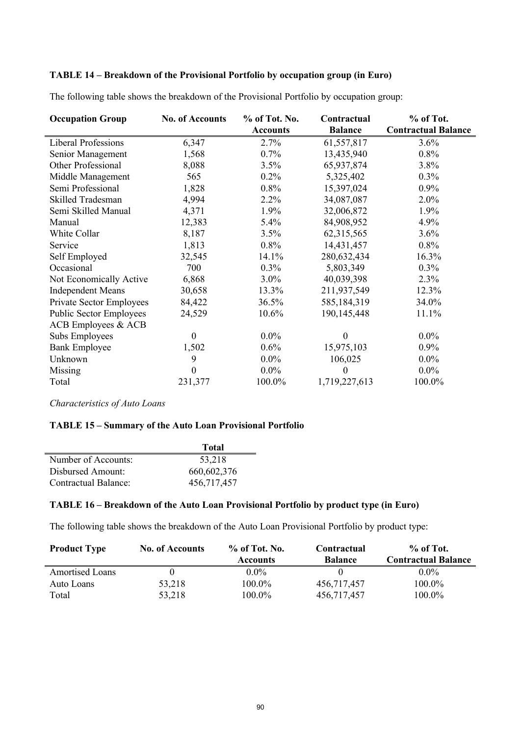# **TABLE 14 – Breakdown of the Provisional Portfolio by occupation group (in Euro)**

| <b>Occupation Group</b>        | <b>No. of Accounts</b> | % of Tot. No.   | Contractual      | % of Tot.                  |
|--------------------------------|------------------------|-----------------|------------------|----------------------------|
|                                |                        | <b>Accounts</b> | <b>Balance</b>   | <b>Contractual Balance</b> |
| <b>Liberal Professions</b>     | 6,347                  | 2.7%            | 61,557,817       | 3.6%                       |
| Senior Management              | 1,568                  | $0.7\%$         | 13,435,940       | $0.8\%$                    |
| Other Professional             | 8,088                  | 3.5%            | 65,937,874       | 3.8%                       |
| Middle Management              | 565                    | 0.2%            | 5,325,402        | 0.3%                       |
| Semi Professional              | 1,828                  | 0.8%            | 15,397,024       | $0.9\%$                    |
| Skilled Tradesman              | 4,994                  | 2.2%            | 34,087,087       | 2.0%                       |
| Semi Skilled Manual            | 4,371                  | 1.9%            | 32,006,872       | 1.9%                       |
| Manual                         | 12,383                 | $5.4\%$         | 84,908,952       | 4.9%                       |
| White Collar                   | 8,187                  | 3.5%            | 62,315,565       | 3.6%                       |
| Service                        | 1,813                  | 0.8%            | 14,431,457       | 0.8%                       |
| Self Employed                  | 32,545                 | 14.1%           | 280,632,434      | 16.3%                      |
| Occasional                     | 700                    | $0.3\%$         | 5,803,349        | $0.3\%$                    |
| Not Economically Active        | 6,868                  | $3.0\%$         | 40,039,398       | 2.3%                       |
| <b>Independent Means</b>       | 30,658                 | 13.3%           | 211,937,549      | 12.3%                      |
| Private Sector Employees       | 84,422                 | 36.5%           | 585,184,319      | 34.0%                      |
| <b>Public Sector Employees</b> | 24,529                 | 10.6%           | 190,145,448      | 11.1%                      |
| ACB Employees & ACB            |                        |                 |                  |                            |
| Subs Employees                 | $\theta$               | $0.0\%$         | $\boldsymbol{0}$ | $0.0\%$                    |
| <b>Bank Employee</b>           | 1,502                  | 0.6%            | 15,975,103       | $0.9\%$                    |
| Unknown                        | 9                      | $0.0\%$         | 106,025          | $0.0\%$                    |
| Missing                        | $\boldsymbol{0}$       | $0.0\%$         | $\boldsymbol{0}$ | $0.0\%$                    |
| Total                          | 231,377                | 100.0%          | 1,719,227,613    | 100.0%                     |

The following table shows the breakdown of the Provisional Portfolio by occupation group:

*Characteristics of Auto Loans*

# **TABLE 15 – Summary of the Auto Loan Provisional Portfolio**

|                      | <b>Total</b> |
|----------------------|--------------|
| Number of Accounts:  | 53,218       |
| Disbursed Amount:    | 660,602,376  |
| Contractual Balance: | 456,717,457  |

#### **TABLE 16 – Breakdown of the Auto Loan Provisional Portfolio by product type (in Euro)**

The following table shows the breakdown of the Auto Loan Provisional Portfolio by product type:

| <b>Product Type</b>    | <b>No. of Accounts</b> | $%$ of Tot. No. | Contractual    | $%$ of Tot.                |
|------------------------|------------------------|-----------------|----------------|----------------------------|
|                        |                        | <b>Accounts</b> | <b>Balance</b> | <b>Contractual Balance</b> |
| <b>Amortised Loans</b> |                        | $0.0\%$         |                | $0.0\%$                    |
| Auto Loans             | 53,218                 | 100.0%          | 456,717,457    | $100.0\%$                  |
| Total                  | 53,218                 | 100.0%          | 456,717,457    | 100.0%                     |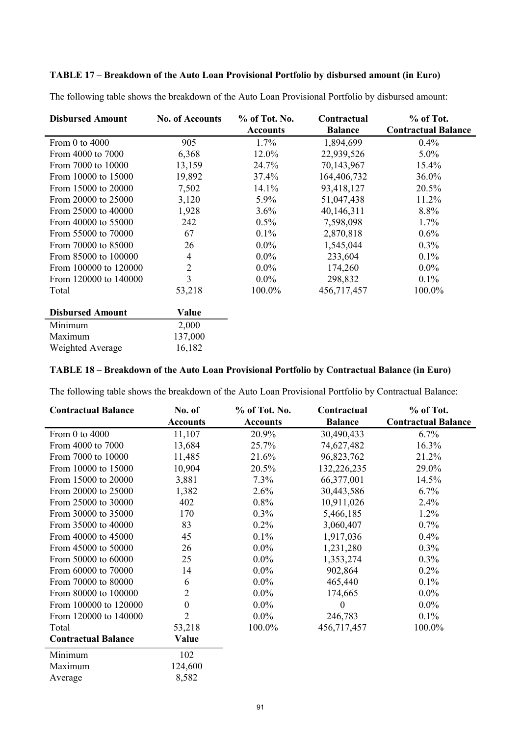# **TABLE 17 – Breakdown of the Auto Loan Provisional Portfolio by disbursed amount (in Euro)**

| The following table shows the breakdown of the Auto Loan Provisional Portfolio by disbursed amount: |
|-----------------------------------------------------------------------------------------------------|
|-----------------------------------------------------------------------------------------------------|

| <b>Disbursed Amount</b> | <b>No. of Accounts</b> | % of Tot. No.   | Contractual    | % of Tot.                  |
|-------------------------|------------------------|-----------------|----------------|----------------------------|
|                         |                        | <b>Accounts</b> | <b>Balance</b> | <b>Contractual Balance</b> |
| From 0 to 4000          | 905                    | 1.7%            | 1,894,699      | $0.4\%$                    |
| From 4000 to 7000       | 6,368                  | 12.0%           | 22,939,526     | $5.0\%$                    |
| From 7000 to 10000      | 13,159                 | 24.7%           | 70,143,967     | 15.4%                      |
| From 10000 to 15000     | 19,892                 | 37.4%           | 164,406,732    | 36.0%                      |
| From 15000 to 20000     | 7,502                  | 14.1%           | 93,418,127     | 20.5%                      |
| From 20000 to 25000     | 3,120                  | 5.9%            | 51,047,438     | 11.2%                      |
| From 25000 to 40000     | 1,928                  | 3.6%            | 40,146,311     | 8.8%                       |
| From 40000 to 55000     | 242                    | 0.5%            | 7,598,098      | 1.7%                       |
| From 55000 to 70000     | 67                     | 0.1%            | 2,870,818      | 0.6%                       |
| From 70000 to 85000     | 26                     | $0.0\%$         | 1,545,044      | 0.3%                       |
| From 85000 to 100000    | 4                      | $0.0\%$         | 233,604        | 0.1%                       |
| From 100000 to 120000   | $\overline{2}$         | $0.0\%$         | 174,260        | $0.0\%$                    |
| From 120000 to 140000   | 3                      | $0.0\%$         | 298,832        | $0.1\%$                    |
| Total                   | 53,218                 | 100.0%          | 456,717,457    | 100.0%                     |
| <b>Disbursed Amount</b> | Value                  |                 |                |                            |
| Minimum                 | 2,000                  |                 |                |                            |
| Maximum                 | 137,000                |                 |                |                            |
| Weighted Average        | 16,182                 |                 |                |                            |

## **TABLE 18 – Breakdown of the Auto Loan Provisional Portfolio by Contractual Balance (in Euro)**

The following table shows the breakdown of the Auto Loan Provisional Portfolio by Contractual Balance:

| <b>Contractual Balance</b> | No. of           | % of Tot. No.   | Contractual    | % of Tot.                  |
|----------------------------|------------------|-----------------|----------------|----------------------------|
|                            | <b>Accounts</b>  | <b>Accounts</b> | <b>Balance</b> | <b>Contractual Balance</b> |
| From 0 to 4000             | 11,107           | 20.9%           | 30,490,433     | 6.7%                       |
| From 4000 to 7000          | 13,684           | 25.7%           | 74,627,482     | 16.3%                      |
| From 7000 to 10000         | 11,485           | 21.6%           | 96,823,762     | 21.2%                      |
| From 10000 to 15000        | 10,904           | 20.5%           | 132,226,235    | 29.0%                      |
| From 15000 to 20000        | 3,881            | 7.3%            | 66,377,001     | 14.5%                      |
| From 20000 to 25000        | 1,382            | 2.6%            | 30,443,586     | 6.7%                       |
| From 25000 to 30000        | 402              | 0.8%            | 10,911,026     | 2.4%                       |
| From 30000 to 35000        | 170              | 0.3%            | 5,466,185      | 1.2%                       |
| From 35000 to 40000        | 83               | 0.2%            | 3,060,407      | $0.7\%$                    |
| From 40000 to 45000        | 45               | 0.1%            | 1,917,036      | 0.4%                       |
| From 45000 to 50000        | 26               | $0.0\%$         | 1,231,280      | 0.3%                       |
| From 50000 to 60000        | 25               | $0.0\%$         | 1,353,274      | 0.3%                       |
| From 60000 to 70000        | 14               | $0.0\%$         | 902,864        | 0.2%                       |
| From 70000 to 80000        | 6                | $0.0\%$         | 465,440        | 0.1%                       |
| From 80000 to 100000       | 2                | $0.0\%$         | 174,665        | $0.0\%$                    |
| From 100000 to 120000      | $\boldsymbol{0}$ | $0.0\%$         | $\theta$       | $0.0\%$                    |
| From 120000 to 140000      | $\overline{2}$   | $0.0\%$         | 246,783        | 0.1%                       |
| Total                      | 53,218           | 100.0%          | 456,717,457    | 100.0%                     |
| <b>Contractual Balance</b> | Value            |                 |                |                            |
| Minimum                    | 102              |                 |                |                            |
| Maximum                    | 124,600          |                 |                |                            |
| Average                    | 8,582            |                 |                |                            |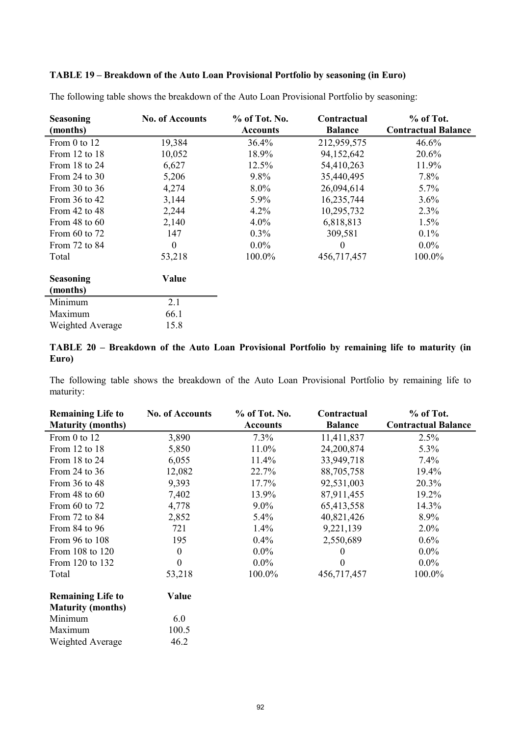# **TABLE 19 – Breakdown of the Auto Loan Provisional Portfolio by seasoning (in Euro)**

| <b>Seasoning</b>  | <b>No. of Accounts</b> | % of Tot. No.   | Contractual    | % of Tot.                  |
|-------------------|------------------------|-----------------|----------------|----------------------------|
| (months)          |                        | <b>Accounts</b> | <b>Balance</b> | <b>Contractual Balance</b> |
| From 0 to 12      | 19,384                 | 36.4%           | 212,959,575    | 46.6%                      |
| From 12 to 18     | 10,052                 | 18.9%           | 94,152,642     | 20.6%                      |
| From 18 to 24     | 6,627                  | 12.5%           | 54,410,263     | 11.9%                      |
| From $24$ to $30$ | 5,206                  | $9.8\%$         | 35,440,495     | 7.8%                       |
| From $30$ to $36$ | 4,274                  | $8.0\%$         | 26,094,614     | 5.7%                       |
| From 36 to 42     | 3,144                  | $5.9\%$         | 16,235,744     | 3.6%                       |
| From 42 to 48     | 2,244                  | 4.2%            | 10,295,732     | 2.3%                       |
| From 48 to $60$   | 2,140                  | $4.0\%$         | 6,818,813      | 1.5%                       |
| From $60$ to $72$ | 147                    | $0.3\%$         | 309,581        | $0.1\%$                    |
| From 72 to 84     | $\mathbf{0}$           | $0.0\%$         | $\Omega$       | $0.0\%$                    |
| Total             | 53,218                 | 100.0%          | 456,717,457    | 100.0%                     |
| <b>Seasoning</b>  | Value                  |                 |                |                            |
| (months)          |                        |                 |                |                            |
| Minimum           | 2.1                    |                 |                |                            |
| Maximum           | 66.1                   |                 |                |                            |
| Weighted Average  | 15.8                   |                 |                |                            |

The following table shows the breakdown of the Auto Loan Provisional Portfolio by seasoning:

# **TABLE 20 – Breakdown of the Auto Loan Provisional Portfolio by remaining life to maturity (in Euro)**

The following table shows the breakdown of the Auto Loan Provisional Portfolio by remaining life to maturity:

| <b>Remaining Life to</b> | <b>No. of Accounts</b> | % of Tot. No.   | Contractual      | % of Tot.                  |
|--------------------------|------------------------|-----------------|------------------|----------------------------|
| <b>Maturity (months)</b> |                        | <b>Accounts</b> | <b>Balance</b>   | <b>Contractual Balance</b> |
| From 0 to 12             | 3,890                  | 7.3%            | 11,411,837       | 2.5%                       |
| From 12 to 18            | 5,850                  | 11.0%           | 24,200,874       | 5.3%                       |
| From 18 to 24            | 6,055                  | 11.4%           | 33,949,718       | 7.4%                       |
| From 24 to 36            | 12,082                 | 22.7%           | 88,705,758       | 19.4%                      |
| From 36 to 48            | 9,393                  | 17.7%           | 92,531,003       | 20.3%                      |
| From $48$ to $60$        | 7,402                  | 13.9%           | 87,911,455       | 19.2%                      |
| From 60 to 72            | 4,778                  | $9.0\%$         | 65,413,558       | 14.3%                      |
| From 72 to 84            | 2,852                  | $5.4\%$         | 40,821,426       | 8.9%                       |
| From 84 to 96            | 721                    | 1.4%            | 9,221,139        | $2.0\%$                    |
| From 96 to 108           | 195                    | $0.4\%$         | 2,550,689        | 0.6%                       |
| From 108 to 120          | $\boldsymbol{0}$       | $0.0\%$         | 0                | $0.0\%$                    |
| From 120 to 132          | 0                      | $0.0\%$         | $\boldsymbol{0}$ | $0.0\%$                    |
| Total                    | 53,218                 | 100.0%          | 456,717,457      | 100.0%                     |
| <b>Remaining Life to</b> | Value                  |                 |                  |                            |
| <b>Maturity (months)</b> |                        |                 |                  |                            |
| Minimum                  | 6.0                    |                 |                  |                            |
| Maximum                  | 100.5                  |                 |                  |                            |
| Weighted Average         | 46.2                   |                 |                  |                            |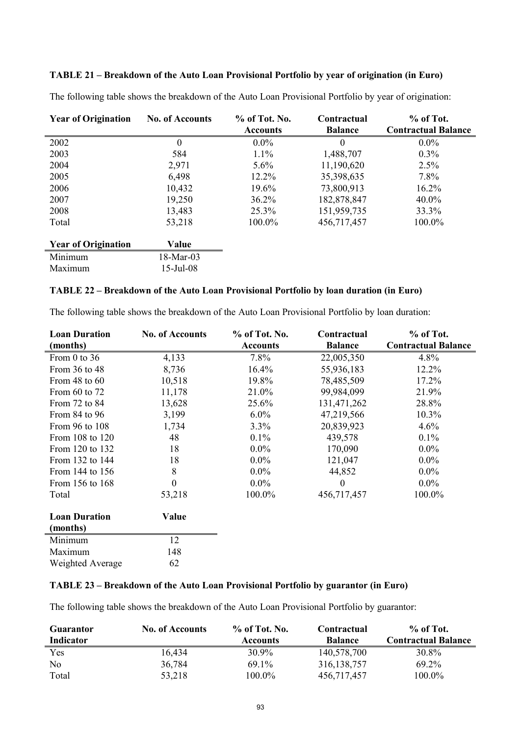# **TABLE 21 – Breakdown of the Auto Loan Provisional Portfolio by year of origination (in Euro)**

| The following table shows the breakdown of the Auto Loan Provisional Portfolio by year of origination: |  |  |
|--------------------------------------------------------------------------------------------------------|--|--|
|                                                                                                        |  |  |

| <b>Year of Origination</b> | <b>No. of Accounts</b> | % of Tot. No.   | Contractual    | % of Tot.                  |
|----------------------------|------------------------|-----------------|----------------|----------------------------|
|                            |                        | <b>Accounts</b> | <b>Balance</b> | <b>Contractual Balance</b> |
| 2002                       | $\theta$               | $0.0\%$         | $\theta$       | $0.0\%$                    |
| 2003                       | 584                    | 1.1%            | 1,488,707      | $0.3\%$                    |
| 2004                       | 2,971                  | $5.6\%$         | 11,190,620     | 2.5%                       |
| 2005                       | 6,498                  | 12.2%           | 35,398,635     | 7.8%                       |
| 2006                       | 10,432                 | 19.6%           | 73,800,913     | $16.2\%$                   |
| 2007                       | 19,250                 | 36.2%           | 182,878,847    | $40.0\%$                   |
| 2008                       | 13,483                 | 25.3%           | 151,959,735    | 33.3%                      |
| Total                      | 53,218                 | 100.0%          | 456,717,457    | 100.0%                     |
| <b>Year of Origination</b> | Value                  |                 |                |                            |
| Minimum                    | $18-Mar-03$            |                 |                |                            |
| Maximum                    | $15$ -Jul-08           |                 |                |                            |

## **TABLE 22 – Breakdown of the Auto Loan Provisional Portfolio by loan duration (in Euro)**

| <b>Loan Duration</b> | <b>No. of Accounts</b> | % of Tot. No.   | Contractual      | % of Tot.                  |
|----------------------|------------------------|-----------------|------------------|----------------------------|
| (months)             |                        | <b>Accounts</b> | <b>Balance</b>   | <b>Contractual Balance</b> |
| From 0 to 36         | 4,133                  | 7.8%            | 22,005,350       | 4.8%                       |
| From 36 to 48        | 8,736                  | 16.4%           | 55,936,183       | 12.2%                      |
| From $48$ to $60$    | 10,518                 | 19.8%           | 78,485,509       | 17.2%                      |
| From 60 to 72        | 11,178                 | 21.0%           | 99,984,099       | 21.9%                      |
| From 72 to 84        | 13,628                 | 25.6%           | 131,471,262      | 28.8%                      |
| From 84 to 96        | 3,199                  | $6.0\%$         | 47,219,566       | $10.3\%$                   |
| From 96 to 108       | 1,734                  | 3.3%            | 20,839,923       | 4.6%                       |
| From 108 to 120      | 48                     | 0.1%            | 439,578          | 0.1%                       |
| From 120 to 132      | 18                     | $0.0\%$         | 170,090          | $0.0\%$                    |
| From 132 to 144      | 18                     | $0.0\%$         | 121,047          | $0.0\%$                    |
| From 144 to 156      | 8                      | $0.0\%$         | 44,852           | $0.0\%$                    |
| From 156 to 168      | $\boldsymbol{0}$       | $0.0\%$         | $\boldsymbol{0}$ | $0.0\%$                    |
| Total                | 53,218                 | 100.0%          | 456,717,457      | 100.0%                     |
| <b>Loan Duration</b> | Value                  |                 |                  |                            |
| (months)             |                        |                 |                  |                            |
| Minimum              | 12                     |                 |                  |                            |
| Maximum              | 148                    |                 |                  |                            |
| Weighted Average     | 62                     |                 |                  |                            |

The following table shows the breakdown of the Auto Loan Provisional Portfolio by loan duration:

## **TABLE 23 – Breakdown of the Auto Loan Provisional Portfolio by guarantor (in Euro)**

The following table shows the breakdown of the Auto Loan Provisional Portfolio by guarantor:

| <b>Guarantor</b> | <b>No. of Accounts</b> | $\%$ of Tot. No. | Contractual    | $%$ of Tot.                |
|------------------|------------------------|------------------|----------------|----------------------------|
| Indicator        |                        | <b>Accounts</b>  | <b>Balance</b> | <b>Contractual Balance</b> |
| Yes              | 16,434                 | $30.9\%$         | 140,578,700    | 30.8%                      |
| No               | 36,784                 | $69.1\%$         | 316, 138, 757  | 69.2%                      |
| Total            | 53,218                 | $100.0\%$        | 456.717.457    | 100.0%                     |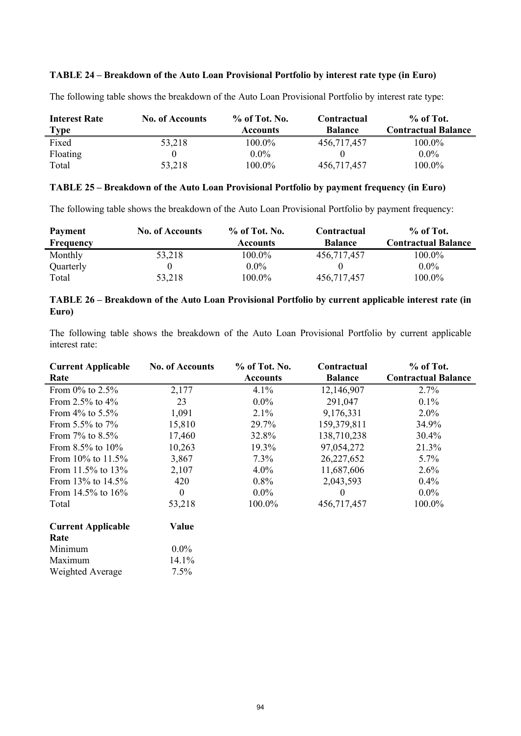## **TABLE 24 – Breakdown of the Auto Loan Provisional Portfolio by interest rate type (in Euro)**

The following table shows the breakdown of the Auto Loan Provisional Portfolio by interest rate type:

| <b>Interest Rate</b> | <b>No. of Accounts</b> | $%$ of Tot. No. | Contractual    | $%$ of Tot.                |
|----------------------|------------------------|-----------------|----------------|----------------------------|
| Type                 |                        | <b>Accounts</b> | <b>Balance</b> | <b>Contractual Balance</b> |
| Fixed                | 53,218                 | 100.0%          | 456,717,457    | 100.0%                     |
| Floating             |                        | $0.0\%$         |                | $0.0\%$                    |
| Total                | 53,218                 | 100.0%          | 456,717,457    | $100.0\%$                  |

## **TABLE 25 – Breakdown of the Auto Loan Provisional Portfolio by payment frequency (in Euro)**

The following table shows the breakdown of the Auto Loan Provisional Portfolio by payment frequency:

| <b>Payment</b>   | <b>No. of Accounts</b> | $\%$ of Tot. No. | Contractual    | $%$ of Tot.                |
|------------------|------------------------|------------------|----------------|----------------------------|
| <b>Frequency</b> |                        | Accounts         | <b>Balance</b> | <b>Contractual Balance</b> |
| Monthly          | 53,218                 | 100.0%           | 456,717,457    | 100.0%                     |
| Quarterly        |                        | $0.0\%$          |                | $0.0\%$                    |
| Total            | 53,218                 | 100.0%           | 456.717.457    | 100.0%                     |

# **TABLE 26 – Breakdown of the Auto Loan Provisional Portfolio by current applicable interest rate (in Euro)**

The following table shows the breakdown of the Auto Loan Provisional Portfolio by current applicable interest rate:

| <b>Current Applicable</b> | <b>No. of Accounts</b> | % of Tot. No.   | Contractual    | % of Tot.                  |
|---------------------------|------------------------|-----------------|----------------|----------------------------|
| Rate                      |                        | <b>Accounts</b> | <b>Balance</b> | <b>Contractual Balance</b> |
| From $0\%$ to 2.5%        | 2,177                  | 4.1%            | 12,146,907     | 2.7%                       |
| From 2.5% to $4\%$        | 23                     | $0.0\%$         | 291,047        | 0.1%                       |
| From $4\%$ to $5.5\%$     | 1,091                  | 2.1%            | 9,176,331      | $2.0\%$                    |
| From $5.5\%$ to $7\%$     | 15,810                 | 29.7%           | 159,379,811    | 34.9%                      |
| From $7\%$ to $8.5\%$     | 17,460                 | 32.8%           | 138,710,238    | 30.4%                      |
| From $8.5\%$ to $10\%$    | 10,263                 | 19.3%           | 97,054,272     | 21.3%                      |
| From $10\%$ to $11.5\%$   | 3,867                  | 7.3%            | 26,227,652     | 5.7%                       |
| From 11.5% to $13%$       | 2,107                  | $4.0\%$         | 11,687,606     | 2.6%                       |
| From $13\%$ to $14.5\%$   | 420                    | $0.8\%$         | 2,043,593      | 0.4%                       |
| From 14.5% to $16\%$      | $\boldsymbol{0}$       | $0.0\%$         | $\bf{0}$       | $0.0\%$                    |
| Total                     | 53,218                 | 100.0%          | 456,717,457    | 100.0%                     |
| <b>Current Applicable</b> | Value                  |                 |                |                            |
| Rate                      |                        |                 |                |                            |
| Minimum                   | $0.0\%$                |                 |                |                            |
| Maximum                   | 14.1%                  |                 |                |                            |
| Weighted Average          | 7.5%                   |                 |                |                            |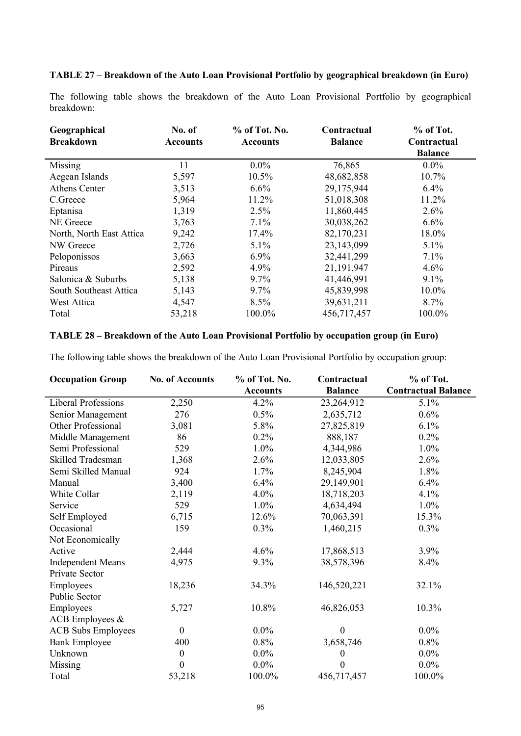## **TABLE 27 – Breakdown of the Auto Loan Provisional Portfolio by geographical breakdown (in Euro)**

The following table shows the breakdown of the Auto Loan Provisional Portfolio by geographical breakdown:

| Geographical<br><b>Breakdown</b> | No. of<br><b>Accounts</b> | $%$ of Tot. No.<br><b>Accounts</b> | Contractual<br><b>Balance</b> | % of Tot.<br>Contractual<br><b>Balance</b> |
|----------------------------------|---------------------------|------------------------------------|-------------------------------|--------------------------------------------|
| Missing                          | 11                        | $0.0\%$                            | 76,865                        | $0.0\%$                                    |
|                                  |                           |                                    |                               |                                            |
| Aegean Islands                   | 5,597                     | 10.5%                              | 48,682,858                    | $10.7\%$                                   |
| Athens Center                    | 3,513                     | 6.6%                               | 29,175,944                    | 6.4%                                       |
| C.Greece                         | 5,964                     | 11.2%                              | 51,018,308                    | 11.2%                                      |
| Eptanisa                         | 1,319                     | 2.5%                               | 11,860,445                    | 2.6%                                       |
| NE Greece                        | 3,763                     | 7.1%                               | 30,038,262                    | 6.6%                                       |
| North, North East Attica         | 9,242                     | 17.4%                              | 82,170,231                    | 18.0%                                      |
| NW Greece                        | 2,726                     | 5.1%                               | 23,143,099                    | $5.1\%$                                    |
| Peloponissos                     | 3,663                     | $6.9\%$                            | 32,441,299                    | 7.1%                                       |
| Pireaus                          | 2,592                     | 4.9%                               | 21,191,947                    | 4.6%                                       |
| Salonica & Suburbs               | 5,138                     | 9.7%                               | 41,446,991                    | $9.1\%$                                    |
| South Southeast Attica           | 5,143                     | 9.7%                               | 45,839,998                    | $10.0\%$                                   |
| West Attica                      | 4,547                     | 8.5%                               | 39,631,211                    | 8.7%                                       |
| Total                            | 53,218                    | 100.0%                             | 456,717,457                   | 100.0%                                     |

#### **TABLE 28 – Breakdown of the Auto Loan Provisional Portfolio by occupation group (in Euro)**

The following table shows the breakdown of the Auto Loan Provisional Portfolio by occupation group:

| <b>Occupation Group</b>    | <b>No. of Accounts</b> | % of Tot. No.   | Contractual      | % of Tot.                  |
|----------------------------|------------------------|-----------------|------------------|----------------------------|
|                            |                        | <b>Accounts</b> | <b>Balance</b>   | <b>Contractual Balance</b> |
| <b>Liberal Professions</b> | 2,250                  | 4.2%            | 23,264,912       | 5.1%                       |
| Senior Management          | 276                    | 0.5%            | 2,635,712        | 0.6%                       |
| Other Professional         | 3,081                  | 5.8%            | 27,825,819       | 6.1%                       |
| Middle Management          | 86                     | 0.2%            | 888,187          | 0.2%                       |
| Semi Professional          | 529                    | 1.0%            | 4,344,986        | 1.0%                       |
| Skilled Tradesman          | 1,368                  | 2.6%            | 12,033,805       | 2.6%                       |
| Semi Skilled Manual        | 924                    | 1.7%            | 8,245,904        | 1.8%                       |
| Manual                     | 3,400                  | 6.4%            | 29,149,901       | 6.4%                       |
| White Collar               | 2,119                  | $4.0\%$         | 18,718,203       | 4.1%                       |
| Service                    | 529                    | 1.0%            | 4,634,494        | 1.0%                       |
| Self Employed              | 6,715                  | 12.6%           | 70,063,391       | 15.3%                      |
| Occasional                 | 159                    | $0.3\%$         | 1,460,215        | $0.3\%$                    |
| Not Economically           |                        |                 |                  |                            |
| Active                     | 2,444                  | 4.6%            | 17,868,513       | 3.9%                       |
| <b>Independent Means</b>   | 4,975                  | 9.3%            | 38,578,396       | 8.4%                       |
| Private Sector             |                        |                 |                  |                            |
| Employees                  | 18,236                 | 34.3%           | 146,520,221      | 32.1%                      |
| Public Sector              |                        |                 |                  |                            |
| Employees                  | 5,727                  | 10.8%           | 46,826,053       | 10.3%                      |
| ACB Employees &            |                        |                 |                  |                            |
| <b>ACB</b> Subs Employees  | $\overline{0}$         | $0.0\%$         | $\boldsymbol{0}$ | $0.0\%$                    |
| <b>Bank Employee</b>       | 400                    | 0.8%            | 3,658,746        | 0.8%                       |
| Unknown                    | $\boldsymbol{0}$       | $0.0\%$         | $\boldsymbol{0}$ | $0.0\%$                    |
| Missing                    | $\boldsymbol{0}$       | $0.0\%$         | $\theta$         | $0.0\%$                    |
| Total                      | 53,218                 | 100.0%          | 456,717,457      | 100.0%                     |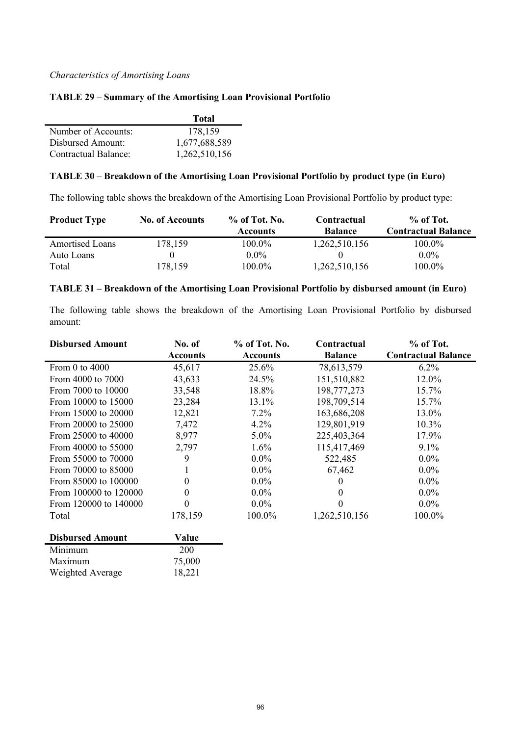#### *Characteristics of Amortising Loans*

#### **TABLE 29 – Summary of the Amortising Loan Provisional Portfolio**

|                      | <b>Total</b>  |
|----------------------|---------------|
| Number of Accounts:  | 178,159       |
| Disbursed Amount:    | 1,677,688,589 |
| Contractual Balance: | 1,262,510,156 |

## **TABLE 30 – Breakdown of the Amortising Loan Provisional Portfolio by product type (in Euro)**

The following table shows the breakdown of the Amortising Loan Provisional Portfolio by product type:

| <b>Product Type</b>    | <b>No. of Accounts</b> | $%$ of Tot. No. | Contractual    | % of Tot.                  |
|------------------------|------------------------|-----------------|----------------|----------------------------|
|                        |                        | <b>Accounts</b> | <b>Balance</b> | <b>Contractual Balance</b> |
| <b>Amortised Loans</b> | 178,159                | 100.0%          | 1,262,510,156  | 100.0%                     |
| Auto Loans             |                        | $0.0\%$         |                | $0.0\%$                    |
| Total                  | 178,159                | 100.0%          | 1,262,510,156  | 100.0%                     |

#### **TABLE 31 – Breakdown of the Amortising Loan Provisional Portfolio by disbursed amount (in Euro)**

The following table shows the breakdown of the Amortising Loan Provisional Portfolio by disbursed amount:

| <b>Disbursed Amount</b> | No. of          | % of Tot. No.   | Contractual    | % of Tot.                  |
|-------------------------|-----------------|-----------------|----------------|----------------------------|
|                         | <b>Accounts</b> | <b>Accounts</b> | <b>Balance</b> | <b>Contractual Balance</b> |
| From 0 to $4000$        | 45,617          | 25.6%           | 78,613,579     | $6.2\%$                    |
| From 4000 to 7000       | 43,633          | 24.5%           | 151,510,882    | 12.0%                      |
| From 7000 to 10000      | 33,548          | 18.8%           | 198,777,273    | 15.7%                      |
| From 10000 to 15000     | 23,284          | 13.1%           | 198,709,514    | 15.7%                      |
| From 15000 to 20000     | 12,821          | $7.2\%$         | 163,686,208    | 13.0%                      |
| From 20000 to 25000     | 7,472           | $4.2\%$         | 129,801,919    | $10.3\%$                   |
| From 25000 to 40000     | 8,977           | $5.0\%$         | 225,403,364    | 17.9%                      |
| From 40000 to 55000     | 2,797           | 1.6%            | 115,417,469    | 9.1%                       |
| From 55000 to 70000     | 9               | $0.0\%$         | 522,485        | $0.0\%$                    |
| From 70000 to 85000     |                 | $0.0\%$         | 67,462         | $0.0\%$                    |
| From 85000 to 100000    | $\theta$        | $0.0\%$         | 0              | $0.0\%$                    |
| From 100000 to 120000   | $\theta$        | $0.0\%$         | $\theta$       | $0.0\%$                    |
| From 120000 to 140000   | 0               | $0.0\%$         | 0              | $0.0\%$                    |
| Total                   | 178,159         | 100.0%          | 1,262,510,156  | 100.0%                     |
| <b>Disbursed Amount</b> | Value           |                 |                |                            |
| Minimum                 | 200             |                 |                |                            |
|                         |                 |                 |                |                            |

| Maximum          | 75,000 |
|------------------|--------|
| Weighted Average | 18,221 |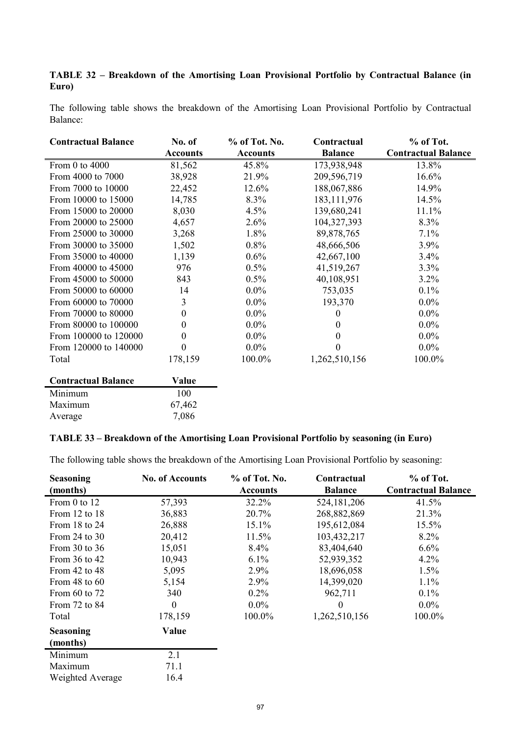# **TABLE 32 – Breakdown of the Amortising Loan Provisional Portfolio by Contractual Balance (in Euro)**

The following table shows the breakdown of the Amortising Loan Provisional Portfolio by Contractual Balance:

| <b>Contractual Balance</b> | No. of           | % of Tot. No.   | Contractual    | % of Tot.                  |
|----------------------------|------------------|-----------------|----------------|----------------------------|
|                            | <b>Accounts</b>  | <b>Accounts</b> | <b>Balance</b> | <b>Contractual Balance</b> |
| From 0 to 4000             | 81,562           | 45.8%           | 173,938,948    | 13.8%                      |
| From 4000 to 7000          | 38,928           | 21.9%           | 209,596,719    | 16.6%                      |
| From 7000 to 10000         | 22,452           | 12.6%           | 188,067,886    | 14.9%                      |
| From 10000 to 15000        | 14,785           | 8.3%            | 183, 111, 976  | 14.5%                      |
| From 15000 to 20000        | 8,030            | 4.5%            | 139,680,241    | 11.1%                      |
| From 20000 to 25000        | 4,657            | 2.6%            | 104,327,393    | 8.3%                       |
| From 25000 to 30000        | 3,268            | 1.8%            | 89,878,765     | 7.1%                       |
| From 30000 to 35000        | 1,502            | 0.8%            | 48,666,506     | 3.9%                       |
| From 35000 to 40000        | 1,139            | $0.6\%$         | 42,667,100     | 3.4%                       |
| From 40000 to 45000        | 976              | 0.5%            | 41,519,267     | 3.3%                       |
| From 45000 to 50000        | 843              | $0.5\%$         | 40,108,951     | 3.2%                       |
| From 50000 to 60000        | 14               | $0.0\%$         | 753,035        | 0.1%                       |
| From 60000 to 70000        | 3                | $0.0\%$         | 193,370        | $0.0\%$                    |
| From 70000 to 80000        | $\boldsymbol{0}$ | $0.0\%$         | $^{(1)}$       | $0.0\%$                    |
| From 80000 to 100000       | $\theta$         | $0.0\%$         | $^{(1)}$       | $0.0\%$                    |
| From 100000 to 120000      | $\boldsymbol{0}$ | $0.0\%$         | 0              | $0.0\%$                    |
| From 120000 to 140000      | $\boldsymbol{0}$ | $0.0\%$         | 0              | $0.0\%$                    |
| Total                      | 178,159          | 100.0%          | 1,262,510,156  | 100.0%                     |
| <b>Contractual Balance</b> | Value            |                 |                |                            |
| Minimum                    | 100              |                 |                |                            |

## **TABLE 33 – Breakdown of the Amortising Loan Provisional Portfolio by seasoning (in Euro)**

Maximum 67,462 Average 7,086

The following table shows the breakdown of the Amortising Loan Provisional Portfolio by seasoning:

| <b>Seasoning</b>  | <b>No. of Accounts</b> | % of Tot. No.   | Contractual    | $%$ of Tot.                |
|-------------------|------------------------|-----------------|----------------|----------------------------|
| (months)          |                        | <b>Accounts</b> | <b>Balance</b> | <b>Contractual Balance</b> |
| From $0$ to $12$  | 57,393                 | 32.2%           | 524, 181, 206  | 41.5%                      |
| From 12 to $18$   | 36,883                 | 20.7%           | 268,882,869    | 21.3%                      |
| From 18 to 24     | 26,888                 | 15.1%           | 195,612,084    | 15.5%                      |
| From $24$ to $30$ | 20,412                 | 11.5%           | 103,432,217    | $8.2\%$                    |
| From 30 to 36     | 15,051                 | $8.4\%$         | 83,404,640     | 6.6%                       |
| From $36$ to $42$ | 10,943                 | $6.1\%$         | 52,939,352     | 4.2%                       |
| From 42 to 48     | 5,095                  | 2.9%            | 18,696,058     | 1.5%                       |
| From 48 to $60$   | 5,154                  | 2.9%            | 14,399,020     | 1.1%                       |
| From $60$ to $72$ | 340                    | $0.2\%$         | 962,711        | $0.1\%$                    |
| From 72 to 84     | $\theta$               | $0.0\%$         | $\Omega$       | $0.0\%$                    |
| Total             | 178,159                | 100.0%          | 1,262,510,156  | 100.0%                     |
| <b>Seasoning</b>  | Value                  |                 |                |                            |
| (months)          |                        |                 |                |                            |
| Minimum           | 2.1                    |                 |                |                            |
| Maximum           | 71.1                   |                 |                |                            |
| Weighted Average  | 16.4                   |                 |                |                            |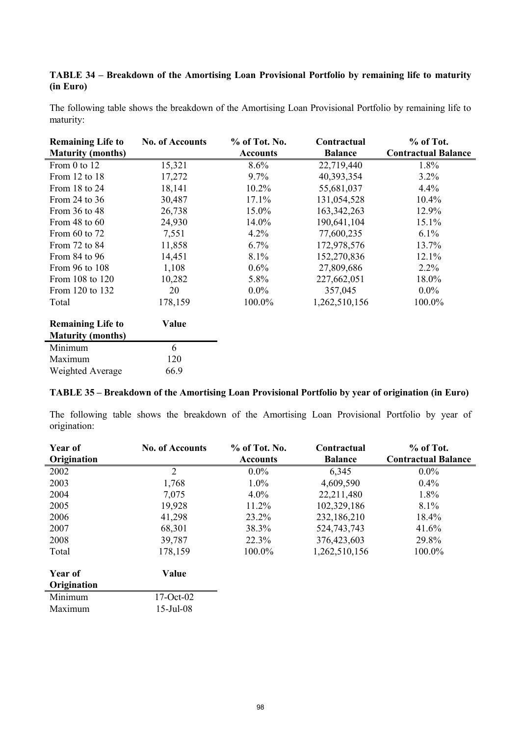# **TABLE 34 – Breakdown of the Amortising Loan Provisional Portfolio by remaining life to maturity (in Euro)**

| The following table shows the breakdown of the Amortising Loan Provisional Portfolio by remaining life to |  |  |  |
|-----------------------------------------------------------------------------------------------------------|--|--|--|
| maturity:                                                                                                 |  |  |  |

| <b>Remaining Life to</b> | <b>No. of Accounts</b> | % of Tot. No.   | Contractual    | % of Tot.                  |
|--------------------------|------------------------|-----------------|----------------|----------------------------|
| <b>Maturity (months)</b> |                        | <b>Accounts</b> | <b>Balance</b> | <b>Contractual Balance</b> |
| From 0 to 12             | 15,321                 | 8.6%            | 22,719,440     | 1.8%                       |
| From 12 to 18            | 17,272                 | $9.7\%$         | 40,393,354     | 3.2%                       |
| From 18 to 24            | 18,141                 | 10.2%           | 55,681,037     | 4.4%                       |
| From 24 to $36$          | 30,487                 | 17.1%           | 131,054,528    | 10.4%                      |
| From $36$ to $48$        | 26,738                 | 15.0%           | 163, 342, 263  | 12.9%                      |
| From 48 to $60$          | 24,930                 | 14.0%           | 190,641,104    | 15.1%                      |
| From 60 to 72            | 7,551                  | $4.2\%$         | 77,600,235     | 6.1%                       |
| From 72 to 84            | 11,858                 | 6.7%            | 172,978,576    | 13.7%                      |
| From $84$ to $96$        | 14,451                 | 8.1%            | 152,270,836    | 12.1%                      |
| From 96 to 108           | 1,108                  | $0.6\%$         | 27,809,686     | $2.2\%$                    |
| From 108 to 120          | 10,282                 | 5.8%            | 227,662,051    | 18.0%                      |
| From 120 to 132          | 20                     | $0.0\%$         | 357,045        | $0.0\%$                    |
| Total                    | 178,159                | 100.0%          | 1,262,510,156  | 100.0%                     |
| <b>Remaining Life to</b> | Value                  |                 |                |                            |
| <b>Maturity (months)</b> |                        |                 |                |                            |
| Minimum                  | 6                      |                 |                |                            |
| Maximum                  | 120                    |                 |                |                            |
| Weighted Average         | 66.9                   |                 |                |                            |

## **TABLE 35 – Breakdown of the Amortising Loan Provisional Portfolio by year of origination (in Euro)**

The following table shows the breakdown of the Amortising Loan Provisional Portfolio by year of origination:

| Year of                | <b>No. of Accounts</b> | % of Tot. No.   | Contractual    | % of Tot.                  |
|------------------------|------------------------|-----------------|----------------|----------------------------|
| Origination            |                        | <b>Accounts</b> | <b>Balance</b> | <b>Contractual Balance</b> |
| 2002                   | $\overline{2}$         | $0.0\%$         | 6,345          | $0.0\%$                    |
| 2003                   | 1,768                  | $1.0\%$         | 4,609,590      | $0.4\%$                    |
| 2004                   | 7,075                  | $4.0\%$         | 22,211,480     | 1.8%                       |
| 2005                   | 19,928                 | 11.2%           | 102,329,186    | $8.1\%$                    |
| 2006                   | 41,298                 | 23.2%           | 232,186,210    | $18.4\%$                   |
| 2007                   | 68,301                 | 38.3%           | 524,743,743    | 41.6%                      |
| 2008                   | 39,787                 | 22.3%           | 376,423,603    | 29.8%                      |
| Total                  | 178,159                | 100.0%          | 1,262,510,156  | 100.0%                     |
| Year of<br>Origination | Value                  |                 |                |                            |
| Minimum                | $17-Oct-02$            |                 |                |                            |

| <u>IVIIIIIIIIIUIII</u> | $17$ -OCL-02 |
|------------------------|--------------|
| Maximum                | $15$ -Jul-08 |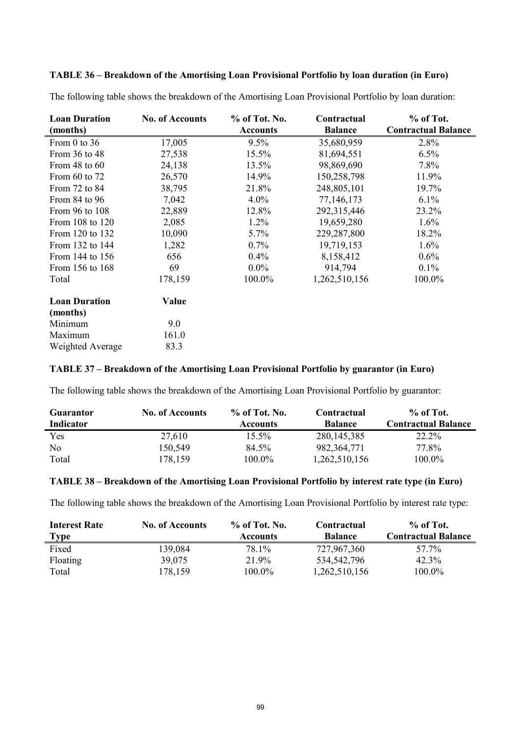# **TABLE 36 – Breakdown of the Amortising Loan Provisional Portfolio by loan duration (in Euro)**

| <b>Loan Duration</b> | <b>No. of Accounts</b> | % of Tot. No.   | Contractual    | % of Tot.                  |
|----------------------|------------------------|-----------------|----------------|----------------------------|
| (months)             |                        | <b>Accounts</b> | <b>Balance</b> | <b>Contractual Balance</b> |
| From 0 to 36         | 17,005                 | 9.5%            | 35,680,959     | 2.8%                       |
| From 36 to 48        | 27,538                 | 15.5%           | 81,694,551     | 6.5%                       |
| From $48$ to $60$    | 24,138                 | 13.5%           | 98,869,690     | 7.8%                       |
| From 60 to 72        | 26,570                 | 14.9%           | 150,258,798    | 11.9%                      |
| From 72 to 84        | 38,795                 | 21.8%           | 248,805,101    | 19.7%                      |
| From $84$ to $96$    | 7,042                  | $4.0\%$         | 77,146,173     | $6.1\%$                    |
| From 96 to 108       | 22,889                 | 12.8%           | 292,315,446    | 23.2%                      |
| From 108 to 120      | 2,085                  | 1.2%            | 19,659,280     | 1.6%                       |
| From 120 to 132      | 10,090                 | $5.7\%$         | 229,287,800    | 18.2%                      |
| From 132 to 144      | 1,282                  | 0.7%            | 19,719,153     | 1.6%                       |
| From 144 to 156      | 656                    | $0.4\%$         | 8,158,412      | $0.6\%$                    |
| From 156 to 168      | 69                     | $0.0\%$         | 914,794        | $0.1\%$                    |
| Total                | 178,159                | 100.0%          | 1,262,510,156  | 100.0%                     |
| <b>Loan Duration</b> | Value                  |                 |                |                            |
| (months)             |                        |                 |                |                            |
| Minimum              | 9.0                    |                 |                |                            |
| Maximum              | 161.0                  |                 |                |                            |
| Weighted Average     | 83.3                   |                 |                |                            |

The following table shows the breakdown of the Amortising Loan Provisional Portfolio by loan duration:

# **TABLE 37 – Breakdown of the Amortising Loan Provisional Portfolio by guarantor (in Euro)**

The following table shows the breakdown of the Amortising Loan Provisional Portfolio by guarantor:

| <b>Guarantor</b><br>Indicator | <b>No. of Accounts</b> | $%$ of Tot. No.<br><b>Accounts</b> | Contractual<br><b>Balance</b> | $%$ of Tot.<br><b>Contractual Balance</b> |
|-------------------------------|------------------------|------------------------------------|-------------------------------|-------------------------------------------|
| Yes                           | 27,610                 | $15.5\%$                           | 280, 145, 385                 | 22.2%                                     |
| No                            | 150,549                | 84.5%                              | 982, 364, 771                 | 77.8%                                     |
| Total                         | 178,159                | $100.0\%$                          | 1,262,510,156                 | 100.0%                                    |

#### **TABLE 38 – Breakdown of the Amortising Loan Provisional Portfolio by interest rate type (in Euro)**

The following table shows the breakdown of the Amortising Loan Provisional Portfolio by interest rate type:

| <b>Interest Rate</b> | <b>No. of Accounts</b> | $%$ of Tot. No. | Contractual    | $%$ of Tot.                |
|----------------------|------------------------|-----------------|----------------|----------------------------|
| <b>Type</b>          |                        | <b>Accounts</b> | <b>Balance</b> | <b>Contractual Balance</b> |
| Fixed                | 139.084                | 78.1%           | 727,967,360    | 57.7%                      |
| Floating             | 39,075                 | 21.9%           | 534,542,796    | $42.3\%$                   |
| Total                | 178,159                | $100.0\%$       | 1,262,510,156  | 100.0%                     |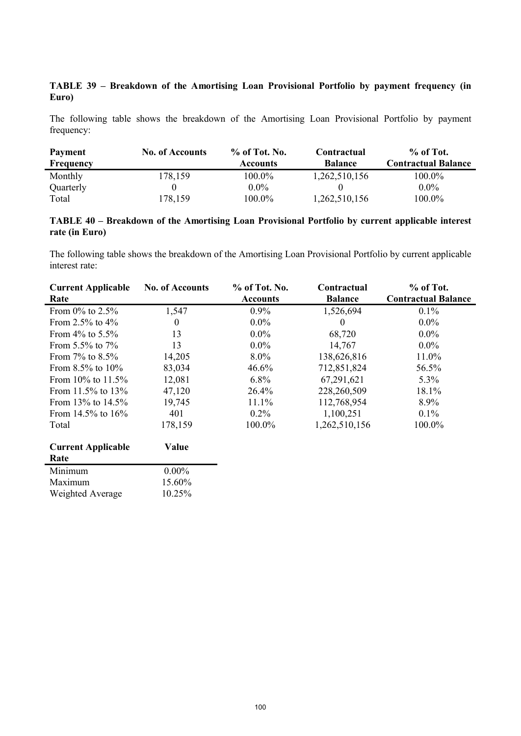# **TABLE 39 – Breakdown of the Amortising Loan Provisional Portfolio by payment frequency (in Euro)**

The following table shows the breakdown of the Amortising Loan Provisional Portfolio by payment frequency:

| <b>Payment</b> | <b>No. of Accounts</b> | $%$ of Tot. No. | Contractual    | $%$ of Tot.                |
|----------------|------------------------|-----------------|----------------|----------------------------|
| Frequency      |                        | <b>Accounts</b> | <b>Balance</b> | <b>Contractual Balance</b> |
| Monthly        | 178,159                | 100.0%          | 1,262,510,156  | 100.0%                     |
| Quarterly      |                        | $0.0\%$         |                | $0.0\%$                    |
| Total          | 178,159                | $100.0\%$       | 1,262,510,156  | 100.0%                     |

# **TABLE 40 – Breakdown of the Amortising Loan Provisional Portfolio by current applicable interest rate (in Euro)**

The following table shows the breakdown of the Amortising Loan Provisional Portfolio by current applicable interest rate:

| <b>Current Applicable</b> | <b>No. of Accounts</b> | % of Tot. No.   | Contractual    | $%$ of Tot.                |
|---------------------------|------------------------|-----------------|----------------|----------------------------|
| Rate                      |                        | <b>Accounts</b> | <b>Balance</b> | <b>Contractual Balance</b> |
| From $0\%$ to 2.5%        | 1,547                  | $0.9\%$         | 1,526,694      | $0.1\%$                    |
| From 2.5% to $4\%$        | $\theta$               | $0.0\%$         | $\theta$       | $0.0\%$                    |
| From $4\%$ to 5.5%        | 13                     | $0.0\%$         | 68,720         | $0.0\%$                    |
| From $5.5\%$ to $7\%$     | 13                     | $0.0\%$         | 14,767         | $0.0\%$                    |
| From $7\%$ to $8.5\%$     | 14,205                 | 8.0%            | 138,626,816    | 11.0%                      |
| From $8.5\%$ to $10\%$    | 83,034                 | 46.6%           | 712,851,824    | 56.5%                      |
| From $10\%$ to $11.5\%$   | 12,081                 | $6.8\%$         | 67,291,621     | $5.3\%$                    |
| From $11.5\%$ to $13\%$   | 47,120                 | 26.4%           | 228,260,509    | 18.1%                      |
| From $13\%$ to $14.5\%$   | 19,745                 | 11.1%           | 112,768,954    | 8.9%                       |
| From 14.5% to $16\%$      | 401                    | $0.2\%$         | 1,100,251      | $0.1\%$                    |
| Total                     | 178,159                | 100.0%          | 1,262,510,156  | 100.0%                     |
| <b>Current Applicable</b> | Value                  |                 |                |                            |
| Rate                      |                        |                 |                |                            |
| Minimum                   | $0.00\%$               |                 |                |                            |
| Maximum                   | 15.60%                 |                 |                |                            |

Weighted Average 10.25%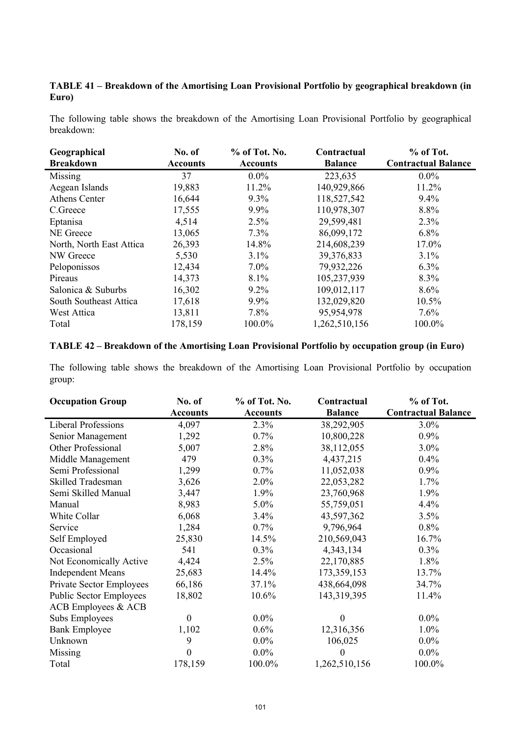# **TABLE 41 – Breakdown of the Amortising Loan Provisional Portfolio by geographical breakdown (in Euro)**

The following table shows the breakdown of the Amortising Loan Provisional Portfolio by geographical breakdown:

| Geographical             | No. of          | % of Tot. No.   | Contractual    | % of Tot.                  |
|--------------------------|-----------------|-----------------|----------------|----------------------------|
| <b>Breakdown</b>         | <b>Accounts</b> | <b>Accounts</b> | <b>Balance</b> | <b>Contractual Balance</b> |
| Missing                  | 37              | $0.0\%$         | 223,635        | $0.0\%$                    |
| Aegean Islands           | 19,883          | 11.2%           | 140,929,866    | 11.2%                      |
| Athens Center            | 16,644          | $9.3\%$         | 118,527,542    | $9.4\%$                    |
| C.Greece                 | 17,555          | $9.9\%$         | 110,978,307    | 8.8%                       |
| Eptanisa                 | 4,514           | 2.5%            | 29,599,481     | 2.3%                       |
| NE Greece                | 13,065          | $7.3\%$         | 86,099,172     | $6.8\%$                    |
| North, North East Attica | 26,393          | 14.8%           | 214,608,239    | 17.0%                      |
| NW Greece                | 5,530           | $3.1\%$         | 39,376,833     | $3.1\%$                    |
| Peloponissos             | 12,434          | $7.0\%$         | 79,932,226     | $6.3\%$                    |
| Pireaus                  | 14,373          | 8.1%            | 105,237,939    | 8.3%                       |
| Salonica & Suburbs       | 16,302          | $9.2\%$         | 109,012,117    | 8.6%                       |
| South Southeast Attica   | 17,618          | $9.9\%$         | 132,029,820    | 10.5%                      |
| West Attica              | 13,811          | 7.8%            | 95,954,978     | 7.6%                       |
| Total                    | 178,159         | 100.0%          | 1,262,510,156  | 100.0%                     |

## **TABLE 42 – Breakdown of the Amortising Loan Provisional Portfolio by occupation group (in Euro)**

The following table shows the breakdown of the Amortising Loan Provisional Portfolio by occupation group:

| <b>Occupation Group</b>        | No. of           | % of Tot. No.   | Contractual    | % of Tot.                  |
|--------------------------------|------------------|-----------------|----------------|----------------------------|
|                                | <b>Accounts</b>  | <b>Accounts</b> | <b>Balance</b> | <b>Contractual Balance</b> |
| <b>Liberal Professions</b>     | 4,097            | 2.3%            | 38,292,905     | 3.0%                       |
| Senior Management              | 1,292            | 0.7%            | 10,800,228     | 0.9%                       |
| Other Professional             | 5,007            | 2.8%            | 38,112,055     | $3.0\%$                    |
| Middle Management              | 479              | 0.3%            | 4,437,215      | $0.4\%$                    |
| Semi Professional              | 1,299            | 0.7%            | 11,052,038     | 0.9%                       |
| Skilled Tradesman              | 3,626            | 2.0%            | 22,053,282     | 1.7%                       |
| Semi Skilled Manual            | 3,447            | 1.9%            | 23,760,968     | 1.9%                       |
| Manual                         | 8,983            | 5.0%            | 55,759,051     | 4.4%                       |
| White Collar                   | 6,068            | 3.4%            | 43,597,362     | 3.5%                       |
| Service                        | 1,284            | $0.7\%$         | 9,796,964      | $0.8\%$                    |
| Self Employed                  | 25,830           | 14.5%           | 210,569,043    | 16.7%                      |
| Occasional                     | 541              | $0.3\%$         | 4,343,134      | $0.3\%$                    |
| Not Economically Active        | 4,424            | 2.5%            | 22,170,885     | 1.8%                       |
| <b>Independent Means</b>       | 25,683           | 14.4%           | 173,359,153    | 13.7%                      |
| Private Sector Employees       | 66,186           | 37.1%           | 438,664,098    | 34.7%                      |
| <b>Public Sector Employees</b> | 18,802           | 10.6%           | 143,319,395    | 11.4%                      |
| ACB Employees & ACB            |                  |                 |                |                            |
| Subs Employees                 | $\theta$         | $0.0\%$         | $\theta$       | $0.0\%$                    |
| <b>Bank Employee</b>           | 1,102            | 0.6%            | 12,316,356     | 1.0%                       |
| Unknown                        | 9                | $0.0\%$         | 106,025        | $0.0\%$                    |
| Missing                        | $\boldsymbol{0}$ | $0.0\%$         | $\overline{0}$ | $0.0\%$                    |
| Total                          | 178,159          | 100.0%          | 1,262,510,156  | 100.0%                     |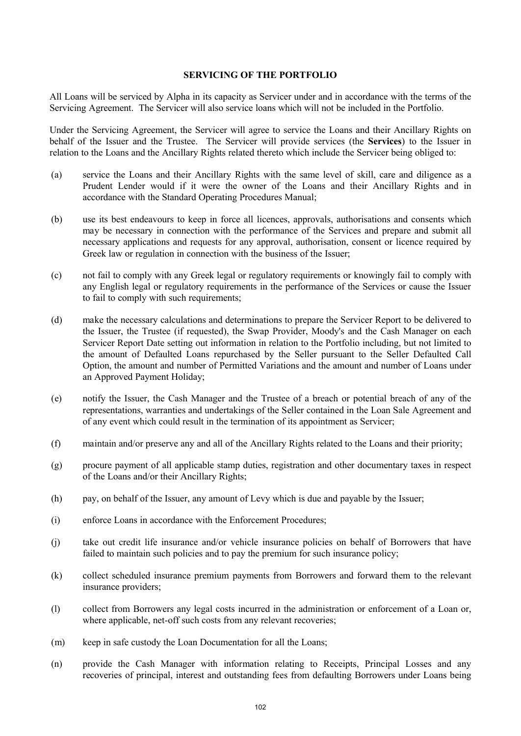#### **SERVICING OF THE PORTFOLIO**

All Loans will be serviced by Alpha in its capacity as Servicer under and in accordance with the terms of the Servicing Agreement. The Servicer will also service loans which will not be included in the Portfolio.

Under the Servicing Agreement, the Servicer will agree to service the Loans and their Ancillary Rights on behalf of the Issuer and the Trustee. The Servicer will provide services (the **Services**) to the Issuer in relation to the Loans and the Ancillary Rights related thereto which include the Servicer being obliged to:

- (a) service the Loans and their Ancillary Rights with the same level of skill, care and diligence as a Prudent Lender would if it were the owner of the Loans and their Ancillary Rights and in accordance with the Standard Operating Procedures Manual;
- (b) use its best endeavours to keep in force all licences, approvals, authorisations and consents which may be necessary in connection with the performance of the Services and prepare and submit all necessary applications and requests for any approval, authorisation, consent or licence required by Greek law or regulation in connection with the business of the Issuer;
- (c) not fail to comply with any Greek legal or regulatory requirements or knowingly fail to comply with any English legal or regulatory requirements in the performance of the Services or cause the Issuer to fail to comply with such requirements;
- (d) make the necessary calculations and determinations to prepare the Servicer Report to be delivered to the Issuer, the Trustee (if requested), the Swap Provider, Moody's and the Cash Manager on each Servicer Report Date setting out information in relation to the Portfolio including, but not limited to the amount of Defaulted Loans repurchased by the Seller pursuant to the Seller Defaulted Call Option, the amount and number of Permitted Variations and the amount and number of Loans under an Approved Payment Holiday;
- (e) notify the Issuer, the Cash Manager and the Trustee of a breach or potential breach of any of the representations, warranties and undertakings of the Seller contained in the Loan Sale Agreement and of any event which could result in the termination of its appointment as Servicer;
- (f) maintain and/or preserve any and all of the Ancillary Rights related to the Loans and their priority;
- (g) procure payment of all applicable stamp duties, registration and other documentary taxes in respect of the Loans and/or their Ancillary Rights;
- (h) pay, on behalf of the Issuer, any amount of Levy which is due and payable by the Issuer;
- (i) enforce Loans in accordance with the Enforcement Procedures;
- (j) take out credit life insurance and/or vehicle insurance policies on behalf of Borrowers that have failed to maintain such policies and to pay the premium for such insurance policy;
- (k) collect scheduled insurance premium payments from Borrowers and forward them to the relevant insurance providers;
- (l) collect from Borrowers any legal costs incurred in the administration or enforcement of a Loan or, where applicable, net-off such costs from any relevant recoveries;
- (m) keep in safe custody the Loan Documentation for all the Loans;
- (n) provide the Cash Manager with information relating to Receipts, Principal Losses and any recoveries of principal, interest and outstanding fees from defaulting Borrowers under Loans being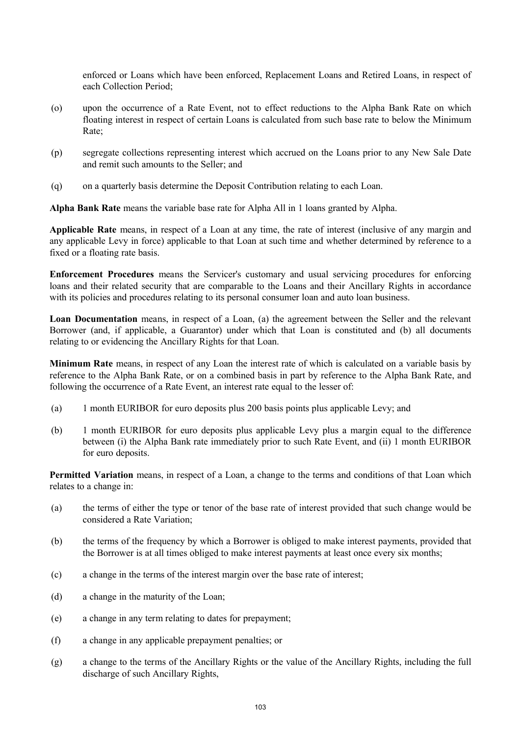enforced or Loans which have been enforced, Replacement Loans and Retired Loans, in respect of each Collection Period;

- (o) upon the occurrence of a Rate Event, not to effect reductions to the Alpha Bank Rate on which floating interest in respect of certain Loans is calculated from such base rate to below the Minimum Rate;
- (p) segregate collections representing interest which accrued on the Loans prior to any New Sale Date and remit such amounts to the Seller; and
- (q) on a quarterly basis determine the Deposit Contribution relating to each Loan.

**Alpha Bank Rate** means the variable base rate for Alpha All in 1 loans granted by Alpha.

**Applicable Rate** means, in respect of a Loan at any time, the rate of interest (inclusive of any margin and any applicable Levy in force) applicable to that Loan at such time and whether determined by reference to a fixed or a floating rate basis.

**Enforcement Procedures** means the Servicer's customary and usual servicing procedures for enforcing loans and their related security that are comparable to the Loans and their Ancillary Rights in accordance with its policies and procedures relating to its personal consumer loan and auto loan business.

**Loan Documentation** means, in respect of a Loan, (a) the agreement between the Seller and the relevant Borrower (and, if applicable, a Guarantor) under which that Loan is constituted and (b) all documents relating to or evidencing the Ancillary Rights for that Loan.

**Minimum Rate** means, in respect of any Loan the interest rate of which is calculated on a variable basis by reference to the Alpha Bank Rate, or on a combined basis in part by reference to the Alpha Bank Rate, and following the occurrence of a Rate Event, an interest rate equal to the lesser of:

- (a) 1 month EURIBOR for euro deposits plus 200 basis points plus applicable Levy; and
- (b) 1 month EURIBOR for euro deposits plus applicable Levy plus a margin equal to the difference between (i) the Alpha Bank rate immediately prior to such Rate Event, and (ii) 1 month EURIBOR for euro deposits.

**Permitted Variation** means, in respect of a Loan, a change to the terms and conditions of that Loan which relates to a change in:

- (a) the terms of either the type or tenor of the base rate of interest provided that such change would be considered a Rate Variation;
- (b) the terms of the frequency by which a Borrower is obliged to make interest payments, provided that the Borrower is at all times obliged to make interest payments at least once every six months;
- (c) a change in the terms of the interest margin over the base rate of interest;
- (d) a change in the maturity of the Loan;
- (e) a change in any term relating to dates for prepayment;
- (f) a change in any applicable prepayment penalties; or
- (g) a change to the terms of the Ancillary Rights or the value of the Ancillary Rights, including the full discharge of such Ancillary Rights,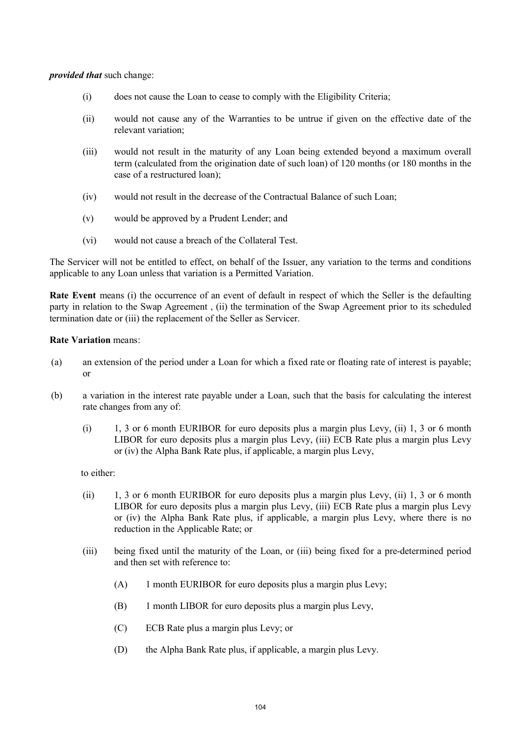#### *provided that* such change:

- (i) does not cause the Loan to cease to comply with the Eligibility Criteria;
- (ii) would not cause any of the Warranties to be untrue if given on the effective date of the relevant variation;
- (iii) would not result in the maturity of any Loan being extended beyond a maximum overall term (calculated from the origination date of such loan) of 120 months (or 180 months in the case of a restructured loan);
- (iv) would not result in the decrease of the Contractual Balance of such Loan;
- (v) would be approved by a Prudent Lender; and
- (vi) would not cause a breach of the Collateral Test.

The Servicer will not be entitled to effect, on behalf of the Issuer, any variation to the terms and conditions applicable to any Loan unless that variation is a Permitted Variation.

**Rate Event** means (i) the occurrence of an event of default in respect of which the Seller is the defaulting party in relation to the Swap Agreement , (ii) the termination of the Swap Agreement prior to its scheduled termination date or (iii) the replacement of the Seller as Servicer.

#### **Rate Variation** means:

- (a) an extension of the period under a Loan for which a fixed rate or floating rate of interest is payable; or
- (b) a variation in the interest rate payable under a Loan, such that the basis for calculating the interest rate changes from any of:
	- (i) 1, 3 or 6 month EURIBOR for euro deposits plus a margin plus Levy, (ii) 1, 3 or 6 month LIBOR for euro deposits plus a margin plus Levy, (iii) ECB Rate plus a margin plus Levy or (iv) the Alpha Bank Rate plus, if applicable, a margin plus Levy,

to either:

- (ii) 1, 3 or 6 month EURIBOR for euro deposits plus a margin plus Levy, (ii) 1, 3 or 6 month LIBOR for euro deposits plus a margin plus Levy, (iii) ECB Rate plus a margin plus Levy or (iv) the Alpha Bank Rate plus, if applicable, a margin plus Levy, where there is no reduction in the Applicable Rate; or
- (iii) being fixed until the maturity of the Loan, or (iii) being fixed for a pre-determined period and then set with reference to:
	- (A) 1 month EURIBOR for euro deposits plus a margin plus Levy;
	- (B) 1 month LIBOR for euro deposits plus a margin plus Levy,
	- (C) ECB Rate plus a margin plus Levy; or
	- (D) the Alpha Bank Rate plus, if applicable, a margin plus Levy.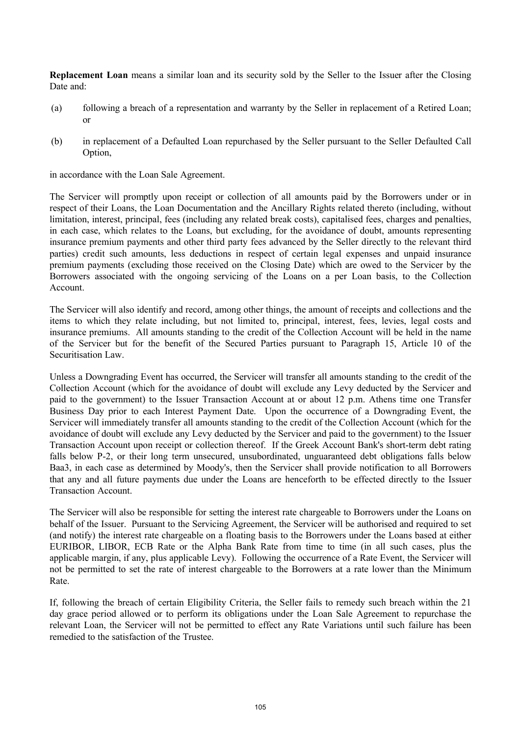**Replacement Loan** means a similar loan and its security sold by the Seller to the Issuer after the Closing Date and<sup>-</sup>

- (a) following a breach of a representation and warranty by the Seller in replacement of a Retired Loan; or
- (b) in replacement of a Defaulted Loan repurchased by the Seller pursuant to the Seller Defaulted Call Option,

in accordance with the Loan Sale Agreement.

The Servicer will promptly upon receipt or collection of all amounts paid by the Borrowers under or in respect of their Loans, the Loan Documentation and the Ancillary Rights related thereto (including, without limitation, interest, principal, fees (including any related break costs), capitalised fees, charges and penalties, in each case, which relates to the Loans, but excluding, for the avoidance of doubt, amounts representing insurance premium payments and other third party fees advanced by the Seller directly to the relevant third parties) credit such amounts, less deductions in respect of certain legal expenses and unpaid insurance premium payments (excluding those received on the Closing Date) which are owed to the Servicer by the Borrowers associated with the ongoing servicing of the Loans on a per Loan basis, to the Collection Account.

The Servicer will also identify and record, among other things, the amount of receipts and collections and the items to which they relate including, but not limited to, principal, interest, fees, levies, legal costs and insurance premiums. All amounts standing to the credit of the Collection Account will be held in the name of the Servicer but for the benefit of the Secured Parties pursuant to Paragraph 15, Article 10 of the Securitisation Law.

Unless a Downgrading Event has occurred, the Servicer will transfer all amounts standing to the credit of the Collection Account (which for the avoidance of doubt will exclude any Levy deducted by the Servicer and paid to the government) to the Issuer Transaction Account at or about 12 p.m. Athens time one Transfer Business Day prior to each Interest Payment Date. Upon the occurrence of a Downgrading Event, the Servicer will immediately transfer all amounts standing to the credit of the Collection Account (which for the avoidance of doubt will exclude any Levy deducted by the Servicer and paid to the government) to the Issuer Transaction Account upon receipt or collection thereof. If the Greek Account Bank's short-term debt rating falls below P-2, or their long term unsecured, unsubordinated, unguaranteed debt obligations falls below Baa3, in each case as determined by Moody's, then the Servicer shall provide notification to all Borrowers that any and all future payments due under the Loans are henceforth to be effected directly to the Issuer Transaction Account.

The Servicer will also be responsible for setting the interest rate chargeable to Borrowers under the Loans on behalf of the Issuer. Pursuant to the Servicing Agreement, the Servicer will be authorised and required to set (and notify) the interest rate chargeable on a floating basis to the Borrowers under the Loans based at either EURIBOR, LIBOR, ECB Rate or the Alpha Bank Rate from time to time (in all such cases, plus the applicable margin, if any, plus applicable Levy). Following the occurrence of a Rate Event, the Servicer will not be permitted to set the rate of interest chargeable to the Borrowers at a rate lower than the Minimum Rate.

If, following the breach of certain Eligibility Criteria, the Seller fails to remedy such breach within the 21 day grace period allowed or to perform its obligations under the Loan Sale Agreement to repurchase the relevant Loan, the Servicer will not be permitted to effect any Rate Variations until such failure has been remedied to the satisfaction of the Trustee.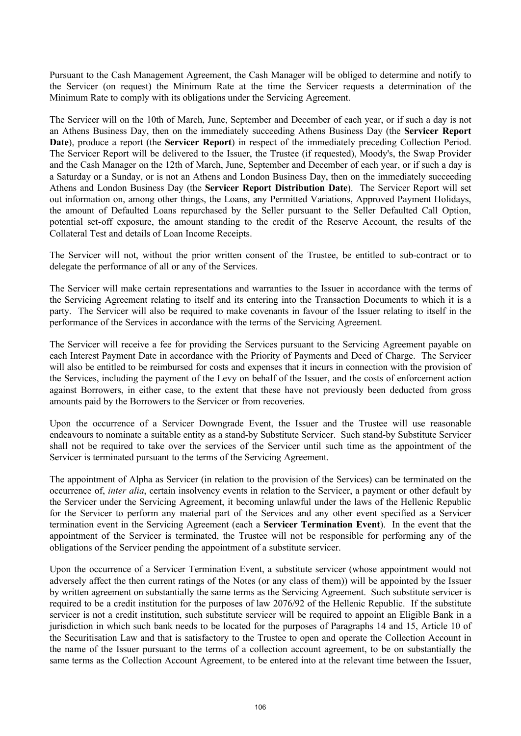Pursuant to the Cash Management Agreement, the Cash Manager will be obliged to determine and notify to the Servicer (on request) the Minimum Rate at the time the Servicer requests a determination of the Minimum Rate to comply with its obligations under the Servicing Agreement.

The Servicer will on the 10th of March, June, September and December of each year, or if such a day is not an Athens Business Day, then on the immediately succeeding Athens Business Day (the **Servicer Report Date**), produce a report (the **Servicer Report**) in respect of the immediately preceding Collection Period. The Servicer Report will be delivered to the Issuer, the Trustee (if requested), Moody's, the Swap Provider and the Cash Manager on the 12th of March, June, September and December of each year, or if such a day is a Saturday or a Sunday, or is not an Athens and London Business Day, then on the immediately succeeding Athens and London Business Day (the **Servicer Report Distribution Date**). The Servicer Report will set out information on, among other things, the Loans, any Permitted Variations, Approved Payment Holidays, the amount of Defaulted Loans repurchased by the Seller pursuant to the Seller Defaulted Call Option, potential set-off exposure, the amount standing to the credit of the Reserve Account, the results of the Collateral Test and details of Loan Income Receipts.

The Servicer will not, without the prior written consent of the Trustee, be entitled to sub-contract or to delegate the performance of all or any of the Services.

The Servicer will make certain representations and warranties to the Issuer in accordance with the terms of the Servicing Agreement relating to itself and its entering into the Transaction Documents to which it is a party. The Servicer will also be required to make covenants in favour of the Issuer relating to itself in the performance of the Services in accordance with the terms of the Servicing Agreement.

The Servicer will receive a fee for providing the Services pursuant to the Servicing Agreement payable on each Interest Payment Date in accordance with the Priority of Payments and Deed of Charge. The Servicer will also be entitled to be reimbursed for costs and expenses that it incurs in connection with the provision of the Services, including the payment of the Levy on behalf of the Issuer, and the costs of enforcement action against Borrowers, in either case, to the extent that these have not previously been deducted from gross amounts paid by the Borrowers to the Servicer or from recoveries.

Upon the occurrence of a Servicer Downgrade Event, the Issuer and the Trustee will use reasonable endeavours to nominate a suitable entity as a stand-by Substitute Servicer. Such stand-by Substitute Servicer shall not be required to take over the services of the Servicer until such time as the appointment of the Servicer is terminated pursuant to the terms of the Servicing Agreement.

The appointment of Alpha as Servicer (in relation to the provision of the Services) can be terminated on the occurrence of, *inter alia*, certain insolvency events in relation to the Servicer, a payment or other default by the Servicer under the Servicing Agreement, it becoming unlawful under the laws of the Hellenic Republic for the Servicer to perform any material part of the Services and any other event specified as a Servicer termination event in the Servicing Agreement (each a **Servicer Termination Event**). In the event that the appointment of the Servicer is terminated, the Trustee will not be responsible for performing any of the obligations of the Servicer pending the appointment of a substitute servicer.

Upon the occurrence of a Servicer Termination Event, a substitute servicer (whose appointment would not adversely affect the then current ratings of the Notes (or any class of them)) will be appointed by the Issuer by written agreement on substantially the same terms as the Servicing Agreement. Such substitute servicer is required to be a credit institution for the purposes of law 2076/92 of the Hellenic Republic. If the substitute servicer is not a credit institution, such substitute servicer will be required to appoint an Eligible Bank in a jurisdiction in which such bank needs to be located for the purposes of Paragraphs 14 and 15, Article 10 of the Securitisation Law and that is satisfactory to the Trustee to open and operate the Collection Account in the name of the Issuer pursuant to the terms of a collection account agreement, to be on substantially the same terms as the Collection Account Agreement, to be entered into at the relevant time between the Issuer,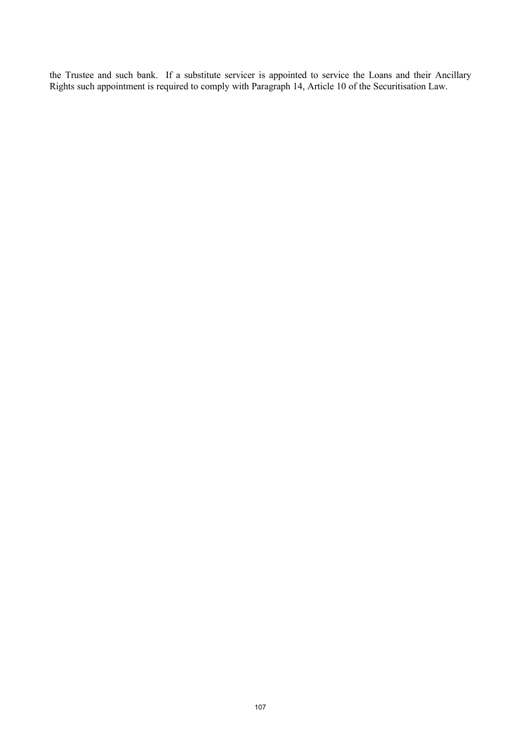the Trustee and such bank. If a substitute servicer is appointed to service the Loans and their Ancillary Rights such appointment is required to comply with Paragraph 14, Article 10 of the Securitisation Law.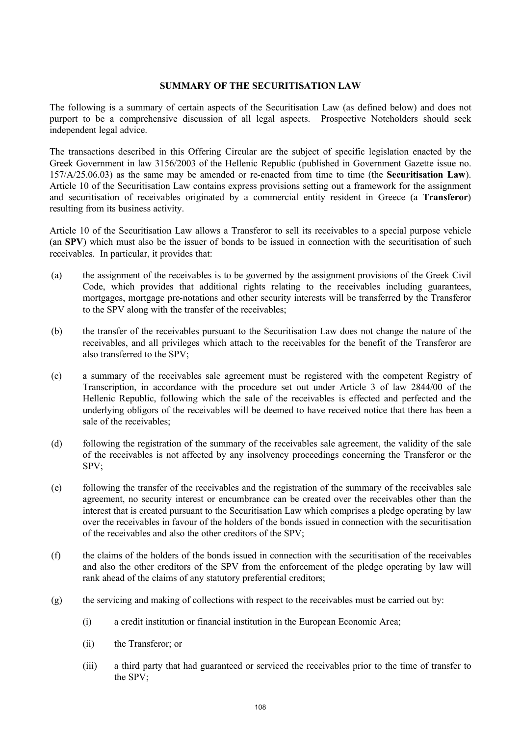#### **SUMMARY OF THE SECURITISATION LAW**

The following is a summary of certain aspects of the Securitisation Law (as defined below) and does not purport to be a comprehensive discussion of all legal aspects. Prospective Noteholders should seek independent legal advice.

The transactions described in this Offering Circular are the subject of specific legislation enacted by the Greek Government in law 3156/2003 of the Hellenic Republic (published in Government Gazette issue no. 157/A/25.06.03) as the same may be amended or re-enacted from time to time (the **Securitisation Law**). Article 10 of the Securitisation Law contains express provisions setting out a framework for the assignment and securitisation of receivables originated by a commercial entity resident in Greece (a **Transferor**) resulting from its business activity.

Article 10 of the Securitisation Law allows a Transferor to sell its receivables to a special purpose vehicle (an **SPV**) which must also be the issuer of bonds to be issued in connection with the securitisation of such receivables. In particular, it provides that:

- (a) the assignment of the receivables is to be governed by the assignment provisions of the Greek Civil Code, which provides that additional rights relating to the receivables including guarantees, mortgages, mortgage pre-notations and other security interests will be transferred by the Transferor to the SPV along with the transfer of the receivables;
- (b) the transfer of the receivables pursuant to the Securitisation Law does not change the nature of the receivables, and all privileges which attach to the receivables for the benefit of the Transferor are also transferred to the SPV;
- (c) a summary of the receivables sale agreement must be registered with the competent Registry of Transcription, in accordance with the procedure set out under Article 3 of law 2844/00 of the Hellenic Republic, following which the sale of the receivables is effected and perfected and the underlying obligors of the receivables will be deemed to have received notice that there has been a sale of the receivables;
- (d) following the registration of the summary of the receivables sale agreement, the validity of the sale of the receivables is not affected by any insolvency proceedings concerning the Transferor or the SPV;
- (e) following the transfer of the receivables and the registration of the summary of the receivables sale agreement, no security interest or encumbrance can be created over the receivables other than the interest that is created pursuant to the Securitisation Law which comprises a pledge operating by law over the receivables in favour of the holders of the bonds issued in connection with the securitisation of the receivables and also the other creditors of the SPV;
- (f) the claims of the holders of the bonds issued in connection with the securitisation of the receivables and also the other creditors of the SPV from the enforcement of the pledge operating by law will rank ahead of the claims of any statutory preferential creditors;
- $(g)$  the servicing and making of collections with respect to the receivables must be carried out by:
	- (i) a credit institution or financial institution in the European Economic Area;
	- (ii) the Transferor; or
	- (iii) a third party that had guaranteed or serviced the receivables prior to the time of transfer to the SPV;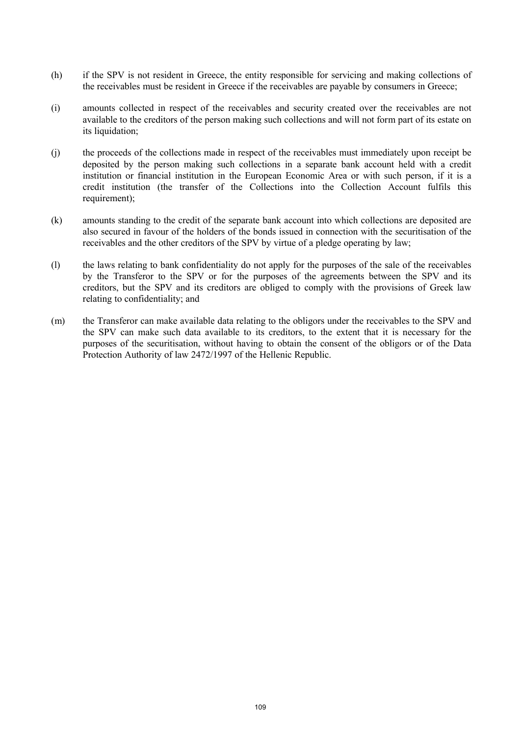- (h) if the SPV is not resident in Greece, the entity responsible for servicing and making collections of the receivables must be resident in Greece if the receivables are payable by consumers in Greece;
- (i) amounts collected in respect of the receivables and security created over the receivables are not available to the creditors of the person making such collections and will not form part of its estate on its liquidation;
- (j) the proceeds of the collections made in respect of the receivables must immediately upon receipt be deposited by the person making such collections in a separate bank account held with a credit institution or financial institution in the European Economic Area or with such person, if it is a credit institution (the transfer of the Collections into the Collection Account fulfils this requirement);
- (k) amounts standing to the credit of the separate bank account into which collections are deposited are also secured in favour of the holders of the bonds issued in connection with the securitisation of the receivables and the other creditors of the SPV by virtue of a pledge operating by law;
- (l) the laws relating to bank confidentiality do not apply for the purposes of the sale of the receivables by the Transferor to the SPV or for the purposes of the agreements between the SPV and its creditors, but the SPV and its creditors are obliged to comply with the provisions of Greek law relating to confidentiality; and
- (m) the Transferor can make available data relating to the obligors under the receivables to the SPV and the SPV can make such data available to its creditors, to the extent that it is necessary for the purposes of the securitisation, without having to obtain the consent of the obligors or of the Data Protection Authority of law 2472/1997 of the Hellenic Republic.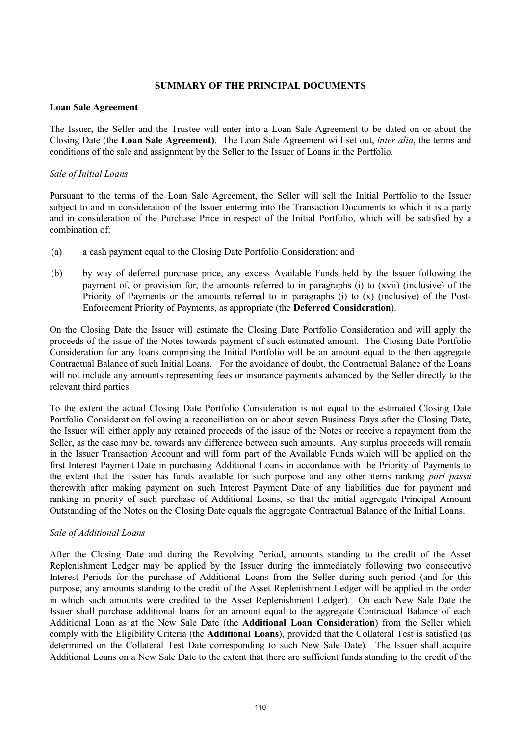#### **SUMMARY OF THE PRINCIPAL DOCUMENTS**

#### **Loan Sale Agreement**

The Issuer, the Seller and the Trustee will enter into a Loan Sale Agreement to be dated on or about the Closing Date (the **Loan Sale Agreement)**. The Loan Sale Agreement will set out, *inter alia*, the terms and conditions of the sale and assignment by the Seller to the Issuer of Loans in the Portfolio.

## *Sale of Initial Loans*

Pursuant to the terms of the Loan Sale Agreement, the Seller will sell the Initial Portfolio to the Issuer subject to and in consideration of the Issuer entering into the Transaction Documents to which it is a party and in consideration of the Purchase Price in respect of the Initial Portfolio, which will be satisfied by a combination of:

- (a) a cash payment equal to the Closing Date Portfolio Consideration; and
- (b) by way of deferred purchase price, any excess Available Funds held by the Issuer following the payment of, or provision for, the amounts referred to in paragraphs (i) to (xvii) (inclusive) of the Priority of Payments or the amounts referred to in paragraphs (i) to (x) (inclusive) of the Post-Enforcement Priority of Payments, as appropriate (the **Deferred Consideration**).

On the Closing Date the Issuer will estimate the Closing Date Portfolio Consideration and will apply the proceeds of the issue of the Notes towards payment of such estimated amount. The Closing Date Portfolio Consideration for any loans comprising the Initial Portfolio will be an amount equal to the then aggregate Contractual Balance of such Initial Loans. For the avoidance of doubt, the Contractual Balance of the Loans will not include any amounts representing fees or insurance payments advanced by the Seller directly to the relevant third parties.

To the extent the actual Closing Date Portfolio Consideration is not equal to the estimated Closing Date Portfolio Consideration following a reconciliation on or about seven Business Days after the Closing Date, the Issuer will either apply any retained proceeds of the issue of the Notes or receive a repayment from the Seller, as the case may be, towards any difference between such amounts. Any surplus proceeds will remain in the Issuer Transaction Account and will form part of the Available Funds which will be applied on the first Interest Payment Date in purchasing Additional Loans in accordance with the Priority of Payments to the extent that the Issuer has funds available for such purpose and any other items ranking *pari passu* therewith after making payment on such Interest Payment Date of any liabilities due for payment and ranking in priority of such purchase of Additional Loans, so that the initial aggregate Principal Amount Outstanding of the Notes on the Closing Date equals the aggregate Contractual Balance of the Initial Loans.

### *Sale of Additional Loans*

After the Closing Date and during the Revolving Period, amounts standing to the credit of the Asset Replenishment Ledger may be applied by the Issuer during the immediately following two consecutive Interest Periods for the purchase of Additional Loans from the Seller during such period (and for this purpose, any amounts standing to the credit of the Asset Replenishment Ledger will be applied in the order in which such amounts were credited to the Asset Replenishment Ledger). On each New Sale Date the Issuer shall purchase additional loans for an amount equal to the aggregate Contractual Balance of each Additional Loan as at the New Sale Date (the **Additional Loan Consideration**) from the Seller which comply with the Eligibility Criteria (the **Additional Loans**), provided that the Collateral Test is satisfied (as determined on the Collateral Test Date corresponding to such New Sale Date). The Issuer shall acquire Additional Loans on a New Sale Date to the extent that there are sufficient funds standing to the credit of the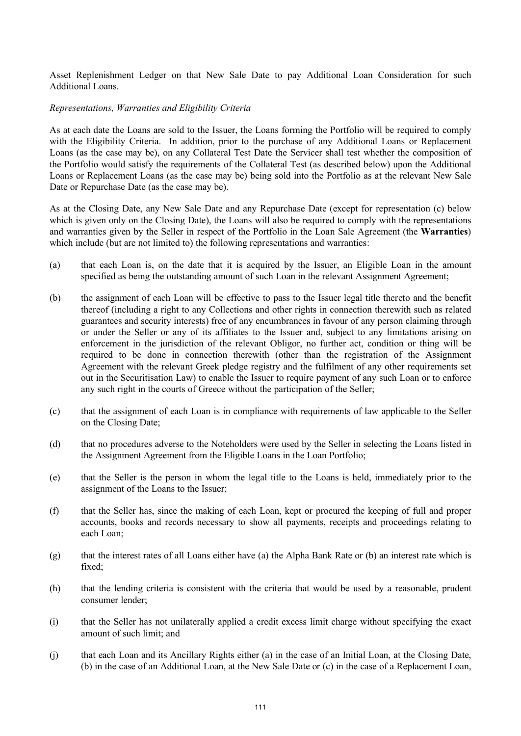Asset Replenishment Ledger on that New Sale Date to pay Additional Loan Consideration for such Additional Loans.

#### *Representations, Warranties and Eligibility Criteria*

As at each date the Loans are sold to the Issuer, the Loans forming the Portfolio will be required to comply with the Eligibility Criteria. In addition, prior to the purchase of any Additional Loans or Replacement Loans (as the case may be), on any Collateral Test Date the Servicer shall test whether the composition of the Portfolio would satisfy the requirements of the Collateral Test (as described below) upon the Additional Loans or Replacement Loans (as the case may be) being sold into the Portfolio as at the relevant New Sale Date or Repurchase Date (as the case may be).

As at the Closing Date, any New Sale Date and any Repurchase Date (except for representation (c) below which is given only on the Closing Date), the Loans will also be required to comply with the representations and warranties given by the Seller in respect of the Portfolio in the Loan Sale Agreement (the **Warranties**) which include (but are not limited to) the following representations and warranties:

- (a) that each Loan is, on the date that it is acquired by the Issuer, an Eligible Loan in the amount specified as being the outstanding amount of such Loan in the relevant Assignment Agreement;
- (b) the assignment of each Loan will be effective to pass to the Issuer legal title thereto and the benefit thereof (including a right to any Collections and other rights in connection therewith such as related guarantees and security interests) free of any encumbrances in favour of any person claiming through or under the Seller or any of its affiliates to the Issuer and, subject to any limitations arising on enforcement in the jurisdiction of the relevant Obligor, no further act, condition or thing will be required to be done in connection therewith (other than the registration of the Assignment Agreement with the relevant Greek pledge registry and the fulfilment of any other requirements set out in the Securitisation Law) to enable the Issuer to require payment of any such Loan or to enforce any such right in the courts of Greece without the participation of the Seller;
- (c) that the assignment of each Loan is in compliance with requirements of law applicable to the Seller on the Closing Date;
- (d) that no procedures adverse to the Noteholders were used by the Seller in selecting the Loans listed in the Assignment Agreement from the Eligible Loans in the Loan Portfolio;
- (e) that the Seller is the person in whom the legal title to the Loans is held, immediately prior to the assignment of the Loans to the Issuer;
- (f) that the Seller has, since the making of each Loan, kept or procured the keeping of full and proper accounts, books and records necessary to show all payments, receipts and proceedings relating to each Loan;
- (g) that the interest rates of all Loans either have (a) the Alpha Bank Rate or (b) an interest rate which is fixed;
- (h) that the lending criteria is consistent with the criteria that would be used by a reasonable, prudent consumer lender;
- (i) that the Seller has not unilaterally applied a credit excess limit charge without specifying the exact amount of such limit; and
- (j) that each Loan and its Ancillary Rights either (a) in the case of an Initial Loan, at the Closing Date, (b) in the case of an Additional Loan, at the New Sale Date or (c) in the case of a Replacement Loan,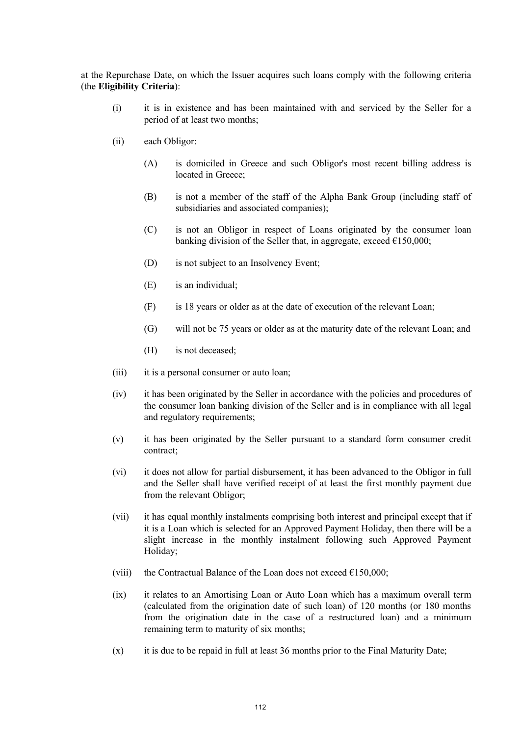at the Repurchase Date, on which the Issuer acquires such loans comply with the following criteria (the **Eligibility Criteria**):

- (i) it is in existence and has been maintained with and serviced by the Seller for a period of at least two months;
- (ii) each Obligor:
	- (A) is domiciled in Greece and such Obligor's most recent billing address is located in Greece;
	- (B) is not a member of the staff of the Alpha Bank Group (including staff of subsidiaries and associated companies);
	- (C) is not an Obligor in respect of Loans originated by the consumer loan banking division of the Seller that, in aggregate, exceed  $\epsilon$ 150,000;
	- (D) is not subject to an Insolvency Event;
	- (E) is an individual;
	- (F) is 18 years or older as at the date of execution of the relevant Loan;
	- (G) will not be 75 years or older as at the maturity date of the relevant Loan; and
	- (H) is not deceased;
- (iii) it is a personal consumer or auto loan;
- (iv) it has been originated by the Seller in accordance with the policies and procedures of the consumer loan banking division of the Seller and is in compliance with all legal and regulatory requirements;
- (v) it has been originated by the Seller pursuant to a standard form consumer credit contract;
- (vi) it does not allow for partial disbursement, it has been advanced to the Obligor in full and the Seller shall have verified receipt of at least the first monthly payment due from the relevant Obligor;
- (vii) it has equal monthly instalments comprising both interest and principal except that if it is a Loan which is selected for an Approved Payment Holiday, then there will be a slight increase in the monthly instalment following such Approved Payment Holiday;
- (viii) the Contractual Balance of the Loan does not exceed  $E150,000$ ;
- (ix) it relates to an Amortising Loan or Auto Loan which has a maximum overall term (calculated from the origination date of such loan) of 120 months (or 180 months from the origination date in the case of a restructured loan) and a minimum remaining term to maturity of six months;
- (x) it is due to be repaid in full at least 36 months prior to the Final Maturity Date;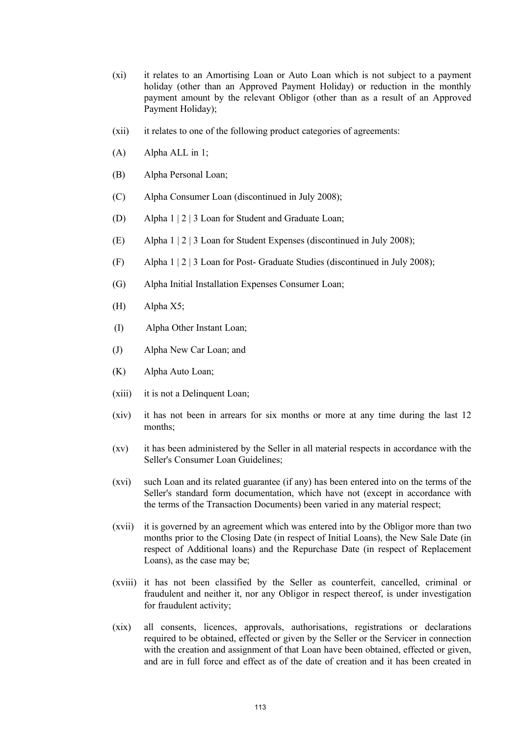- (xi) it relates to an Amortising Loan or Auto Loan which is not subject to a payment holiday (other than an Approved Payment Holiday) or reduction in the monthly payment amount by the relevant Obligor (other than as a result of an Approved Payment Holiday);
- (xii) it relates to one of the following product categories of agreements:
- (A) Alpha ALL in 1;
- (B) Alpha Personal Loan;
- (C) Alpha Consumer Loan (discontinued in July 2008);
- (D) Alpha 1 | 2 | 3 Loan for Student and Graduate Loan;
- (E) Alpha 1 | 2 | 3 Loan for Student Expenses (discontinued in July 2008);
- (F) Alpha  $1 \mid 2 \mid 3$  Loan for Post- Graduate Studies (discontinued in July 2008);
- (G) Alpha Initial Installation Expenses Consumer Loan;
- (H) Alpha X5;
- (I) Alpha Other Instant Loan;
- (J) Alpha New Car Loan; and
- (K) Alpha Auto Loan;
- (xiii) it is not a Delinquent Loan;
- (xiv) it has not been in arrears for six months or more at any time during the last 12 months;
- (xv) it has been administered by the Seller in all material respects in accordance with the Seller's Consumer Loan Guidelines;
- (xvi) such Loan and its related guarantee (if any) has been entered into on the terms of the Seller's standard form documentation, which have not (except in accordance with the terms of the Transaction Documents) been varied in any material respect;
- (xvii) it is governed by an agreement which was entered into by the Obligor more than two months prior to the Closing Date (in respect of Initial Loans), the New Sale Date (in respect of Additional loans) and the Repurchase Date (in respect of Replacement Loans), as the case may be;
- (xviii) it has not been classified by the Seller as counterfeit, cancelled, criminal or fraudulent and neither it, nor any Obligor in respect thereof, is under investigation for fraudulent activity;
- (xix) all consents, licences, approvals, authorisations, registrations or declarations required to be obtained, effected or given by the Seller or the Servicer in connection with the creation and assignment of that Loan have been obtained, effected or given, and are in full force and effect as of the date of creation and it has been created in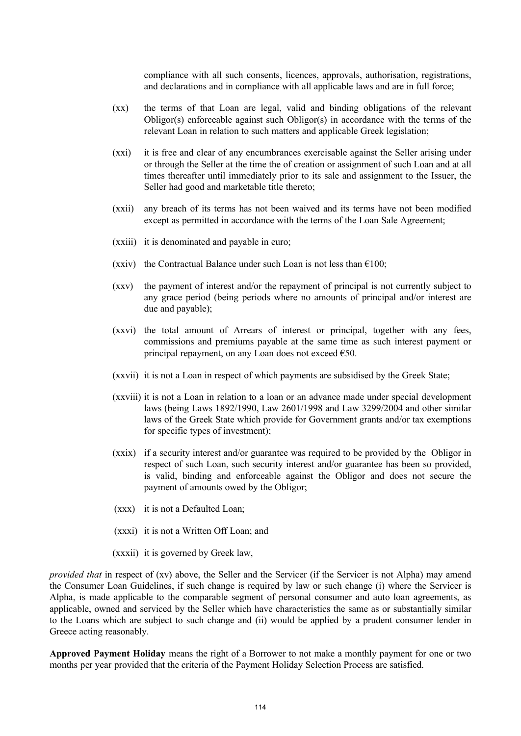compliance with all such consents, licences, approvals, authorisation, registrations, and declarations and in compliance with all applicable laws and are in full force;

- (xx) the terms of that Loan are legal, valid and binding obligations of the relevant Obligor(s) enforceable against such Obligor(s) in accordance with the terms of the relevant Loan in relation to such matters and applicable Greek legislation;
- (xxi) it is free and clear of any encumbrances exercisable against the Seller arising under or through the Seller at the time the of creation or assignment of such Loan and at all times thereafter until immediately prior to its sale and assignment to the Issuer, the Seller had good and marketable title thereto;
- (xxii) any breach of its terms has not been waived and its terms have not been modified except as permitted in accordance with the terms of the Loan Sale Agreement;
- (xxiii) it is denominated and payable in euro;
- (xxiv) the Contractual Balance under such Loan is not less than  $\epsilon$ 100;
- (xxv) the payment of interest and/or the repayment of principal is not currently subject to any grace period (being periods where no amounts of principal and/or interest are due and payable);
- (xxvi) the total amount of Arrears of interest or principal, together with any fees, commissions and premiums payable at the same time as such interest payment or principal repayment, on any Loan does not exceed  $\epsilon$ 50.
- (xxvii) it is not a Loan in respect of which payments are subsidised by the Greek State;
- (xxviii) it is not a Loan in relation to a loan or an advance made under special development laws (being Laws 1892/1990, Law 2601/1998 and Law 3299/2004 and other similar laws of the Greek State which provide for Government grants and/or tax exemptions for specific types of investment);
- (xxix) if a security interest and/or guarantee was required to be provided by the Obligor in respect of such Loan, such security interest and/or guarantee has been so provided, is valid, binding and enforceable against the Obligor and does not secure the payment of amounts owed by the Obligor;
- (xxx) it is not a Defaulted Loan;
- (xxxi) it is not a Written Off Loan; and
- (xxxii) it is governed by Greek law,

*provided that* in respect of (xv) above, the Seller and the Servicer (if the Servicer is not Alpha) may amend the Consumer Loan Guidelines, if such change is required by law or such change (i) where the Servicer is Alpha, is made applicable to the comparable segment of personal consumer and auto loan agreements, as applicable, owned and serviced by the Seller which have characteristics the same as or substantially similar to the Loans which are subject to such change and (ii) would be applied by a prudent consumer lender in Greece acting reasonably.

**Approved Payment Holiday** means the right of a Borrower to not make a monthly payment for one or two months per year provided that the criteria of the Payment Holiday Selection Process are satisfied.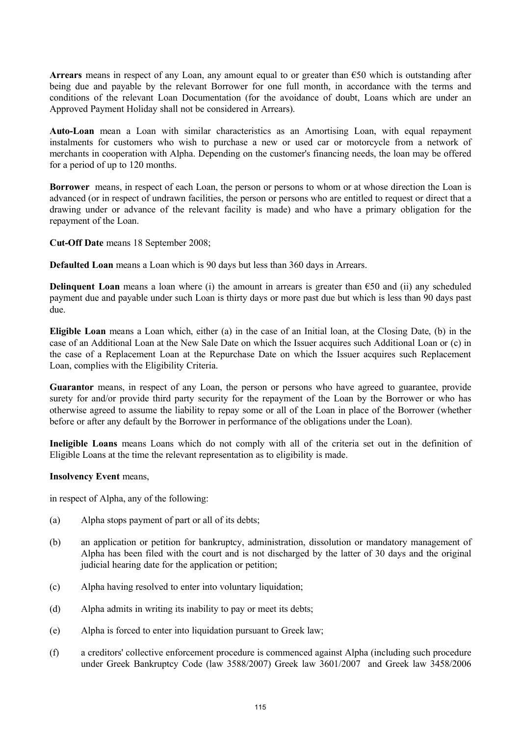**Arrears** means in respect of any Loan, any amount equal to or greater than €50 which is outstanding after being due and payable by the relevant Borrower for one full month, in accordance with the terms and conditions of the relevant Loan Documentation (for the avoidance of doubt, Loans which are under an Approved Payment Holiday shall not be considered in Arrears).

**Auto-Loan** mean a Loan with similar characteristics as an Amortising Loan, with equal repayment instalments for customers who wish to purchase a new or used car or motorcycle from a network of merchants in cooperation with Alpha. Depending on the customer's financing needs, the loan may be offered for a period of up to 120 months.

**Borrower** means, in respect of each Loan, the person or persons to whom or at whose direction the Loan is advanced (or in respect of undrawn facilities, the person or persons who are entitled to request or direct that a drawing under or advance of the relevant facility is made) and who have a primary obligation for the repayment of the Loan.

**Cut-Off Date** means 18 September 2008;

**Defaulted Loan** means a Loan which is 90 days but less than 360 days in Arrears.

**Delinquent Loan** means a loan where (i) the amount in arrears is greater than €50 and (ii) any scheduled payment due and payable under such Loan is thirty days or more past due but which is less than 90 days past due.

**Eligible Loan** means a Loan which, either (a) in the case of an Initial loan, at the Closing Date, (b) in the case of an Additional Loan at the New Sale Date on which the Issuer acquires such Additional Loan or (c) in the case of a Replacement Loan at the Repurchase Date on which the Issuer acquires such Replacement Loan, complies with the Eligibility Criteria.

**Guarantor** means, in respect of any Loan, the person or persons who have agreed to guarantee, provide surety for and/or provide third party security for the repayment of the Loan by the Borrower or who has otherwise agreed to assume the liability to repay some or all of the Loan in place of the Borrower (whether before or after any default by the Borrower in performance of the obligations under the Loan).

**Ineligible Loans** means Loans which do not comply with all of the criteria set out in the definition of Eligible Loans at the time the relevant representation as to eligibility is made.

### **Insolvency Event** means,

in respect of Alpha, any of the following:

- (a) Alpha stops payment of part or all of its debts;
- (b) an application or petition for bankruptcy, administration, dissolution or mandatory management of Alpha has been filed with the court and is not discharged by the latter of 30 days and the original judicial hearing date for the application or petition;
- (c) Alpha having resolved to enter into voluntary liquidation;
- (d) Alpha admits in writing its inability to pay or meet its debts;
- (e) Alpha is forced to enter into liquidation pursuant to Greek law;
- (f) a creditors' collective enforcement procedure is commenced against Alpha (including such procedure under Greek Bankruptcy Code (law 3588/2007) Greek law 3601/2007 and Greek law 3458/2006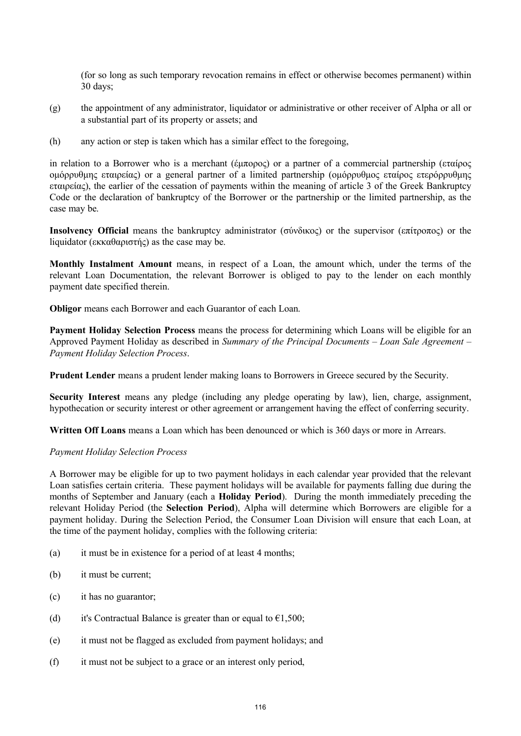(for so long as such temporary revocation remains in effect or otherwise becomes permanent) within 30 days;

- (g) the appointment of any administrator, liquidator or administrative or other receiver of Alpha or all or a substantial part of its property or assets; and
- (h) any action or step is taken which has a similar effect to the foregoing,

in relation to a Borrower who is a merchant (έμπορος) or a partner of a commercial partnership (εταίρος ομόρρυθμης εταιρείας) or a general partner of a limited partnership (ομόρρυθμος εταίρος ετερόρρυθμης εταιρείας), the earlier of the cessation of payments within the meaning of article 3 of the Greek Bankruptcy Code or the declaration of bankruptcy of the Borrower or the partnership or the limited partnership, as the case may be.

**Insolvency Official** means the bankruptcy administrator (σύνδικος) or the supervisor (επίτροπος) or the liquidator (εκκαθαριστής) as the case may be.

**Monthly Instalment Amount** means, in respect of a Loan, the amount which, under the terms of the relevant Loan Documentation, the relevant Borrower is obliged to pay to the lender on each monthly payment date specified therein.

**Obligor** means each Borrower and each Guarantor of each Loan.

**Payment Holiday Selection Process** means the process for determining which Loans will be eligible for an Approved Payment Holiday as described in *Summary of the Principal Documents – Loan Sale Agreement – Payment Holiday Selection Process*.

**Prudent Lender** means a prudent lender making loans to Borrowers in Greece secured by the Security.

**Security Interest** means any pledge (including any pledge operating by law), lien, charge, assignment, hypothecation or security interest or other agreement or arrangement having the effect of conferring security.

**Written Off Loans** means a Loan which has been denounced or which is 360 days or more in Arrears.

#### *Payment Holiday Selection Process*

A Borrower may be eligible for up to two payment holidays in each calendar year provided that the relevant Loan satisfies certain criteria. These payment holidays will be available for payments falling due during the months of September and January (each a **Holiday Period**). During the month immediately preceding the relevant Holiday Period (the **Selection Period**), Alpha will determine which Borrowers are eligible for a payment holiday. During the Selection Period, the Consumer Loan Division will ensure that each Loan, at the time of the payment holiday, complies with the following criteria:

- (a) it must be in existence for a period of at least 4 months;
- (b) it must be current;
- (c) it has no guarantor;
- (d) it's Contractual Balance is greater than or equal to  $\epsilon 1,500$ ;
- (e) it must not be flagged as excluded from payment holidays; and
- (f) it must not be subject to a grace or an interest only period,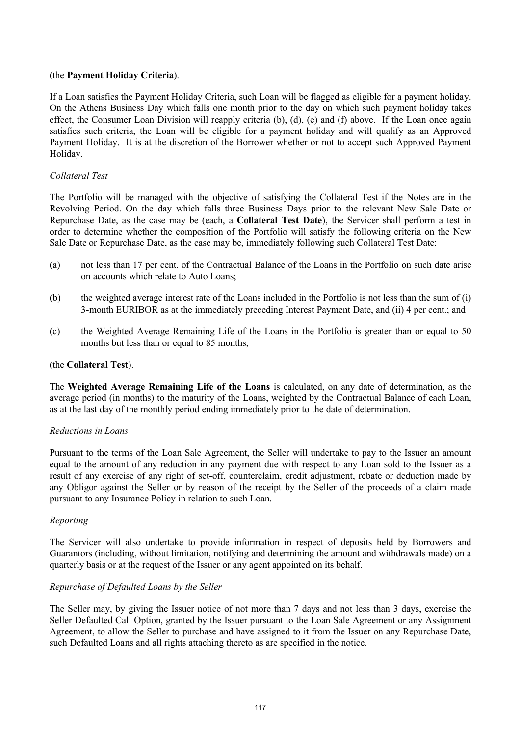# (the **Payment Holiday Criteria**).

If a Loan satisfies the Payment Holiday Criteria, such Loan will be flagged as eligible for a payment holiday. On the Athens Business Day which falls one month prior to the day on which such payment holiday takes effect, the Consumer Loan Division will reapply criteria (b), (d), (e) and (f) above. If the Loan once again satisfies such criteria, the Loan will be eligible for a payment holiday and will qualify as an Approved Payment Holiday. It is at the discretion of the Borrower whether or not to accept such Approved Payment Holiday.

# *Collateral Test*

The Portfolio will be managed with the objective of satisfying the Collateral Test if the Notes are in the Revolving Period. On the day which falls three Business Days prior to the relevant New Sale Date or Repurchase Date, as the case may be (each, a **Collateral Test Date**), the Servicer shall perform a test in order to determine whether the composition of the Portfolio will satisfy the following criteria on the New Sale Date or Repurchase Date, as the case may be, immediately following such Collateral Test Date:

- (a) not less than 17 per cent. of the Contractual Balance of the Loans in the Portfolio on such date arise on accounts which relate to Auto Loans;
- (b) the weighted average interest rate of the Loans included in the Portfolio is not less than the sum of (i) 3-month EURIBOR as at the immediately preceding Interest Payment Date, and (ii) 4 per cent.; and
- (c) the Weighted Average Remaining Life of the Loans in the Portfolio is greater than or equal to 50 months but less than or equal to 85 months,

# (the **Collateral Test**).

The **Weighted Average Remaining Life of the Loans** is calculated, on any date of determination, as the average period (in months) to the maturity of the Loans, weighted by the Contractual Balance of each Loan, as at the last day of the monthly period ending immediately prior to the date of determination.

### *Reductions in Loans*

Pursuant to the terms of the Loan Sale Agreement, the Seller will undertake to pay to the Issuer an amount equal to the amount of any reduction in any payment due with respect to any Loan sold to the Issuer as a result of any exercise of any right of set-off, counterclaim, credit adjustment, rebate or deduction made by any Obligor against the Seller or by reason of the receipt by the Seller of the proceeds of a claim made pursuant to any Insurance Policy in relation to such Loan.

### *Reporting*

The Servicer will also undertake to provide information in respect of deposits held by Borrowers and Guarantors (including, without limitation, notifying and determining the amount and withdrawals made) on a quarterly basis or at the request of the Issuer or any agent appointed on its behalf.

### *Repurchase of Defaulted Loans by the Seller*

The Seller may, by giving the Issuer notice of not more than 7 days and not less than 3 days, exercise the Seller Defaulted Call Option, granted by the Issuer pursuant to the Loan Sale Agreement or any Assignment Agreement, to allow the Seller to purchase and have assigned to it from the Issuer on any Repurchase Date, such Defaulted Loans and all rights attaching thereto as are specified in the notice.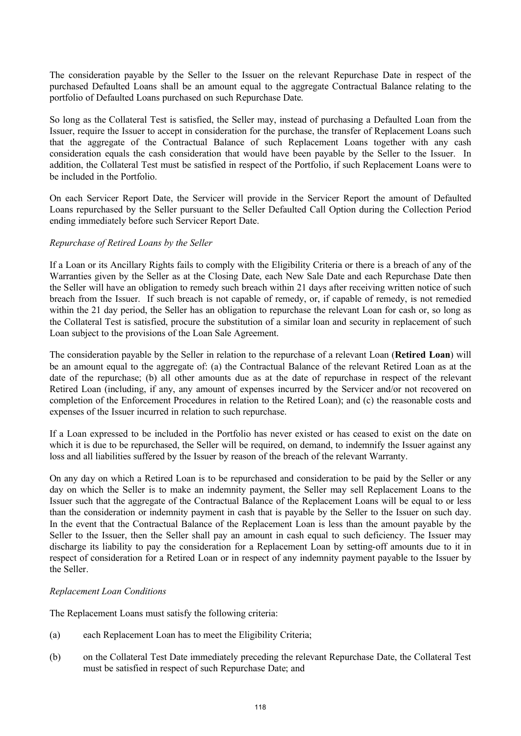The consideration payable by the Seller to the Issuer on the relevant Repurchase Date in respect of the purchased Defaulted Loans shall be an amount equal to the aggregate Contractual Balance relating to the portfolio of Defaulted Loans purchased on such Repurchase Date.

So long as the Collateral Test is satisfied, the Seller may, instead of purchasing a Defaulted Loan from the Issuer, require the Issuer to accept in consideration for the purchase, the transfer of Replacement Loans such that the aggregate of the Contractual Balance of such Replacement Loans together with any cash consideration equals the cash consideration that would have been payable by the Seller to the Issuer. In addition, the Collateral Test must be satisfied in respect of the Portfolio, if such Replacement Loans were to be included in the Portfolio.

On each Servicer Report Date, the Servicer will provide in the Servicer Report the amount of Defaulted Loans repurchased by the Seller pursuant to the Seller Defaulted Call Option during the Collection Period ending immediately before such Servicer Report Date.

# *Repurchase of Retired Loans by the Seller*

If a Loan or its Ancillary Rights fails to comply with the Eligibility Criteria or there is a breach of any of the Warranties given by the Seller as at the Closing Date, each New Sale Date and each Repurchase Date then the Seller will have an obligation to remedy such breach within 21 days after receiving written notice of such breach from the Issuer. If such breach is not capable of remedy, or, if capable of remedy, is not remedied within the 21 day period, the Seller has an obligation to repurchase the relevant Loan for cash or, so long as the Collateral Test is satisfied, procure the substitution of a similar loan and security in replacement of such Loan subject to the provisions of the Loan Sale Agreement.

The consideration payable by the Seller in relation to the repurchase of a relevant Loan (**Retired Loan**) will be an amount equal to the aggregate of: (a) the Contractual Balance of the relevant Retired Loan as at the date of the repurchase; (b) all other amounts due as at the date of repurchase in respect of the relevant Retired Loan (including, if any, any amount of expenses incurred by the Servicer and/or not recovered on completion of the Enforcement Procedures in relation to the Retired Loan); and (c) the reasonable costs and expenses of the Issuer incurred in relation to such repurchase.

If a Loan expressed to be included in the Portfolio has never existed or has ceased to exist on the date on which it is due to be repurchased, the Seller will be required, on demand, to indemnify the Issuer against any loss and all liabilities suffered by the Issuer by reason of the breach of the relevant Warranty.

On any day on which a Retired Loan is to be repurchased and consideration to be paid by the Seller or any day on which the Seller is to make an indemnity payment, the Seller may sell Replacement Loans to the Issuer such that the aggregate of the Contractual Balance of the Replacement Loans will be equal to or less than the consideration or indemnity payment in cash that is payable by the Seller to the Issuer on such day. In the event that the Contractual Balance of the Replacement Loan is less than the amount payable by the Seller to the Issuer, then the Seller shall pay an amount in cash equal to such deficiency. The Issuer may discharge its liability to pay the consideration for a Replacement Loan by setting-off amounts due to it in respect of consideration for a Retired Loan or in respect of any indemnity payment payable to the Issuer by the Seller.

### *Replacement Loan Conditions*

The Replacement Loans must satisfy the following criteria:

- (a) each Replacement Loan has to meet the Eligibility Criteria;
- (b) on the Collateral Test Date immediately preceding the relevant Repurchase Date, the Collateral Test must be satisfied in respect of such Repurchase Date; and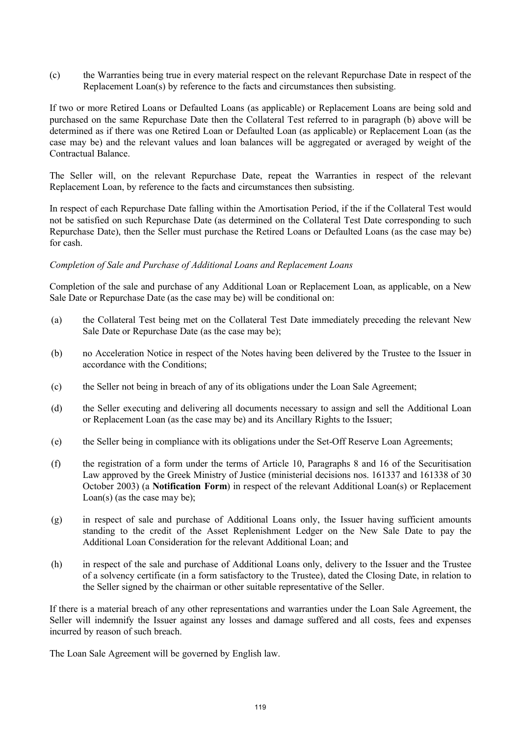(c) the Warranties being true in every material respect on the relevant Repurchase Date in respect of the Replacement Loan(s) by reference to the facts and circumstances then subsisting.

If two or more Retired Loans or Defaulted Loans (as applicable) or Replacement Loans are being sold and purchased on the same Repurchase Date then the Collateral Test referred to in paragraph (b) above will be determined as if there was one Retired Loan or Defaulted Loan (as applicable) or Replacement Loan (as the case may be) and the relevant values and loan balances will be aggregated or averaged by weight of the Contractual Balance.

The Seller will, on the relevant Repurchase Date, repeat the Warranties in respect of the relevant Replacement Loan, by reference to the facts and circumstances then subsisting.

In respect of each Repurchase Date falling within the Amortisation Period, if the if the Collateral Test would not be satisfied on such Repurchase Date (as determined on the Collateral Test Date corresponding to such Repurchase Date), then the Seller must purchase the Retired Loans or Defaulted Loans (as the case may be) for cash.

#### *Completion of Sale and Purchase of Additional Loans and Replacement Loans*

Completion of the sale and purchase of any Additional Loan or Replacement Loan, as applicable, on a New Sale Date or Repurchase Date (as the case may be) will be conditional on:

- (a) the Collateral Test being met on the Collateral Test Date immediately preceding the relevant New Sale Date or Repurchase Date (as the case may be);
- (b) no Acceleration Notice in respect of the Notes having been delivered by the Trustee to the Issuer in accordance with the Conditions;
- (c) the Seller not being in breach of any of its obligations under the Loan Sale Agreement;
- (d) the Seller executing and delivering all documents necessary to assign and sell the Additional Loan or Replacement Loan (as the case may be) and its Ancillary Rights to the Issuer;
- (e) the Seller being in compliance with its obligations under the Set-Off Reserve Loan Agreements;
- (f) the registration of a form under the terms of Article 10, Paragraphs 8 and 16 of the Securitisation Law approved by the Greek Ministry of Justice (ministerial decisions nos. 161337 and 161338 of 30 October 2003) (a **Notification Form**) in respect of the relevant Additional Loan(s) or Replacement Loan(s) (as the case may be);
- (g) in respect of sale and purchase of Additional Loans only, the Issuer having sufficient amounts standing to the credit of the Asset Replenishment Ledger on the New Sale Date to pay the Additional Loan Consideration for the relevant Additional Loan; and
- (h) in respect of the sale and purchase of Additional Loans only, delivery to the Issuer and the Trustee of a solvency certificate (in a form satisfactory to the Trustee), dated the Closing Date, in relation to the Seller signed by the chairman or other suitable representative of the Seller.

If there is a material breach of any other representations and warranties under the Loan Sale Agreement, the Seller will indemnify the Issuer against any losses and damage suffered and all costs, fees and expenses incurred by reason of such breach.

The Loan Sale Agreement will be governed by English law.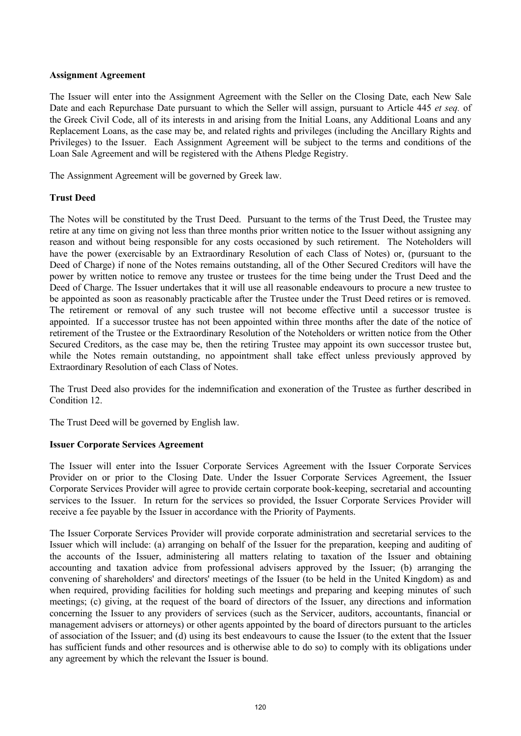## **Assignment Agreement**

The Issuer will enter into the Assignment Agreement with the Seller on the Closing Date, each New Sale Date and each Repurchase Date pursuant to which the Seller will assign, pursuant to Article 445 *et seq.* of the Greek Civil Code, all of its interests in and arising from the Initial Loans, any Additional Loans and any Replacement Loans, as the case may be, and related rights and privileges (including the Ancillary Rights and Privileges) to the Issuer. Each Assignment Agreement will be subject to the terms and conditions of the Loan Sale Agreement and will be registered with the Athens Pledge Registry.

The Assignment Agreement will be governed by Greek law.

# **Trust Deed**

The Notes will be constituted by the Trust Deed. Pursuant to the terms of the Trust Deed, the Trustee may retire at any time on giving not less than three months prior written notice to the Issuer without assigning any reason and without being responsible for any costs occasioned by such retirement. The Noteholders will have the power (exercisable by an Extraordinary Resolution of each Class of Notes) or, (pursuant to the Deed of Charge) if none of the Notes remains outstanding, all of the Other Secured Creditors will have the power by written notice to remove any trustee or trustees for the time being under the Trust Deed and the Deed of Charge. The Issuer undertakes that it will use all reasonable endeavours to procure a new trustee to be appointed as soon as reasonably practicable after the Trustee under the Trust Deed retires or is removed. The retirement or removal of any such trustee will not become effective until a successor trustee is appointed. If a successor trustee has not been appointed within three months after the date of the notice of retirement of the Trustee or the Extraordinary Resolution of the Noteholders or written notice from the Other Secured Creditors, as the case may be, then the retiring Trustee may appoint its own successor trustee but, while the Notes remain outstanding, no appointment shall take effect unless previously approved by Extraordinary Resolution of each Class of Notes.

The Trust Deed also provides for the indemnification and exoneration of the Trustee as further described in Condition 12.

The Trust Deed will be governed by English law.

### **Issuer Corporate Services Agreement**

The Issuer will enter into the Issuer Corporate Services Agreement with the Issuer Corporate Services Provider on or prior to the Closing Date. Under the Issuer Corporate Services Agreement, the Issuer Corporate Services Provider will agree to provide certain corporate book-keeping, secretarial and accounting services to the Issuer. In return for the services so provided, the Issuer Corporate Services Provider will receive a fee payable by the Issuer in accordance with the Priority of Payments.

The Issuer Corporate Services Provider will provide corporate administration and secretarial services to the Issuer which will include: (a) arranging on behalf of the Issuer for the preparation, keeping and auditing of the accounts of the Issuer, administering all matters relating to taxation of the Issuer and obtaining accounting and taxation advice from professional advisers approved by the Issuer; (b) arranging the convening of shareholders' and directors' meetings of the Issuer (to be held in the United Kingdom) as and when required, providing facilities for holding such meetings and preparing and keeping minutes of such meetings; (c) giving, at the request of the board of directors of the Issuer, any directions and information concerning the Issuer to any providers of services (such as the Servicer, auditors, accountants, financial or management advisers or attorneys) or other agents appointed by the board of directors pursuant to the articles of association of the Issuer; and (d) using its best endeavours to cause the Issuer (to the extent that the Issuer has sufficient funds and other resources and is otherwise able to do so) to comply with its obligations under any agreement by which the relevant the Issuer is bound.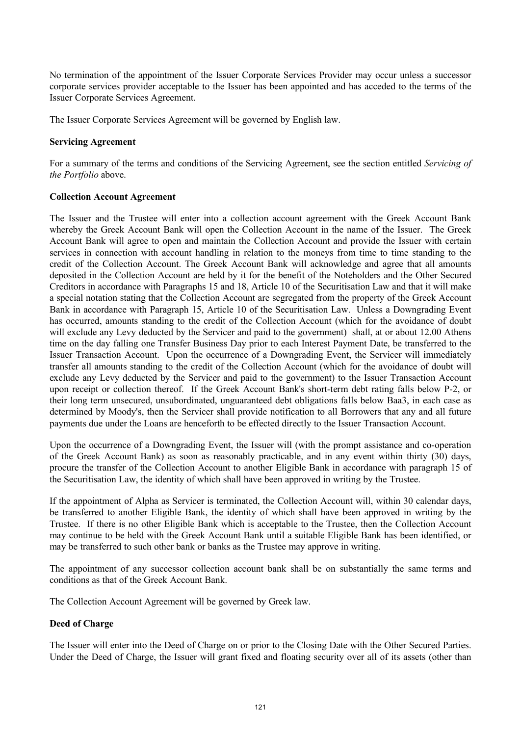No termination of the appointment of the Issuer Corporate Services Provider may occur unless a successor corporate services provider acceptable to the Issuer has been appointed and has acceded to the terms of the Issuer Corporate Services Agreement.

The Issuer Corporate Services Agreement will be governed by English law.

## **Servicing Agreement**

For a summary of the terms and conditions of the Servicing Agreement, see the section entitled *Servicing of the Portfolio* above.

# **Collection Account Agreement**

The Issuer and the Trustee will enter into a collection account agreement with the Greek Account Bank whereby the Greek Account Bank will open the Collection Account in the name of the Issuer. The Greek Account Bank will agree to open and maintain the Collection Account and provide the Issuer with certain services in connection with account handling in relation to the moneys from time to time standing to the credit of the Collection Account. The Greek Account Bank will acknowledge and agree that all amounts deposited in the Collection Account are held by it for the benefit of the Noteholders and the Other Secured Creditors in accordance with Paragraphs 15 and 18, Article 10 of the Securitisation Law and that it will make a special notation stating that the Collection Account are segregated from the property of the Greek Account Bank in accordance with Paragraph 15, Article 10 of the Securitisation Law. Unless a Downgrading Event has occurred, amounts standing to the credit of the Collection Account (which for the avoidance of doubt will exclude any Levy deducted by the Servicer and paid to the government) shall, at or about 12.00 Athens time on the day falling one Transfer Business Day prior to each Interest Payment Date, be transferred to the Issuer Transaction Account. Upon the occurrence of a Downgrading Event, the Servicer will immediately transfer all amounts standing to the credit of the Collection Account (which for the avoidance of doubt will exclude any Levy deducted by the Servicer and paid to the government) to the Issuer Transaction Account upon receipt or collection thereof. If the Greek Account Bank's short-term debt rating falls below P-2, or their long term unsecured, unsubordinated, unguaranteed debt obligations falls below Baa3, in each case as determined by Moody's, then the Servicer shall provide notification to all Borrowers that any and all future payments due under the Loans are henceforth to be effected directly to the Issuer Transaction Account.

Upon the occurrence of a Downgrading Event, the Issuer will (with the prompt assistance and co-operation of the Greek Account Bank) as soon as reasonably practicable, and in any event within thirty (30) days, procure the transfer of the Collection Account to another Eligible Bank in accordance with paragraph 15 of the Securitisation Law, the identity of which shall have been approved in writing by the Trustee.

If the appointment of Alpha as Servicer is terminated, the Collection Account will, within 30 calendar days, be transferred to another Eligible Bank, the identity of which shall have been approved in writing by the Trustee. If there is no other Eligible Bank which is acceptable to the Trustee, then the Collection Account may continue to be held with the Greek Account Bank until a suitable Eligible Bank has been identified, or may be transferred to such other bank or banks as the Trustee may approve in writing.

The appointment of any successor collection account bank shall be on substantially the same terms and conditions as that of the Greek Account Bank.

The Collection Account Agreement will be governed by Greek law.

# **Deed of Charge**

The Issuer will enter into the Deed of Charge on or prior to the Closing Date with the Other Secured Parties. Under the Deed of Charge, the Issuer will grant fixed and floating security over all of its assets (other than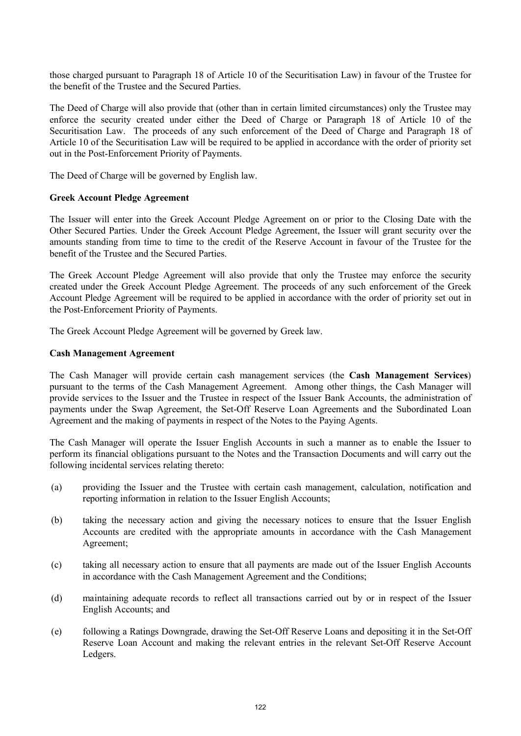those charged pursuant to Paragraph 18 of Article 10 of the Securitisation Law) in favour of the Trustee for the benefit of the Trustee and the Secured Parties.

The Deed of Charge will also provide that (other than in certain limited circumstances) only the Trustee may enforce the security created under either the Deed of Charge or Paragraph 18 of Article 10 of the Securitisation Law. The proceeds of any such enforcement of the Deed of Charge and Paragraph 18 of Article 10 of the Securitisation Law will be required to be applied in accordance with the order of priority set out in the Post-Enforcement Priority of Payments.

The Deed of Charge will be governed by English law.

#### **Greek Account Pledge Agreement**

The Issuer will enter into the Greek Account Pledge Agreement on or prior to the Closing Date with the Other Secured Parties. Under the Greek Account Pledge Agreement, the Issuer will grant security over the amounts standing from time to time to the credit of the Reserve Account in favour of the Trustee for the benefit of the Trustee and the Secured Parties.

The Greek Account Pledge Agreement will also provide that only the Trustee may enforce the security created under the Greek Account Pledge Agreement. The proceeds of any such enforcement of the Greek Account Pledge Agreement will be required to be applied in accordance with the order of priority set out in the Post-Enforcement Priority of Payments.

The Greek Account Pledge Agreement will be governed by Greek law.

#### **Cash Management Agreement**

The Cash Manager will provide certain cash management services (the **Cash Management Services**) pursuant to the terms of the Cash Management Agreement. Among other things, the Cash Manager will provide services to the Issuer and the Trustee in respect of the Issuer Bank Accounts, the administration of payments under the Swap Agreement, the Set-Off Reserve Loan Agreements and the Subordinated Loan Agreement and the making of payments in respect of the Notes to the Paying Agents.

The Cash Manager will operate the Issuer English Accounts in such a manner as to enable the Issuer to perform its financial obligations pursuant to the Notes and the Transaction Documents and will carry out the following incidental services relating thereto:

- (a) providing the Issuer and the Trustee with certain cash management, calculation, notification and reporting information in relation to the Issuer English Accounts;
- (b) taking the necessary action and giving the necessary notices to ensure that the Issuer English Accounts are credited with the appropriate amounts in accordance with the Cash Management Agreement;
- (c) taking all necessary action to ensure that all payments are made out of the Issuer English Accounts in accordance with the Cash Management Agreement and the Conditions;
- (d) maintaining adequate records to reflect all transactions carried out by or in respect of the Issuer English Accounts; and
- (e) following a Ratings Downgrade, drawing the Set-Off Reserve Loans and depositing it in the Set-Off Reserve Loan Account and making the relevant entries in the relevant Set-Off Reserve Account Ledgers.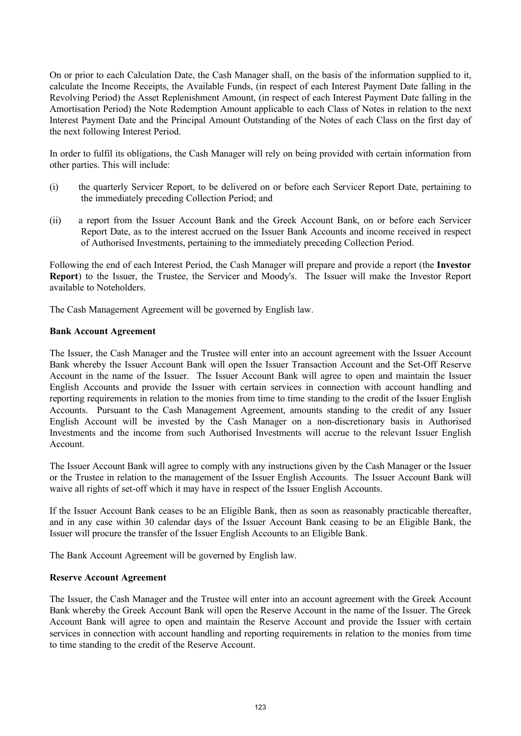On or prior to each Calculation Date, the Cash Manager shall, on the basis of the information supplied to it, calculate the Income Receipts, the Available Funds, (in respect of each Interest Payment Date falling in the Revolving Period) the Asset Replenishment Amount, (in respect of each Interest Payment Date falling in the Amortisation Period) the Note Redemption Amount applicable to each Class of Notes in relation to the next Interest Payment Date and the Principal Amount Outstanding of the Notes of each Class on the first day of the next following Interest Period.

In order to fulfil its obligations, the Cash Manager will rely on being provided with certain information from other parties. This will include:

- (i) the quarterly Servicer Report, to be delivered on or before each Servicer Report Date, pertaining to the immediately preceding Collection Period; and
- (ii) a report from the Issuer Account Bank and the Greek Account Bank, on or before each Servicer Report Date, as to the interest accrued on the Issuer Bank Accounts and income received in respect of Authorised Investments, pertaining to the immediately preceding Collection Period.

Following the end of each Interest Period, the Cash Manager will prepare and provide a report (the **Investor Report**) to the Issuer, the Trustee, the Servicer and Moody's. The Issuer will make the Investor Report available to Noteholders.

The Cash Management Agreement will be governed by English law.

### **Bank Account Agreement**

The Issuer, the Cash Manager and the Trustee will enter into an account agreement with the Issuer Account Bank whereby the Issuer Account Bank will open the Issuer Transaction Account and the Set-Off Reserve Account in the name of the Issuer. The Issuer Account Bank will agree to open and maintain the Issuer English Accounts and provide the Issuer with certain services in connection with account handling and reporting requirements in relation to the monies from time to time standing to the credit of the Issuer English Accounts. Pursuant to the Cash Management Agreement, amounts standing to the credit of any Issuer English Account will be invested by the Cash Manager on a non-discretionary basis in Authorised Investments and the income from such Authorised Investments will accrue to the relevant Issuer English Account.

The Issuer Account Bank will agree to comply with any instructions given by the Cash Manager or the Issuer or the Trustee in relation to the management of the Issuer English Accounts. The Issuer Account Bank will waive all rights of set-off which it may have in respect of the Issuer English Accounts.

If the Issuer Account Bank ceases to be an Eligible Bank, then as soon as reasonably practicable thereafter, and in any case within 30 calendar days of the Issuer Account Bank ceasing to be an Eligible Bank, the Issuer will procure the transfer of the Issuer English Accounts to an Eligible Bank.

The Bank Account Agreement will be governed by English law.

### **Reserve Account Agreement**

The Issuer, the Cash Manager and the Trustee will enter into an account agreement with the Greek Account Bank whereby the Greek Account Bank will open the Reserve Account in the name of the Issuer. The Greek Account Bank will agree to open and maintain the Reserve Account and provide the Issuer with certain services in connection with account handling and reporting requirements in relation to the monies from time to time standing to the credit of the Reserve Account.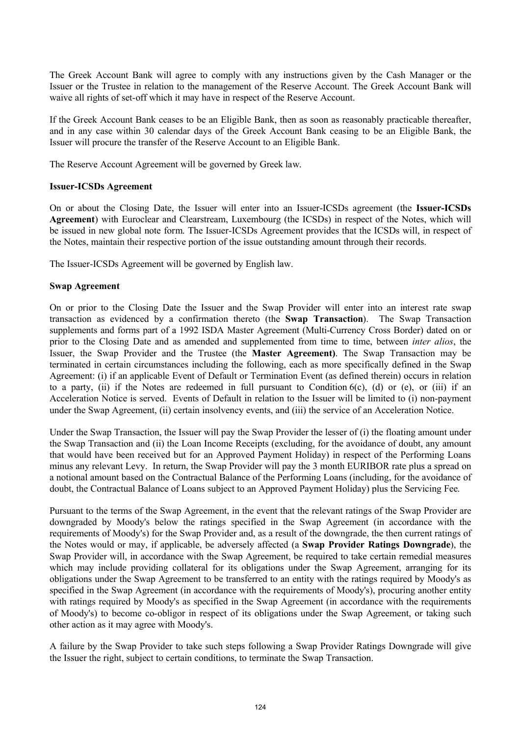The Greek Account Bank will agree to comply with any instructions given by the Cash Manager or the Issuer or the Trustee in relation to the management of the Reserve Account. The Greek Account Bank will waive all rights of set-off which it may have in respect of the Reserve Account.

If the Greek Account Bank ceases to be an Eligible Bank, then as soon as reasonably practicable thereafter, and in any case within 30 calendar days of the Greek Account Bank ceasing to be an Eligible Bank, the Issuer will procure the transfer of the Reserve Account to an Eligible Bank.

The Reserve Account Agreement will be governed by Greek law.

# **Issuer-ICSDs Agreement**

On or about the Closing Date, the Issuer will enter into an Issuer-ICSDs agreement (the **Issuer-ICSDs Agreement**) with Euroclear and Clearstream, Luxembourg (the ICSDs) in respect of the Notes, which will be issued in new global note form. The Issuer-ICSDs Agreement provides that the ICSDs will, in respect of the Notes, maintain their respective portion of the issue outstanding amount through their records.

The Issuer-ICSDs Agreement will be governed by English law.

# **Swap Agreement**

On or prior to the Closing Date the Issuer and the Swap Provider will enter into an interest rate swap transaction as evidenced by a confirmation thereto (the **Swap Transaction**). The Swap Transaction supplements and forms part of a 1992 ISDA Master Agreement (Multi-Currency Cross Border) dated on or prior to the Closing Date and as amended and supplemented from time to time, between *inter alios*, the Issuer, the Swap Provider and the Trustee (the **Master Agreement)**. The Swap Transaction may be terminated in certain circumstances including the following, each as more specifically defined in the Swap Agreement: (i) if an applicable Event of Default or Termination Event (as defined therein) occurs in relation to a party, (ii) if the Notes are redeemed in full pursuant to Condition 6(c), (d) or (e), or (iii) if an Acceleration Notice is served. Events of Default in relation to the Issuer will be limited to (i) non-payment under the Swap Agreement, (ii) certain insolvency events, and (iii) the service of an Acceleration Notice.

Under the Swap Transaction, the Issuer will pay the Swap Provider the lesser of (i) the floating amount under the Swap Transaction and (ii) the Loan Income Receipts (excluding, for the avoidance of doubt, any amount that would have been received but for an Approved Payment Holiday) in respect of the Performing Loans minus any relevant Levy. In return, the Swap Provider will pay the 3 month EURIBOR rate plus a spread on a notional amount based on the Contractual Balance of the Performing Loans (including, for the avoidance of doubt, the Contractual Balance of Loans subject to an Approved Payment Holiday) plus the Servicing Fee.

Pursuant to the terms of the Swap Agreement, in the event that the relevant ratings of the Swap Provider are downgraded by Moody's below the ratings specified in the Swap Agreement (in accordance with the requirements of Moody's) for the Swap Provider and, as a result of the downgrade, the then current ratings of the Notes would or may, if applicable, be adversely affected (a **Swap Provider Ratings Downgrade**), the Swap Provider will, in accordance with the Swap Agreement, be required to take certain remedial measures which may include providing collateral for its obligations under the Swap Agreement, arranging for its obligations under the Swap Agreement to be transferred to an entity with the ratings required by Moody's as specified in the Swap Agreement (in accordance with the requirements of Moody's), procuring another entity with ratings required by Moody's as specified in the Swap Agreement (in accordance with the requirements of Moody's) to become co-obligor in respect of its obligations under the Swap Agreement, or taking such other action as it may agree with Moody's.

A failure by the Swap Provider to take such steps following a Swap Provider Ratings Downgrade will give the Issuer the right, subject to certain conditions, to terminate the Swap Transaction.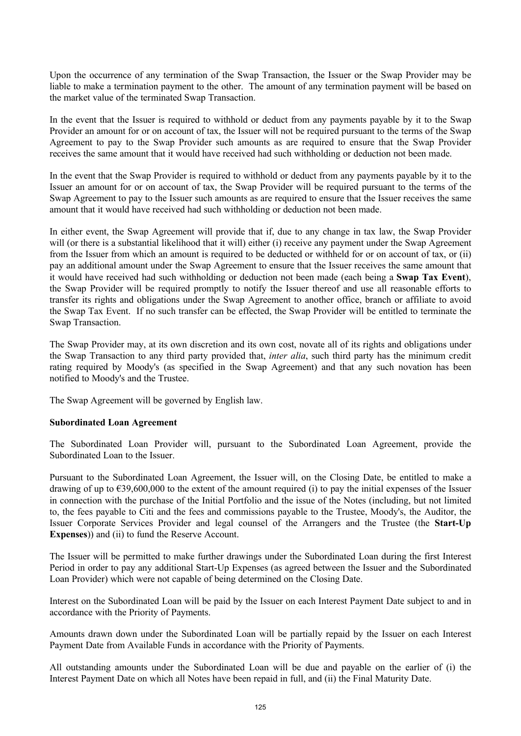Upon the occurrence of any termination of the Swap Transaction, the Issuer or the Swap Provider may be liable to make a termination payment to the other. The amount of any termination payment will be based on the market value of the terminated Swap Transaction.

In the event that the Issuer is required to withhold or deduct from any payments payable by it to the Swap Provider an amount for or on account of tax, the Issuer will not be required pursuant to the terms of the Swap Agreement to pay to the Swap Provider such amounts as are required to ensure that the Swap Provider receives the same amount that it would have received had such withholding or deduction not been made.

In the event that the Swap Provider is required to withhold or deduct from any payments payable by it to the Issuer an amount for or on account of tax, the Swap Provider will be required pursuant to the terms of the Swap Agreement to pay to the Issuer such amounts as are required to ensure that the Issuer receives the same amount that it would have received had such withholding or deduction not been made.

In either event, the Swap Agreement will provide that if, due to any change in tax law, the Swap Provider will (or there is a substantial likelihood that it will) either (i) receive any payment under the Swap Agreement from the Issuer from which an amount is required to be deducted or withheld for or on account of tax, or (ii) pay an additional amount under the Swap Agreement to ensure that the Issuer receives the same amount that it would have received had such withholding or deduction not been made (each being a **Swap Tax Event**), the Swap Provider will be required promptly to notify the Issuer thereof and use all reasonable efforts to transfer its rights and obligations under the Swap Agreement to another office, branch or affiliate to avoid the Swap Tax Event. If no such transfer can be effected, the Swap Provider will be entitled to terminate the Swap Transaction.

The Swap Provider may, at its own discretion and its own cost, novate all of its rights and obligations under the Swap Transaction to any third party provided that, *inter alia*, such third party has the minimum credit rating required by Moody's (as specified in the Swap Agreement) and that any such novation has been notified to Moody's and the Trustee.

The Swap Agreement will be governed by English law.

### **Subordinated Loan Agreement**

The Subordinated Loan Provider will, pursuant to the Subordinated Loan Agreement, provide the Subordinated Loan to the Issuer.

Pursuant to the Subordinated Loan Agreement, the Issuer will, on the Closing Date, be entitled to make a drawing of up to  $\epsilon$ 39,600,000 to the extent of the amount required (i) to pay the initial expenses of the Issuer in connection with the purchase of the Initial Portfolio and the issue of the Notes (including, but not limited to, the fees payable to Citi and the fees and commissions payable to the Trustee, Moody's, the Auditor, the Issuer Corporate Services Provider and legal counsel of the Arrangers and the Trustee (the **Start-Up Expenses**)) and (ii) to fund the Reserve Account.

The Issuer will be permitted to make further drawings under the Subordinated Loan during the first Interest Period in order to pay any additional Start-Up Expenses (as agreed between the Issuer and the Subordinated Loan Provider) which were not capable of being determined on the Closing Date.

Interest on the Subordinated Loan will be paid by the Issuer on each Interest Payment Date subject to and in accordance with the Priority of Payments.

Amounts drawn down under the Subordinated Loan will be partially repaid by the Issuer on each Interest Payment Date from Available Funds in accordance with the Priority of Payments.

All outstanding amounts under the Subordinated Loan will be due and payable on the earlier of (i) the Interest Payment Date on which all Notes have been repaid in full, and (ii) the Final Maturity Date.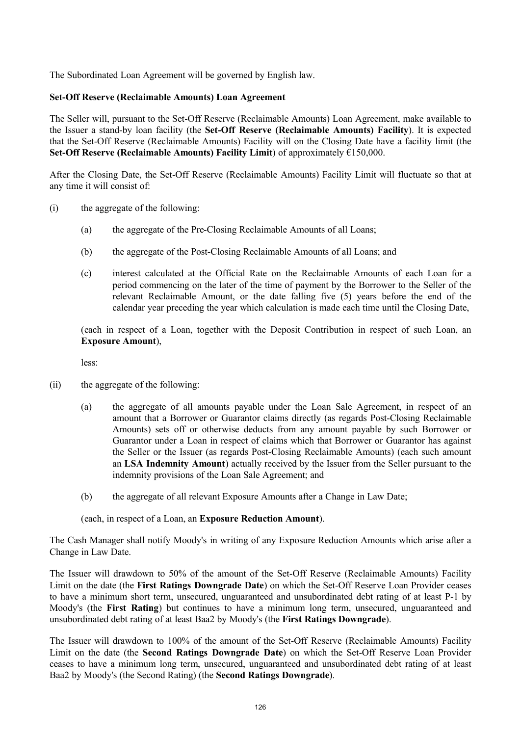The Subordinated Loan Agreement will be governed by English law.

### **Set-Off Reserve (Reclaimable Amounts) Loan Agreement**

The Seller will, pursuant to the Set-Off Reserve (Reclaimable Amounts) Loan Agreement, make available to the Issuer a stand-by loan facility (the **Set-Off Reserve (Reclaimable Amounts) Facility**). It is expected that the Set-Off Reserve (Reclaimable Amounts) Facility will on the Closing Date have a facility limit (the **Set-Off Reserve (Reclaimable Amounts) Facility Limit**) of approximately €150,000.

After the Closing Date, the Set-Off Reserve (Reclaimable Amounts) Facility Limit will fluctuate so that at any time it will consist of:

- (i) the aggregate of the following:
	- (a) the aggregate of the Pre-Closing Reclaimable Amounts of all Loans;
	- (b) the aggregate of the Post-Closing Reclaimable Amounts of all Loans; and
	- (c) interest calculated at the Official Rate on the Reclaimable Amounts of each Loan for a period commencing on the later of the time of payment by the Borrower to the Seller of the relevant Reclaimable Amount, or the date falling five (5) years before the end of the calendar year preceding the year which calculation is made each time until the Closing Date,

(each in respect of a Loan, together with the Deposit Contribution in respect of such Loan, an **Exposure Amount**),

less:

- (ii) the aggregate of the following:
	- (a) the aggregate of all amounts payable under the Loan Sale Agreement, in respect of an amount that a Borrower or Guarantor claims directly (as regards Post-Closing Reclaimable Amounts) sets off or otherwise deducts from any amount payable by such Borrower or Guarantor under a Loan in respect of claims which that Borrower or Guarantor has against the Seller or the Issuer (as regards Post-Closing Reclaimable Amounts) (each such amount an **LSA Indemnity Amount**) actually received by the Issuer from the Seller pursuant to the indemnity provisions of the Loan Sale Agreement; and
	- (b) the aggregate of all relevant Exposure Amounts after a Change in Law Date;

(each, in respect of a Loan, an **Exposure Reduction Amount**).

The Cash Manager shall notify Moody's in writing of any Exposure Reduction Amounts which arise after a Change in Law Date.

The Issuer will drawdown to 50% of the amount of the Set-Off Reserve (Reclaimable Amounts) Facility Limit on the date (the **First Ratings Downgrade Date**) on which the Set-Off Reserve Loan Provider ceases to have a minimum short term, unsecured, unguaranteed and unsubordinated debt rating of at least P-1 by Moody's (the **First Rating**) but continues to have a minimum long term, unsecured, unguaranteed and unsubordinated debt rating of at least Baa2 by Moody's (the **First Ratings Downgrade**).

The Issuer will drawdown to 100% of the amount of the Set-Off Reserve (Reclaimable Amounts) Facility Limit on the date (the **Second Ratings Downgrade Date**) on which the Set-Off Reserve Loan Provider ceases to have a minimum long term, unsecured, unguaranteed and unsubordinated debt rating of at least Baa2 by Moody's (the Second Rating) (the **Second Ratings Downgrade**).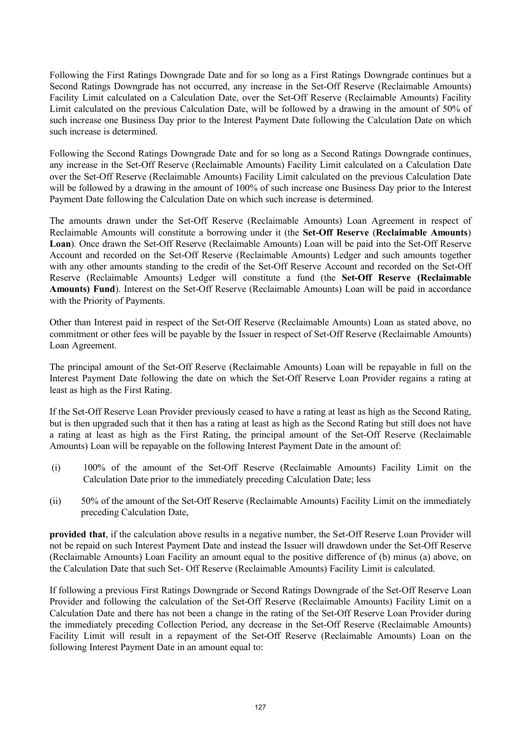Following the First Ratings Downgrade Date and for so long as a First Ratings Downgrade continues but a Second Ratings Downgrade has not occurred, any increase in the Set-Off Reserve (Reclaimable Amounts) Facility Limit calculated on a Calculation Date, over the Set-Off Reserve (Reclaimable Amounts) Facility Limit calculated on the previous Calculation Date, will be followed by a drawing in the amount of 50% of such increase one Business Day prior to the Interest Payment Date following the Calculation Date on which such increase is determined.

Following the Second Ratings Downgrade Date and for so long as a Second Ratings Downgrade continues, any increase in the Set-Off Reserve (Reclaimable Amounts) Facility Limit calculated on a Calculation Date over the Set-Off Reserve (Reclaimable Amounts) Facility Limit calculated on the previous Calculation Date will be followed by a drawing in the amount of 100% of such increase one Business Day prior to the Interest Payment Date following the Calculation Date on which such increase is determined.

The amounts drawn under the Set-Off Reserve (Reclaimable Amounts) Loan Agreement in respect of Reclaimable Amounts will constitute a borrowing under it (the **Set-Off Reserve** (**Reclaimable Amounts**) **Loan**). Once drawn the Set-Off Reserve (Reclaimable Amounts) Loan will be paid into the Set-Off Reserve Account and recorded on the Set-Off Reserve (Reclaimable Amounts) Ledger and such amounts together with any other amounts standing to the credit of the Set-Off Reserve Account and recorded on the Set-Off Reserve (Reclaimable Amounts) Ledger will constitute a fund (the **Set-Off Reserve (Reclaimable Amounts) Fund**). Interest on the Set-Off Reserve (Reclaimable Amounts) Loan will be paid in accordance with the Priority of Payments.

Other than Interest paid in respect of the Set-Off Reserve (Reclaimable Amounts) Loan as stated above, no commitment or other fees will be payable by the Issuer in respect of Set-Off Reserve (Reclaimable Amounts) Loan Agreement.

The principal amount of the Set-Off Reserve (Reclaimable Amounts) Loan will be repayable in full on the Interest Payment Date following the date on which the Set-Off Reserve Loan Provider regains a rating at least as high as the First Rating.

If the Set-Off Reserve Loan Provider previously ceased to have a rating at least as high as the Second Rating, but is then upgraded such that it then has a rating at least as high as the Second Rating but still does not have a rating at least as high as the First Rating, the principal amount of the Set-Off Reserve (Reclaimable Amounts) Loan will be repayable on the following Interest Payment Date in the amount of:

- (i) 100% of the amount of the Set-Off Reserve (Reclaimable Amounts) Facility Limit on the Calculation Date prior to the immediately preceding Calculation Date; less
- (ii) 50% of the amount of the Set-Off Reserve (Reclaimable Amounts) Facility Limit on the immediately preceding Calculation Date,

**provided that**, if the calculation above results in a negative number, the Set-Off Reserve Loan Provider will not be repaid on such Interest Payment Date and instead the Issuer will drawdown under the Set-Off Reserve (Reclaimable Amounts) Loan Facility an amount equal to the positive difference of (b) minus (a) above, on the Calculation Date that such Set- Off Reserve (Reclaimable Amounts) Facility Limit is calculated.

If following a previous First Ratings Downgrade or Second Ratings Downgrade of the Set-Off Reserve Loan Provider and following the calculation of the Set-Off Reserve (Reclaimable Amounts) Facility Limit on a Calculation Date and there has not been a change in the rating of the Set-Off Reserve Loan Provider during the immediately preceding Collection Period, any decrease in the Set-Off Reserve (Reclaimable Amounts) Facility Limit will result in a repayment of the Set-Off Reserve (Reclaimable Amounts) Loan on the following Interest Payment Date in an amount equal to: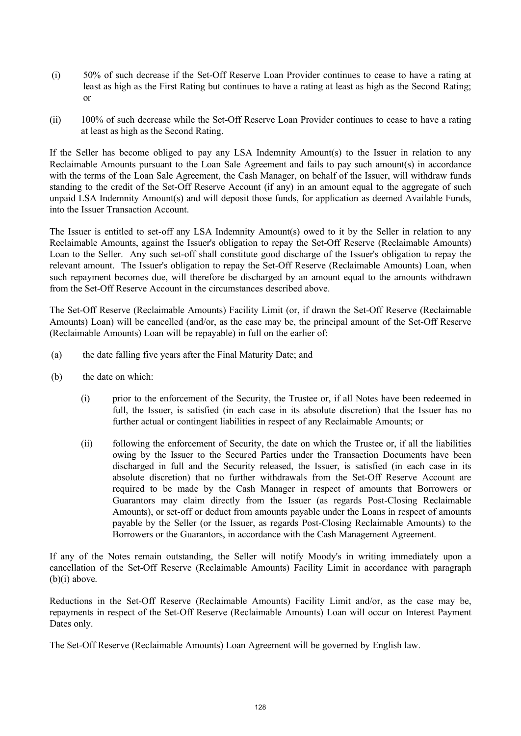- (i) 50% of such decrease if the Set-Off Reserve Loan Provider continues to cease to have a rating at least as high as the First Rating but continues to have a rating at least as high as the Second Rating; or
- (ii) 100% of such decrease while the Set-Off Reserve Loan Provider continues to cease to have a rating at least as high as the Second Rating.

If the Seller has become obliged to pay any LSA Indemnity Amount(s) to the Issuer in relation to any Reclaimable Amounts pursuant to the Loan Sale Agreement and fails to pay such amount(s) in accordance with the terms of the Loan Sale Agreement, the Cash Manager, on behalf of the Issuer, will withdraw funds standing to the credit of the Set-Off Reserve Account (if any) in an amount equal to the aggregate of such unpaid LSA Indemnity Amount(s) and will deposit those funds, for application as deemed Available Funds, into the Issuer Transaction Account.

The Issuer is entitled to set-off any LSA Indemnity Amount(s) owed to it by the Seller in relation to any Reclaimable Amounts, against the Issuer's obligation to repay the Set-Off Reserve (Reclaimable Amounts) Loan to the Seller. Any such set-off shall constitute good discharge of the Issuer's obligation to repay the relevant amount. The Issuer's obligation to repay the Set-Off Reserve (Reclaimable Amounts) Loan, when such repayment becomes due, will therefore be discharged by an amount equal to the amounts withdrawn from the Set-Off Reserve Account in the circumstances described above.

The Set-Off Reserve (Reclaimable Amounts) Facility Limit (or, if drawn the Set-Off Reserve (Reclaimable Amounts) Loan) will be cancelled (and/or, as the case may be, the principal amount of the Set-Off Reserve (Reclaimable Amounts) Loan will be repayable) in full on the earlier of:

- (a) the date falling five years after the Final Maturity Date; and
- (b) the date on which:
	- (i) prior to the enforcement of the Security, the Trustee or, if all Notes have been redeemed in full, the Issuer, is satisfied (in each case in its absolute discretion) that the Issuer has no further actual or contingent liabilities in respect of any Reclaimable Amounts; or
	- (ii) following the enforcement of Security, the date on which the Trustee or, if all the liabilities owing by the Issuer to the Secured Parties under the Transaction Documents have been discharged in full and the Security released, the Issuer, is satisfied (in each case in its absolute discretion) that no further withdrawals from the Set-Off Reserve Account are required to be made by the Cash Manager in respect of amounts that Borrowers or Guarantors may claim directly from the Issuer (as regards Post-Closing Reclaimable Amounts), or set-off or deduct from amounts payable under the Loans in respect of amounts payable by the Seller (or the Issuer, as regards Post-Closing Reclaimable Amounts) to the Borrowers or the Guarantors, in accordance with the Cash Management Agreement.

If any of the Notes remain outstanding, the Seller will notify Moody's in writing immediately upon a cancellation of the Set-Off Reserve (Reclaimable Amounts) Facility Limit in accordance with paragraph  $(b)(i)$  above.

Reductions in the Set-Off Reserve (Reclaimable Amounts) Facility Limit and/or, as the case may be, repayments in respect of the Set-Off Reserve (Reclaimable Amounts) Loan will occur on Interest Payment Dates only.

The Set-Off Reserve (Reclaimable Amounts) Loan Agreement will be governed by English law.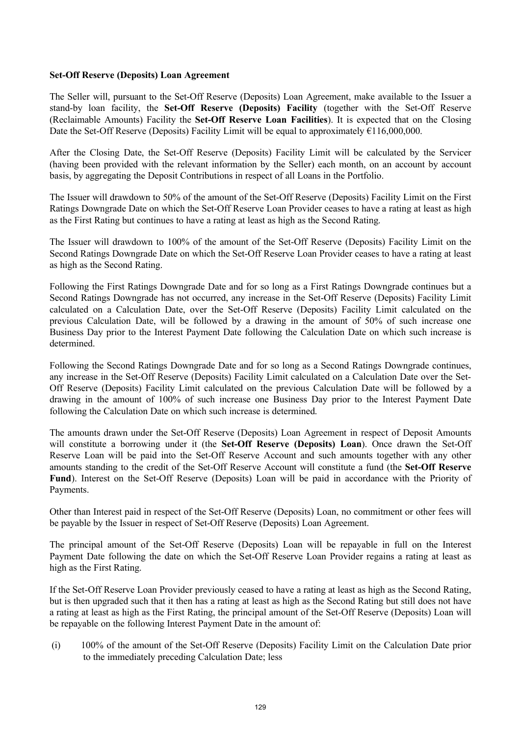## **Set-Off Reserve (Deposits) Loan Agreement**

The Seller will, pursuant to the Set-Off Reserve (Deposits) Loan Agreement, make available to the Issuer a stand-by loan facility, the **Set-Off Reserve (Deposits) Facility** (together with the Set-Off Reserve (Reclaimable Amounts) Facility the **Set-Off Reserve Loan Facilities**). It is expected that on the Closing Date the Set-Off Reserve (Deposits) Facility Limit will be equal to approximately  $\epsilon$ 116,000,000.

After the Closing Date, the Set-Off Reserve (Deposits) Facility Limit will be calculated by the Servicer (having been provided with the relevant information by the Seller) each month, on an account by account basis, by aggregating the Deposit Contributions in respect of all Loans in the Portfolio.

The Issuer will drawdown to 50% of the amount of the Set-Off Reserve (Deposits) Facility Limit on the First Ratings Downgrade Date on which the Set-Off Reserve Loan Provider ceases to have a rating at least as high as the First Rating but continues to have a rating at least as high as the Second Rating.

The Issuer will drawdown to 100% of the amount of the Set-Off Reserve (Deposits) Facility Limit on the Second Ratings Downgrade Date on which the Set-Off Reserve Loan Provider ceases to have a rating at least as high as the Second Rating.

Following the First Ratings Downgrade Date and for so long as a First Ratings Downgrade continues but a Second Ratings Downgrade has not occurred, any increase in the Set-Off Reserve (Deposits) Facility Limit calculated on a Calculation Date, over the Set-Off Reserve (Deposits) Facility Limit calculated on the previous Calculation Date, will be followed by a drawing in the amount of 50% of such increase one Business Day prior to the Interest Payment Date following the Calculation Date on which such increase is determined.

Following the Second Ratings Downgrade Date and for so long as a Second Ratings Downgrade continues, any increase in the Set-Off Reserve (Deposits) Facility Limit calculated on a Calculation Date over the Set-Off Reserve (Deposits) Facility Limit calculated on the previous Calculation Date will be followed by a drawing in the amount of 100% of such increase one Business Day prior to the Interest Payment Date following the Calculation Date on which such increase is determined.

The amounts drawn under the Set-Off Reserve (Deposits) Loan Agreement in respect of Deposit Amounts will constitute a borrowing under it (the **Set-Off Reserve (Deposits) Loan**). Once drawn the Set-Off Reserve Loan will be paid into the Set-Off Reserve Account and such amounts together with any other amounts standing to the credit of the Set-Off Reserve Account will constitute a fund (the **Set-Off Reserve Fund**). Interest on the Set-Off Reserve (Deposits) Loan will be paid in accordance with the Priority of Payments.

Other than Interest paid in respect of the Set-Off Reserve (Deposits) Loan, no commitment or other fees will be payable by the Issuer in respect of Set-Off Reserve (Deposits) Loan Agreement.

The principal amount of the Set-Off Reserve (Deposits) Loan will be repayable in full on the Interest Payment Date following the date on which the Set-Off Reserve Loan Provider regains a rating at least as high as the First Rating.

If the Set-Off Reserve Loan Provider previously ceased to have a rating at least as high as the Second Rating, but is then upgraded such that it then has a rating at least as high as the Second Rating but still does not have a rating at least as high as the First Rating, the principal amount of the Set-Off Reserve (Deposits) Loan will be repayable on the following Interest Payment Date in the amount of:

(i) 100% of the amount of the Set-Off Reserve (Deposits) Facility Limit on the Calculation Date prior to the immediately preceding Calculation Date; less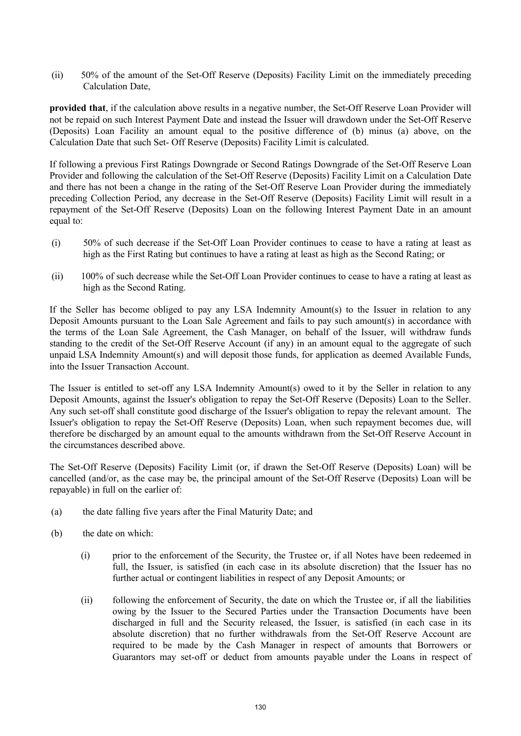(ii) 50% of the amount of the Set-Off Reserve (Deposits) Facility Limit on the immediately preceding Calculation Date,

**provided that**, if the calculation above results in a negative number, the Set-Off Reserve Loan Provider will not be repaid on such Interest Payment Date and instead the Issuer will drawdown under the Set-Off Reserve (Deposits) Loan Facility an amount equal to the positive difference of (b) minus (a) above, on the Calculation Date that such Set- Off Reserve (Deposits) Facility Limit is calculated.

If following a previous First Ratings Downgrade or Second Ratings Downgrade of the Set-Off Reserve Loan Provider and following the calculation of the Set-Off Reserve (Deposits) Facility Limit on a Calculation Date and there has not been a change in the rating of the Set-Off Reserve Loan Provider during the immediately preceding Collection Period, any decrease in the Set-Off Reserve (Deposits) Facility Limit will result in a repayment of the Set-Off Reserve (Deposits) Loan on the following Interest Payment Date in an amount equal to:

- (i) 50% of such decrease if the Set-Off Loan Provider continues to cease to have a rating at least as high as the First Rating but continues to have a rating at least as high as the Second Rating; or
- (ii) 100% of such decrease while the Set-Off Loan Provider continues to cease to have a rating at least as high as the Second Rating.

If the Seller has become obliged to pay any LSA Indemnity Amount(s) to the Issuer in relation to any Deposit Amounts pursuant to the Loan Sale Agreement and fails to pay such amount(s) in accordance with the terms of the Loan Sale Agreement, the Cash Manager, on behalf of the Issuer, will withdraw funds standing to the credit of the Set-Off Reserve Account (if any) in an amount equal to the aggregate of such unpaid LSA Indemnity Amount(s) and will deposit those funds, for application as deemed Available Funds, into the Issuer Transaction Account.

The Issuer is entitled to set-off any LSA Indemnity Amount(s) owed to it by the Seller in relation to any Deposit Amounts, against the Issuer's obligation to repay the Set-Off Reserve (Deposits) Loan to the Seller. Any such set-off shall constitute good discharge of the Issuer's obligation to repay the relevant amount. The Issuer's obligation to repay the Set-Off Reserve (Deposits) Loan, when such repayment becomes due, will therefore be discharged by an amount equal to the amounts withdrawn from the Set-Off Reserve Account in the circumstances described above.

The Set-Off Reserve (Deposits) Facility Limit (or, if drawn the Set-Off Reserve (Deposits) Loan) will be cancelled (and/or, as the case may be, the principal amount of the Set-Off Reserve (Deposits) Loan will be repayable) in full on the earlier of:

- (a) the date falling five years after the Final Maturity Date; and
- (b) the date on which:
	- (i) prior to the enforcement of the Security, the Trustee or, if all Notes have been redeemed in full, the Issuer, is satisfied (in each case in its absolute discretion) that the Issuer has no further actual or contingent liabilities in respect of any Deposit Amounts; or
	- (ii) following the enforcement of Security, the date on which the Trustee or, if all the liabilities owing by the Issuer to the Secured Parties under the Transaction Documents have been discharged in full and the Security released, the Issuer, is satisfied (in each case in its absolute discretion) that no further withdrawals from the Set-Off Reserve Account are required to be made by the Cash Manager in respect of amounts that Borrowers or Guarantors may set-off or deduct from amounts payable under the Loans in respect of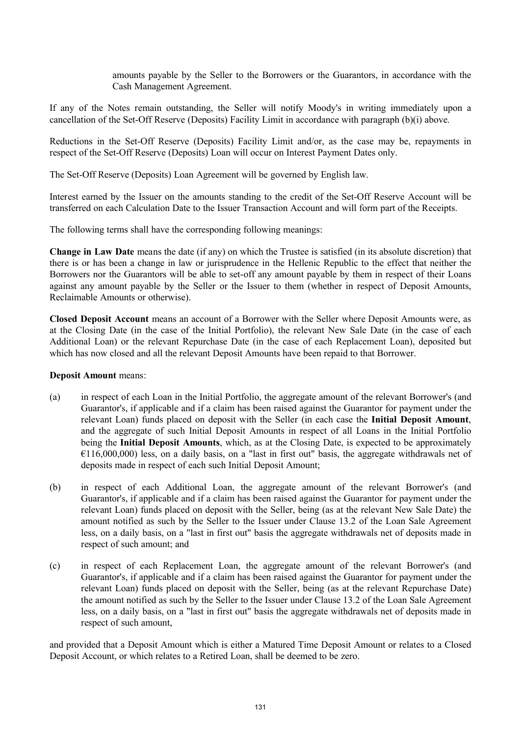amounts payable by the Seller to the Borrowers or the Guarantors, in accordance with the Cash Management Agreement.

If any of the Notes remain outstanding, the Seller will notify Moody's in writing immediately upon a cancellation of the Set-Off Reserve (Deposits) Facility Limit in accordance with paragraph (b)(i) above.

Reductions in the Set-Off Reserve (Deposits) Facility Limit and/or, as the case may be, repayments in respect of the Set-Off Reserve (Deposits) Loan will occur on Interest Payment Dates only.

The Set-Off Reserve (Deposits) Loan Agreement will be governed by English law.

Interest earned by the Issuer on the amounts standing to the credit of the Set-Off Reserve Account will be transferred on each Calculation Date to the Issuer Transaction Account and will form part of the Receipts.

The following terms shall have the corresponding following meanings:

**Change in Law Date** means the date (if any) on which the Trustee is satisfied (in its absolute discretion) that there is or has been a change in law or jurisprudence in the Hellenic Republic to the effect that neither the Borrowers nor the Guarantors will be able to set-off any amount payable by them in respect of their Loans against any amount payable by the Seller or the Issuer to them (whether in respect of Deposit Amounts, Reclaimable Amounts or otherwise).

**Closed Deposit Account** means an account of a Borrower with the Seller where Deposit Amounts were, as at the Closing Date (in the case of the Initial Portfolio), the relevant New Sale Date (in the case of each Additional Loan) or the relevant Repurchase Date (in the case of each Replacement Loan), deposited but which has now closed and all the relevant Deposit Amounts have been repaid to that Borrower.

### **Deposit Amount** means:

- (a) in respect of each Loan in the Initial Portfolio, the aggregate amount of the relevant Borrower's (and Guarantor's, if applicable and if a claim has been raised against the Guarantor for payment under the relevant Loan) funds placed on deposit with the Seller (in each case the **Initial Deposit Amount**, and the aggregate of such Initial Deposit Amounts in respect of all Loans in the Initial Portfolio being the **Initial Deposit Amounts**, which, as at the Closing Date, is expected to be approximately  $E(116,000,000)$  less, on a daily basis, on a "last in first out" basis, the aggregate withdrawals net of deposits made in respect of each such Initial Deposit Amount;
- (b) in respect of each Additional Loan, the aggregate amount of the relevant Borrower's (and Guarantor's, if applicable and if a claim has been raised against the Guarantor for payment under the relevant Loan) funds placed on deposit with the Seller, being (as at the relevant New Sale Date) the amount notified as such by the Seller to the Issuer under Clause 13.2 of the Loan Sale Agreement less, on a daily basis, on a "last in first out" basis the aggregate withdrawals net of deposits made in respect of such amount; and
- (c) in respect of each Replacement Loan, the aggregate amount of the relevant Borrower's (and Guarantor's, if applicable and if a claim has been raised against the Guarantor for payment under the relevant Loan) funds placed on deposit with the Seller, being (as at the relevant Repurchase Date) the amount notified as such by the Seller to the Issuer under Clause 13.2 of the Loan Sale Agreement less, on a daily basis, on a "last in first out" basis the aggregate withdrawals net of deposits made in respect of such amount,

and provided that a Deposit Amount which is either a Matured Time Deposit Amount or relates to a Closed Deposit Account, or which relates to a Retired Loan, shall be deemed to be zero.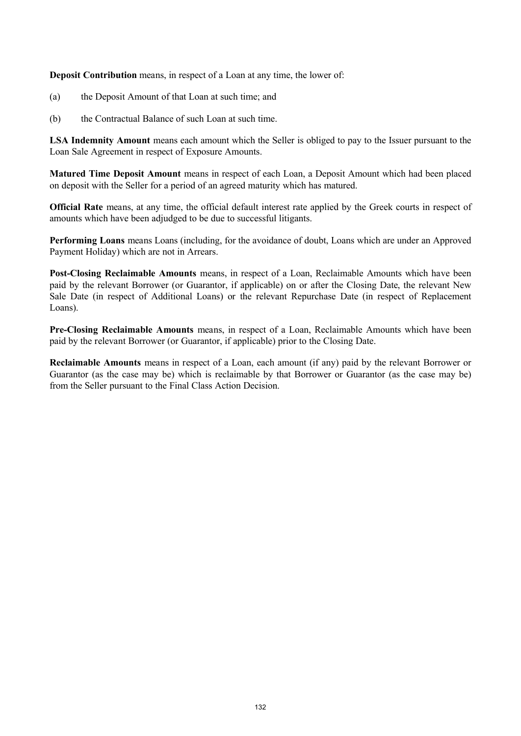**Deposit Contribution** means, in respect of a Loan at any time, the lower of:

- (a) the Deposit Amount of that Loan at such time; and
- (b) the Contractual Balance of such Loan at such time.

**LSA Indemnity Amount** means each amount which the Seller is obliged to pay to the Issuer pursuant to the Loan Sale Agreement in respect of Exposure Amounts.

**Matured Time Deposit Amount** means in respect of each Loan, a Deposit Amount which had been placed on deposit with the Seller for a period of an agreed maturity which has matured.

**Official Rate** means, at any time, the official default interest rate applied by the Greek courts in respect of amounts which have been adjudged to be due to successful litigants.

**Performing Loans** means Loans (including, for the avoidance of doubt, Loans which are under an Approved Payment Holiday) which are not in Arrears.

**Post-Closing Reclaimable Amounts** means, in respect of a Loan, Reclaimable Amounts which have been paid by the relevant Borrower (or Guarantor, if applicable) on or after the Closing Date, the relevant New Sale Date (in respect of Additional Loans) or the relevant Repurchase Date (in respect of Replacement Loans).

**Pre-Closing Reclaimable Amounts** means, in respect of a Loan, Reclaimable Amounts which have been paid by the relevant Borrower (or Guarantor, if applicable) prior to the Closing Date.

**Reclaimable Amounts** means in respect of a Loan, each amount (if any) paid by the relevant Borrower or Guarantor (as the case may be) which is reclaimable by that Borrower or Guarantor (as the case may be) from the Seller pursuant to the Final Class Action Decision.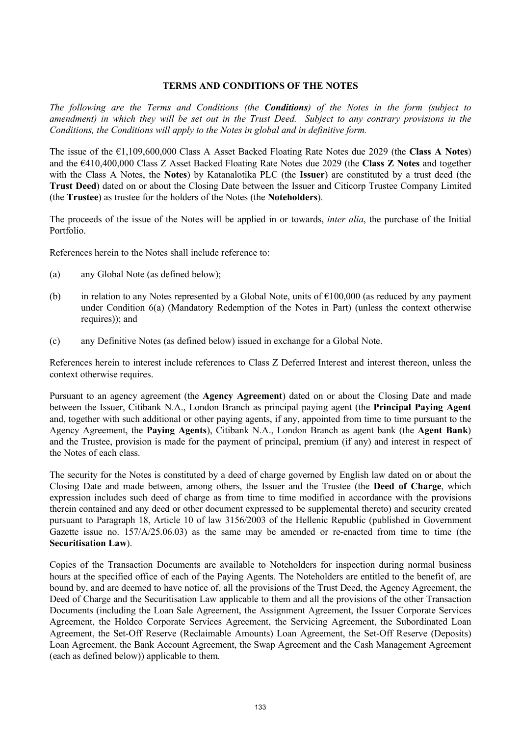## **TERMS AND CONDITIONS OF THE NOTES**

*The following are the Terms and Conditions (the Conditions) of the Notes in the form (subject to amendment) in which they will be set out in the Trust Deed. Subject to any contrary provisions in the Conditions, the Conditions will apply to the Notes in global and in definitive form.*

The issue of the €1,109,600,000 Class A Asset Backed Floating Rate Notes due 2029 (the **Class A Notes**) and the €410,400,000 Class Z Asset Backed Floating Rate Notes due 2029 (the **Class Z Notes** and together with the Class A Notes, the **Notes**) by Katanalotika PLC (the **Issuer**) are constituted by a trust deed (the **Trust Deed**) dated on or about the Closing Date between the Issuer and Citicorp Trustee Company Limited (the **Trustee**) as trustee for the holders of the Notes (the **Noteholders**).

The proceeds of the issue of the Notes will be applied in or towards, *inter alia*, the purchase of the Initial Portfolio.

References herein to the Notes shall include reference to:

- (a) any Global Note (as defined below);
- (b) in relation to any Notes represented by a Global Note, units of  $\epsilon$ 100,000 (as reduced by any payment under Condition 6(a) (Mandatory Redemption of the Notes in Part) (unless the context otherwise requires)); and
- (c) any Definitive Notes (as defined below) issued in exchange for a Global Note.

References herein to interest include references to Class Z Deferred Interest and interest thereon, unless the context otherwise requires.

Pursuant to an agency agreement (the **Agency Agreement**) dated on or about the Closing Date and made between the Issuer, Citibank N.A., London Branch as principal paying agent (the **Principal Paying Agent** and, together with such additional or other paying agents, if any, appointed from time to time pursuant to the Agency Agreement, the **Paying Agents**), Citibank N.A., London Branch as agent bank (the **Agent Bank**) and the Trustee, provision is made for the payment of principal, premium (if any) and interest in respect of the Notes of each class.

The security for the Notes is constituted by a deed of charge governed by English law dated on or about the Closing Date and made between, among others, the Issuer and the Trustee (the **Deed of Charge**, which expression includes such deed of charge as from time to time modified in accordance with the provisions therein contained and any deed or other document expressed to be supplemental thereto) and security created pursuant to Paragraph 18, Article 10 of law 3156/2003 of the Hellenic Republic (published in Government Gazette issue no. 157/A/25.06.03) as the same may be amended or re-enacted from time to time (the **Securitisation Law**).

Copies of the Transaction Documents are available to Noteholders for inspection during normal business hours at the specified office of each of the Paying Agents. The Noteholders are entitled to the benefit of, are bound by, and are deemed to have notice of, all the provisions of the Trust Deed, the Agency Agreement, the Deed of Charge and the Securitisation Law applicable to them and all the provisions of the other Transaction Documents (including the Loan Sale Agreement, the Assignment Agreement, the Issuer Corporate Services Agreement, the Holdco Corporate Services Agreement, the Servicing Agreement, the Subordinated Loan Agreement, the Set-Off Reserve (Reclaimable Amounts) Loan Agreement, the Set-Off Reserve (Deposits) Loan Agreement, the Bank Account Agreement, the Swap Agreement and the Cash Management Agreement (each as defined below)) applicable to them.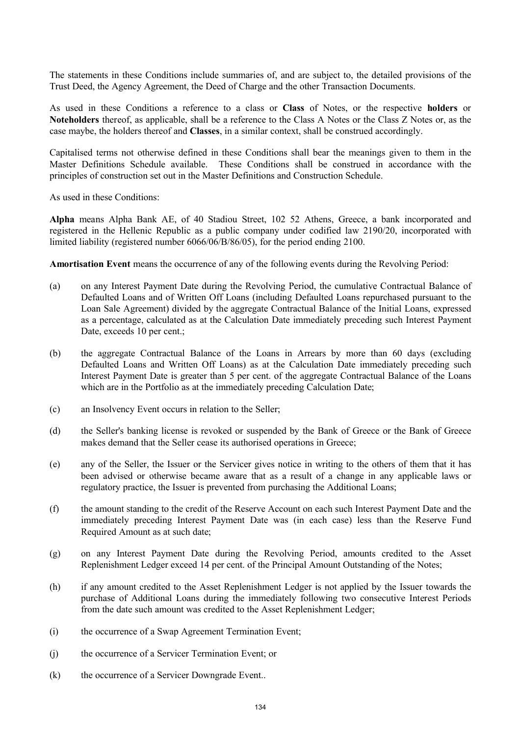The statements in these Conditions include summaries of, and are subject to, the detailed provisions of the Trust Deed, the Agency Agreement, the Deed of Charge and the other Transaction Documents.

As used in these Conditions a reference to a class or **Class** of Notes, or the respective **holders** or **Noteholders** thereof, as applicable, shall be a reference to the Class A Notes or the Class Z Notes or, as the case maybe, the holders thereof and **Classes**, in a similar context, shall be construed accordingly.

Capitalised terms not otherwise defined in these Conditions shall bear the meanings given to them in the Master Definitions Schedule available. These Conditions shall be construed in accordance with the principles of construction set out in the Master Definitions and Construction Schedule.

As used in these Conditions:

**Alpha** means Alpha Bank AE, of 40 Stadiou Street, 102 52 Athens, Greece, a bank incorporated and registered in the Hellenic Republic as a public company under codified law 2190/20, incorporated with limited liability (registered number 6066/06/B/86/05), for the period ending 2100.

**Amortisation Event** means the occurrence of any of the following events during the Revolving Period:

- (a) on any Interest Payment Date during the Revolving Period, the cumulative Contractual Balance of Defaulted Loans and of Written Off Loans (including Defaulted Loans repurchased pursuant to the Loan Sale Agreement) divided by the aggregate Contractual Balance of the Initial Loans, expressed as a percentage, calculated as at the Calculation Date immediately preceding such Interest Payment Date, exceeds 10 per cent.;
- (b) the aggregate Contractual Balance of the Loans in Arrears by more than 60 days (excluding Defaulted Loans and Written Off Loans) as at the Calculation Date immediately preceding such Interest Payment Date is greater than 5 per cent. of the aggregate Contractual Balance of the Loans which are in the Portfolio as at the immediately preceding Calculation Date;
- (c) an Insolvency Event occurs in relation to the Seller;
- (d) the Seller's banking license is revoked or suspended by the Bank of Greece or the Bank of Greece makes demand that the Seller cease its authorised operations in Greece;
- (e) any of the Seller, the Issuer or the Servicer gives notice in writing to the others of them that it has been advised or otherwise became aware that as a result of a change in any applicable laws or regulatory practice, the Issuer is prevented from purchasing the Additional Loans;
- (f) the amount standing to the credit of the Reserve Account on each such Interest Payment Date and the immediately preceding Interest Payment Date was (in each case) less than the Reserve Fund Required Amount as at such date;
- (g) on any Interest Payment Date during the Revolving Period, amounts credited to the Asset Replenishment Ledger exceed 14 per cent. of the Principal Amount Outstanding of the Notes;
- (h) if any amount credited to the Asset Replenishment Ledger is not applied by the Issuer towards the purchase of Additional Loans during the immediately following two consecutive Interest Periods from the date such amount was credited to the Asset Replenishment Ledger;
- (i) the occurrence of a Swap Agreement Termination Event;
- (j) the occurrence of a Servicer Termination Event; or
- (k) the occurrence of a Servicer Downgrade Event..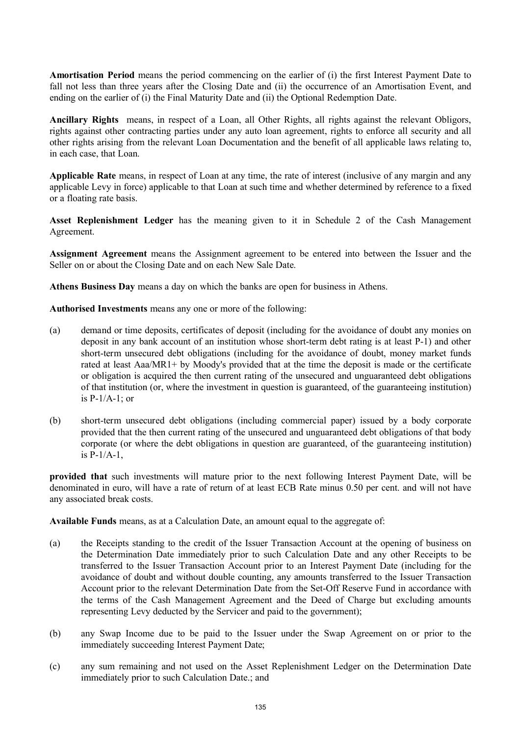**Amortisation Period** means the period commencing on the earlier of (i) the first Interest Payment Date to fall not less than three years after the Closing Date and (ii) the occurrence of an Amortisation Event, and ending on the earlier of (i) the Final Maturity Date and (ii) the Optional Redemption Date.

**Ancillary Rights** means, in respect of a Loan, all Other Rights, all rights against the relevant Obligors, rights against other contracting parties under any auto loan agreement, rights to enforce all security and all other rights arising from the relevant Loan Documentation and the benefit of all applicable laws relating to, in each case, that Loan.

**Applicable Rate** means, in respect of Loan at any time, the rate of interest (inclusive of any margin and any applicable Levy in force) applicable to that Loan at such time and whether determined by reference to a fixed or a floating rate basis.

**Asset Replenishment Ledger** has the meaning given to it in Schedule 2 of the Cash Management Agreement.

**Assignment Agreement** means the Assignment agreement to be entered into between the Issuer and the Seller on or about the Closing Date and on each New Sale Date.

**Athens Business Day** means a day on which the banks are open for business in Athens.

**Authorised Investments** means any one or more of the following:

- (a) demand or time deposits, certificates of deposit (including for the avoidance of doubt any monies on deposit in any bank account of an institution whose short-term debt rating is at least P-1) and other short-term unsecured debt obligations (including for the avoidance of doubt, money market funds rated at least Aaa/MR1+ by Moody's provided that at the time the deposit is made or the certificate or obligation is acquired the then current rating of the unsecured and unguaranteed debt obligations of that institution (or, where the investment in question is guaranteed, of the guaranteeing institution) is P-1/A-1; or
- (b) short-term unsecured debt obligations (including commercial paper) issued by a body corporate provided that the then current rating of the unsecured and unguaranteed debt obligations of that body corporate (or where the debt obligations in question are guaranteed, of the guaranteeing institution) is  $P-1/A-1$ ,

**provided that** such investments will mature prior to the next following Interest Payment Date, will be denominated in euro, will have a rate of return of at least ECB Rate minus 0.50 per cent. and will not have any associated break costs.

**Available Funds** means, as at a Calculation Date, an amount equal to the aggregate of:

- (a) the Receipts standing to the credit of the Issuer Transaction Account at the opening of business on the Determination Date immediately prior to such Calculation Date and any other Receipts to be transferred to the Issuer Transaction Account prior to an Interest Payment Date (including for the avoidance of doubt and without double counting, any amounts transferred to the Issuer Transaction Account prior to the relevant Determination Date from the Set-Off Reserve Fund in accordance with the terms of the Cash Management Agreement and the Deed of Charge but excluding amounts representing Levy deducted by the Servicer and paid to the government);
- (b) any Swap Income due to be paid to the Issuer under the Swap Agreement on or prior to the immediately succeeding Interest Payment Date;
- (c) any sum remaining and not used on the Asset Replenishment Ledger on the Determination Date immediately prior to such Calculation Date.; and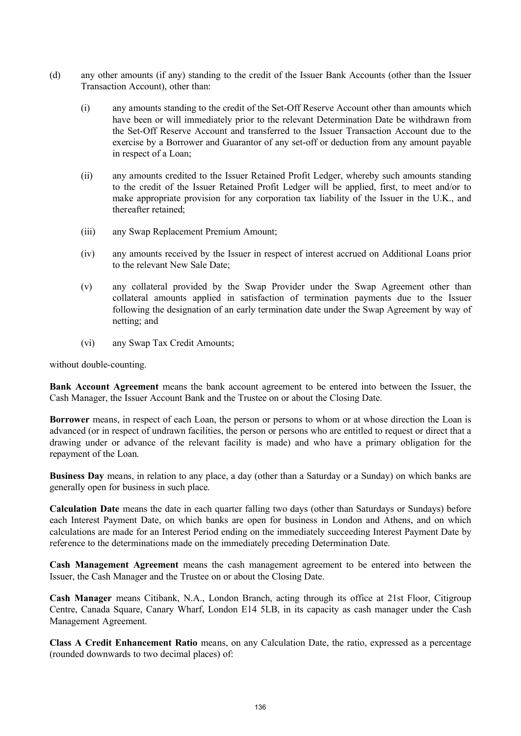- (d) any other amounts (if any) standing to the credit of the Issuer Bank Accounts (other than the Issuer Transaction Account), other than:
	- (i) any amounts standing to the credit of the Set-Off Reserve Account other than amounts which have been or will immediately prior to the relevant Determination Date be withdrawn from the Set-Off Reserve Account and transferred to the Issuer Transaction Account due to the exercise by a Borrower and Guarantor of any set-off or deduction from any amount payable in respect of a Loan;
	- (ii) any amounts credited to the Issuer Retained Profit Ledger, whereby such amounts standing to the credit of the Issuer Retained Profit Ledger will be applied, first, to meet and/or to make appropriate provision for any corporation tax liability of the Issuer in the U.K., and thereafter retained;
	- (iii) any Swap Replacement Premium Amount;
	- (iv) any amounts received by the Issuer in respect of interest accrued on Additional Loans prior to the relevant New Sale Date;
	- (v) any collateral provided by the Swap Provider under the Swap Agreement other than collateral amounts applied in satisfaction of termination payments due to the Issuer following the designation of an early termination date under the Swap Agreement by way of netting; and
	- (vi) any Swap Tax Credit Amounts;

without double-counting.

**Bank Account Agreement** means the bank account agreement to be entered into between the Issuer, the Cash Manager, the Issuer Account Bank and the Trustee on or about the Closing Date.

**Borrower** means, in respect of each Loan, the person or persons to whom or at whose direction the Loan is advanced (or in respect of undrawn facilities, the person or persons who are entitled to request or direct that a drawing under or advance of the relevant facility is made) and who have a primary obligation for the repayment of the Loan.

**Business Day** means, in relation to any place, a day (other than a Saturday or a Sunday) on which banks are generally open for business in such place.

**Calculation Date** means the date in each quarter falling two days (other than Saturdays or Sundays) before each Interest Payment Date, on which banks are open for business in London and Athens, and on which calculations are made for an Interest Period ending on the immediately succeeding Interest Payment Date by reference to the determinations made on the immediately preceding Determination Date.

**Cash Management Agreement** means the cash management agreement to be entered into between the Issuer, the Cash Manager and the Trustee on or about the Closing Date.

**Cash Manager** means Citibank, N.A., London Branch, acting through its office at 21st Floor, Citigroup Centre, Canada Square, Canary Wharf, London E14 5LB, in its capacity as cash manager under the Cash Management Agreement.

**Class A Credit Enhancement Ratio** means, on any Calculation Date, the ratio, expressed as a percentage (rounded downwards to two decimal places) of: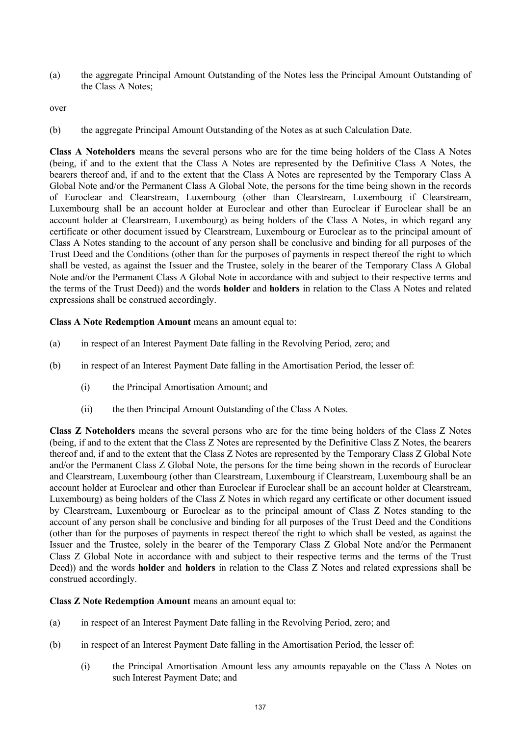(a) the aggregate Principal Amount Outstanding of the Notes less the Principal Amount Outstanding of the Class A Notes:

over

(b) the aggregate Principal Amount Outstanding of the Notes as at such Calculation Date.

**Class A Noteholders** means the several persons who are for the time being holders of the Class A Notes (being, if and to the extent that the Class A Notes are represented by the Definitive Class A Notes, the bearers thereof and, if and to the extent that the Class A Notes are represented by the Temporary Class A Global Note and/or the Permanent Class A Global Note, the persons for the time being shown in the records of Euroclear and Clearstream, Luxembourg (other than Clearstream, Luxembourg if Clearstream, Luxembourg shall be an account holder at Euroclear and other than Euroclear if Euroclear shall be an account holder at Clearstream, Luxembourg) as being holders of the Class A Notes, in which regard any certificate or other document issued by Clearstream, Luxembourg or Euroclear as to the principal amount of Class A Notes standing to the account of any person shall be conclusive and binding for all purposes of the Trust Deed and the Conditions (other than for the purposes of payments in respect thereof the right to which shall be vested, as against the Issuer and the Trustee, solely in the bearer of the Temporary Class A Global Note and/or the Permanent Class A Global Note in accordance with and subject to their respective terms and the terms of the Trust Deed)) and the words **holder** and **holders** in relation to the Class A Notes and related expressions shall be construed accordingly.

**Class A Note Redemption Amount** means an amount equal to:

- (a) in respect of an Interest Payment Date falling in the Revolving Period, zero; and
- (b) in respect of an Interest Payment Date falling in the Amortisation Period, the lesser of:
	- (i) the Principal Amortisation Amount; and
	- (ii) the then Principal Amount Outstanding of the Class A Notes.

**Class Z Noteholders** means the several persons who are for the time being holders of the Class Z Notes (being, if and to the extent that the Class Z Notes are represented by the Definitive Class Z Notes, the bearers thereof and, if and to the extent that the Class Z Notes are represented by the Temporary Class Z Global Note and/or the Permanent Class Z Global Note, the persons for the time being shown in the records of Euroclear and Clearstream, Luxembourg (other than Clearstream, Luxembourg if Clearstream, Luxembourg shall be an account holder at Euroclear and other than Euroclear if Euroclear shall be an account holder at Clearstream, Luxembourg) as being holders of the Class Z Notes in which regard any certificate or other document issued by Clearstream, Luxembourg or Euroclear as to the principal amount of Class Z Notes standing to the account of any person shall be conclusive and binding for all purposes of the Trust Deed and the Conditions (other than for the purposes of payments in respect thereof the right to which shall be vested, as against the Issuer and the Trustee, solely in the bearer of the Temporary Class Z Global Note and/or the Permanent Class Z Global Note in accordance with and subject to their respective terms and the terms of the Trust Deed)) and the words **holder** and **holders** in relation to the Class Z Notes and related expressions shall be construed accordingly.

**Class Z Note Redemption Amount** means an amount equal to:

- (a) in respect of an Interest Payment Date falling in the Revolving Period, zero; and
- (b) in respect of an Interest Payment Date falling in the Amortisation Period, the lesser of:
	- (i) the Principal Amortisation Amount less any amounts repayable on the Class A Notes on such Interest Payment Date; and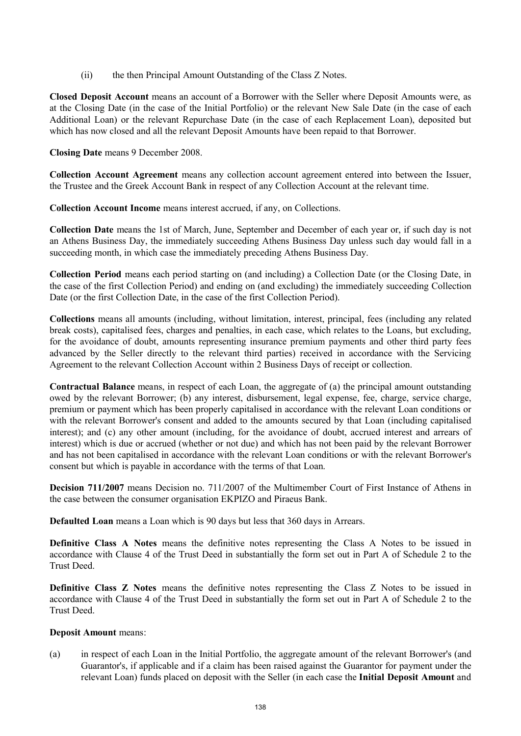(ii) the then Principal Amount Outstanding of the Class Z Notes.

**Closed Deposit Account** means an account of a Borrower with the Seller where Deposit Amounts were, as at the Closing Date (in the case of the Initial Portfolio) or the relevant New Sale Date (in the case of each Additional Loan) or the relevant Repurchase Date (in the case of each Replacement Loan), deposited but which has now closed and all the relevant Deposit Amounts have been repaid to that Borrower.

**Closing Date** means 9 December 2008.

**Collection Account Agreement** means any collection account agreement entered into between the Issuer, the Trustee and the Greek Account Bank in respect of any Collection Account at the relevant time.

**Collection Account Income** means interest accrued, if any, on Collections.

**Collection Date** means the 1st of March, June, September and December of each year or, if such day is not an Athens Business Day, the immediately succeeding Athens Business Day unless such day would fall in a succeeding month, in which case the immediately preceding Athens Business Day.

**Collection Period** means each period starting on (and including) a Collection Date (or the Closing Date, in the case of the first Collection Period) and ending on (and excluding) the immediately succeeding Collection Date (or the first Collection Date, in the case of the first Collection Period).

**Collections** means all amounts (including, without limitation, interest, principal, fees (including any related break costs), capitalised fees, charges and penalties, in each case, which relates to the Loans, but excluding, for the avoidance of doubt, amounts representing insurance premium payments and other third party fees advanced by the Seller directly to the relevant third parties) received in accordance with the Servicing Agreement to the relevant Collection Account within 2 Business Days of receipt or collection.

**Contractual Balance** means, in respect of each Loan, the aggregate of (a) the principal amount outstanding owed by the relevant Borrower; (b) any interest, disbursement, legal expense, fee, charge, service charge, premium or payment which has been properly capitalised in accordance with the relevant Loan conditions or with the relevant Borrower's consent and added to the amounts secured by that Loan (including capitalised interest); and (c) any other amount (including, for the avoidance of doubt, accrued interest and arrears of interest) which is due or accrued (whether or not due) and which has not been paid by the relevant Borrower and has not been capitalised in accordance with the relevant Loan conditions or with the relevant Borrower's consent but which is payable in accordance with the terms of that Loan.

**Decision 711/2007** means Decision no. 711/2007 of the Multimember Court of First Instance of Athens in the case between the consumer organisation EKPIZO and Piraeus Bank.

**Defaulted Loan** means a Loan which is 90 days but less that 360 days in Arrears.

**Definitive Class A Notes** means the definitive notes representing the Class A Notes to be issued in accordance with Clause 4 of the Trust Deed in substantially the form set out in Part A of Schedule 2 to the Trust Deed.

**Definitive Class Z Notes** means the definitive notes representing the Class Z Notes to be issued in accordance with Clause 4 of the Trust Deed in substantially the form set out in Part A of Schedule 2 to the Trust Deed.

#### **Deposit Amount** means:

(a) in respect of each Loan in the Initial Portfolio, the aggregate amount of the relevant Borrower's (and Guarantor's, if applicable and if a claim has been raised against the Guarantor for payment under the relevant Loan) funds placed on deposit with the Seller (in each case the **Initial Deposit Amount** and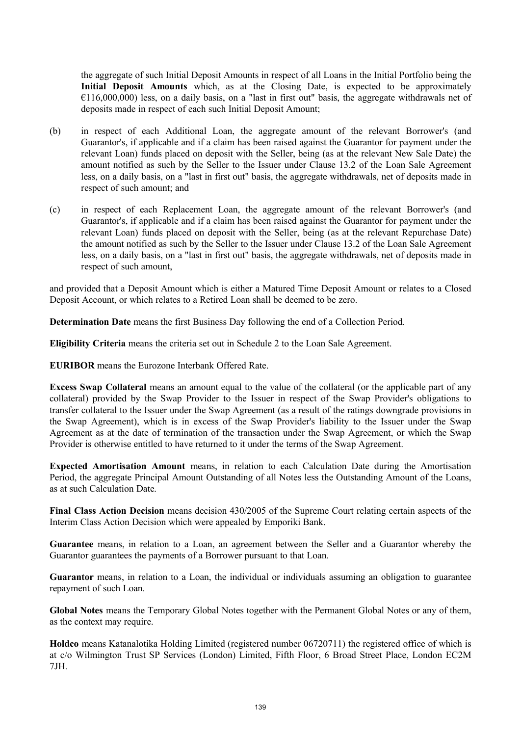the aggregate of such Initial Deposit Amounts in respect of all Loans in the Initial Portfolio being the **Initial Deposit Amounts** which, as at the Closing Date, is expected to be approximately  $E(116,000,000)$  less, on a daily basis, on a "last in first out" basis, the aggregate withdrawals net of deposits made in respect of each such Initial Deposit Amount;

- (b) in respect of each Additional Loan, the aggregate amount of the relevant Borrower's (and Guarantor's, if applicable and if a claim has been raised against the Guarantor for payment under the relevant Loan) funds placed on deposit with the Seller, being (as at the relevant New Sale Date) the amount notified as such by the Seller to the Issuer under Clause 13.2 of the Loan Sale Agreement less, on a daily basis, on a "last in first out" basis, the aggregate withdrawals, net of deposits made in respect of such amount; and
- (c) in respect of each Replacement Loan, the aggregate amount of the relevant Borrower's (and Guarantor's, if applicable and if a claim has been raised against the Guarantor for payment under the relevant Loan) funds placed on deposit with the Seller, being (as at the relevant Repurchase Date) the amount notified as such by the Seller to the Issuer under Clause 13.2 of the Loan Sale Agreement less, on a daily basis, on a "last in first out" basis, the aggregate withdrawals, net of deposits made in respect of such amount,

and provided that a Deposit Amount which is either a Matured Time Deposit Amount or relates to a Closed Deposit Account, or which relates to a Retired Loan shall be deemed to be zero.

**Determination Date** means the first Business Day following the end of a Collection Period.

**Eligibility Criteria** means the criteria set out in Schedule 2 to the Loan Sale Agreement.

**EURIBOR** means the Eurozone Interbank Offered Rate.

**Excess Swap Collateral** means an amount equal to the value of the collateral (or the applicable part of any collateral) provided by the Swap Provider to the Issuer in respect of the Swap Provider's obligations to transfer collateral to the Issuer under the Swap Agreement (as a result of the ratings downgrade provisions in the Swap Agreement), which is in excess of the Swap Provider's liability to the Issuer under the Swap Agreement as at the date of termination of the transaction under the Swap Agreement, or which the Swap Provider is otherwise entitled to have returned to it under the terms of the Swap Agreement.

**Expected Amortisation Amount** means, in relation to each Calculation Date during the Amortisation Period, the aggregate Principal Amount Outstanding of all Notes less the Outstanding Amount of the Loans, as at such Calculation Date.

**Final Class Action Decision** means decision 430/2005 of the Supreme Court relating certain aspects of the Interim Class Action Decision which were appealed by Emporiki Bank.

**Guarantee** means, in relation to a Loan, an agreement between the Seller and a Guarantor whereby the Guarantor guarantees the payments of a Borrower pursuant to that Loan.

**Guarantor** means, in relation to a Loan, the individual or individuals assuming an obligation to guarantee repayment of such Loan.

**Global Notes** means the Temporary Global Notes together with the Permanent Global Notes or any of them, as the context may require.

**Holdco** means Katanalotika Holding Limited (registered number 06720711) the registered office of which is at c/o Wilmington Trust SP Services (London) Limited, Fifth Floor, 6 Broad Street Place, London EC2M 7JH.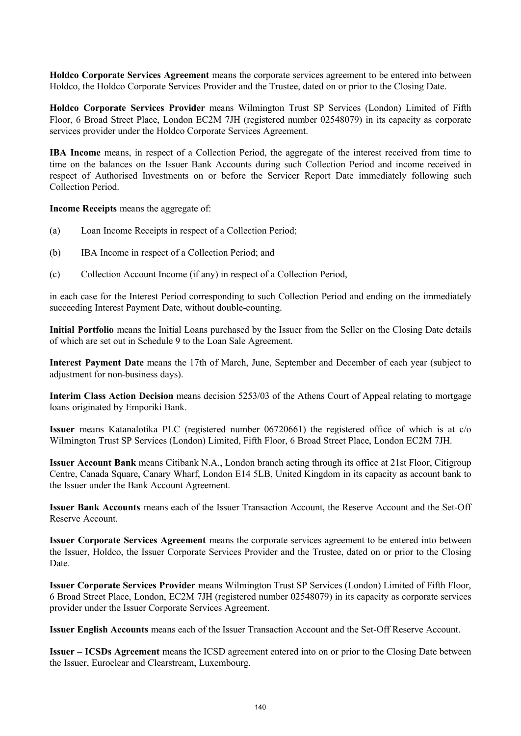**Holdco Corporate Services Agreement** means the corporate services agreement to be entered into between Holdco, the Holdco Corporate Services Provider and the Trustee, dated on or prior to the Closing Date.

**Holdco Corporate Services Provider** means Wilmington Trust SP Services (London) Limited of Fifth Floor, 6 Broad Street Place, London EC2M 7JH (registered number 02548079) in its capacity as corporate services provider under the Holdco Corporate Services Agreement.

**IBA Income** means, in respect of a Collection Period, the aggregate of the interest received from time to time on the balances on the Issuer Bank Accounts during such Collection Period and income received in respect of Authorised Investments on or before the Servicer Report Date immediately following such Collection Period.

**Income Receipts** means the aggregate of:

- (a) Loan Income Receipts in respect of a Collection Period;
- (b) IBA Income in respect of a Collection Period; and
- (c) Collection Account Income (if any) in respect of a Collection Period,

in each case for the Interest Period corresponding to such Collection Period and ending on the immediately succeeding Interest Payment Date, without double-counting.

**Initial Portfolio** means the Initial Loans purchased by the Issuer from the Seller on the Closing Date details of which are set out in Schedule 9 to the Loan Sale Agreement.

**Interest Payment Date** means the 17th of March, June, September and December of each year (subject to adjustment for non-business days).

**Interim Class Action Decision** means decision 5253/03 of the Athens Court of Appeal relating to mortgage loans originated by Emporiki Bank.

**Issuer** means Katanalotika PLC (registered number 06720661) the registered office of which is at c/o Wilmington Trust SP Services (London) Limited, Fifth Floor, 6 Broad Street Place, London EC2M 7JH.

**Issuer Account Bank** means Citibank N.A., London branch acting through its office at 21st Floor, Citigroup Centre, Canada Square, Canary Wharf, London E14 5LB, United Kingdom in its capacity as account bank to the Issuer under the Bank Account Agreement.

**Issuer Bank Accounts** means each of the Issuer Transaction Account, the Reserve Account and the Set-Off Reserve Account.

**Issuer Corporate Services Agreement** means the corporate services agreement to be entered into between the Issuer, Holdco, the Issuer Corporate Services Provider and the Trustee, dated on or prior to the Closing Date.

**Issuer Corporate Services Provider** means Wilmington Trust SP Services (London) Limited of Fifth Floor, 6 Broad Street Place, London, EC2M 7JH (registered number 02548079) in its capacity as corporate services provider under the Issuer Corporate Services Agreement.

**Issuer English Accounts** means each of the Issuer Transaction Account and the Set-Off Reserve Account.

**Issuer – ICSDs Agreement** means the ICSD agreement entered into on or prior to the Closing Date between the Issuer, Euroclear and Clearstream, Luxembourg.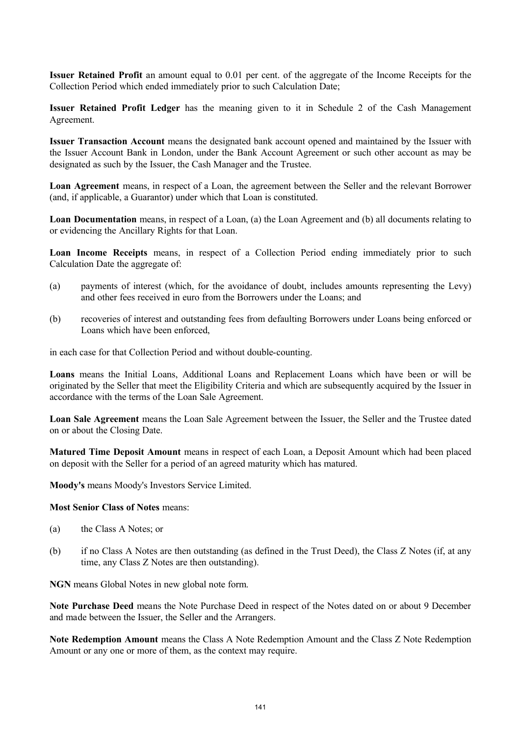**Issuer Retained Profit** an amount equal to 0.01 per cent. of the aggregate of the Income Receipts for the Collection Period which ended immediately prior to such Calculation Date;

**Issuer Retained Profit Ledger** has the meaning given to it in Schedule 2 of the Cash Management Agreement.

**Issuer Transaction Account** means the designated bank account opened and maintained by the Issuer with the Issuer Account Bank in London, under the Bank Account Agreement or such other account as may be designated as such by the Issuer, the Cash Manager and the Trustee.

**Loan Agreement** means, in respect of a Loan, the agreement between the Seller and the relevant Borrower (and, if applicable, a Guarantor) under which that Loan is constituted.

**Loan Documentation** means, in respect of a Loan, (a) the Loan Agreement and (b) all documents relating to or evidencing the Ancillary Rights for that Loan.

**Loan Income Receipts** means, in respect of a Collection Period ending immediately prior to such Calculation Date the aggregate of:

- (a) payments of interest (which, for the avoidance of doubt, includes amounts representing the Levy) and other fees received in euro from the Borrowers under the Loans; and
- (b) recoveries of interest and outstanding fees from defaulting Borrowers under Loans being enforced or Loans which have been enforced,

in each case for that Collection Period and without double-counting.

**Loans** means the Initial Loans, Additional Loans and Replacement Loans which have been or will be originated by the Seller that meet the Eligibility Criteria and which are subsequently acquired by the Issuer in accordance with the terms of the Loan Sale Agreement.

**Loan Sale Agreement** means the Loan Sale Agreement between the Issuer, the Seller and the Trustee dated on or about the Closing Date.

**Matured Time Deposit Amount** means in respect of each Loan, a Deposit Amount which had been placed on deposit with the Seller for a period of an agreed maturity which has matured.

**Moody's** means Moody's Investors Service Limited.

#### **Most Senior Class of Notes** means:

- (a) the Class A Notes; or
- (b) if no Class A Notes are then outstanding (as defined in the Trust Deed), the Class Z Notes (if, at any time, any Class Z Notes are then outstanding).

**NGN** means Global Notes in new global note form.

**Note Purchase Deed** means the Note Purchase Deed in respect of the Notes dated on or about 9 December and made between the Issuer, the Seller and the Arrangers.

**Note Redemption Amount** means the Class A Note Redemption Amount and the Class Z Note Redemption Amount or any one or more of them, as the context may require.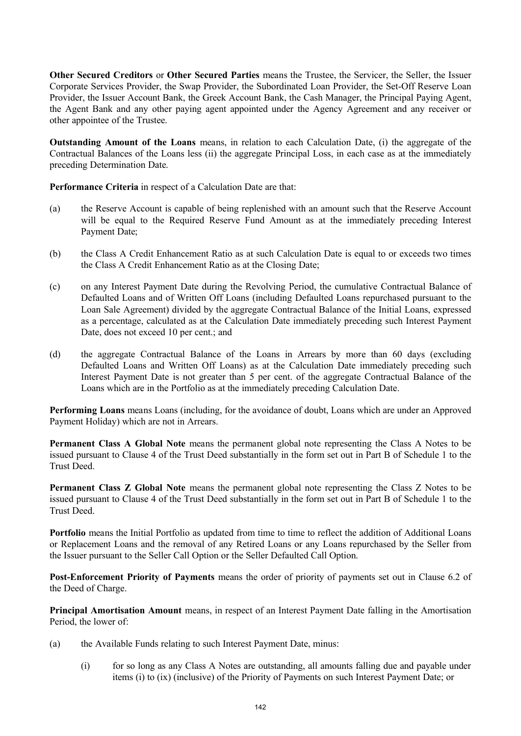**Other Secured Creditors** or **Other Secured Parties** means the Trustee, the Servicer, the Seller, the Issuer Corporate Services Provider, the Swap Provider, the Subordinated Loan Provider, the Set-Off Reserve Loan Provider, the Issuer Account Bank, the Greek Account Bank, the Cash Manager, the Principal Paying Agent, the Agent Bank and any other paying agent appointed under the Agency Agreement and any receiver or other appointee of the Trustee.

**Outstanding Amount of the Loans** means, in relation to each Calculation Date, (i) the aggregate of the Contractual Balances of the Loans less (ii) the aggregate Principal Loss, in each case as at the immediately preceding Determination Date.

**Performance Criteria** in respect of a Calculation Date are that:

- (a) the Reserve Account is capable of being replenished with an amount such that the Reserve Account will be equal to the Required Reserve Fund Amount as at the immediately preceding Interest Payment Date;
- (b) the Class A Credit Enhancement Ratio as at such Calculation Date is equal to or exceeds two times the Class A Credit Enhancement Ratio as at the Closing Date;
- (c) on any Interest Payment Date during the Revolving Period, the cumulative Contractual Balance of Defaulted Loans and of Written Off Loans (including Defaulted Loans repurchased pursuant to the Loan Sale Agreement) divided by the aggregate Contractual Balance of the Initial Loans, expressed as a percentage, calculated as at the Calculation Date immediately preceding such Interest Payment Date, does not exceed 10 per cent.; and
- (d) the aggregate Contractual Balance of the Loans in Arrears by more than 60 days (excluding Defaulted Loans and Written Off Loans) as at the Calculation Date immediately preceding such Interest Payment Date is not greater than 5 per cent. of the aggregate Contractual Balance of the Loans which are in the Portfolio as at the immediately preceding Calculation Date.

**Performing Loans** means Loans (including, for the avoidance of doubt, Loans which are under an Approved Payment Holiday) which are not in Arrears.

**Permanent Class A Global Note** means the permanent global note representing the Class A Notes to be issued pursuant to Clause 4 of the Trust Deed substantially in the form set out in Part B of Schedule 1 to the Trust Deed.

**Permanent Class Z Global Note** means the permanent global note representing the Class Z Notes to be issued pursuant to Clause 4 of the Trust Deed substantially in the form set out in Part B of Schedule 1 to the Trust Deed.

**Portfolio** means the Initial Portfolio as updated from time to time to reflect the addition of Additional Loans or Replacement Loans and the removal of any Retired Loans or any Loans repurchased by the Seller from the Issuer pursuant to the Seller Call Option or the Seller Defaulted Call Option.

**Post-Enforcement Priority of Payments** means the order of priority of payments set out in Clause 6.2 of the Deed of Charge.

**Principal Amortisation Amount** means, in respect of an Interest Payment Date falling in the Amortisation Period, the lower of:

- (a) the Available Funds relating to such Interest Payment Date, minus:
	- (i) for so long as any Class A Notes are outstanding, all amounts falling due and payable under items (i) to (ix) (inclusive) of the Priority of Payments on such Interest Payment Date; or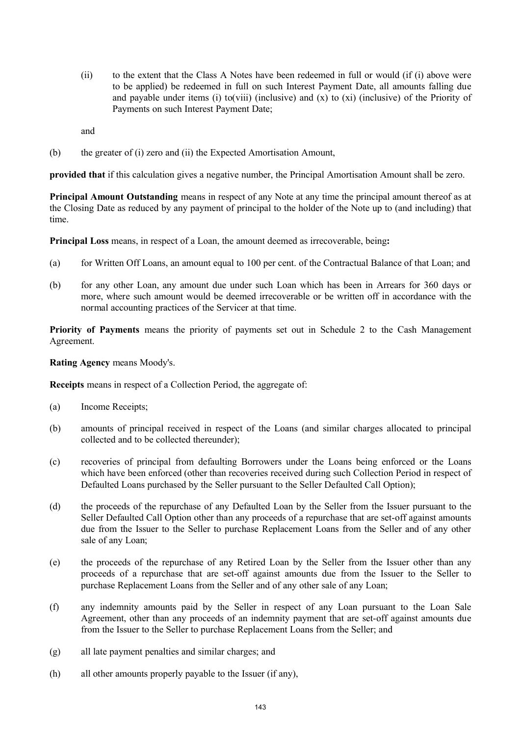(ii) to the extent that the Class A Notes have been redeemed in full or would (if (i) above were to be applied) be redeemed in full on such Interest Payment Date, all amounts falling due and payable under items (i) to(viii) (inclusive) and  $(x)$  to  $(xi)$  (inclusive) of the Priority of Payments on such Interest Payment Date;

and

(b) the greater of (i) zero and (ii) the Expected Amortisation Amount,

**provided that** if this calculation gives a negative number, the Principal Amortisation Amount shall be zero.

**Principal Amount Outstanding** means in respect of any Note at any time the principal amount thereof as at the Closing Date as reduced by any payment of principal to the holder of the Note up to (and including) that time.

**Principal Loss** means, in respect of a Loan, the amount deemed as irrecoverable, being**:**

- (a) for Written Off Loans, an amount equal to 100 per cent. of the Contractual Balance of that Loan; and
- (b) for any other Loan, any amount due under such Loan which has been in Arrears for 360 days or more, where such amount would be deemed irrecoverable or be written off in accordance with the normal accounting practices of the Servicer at that time.

**Priority of Payments** means the priority of payments set out in Schedule 2 to the Cash Management Agreement.

#### **Rating Agency** means Moody's.

**Receipts** means in respect of a Collection Period, the aggregate of:

- (a) Income Receipts;
- (b) amounts of principal received in respect of the Loans (and similar charges allocated to principal collected and to be collected thereunder);
- (c) recoveries of principal from defaulting Borrowers under the Loans being enforced or the Loans which have been enforced (other than recoveries received during such Collection Period in respect of Defaulted Loans purchased by the Seller pursuant to the Seller Defaulted Call Option);
- (d) the proceeds of the repurchase of any Defaulted Loan by the Seller from the Issuer pursuant to the Seller Defaulted Call Option other than any proceeds of a repurchase that are set-off against amounts due from the Issuer to the Seller to purchase Replacement Loans from the Seller and of any other sale of any Loan;
- (e) the proceeds of the repurchase of any Retired Loan by the Seller from the Issuer other than any proceeds of a repurchase that are set-off against amounts due from the Issuer to the Seller to purchase Replacement Loans from the Seller and of any other sale of any Loan;
- (f) any indemnity amounts paid by the Seller in respect of any Loan pursuant to the Loan Sale Agreement, other than any proceeds of an indemnity payment that are set-off against amounts due from the Issuer to the Seller to purchase Replacement Loans from the Seller; and
- (g) all late payment penalties and similar charges; and
- (h) all other amounts properly payable to the Issuer (if any),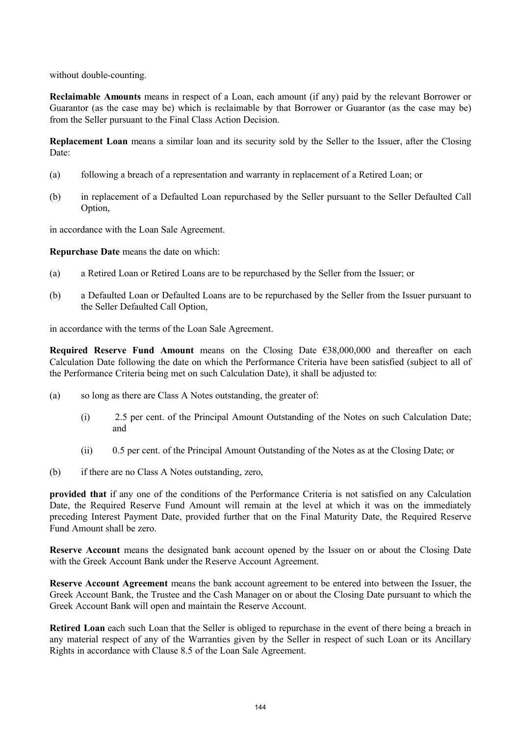without double-counting.

**Reclaimable Amounts** means in respect of a Loan, each amount (if any) paid by the relevant Borrower or Guarantor (as the case may be) which is reclaimable by that Borrower or Guarantor (as the case may be) from the Seller pursuant to the Final Class Action Decision.

**Replacement Loan** means a similar loan and its security sold by the Seller to the Issuer, after the Closing Date:

- (a) following a breach of a representation and warranty in replacement of a Retired Loan; or
- (b) in replacement of a Defaulted Loan repurchased by the Seller pursuant to the Seller Defaulted Call Option,

in accordance with the Loan Sale Agreement.

**Repurchase Date** means the date on which:

- (a) a Retired Loan or Retired Loans are to be repurchased by the Seller from the Issuer; or
- (b) a Defaulted Loan or Defaulted Loans are to be repurchased by the Seller from the Issuer pursuant to the Seller Defaulted Call Option,

in accordance with the terms of the Loan Sale Agreement.

**Required Reserve Fund Amount** means on the Closing Date €38,000,000 and thereafter on each Calculation Date following the date on which the Performance Criteria have been satisfied (subject to all of the Performance Criteria being met on such Calculation Date), it shall be adjusted to:

- (a) so long as there are Class A Notes outstanding, the greater of:
	- (i) 2.5 per cent. of the Principal Amount Outstanding of the Notes on such Calculation Date; and
	- (ii) 0.5 per cent. of the Principal Amount Outstanding of the Notes as at the Closing Date; or
- (b) if there are no Class A Notes outstanding, zero,

**provided that** if any one of the conditions of the Performance Criteria is not satisfied on any Calculation Date, the Required Reserve Fund Amount will remain at the level at which it was on the immediately preceding Interest Payment Date, provided further that on the Final Maturity Date, the Required Reserve Fund Amount shall be zero.

**Reserve Account** means the designated bank account opened by the Issuer on or about the Closing Date with the Greek Account Bank under the Reserve Account Agreement.

**Reserve Account Agreement** means the bank account agreement to be entered into between the Issuer, the Greek Account Bank, the Trustee and the Cash Manager on or about the Closing Date pursuant to which the Greek Account Bank will open and maintain the Reserve Account.

**Retired Loan** each such Loan that the Seller is obliged to repurchase in the event of there being a breach in any material respect of any of the Warranties given by the Seller in respect of such Loan or its Ancillary Rights in accordance with Clause 8.5 of the Loan Sale Agreement.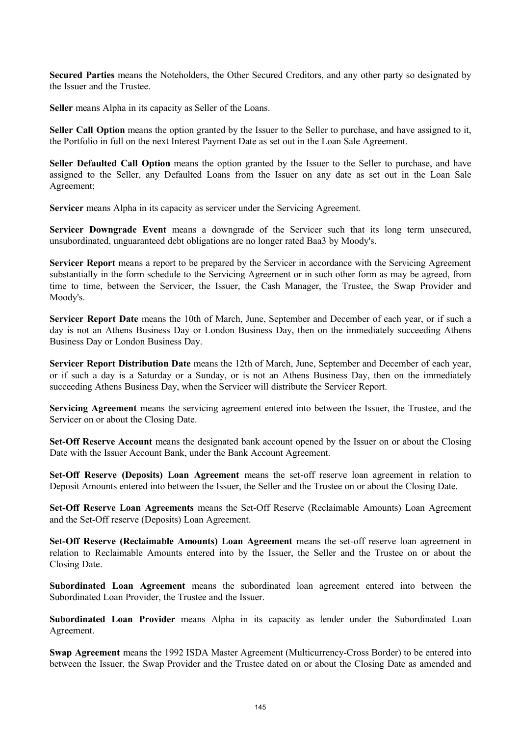**Secured Parties** means the Noteholders, the Other Secured Creditors, and any other party so designated by the Issuer and the Trustee.

**Seller** means Alpha in its capacity as Seller of the Loans.

**Seller Call Option** means the option granted by the Issuer to the Seller to purchase, and have assigned to it, the Portfolio in full on the next Interest Payment Date as set out in the Loan Sale Agreement.

**Seller Defaulted Call Option** means the option granted by the Issuer to the Seller to purchase, and have assigned to the Seller, any Defaulted Loans from the Issuer on any date as set out in the Loan Sale Agreement;

**Servicer** means Alpha in its capacity as servicer under the Servicing Agreement.

**Servicer Downgrade Event** means a downgrade of the Servicer such that its long term unsecured, unsubordinated, unguaranteed debt obligations are no longer rated Baa3 by Moody's.

Servicer Report means a report to be prepared by the Servicer in accordance with the Servicing Agreement substantially in the form schedule to the Servicing Agreement or in such other form as may be agreed, from time to time, between the Servicer, the Issuer, the Cash Manager, the Trustee, the Swap Provider and Moody's.

**Servicer Report Date** means the 10th of March, June, September and December of each year, or if such a day is not an Athens Business Day or London Business Day, then on the immediately succeeding Athens Business Day or London Business Day.

**Servicer Report Distribution Date** means the 12th of March, June, September and December of each year, or if such a day is a Saturday or a Sunday, or is not an Athens Business Day, then on the immediately succeeding Athens Business Day, when the Servicer will distribute the Servicer Report.

**Servicing Agreement** means the servicing agreement entered into between the Issuer, the Trustee, and the Servicer on or about the Closing Date.

**Set-Off Reserve Account** means the designated bank account opened by the Issuer on or about the Closing Date with the Issuer Account Bank, under the Bank Account Agreement.

**Set-Off Reserve (Deposits) Loan Agreement** means the set-off reserve loan agreement in relation to Deposit Amounts entered into between the Issuer, the Seller and the Trustee on or about the Closing Date.

**Set-Off Reserve Loan Agreements** means the Set-Off Reserve (Reclaimable Amounts) Loan Agreement and the Set-Off reserve (Deposits) Loan Agreement.

**Set-Off Reserve (Reclaimable Amounts) Loan Agreement** means the set-off reserve loan agreement in relation to Reclaimable Amounts entered into by the Issuer, the Seller and the Trustee on or about the Closing Date.

**Subordinated Loan Agreement** means the subordinated loan agreement entered into between the Subordinated Loan Provider, the Trustee and the Issuer.

**Subordinated Loan Provider** means Alpha in its capacity as lender under the Subordinated Loan Agreement.

**Swap Agreement** means the 1992 ISDA Master Agreement (Multicurrency-Cross Border) to be entered into between the Issuer, the Swap Provider and the Trustee dated on or about the Closing Date as amended and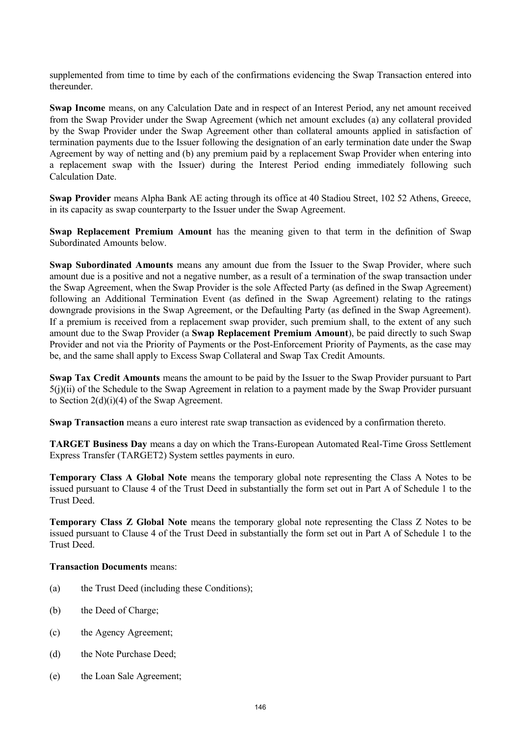supplemented from time to time by each of the confirmations evidencing the Swap Transaction entered into thereunder.

**Swap Income** means, on any Calculation Date and in respect of an Interest Period, any net amount received from the Swap Provider under the Swap Agreement (which net amount excludes (a) any collateral provided by the Swap Provider under the Swap Agreement other than collateral amounts applied in satisfaction of termination payments due to the Issuer following the designation of an early termination date under the Swap Agreement by way of netting and (b) any premium paid by a replacement Swap Provider when entering into a replacement swap with the Issuer) during the Interest Period ending immediately following such Calculation Date.

**Swap Provider** means Alpha Bank AE acting through its office at 40 Stadiou Street, 102 52 Athens, Greece, in its capacity as swap counterparty to the Issuer under the Swap Agreement.

**Swap Replacement Premium Amount** has the meaning given to that term in the definition of Swap Subordinated Amounts below.

**Swap Subordinated Amounts** means any amount due from the Issuer to the Swap Provider, where such amount due is a positive and not a negative number, as a result of a termination of the swap transaction under the Swap Agreement, when the Swap Provider is the sole Affected Party (as defined in the Swap Agreement) following an Additional Termination Event (as defined in the Swap Agreement) relating to the ratings downgrade provisions in the Swap Agreement, or the Defaulting Party (as defined in the Swap Agreement). If a premium is received from a replacement swap provider, such premium shall, to the extent of any such amount due to the Swap Provider (a **Swap Replacement Premium Amount**), be paid directly to such Swap Provider and not via the Priority of Payments or the Post-Enforcement Priority of Payments, as the case may be, and the same shall apply to Excess Swap Collateral and Swap Tax Credit Amounts.

**Swap Tax Credit Amounts** means the amount to be paid by the Issuer to the Swap Provider pursuant to Part 5(j)(ii) of the Schedule to the Swap Agreement in relation to a payment made by the Swap Provider pursuant to Section 2(d)(i)(4) of the Swap Agreement.

**Swap Transaction** means a euro interest rate swap transaction as evidenced by a confirmation thereto.

**TARGET Business Day** means a day on which the Trans-European Automated Real-Time Gross Settlement Express Transfer (TARGET2) System settles payments in euro.

**Temporary Class A Global Note** means the temporary global note representing the Class A Notes to be issued pursuant to Clause 4 of the Trust Deed in substantially the form set out in Part A of Schedule 1 to the Trust Deed.

**Temporary Class Z Global Note** means the temporary global note representing the Class Z Notes to be issued pursuant to Clause 4 of the Trust Deed in substantially the form set out in Part A of Schedule 1 to the Trust Deed.

## **Transaction Documents** means:

- (a) the Trust Deed (including these Conditions);
- (b) the Deed of Charge;
- (c) the Agency Agreement;
- (d) the Note Purchase Deed;
- (e) the Loan Sale Agreement;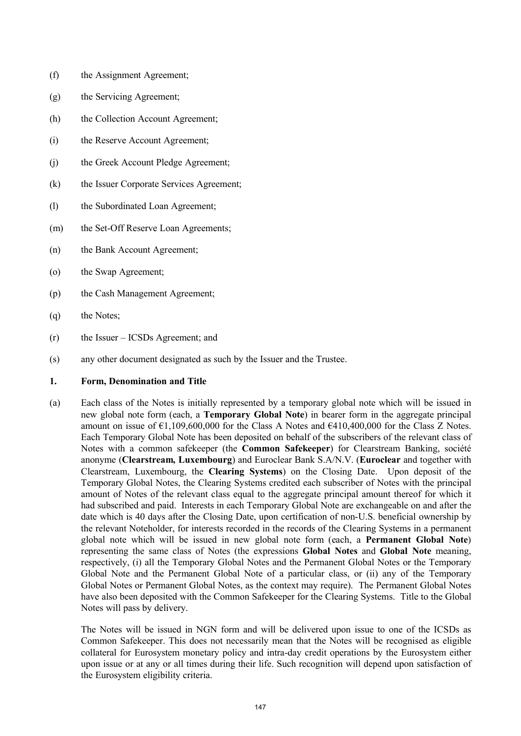- (f) the Assignment Agreement;
- (g) the Servicing Agreement;
- (h) the Collection Account Agreement;
- (i) the Reserve Account Agreement;
- (j) the Greek Account Pledge Agreement;
- (k) the Issuer Corporate Services Agreement;
- (l) the Subordinated Loan Agreement;
- (m) the Set-Off Reserve Loan Agreements;
- (n) the Bank Account Agreement;
- (o) the Swap Agreement;
- (p) the Cash Management Agreement;
- (q) the Notes;
- (r) the Issuer ICSDs Agreement; and
- (s) any other document designated as such by the Issuer and the Trustee.

## **1. Form, Denomination and Title**

(a) Each class of the Notes is initially represented by a temporary global note which will be issued in new global note form (each, a **Temporary Global Note**) in bearer form in the aggregate principal amount on issue of  $\epsilon$ 1,109,600,000 for the Class A Notes and  $\epsilon$ 410,400,000 for the Class Z Notes. Each Temporary Global Note has been deposited on behalf of the subscribers of the relevant class of Notes with a common safekeeper (the **Common Safekeeper**) for Clearstream Banking, société anonyme (**Clearstream, Luxembourg**) and Euroclear Bank S.A/N.V. (**Euroclear** and together with Clearstream, Luxembourg, the **Clearing Systems**) on the Closing Date. Upon deposit of the Temporary Global Notes, the Clearing Systems credited each subscriber of Notes with the principal amount of Notes of the relevant class equal to the aggregate principal amount thereof for which it had subscribed and paid. Interests in each Temporary Global Note are exchangeable on and after the date which is 40 days after the Closing Date, upon certification of non-U.S. beneficial ownership by the relevant Noteholder, for interests recorded in the records of the Clearing Systems in a permanent global note which will be issued in new global note form (each, a **Permanent Global Note**) representing the same class of Notes (the expressions **Global Notes** and **Global Note** meaning, respectively, (i) all the Temporary Global Notes and the Permanent Global Notes or the Temporary Global Note and the Permanent Global Note of a particular class, or (ii) any of the Temporary Global Notes or Permanent Global Notes, as the context may require). The Permanent Global Notes have also been deposited with the Common Safekeeper for the Clearing Systems. Title to the Global Notes will pass by delivery.

The Notes will be issued in NGN form and will be delivered upon issue to one of the ICSDs as Common Safekeeper. This does not necessarily mean that the Notes will be recognised as eligible collateral for Eurosystem monetary policy and intra-day credit operations by the Eurosystem either upon issue or at any or all times during their life. Such recognition will depend upon satisfaction of the Eurosystem eligibility criteria.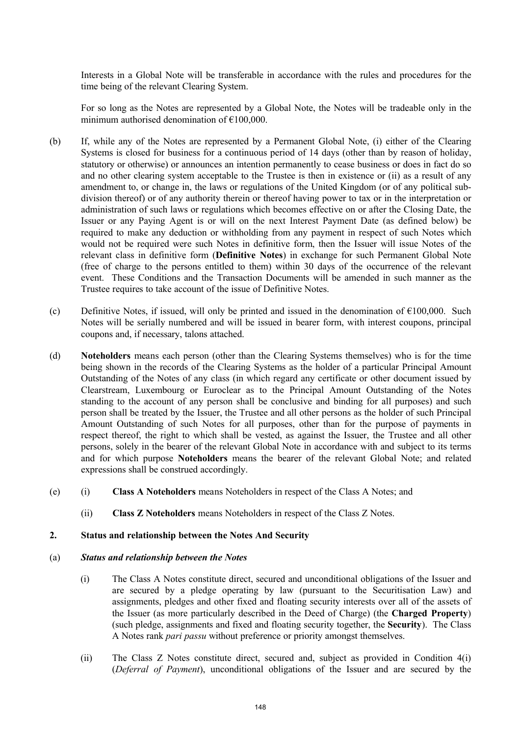Interests in a Global Note will be transferable in accordance with the rules and procedures for the time being of the relevant Clearing System.

For so long as the Notes are represented by a Global Note, the Notes will be tradeable only in the minimum authorised denomination of  $£100,000$ .

- (b) If, while any of the Notes are represented by a Permanent Global Note, (i) either of the Clearing Systems is closed for business for a continuous period of 14 days (other than by reason of holiday, statutory or otherwise) or announces an intention permanently to cease business or does in fact do so and no other clearing system acceptable to the Trustee is then in existence or (ii) as a result of any amendment to, or change in, the laws or regulations of the United Kingdom (or of any political subdivision thereof) or of any authority therein or thereof having power to tax or in the interpretation or administration of such laws or regulations which becomes effective on or after the Closing Date, the Issuer or any Paying Agent is or will on the next Interest Payment Date (as defined below) be required to make any deduction or withholding from any payment in respect of such Notes which would not be required were such Notes in definitive form, then the Issuer will issue Notes of the relevant class in definitive form (**Definitive Notes**) in exchange for such Permanent Global Note (free of charge to the persons entitled to them) within 30 days of the occurrence of the relevant event. These Conditions and the Transaction Documents will be amended in such manner as the Trustee requires to take account of the issue of Definitive Notes.
- (c) Definitive Notes, if issued, will only be printed and issued in the denomination of  $\epsilon$ 100,000. Such Notes will be serially numbered and will be issued in bearer form, with interest coupons, principal coupons and, if necessary, talons attached.
- (d) **Noteholders** means each person (other than the Clearing Systems themselves) who is for the time being shown in the records of the Clearing Systems as the holder of a particular Principal Amount Outstanding of the Notes of any class (in which regard any certificate or other document issued by Clearstream, Luxembourg or Euroclear as to the Principal Amount Outstanding of the Notes standing to the account of any person shall be conclusive and binding for all purposes) and such person shall be treated by the Issuer, the Trustee and all other persons as the holder of such Principal Amount Outstanding of such Notes for all purposes, other than for the purpose of payments in respect thereof, the right to which shall be vested, as against the Issuer, the Trustee and all other persons, solely in the bearer of the relevant Global Note in accordance with and subject to its terms and for which purpose **Noteholders** means the bearer of the relevant Global Note; and related expressions shall be construed accordingly.
- (e) (i) **Class A Noteholders** means Noteholders in respect of the Class A Notes; and
	- (ii) **Class Z Noteholders** means Noteholders in respect of the Class Z Notes.

#### **2. Status and relationship between the Notes And Security**

#### (a) *Status and relationship between the Notes*

- (i) The Class A Notes constitute direct, secured and unconditional obligations of the Issuer and are secured by a pledge operating by law (pursuant to the Securitisation Law) and assignments, pledges and other fixed and floating security interests over all of the assets of the Issuer (as more particularly described in the Deed of Charge) (the **Charged Property**) (such pledge, assignments and fixed and floating security together, the **Security**). The Class A Notes rank *pari passu* without preference or priority amongst themselves.
- (ii) The Class Z Notes constitute direct, secured and, subject as provided in Condition 4(i) (*Deferral of Payment*), unconditional obligations of the Issuer and are secured by the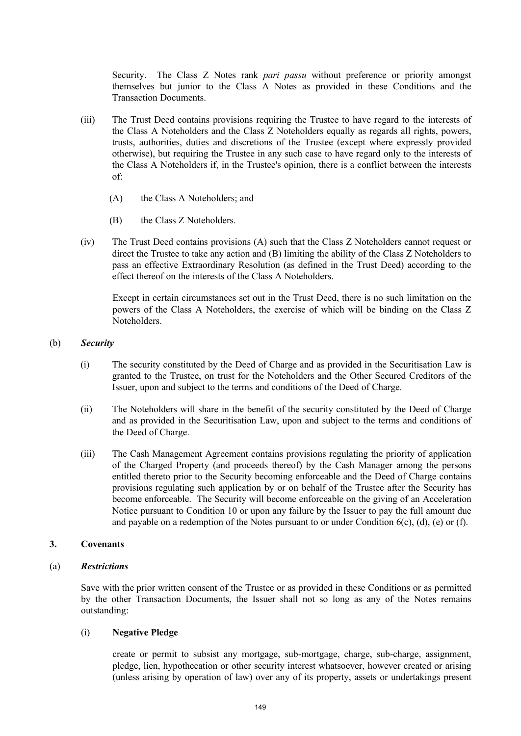Security. The Class Z Notes rank *pari passu* without preference or priority amongst themselves but junior to the Class A Notes as provided in these Conditions and the Transaction Documents.

- (iii) The Trust Deed contains provisions requiring the Trustee to have regard to the interests of the Class A Noteholders and the Class Z Noteholders equally as regards all rights, powers, trusts, authorities, duties and discretions of the Trustee (except where expressly provided otherwise), but requiring the Trustee in any such case to have regard only to the interests of the Class A Noteholders if, in the Trustee's opinion, there is a conflict between the interests of:
	- (A) the Class A Noteholders; and
	- (B) the Class Z Noteholders.
- (iv) The Trust Deed contains provisions (A) such that the Class Z Noteholders cannot request or direct the Trustee to take any action and (B) limiting the ability of the Class Z Noteholders to pass an effective Extraordinary Resolution (as defined in the Trust Deed) according to the effect thereof on the interests of the Class A Noteholders.

Except in certain circumstances set out in the Trust Deed, there is no such limitation on the powers of the Class A Noteholders, the exercise of which will be binding on the Class Z Noteholders.

## (b) *Security*

- (i) The security constituted by the Deed of Charge and as provided in the Securitisation Law is granted to the Trustee, on trust for the Noteholders and the Other Secured Creditors of the Issuer, upon and subject to the terms and conditions of the Deed of Charge.
- (ii) The Noteholders will share in the benefit of the security constituted by the Deed of Charge and as provided in the Securitisation Law, upon and subject to the terms and conditions of the Deed of Charge.
- (iii) The Cash Management Agreement contains provisions regulating the priority of application of the Charged Property (and proceeds thereof) by the Cash Manager among the persons entitled thereto prior to the Security becoming enforceable and the Deed of Charge contains provisions regulating such application by or on behalf of the Trustee after the Security has become enforceable. The Security will become enforceable on the giving of an Acceleration Notice pursuant to Condition 10 or upon any failure by the Issuer to pay the full amount due and payable on a redemption of the Notes pursuant to or under Condition 6(c), (d), (e) or (f).

## **3. Covenants**

## (a) *Restrictions*

Save with the prior written consent of the Trustee or as provided in these Conditions or as permitted by the other Transaction Documents, the Issuer shall not so long as any of the Notes remains outstanding:

## (i) **Negative Pledge**

create or permit to subsist any mortgage, sub-mortgage, charge, sub-charge, assignment, pledge, lien, hypothecation or other security interest whatsoever, however created or arising (unless arising by operation of law) over any of its property, assets or undertakings present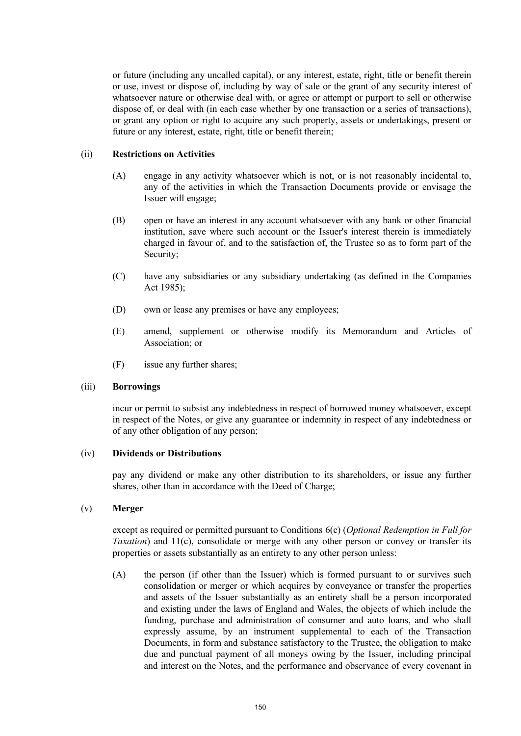or future (including any uncalled capital), or any interest, estate, right, title or benefit therein or use, invest or dispose of, including by way of sale or the grant of any security interest of whatsoever nature or otherwise deal with, or agree or attempt or purport to sell or otherwise dispose of, or deal with (in each case whether by one transaction or a series of transactions), or grant any option or right to acquire any such property, assets or undertakings, present or future or any interest, estate, right, title or benefit therein;

#### (ii) **Restrictions on Activities**

- (A) engage in any activity whatsoever which is not, or is not reasonably incidental to, any of the activities in which the Transaction Documents provide or envisage the Issuer will engage;
- (B) open or have an interest in any account whatsoever with any bank or other financial institution, save where such account or the Issuer's interest therein is immediately charged in favour of, and to the satisfaction of, the Trustee so as to form part of the Security;
- (C) have any subsidiaries or any subsidiary undertaking (as defined in the Companies Act 1985);
- (D) own or lease any premises or have any employees;
- (E) amend, supplement or otherwise modify its Memorandum and Articles of Association; or
- (F) issue any further shares;

## (iii) **Borrowings**

incur or permit to subsist any indebtedness in respect of borrowed money whatsoever, except in respect of the Notes, or give any guarantee or indemnity in respect of any indebtedness or of any other obligation of any person;

## (iv) **Dividends or Distributions**

pay any dividend or make any other distribution to its shareholders, or issue any further shares, other than in accordance with the Deed of Charge;

## (v) **Merger**

except as required or permitted pursuant to Conditions 6(c) (*Optional Redemption in Full for Taxation*) and 11(c), consolidate or merge with any other person or convey or transfer its properties or assets substantially as an entirety to any other person unless:

(A) the person (if other than the Issuer) which is formed pursuant to or survives such consolidation or merger or which acquires by conveyance or transfer the properties and assets of the Issuer substantially as an entirety shall be a person incorporated and existing under the laws of England and Wales, the objects of which include the funding, purchase and administration of consumer and auto loans, and who shall expressly assume, by an instrument supplemental to each of the Transaction Documents, in form and substance satisfactory to the Trustee, the obligation to make due and punctual payment of all moneys owing by the Issuer, including principal and interest on the Notes, and the performance and observance of every covenant in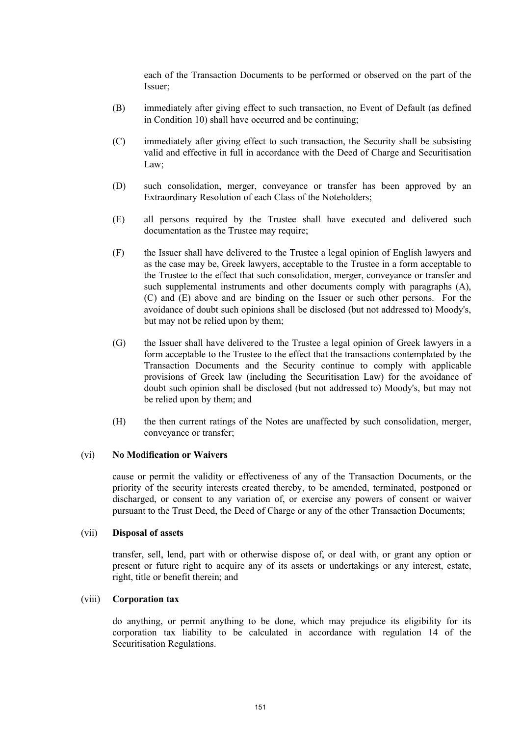each of the Transaction Documents to be performed or observed on the part of the Issuer;

- (B) immediately after giving effect to such transaction, no Event of Default (as defined in Condition 10) shall have occurred and be continuing;
- (C) immediately after giving effect to such transaction, the Security shall be subsisting valid and effective in full in accordance with the Deed of Charge and Securitisation Law;
- (D) such consolidation, merger, conveyance or transfer has been approved by an Extraordinary Resolution of each Class of the Noteholders;
- (E) all persons required by the Trustee shall have executed and delivered such documentation as the Trustee may require;
- (F) the Issuer shall have delivered to the Trustee a legal opinion of English lawyers and as the case may be, Greek lawyers, acceptable to the Trustee in a form acceptable to the Trustee to the effect that such consolidation, merger, conveyance or transfer and such supplemental instruments and other documents comply with paragraphs (A), (C) and (E) above and are binding on the Issuer or such other persons. For the avoidance of doubt such opinions shall be disclosed (but not addressed to) Moody's, but may not be relied upon by them;
- (G) the Issuer shall have delivered to the Trustee a legal opinion of Greek lawyers in a form acceptable to the Trustee to the effect that the transactions contemplated by the Transaction Documents and the Security continue to comply with applicable provisions of Greek law (including the Securitisation Law) for the avoidance of doubt such opinion shall be disclosed (but not addressed to) Moody's, but may not be relied upon by them; and
- (H) the then current ratings of the Notes are unaffected by such consolidation, merger, conveyance or transfer;

# (vi) **No Modification or Waivers**

cause or permit the validity or effectiveness of any of the Transaction Documents, or the priority of the security interests created thereby, to be amended, terminated, postponed or discharged, or consent to any variation of, or exercise any powers of consent or waiver pursuant to the Trust Deed, the Deed of Charge or any of the other Transaction Documents;

#### (vii) **Disposal of assets**

transfer, sell, lend, part with or otherwise dispose of, or deal with, or grant any option or present or future right to acquire any of its assets or undertakings or any interest, estate, right, title or benefit therein; and

## (viii) **Corporation tax**

do anything, or permit anything to be done, which may prejudice its eligibility for its corporation tax liability to be calculated in accordance with regulation 14 of the Securitisation Regulations.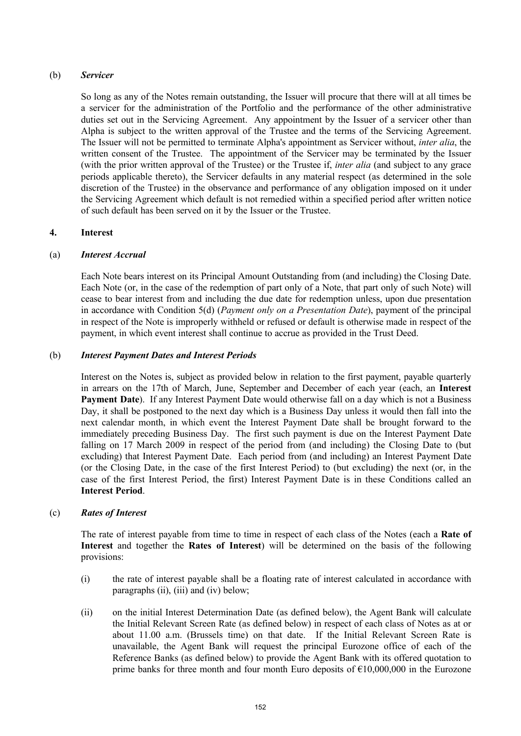## (b) *Servicer*

So long as any of the Notes remain outstanding, the Issuer will procure that there will at all times be a servicer for the administration of the Portfolio and the performance of the other administrative duties set out in the Servicing Agreement. Any appointment by the Issuer of a servicer other than Alpha is subject to the written approval of the Trustee and the terms of the Servicing Agreement. The Issuer will not be permitted to terminate Alpha's appointment as Servicer without, *inter alia*, the written consent of the Trustee. The appointment of the Servicer may be terminated by the Issuer (with the prior written approval of the Trustee) or the Trustee if, *inter alia* (and subject to any grace periods applicable thereto), the Servicer defaults in any material respect (as determined in the sole discretion of the Trustee) in the observance and performance of any obligation imposed on it under the Servicing Agreement which default is not remedied within a specified period after written notice of such default has been served on it by the Issuer or the Trustee.

## **4. Interest**

## (a) *Interest Accrual*

Each Note bears interest on its Principal Amount Outstanding from (and including) the Closing Date. Each Note (or, in the case of the redemption of part only of a Note, that part only of such Note) will cease to bear interest from and including the due date for redemption unless, upon due presentation in accordance with Condition 5(d) (*Payment only on a Presentation Date*), payment of the principal in respect of the Note is improperly withheld or refused or default is otherwise made in respect of the payment, in which event interest shall continue to accrue as provided in the Trust Deed.

## (b) *Interest Payment Dates and Interest Periods*

Interest on the Notes is, subject as provided below in relation to the first payment, payable quarterly in arrears on the 17th of March, June, September and December of each year (each, an **Interest Payment Date**). If any Interest Payment Date would otherwise fall on a day which is not a Business Day, it shall be postponed to the next day which is a Business Day unless it would then fall into the next calendar month, in which event the Interest Payment Date shall be brought forward to the immediately preceding Business Day. The first such payment is due on the Interest Payment Date falling on 17 March 2009 in respect of the period from (and including) the Closing Date to (but excluding) that Interest Payment Date. Each period from (and including) an Interest Payment Date (or the Closing Date, in the case of the first Interest Period) to (but excluding) the next (or, in the case of the first Interest Period, the first) Interest Payment Date is in these Conditions called an **Interest Period**.

## (c) *Rates of Interest*

The rate of interest payable from time to time in respect of each class of the Notes (each a **Rate of Interest** and together the **Rates of Interest**) will be determined on the basis of the following provisions:

- (i) the rate of interest payable shall be a floating rate of interest calculated in accordance with paragraphs (ii), (iii) and (iv) below;
- (ii) on the initial Interest Determination Date (as defined below), the Agent Bank will calculate the Initial Relevant Screen Rate (as defined below) in respect of each class of Notes as at or about 11.00 a.m. (Brussels time) on that date. If the Initial Relevant Screen Rate is unavailable, the Agent Bank will request the principal Eurozone office of each of the Reference Banks (as defined below) to provide the Agent Bank with its offered quotation to prime banks for three month and four month Euro deposits of  $\text{\textsterling}10,000,000$  in the Eurozone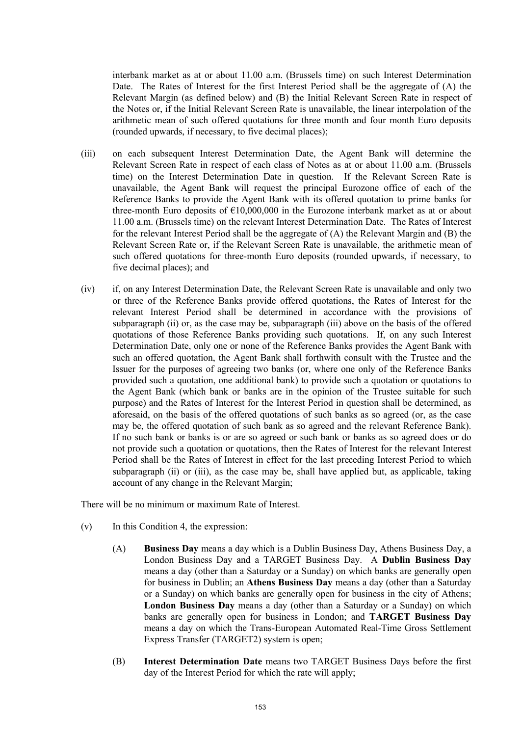interbank market as at or about 11.00 a.m. (Brussels time) on such Interest Determination Date. The Rates of Interest for the first Interest Period shall be the aggregate of (A) the Relevant Margin (as defined below) and (B) the Initial Relevant Screen Rate in respect of the Notes or, if the Initial Relevant Screen Rate is unavailable, the linear interpolation of the arithmetic mean of such offered quotations for three month and four month Euro deposits (rounded upwards, if necessary, to five decimal places);

- (iii) on each subsequent Interest Determination Date, the Agent Bank will determine the Relevant Screen Rate in respect of each class of Notes as at or about 11.00 a.m. (Brussels time) on the Interest Determination Date in question. If the Relevant Screen Rate is unavailable, the Agent Bank will request the principal Eurozone office of each of the Reference Banks to provide the Agent Bank with its offered quotation to prime banks for three-month Euro deposits of  $\epsilon$ 10,000,000 in the Eurozone interbank market as at or about 11.00 a.m. (Brussels time) on the relevant Interest Determination Date. The Rates of Interest for the relevant Interest Period shall be the aggregate of (A) the Relevant Margin and (B) the Relevant Screen Rate or, if the Relevant Screen Rate is unavailable, the arithmetic mean of such offered quotations for three-month Euro deposits (rounded upwards, if necessary, to five decimal places); and
- (iv) if, on any Interest Determination Date, the Relevant Screen Rate is unavailable and only two or three of the Reference Banks provide offered quotations, the Rates of Interest for the relevant Interest Period shall be determined in accordance with the provisions of subparagraph (ii) or, as the case may be, subparagraph (iii) above on the basis of the offered quotations of those Reference Banks providing such quotations. If, on any such Interest Determination Date, only one or none of the Reference Banks provides the Agent Bank with such an offered quotation, the Agent Bank shall forthwith consult with the Trustee and the Issuer for the purposes of agreeing two banks (or, where one only of the Reference Banks provided such a quotation, one additional bank) to provide such a quotation or quotations to the Agent Bank (which bank or banks are in the opinion of the Trustee suitable for such purpose) and the Rates of Interest for the Interest Period in question shall be determined, as aforesaid, on the basis of the offered quotations of such banks as so agreed (or, as the case may be, the offered quotation of such bank as so agreed and the relevant Reference Bank). If no such bank or banks is or are so agreed or such bank or banks as so agreed does or do not provide such a quotation or quotations, then the Rates of Interest for the relevant Interest Period shall be the Rates of Interest in effect for the last preceding Interest Period to which subparagraph (ii) or (iii), as the case may be, shall have applied but, as applicable, taking account of any change in the Relevant Margin;

There will be no minimum or maximum Rate of Interest.

- (v) In this Condition 4, the expression:
	- (A) **Business Day** means a day which is a Dublin Business Day, Athens Business Day, a London Business Day and a TARGET Business Day. A **Dublin Business Day** means a day (other than a Saturday or a Sunday) on which banks are generally open for business in Dublin; an **Athens Business Day** means a day (other than a Saturday or a Sunday) on which banks are generally open for business in the city of Athens; **London Business Day** means a day (other than a Saturday or a Sunday) on which banks are generally open for business in London; and **TARGET Business Day** means a day on which the Trans-European Automated Real-Time Gross Settlement Express Transfer (TARGET2) system is open;
	- (B) **Interest Determination Date** means two TARGET Business Days before the first day of the Interest Period for which the rate will apply;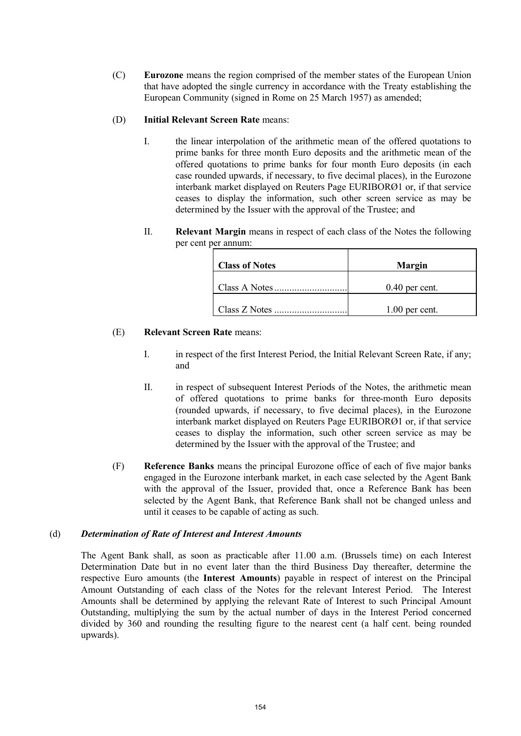(C) **Eurozone** means the region comprised of the member states of the European Union that have adopted the single currency in accordance with the Treaty establishing the European Community (signed in Rome on 25 March 1957) as amended;

# (D) **Initial Relevant Screen Rate** means:

- I. the linear interpolation of the arithmetic mean of the offered quotations to prime banks for three month Euro deposits and the arithmetic mean of the offered quotations to prime banks for four month Euro deposits (in each case rounded upwards, if necessary, to five decimal places), in the Eurozone interbank market displayed on Reuters Page EURIBORØ1 or, if that service ceases to display the information, such other screen service as may be determined by the Issuer with the approval of the Trustee; and
- II. **Relevant Margin** means in respect of each class of the Notes the following per cent per annum:

| <b>Class of Notes</b> | <b>Margin</b>    |
|-----------------------|------------------|
| Class A Notes         | $0.40$ per cent. |
| Class Z Notes         | $1.00$ per cent. |

## (E) **Relevant Screen Rate** means:

- I. in respect of the first Interest Period, the Initial Relevant Screen Rate, if any; and
- II. in respect of subsequent Interest Periods of the Notes, the arithmetic mean of offered quotations to prime banks for three-month Euro deposits (rounded upwards, if necessary, to five decimal places), in the Eurozone interbank market displayed on Reuters Page EURIBORØ1 or, if that service ceases to display the information, such other screen service as may be determined by the Issuer with the approval of the Trustee; and
- (F) **Reference Banks** means the principal Eurozone office of each of five major banks engaged in the Eurozone interbank market, in each case selected by the Agent Bank with the approval of the Issuer, provided that, once a Reference Bank has been selected by the Agent Bank, that Reference Bank shall not be changed unless and until it ceases to be capable of acting as such.

## (d) *Determination of Rate of Interest and Interest Amounts*

The Agent Bank shall, as soon as practicable after 11.00 a.m. (Brussels time) on each Interest Determination Date but in no event later than the third Business Day thereafter, determine the respective Euro amounts (the **Interest Amounts**) payable in respect of interest on the Principal Amount Outstanding of each class of the Notes for the relevant Interest Period. The Interest Amounts shall be determined by applying the relevant Rate of Interest to such Principal Amount Outstanding, multiplying the sum by the actual number of days in the Interest Period concerned divided by 360 and rounding the resulting figure to the nearest cent (a half cent. being rounded upwards).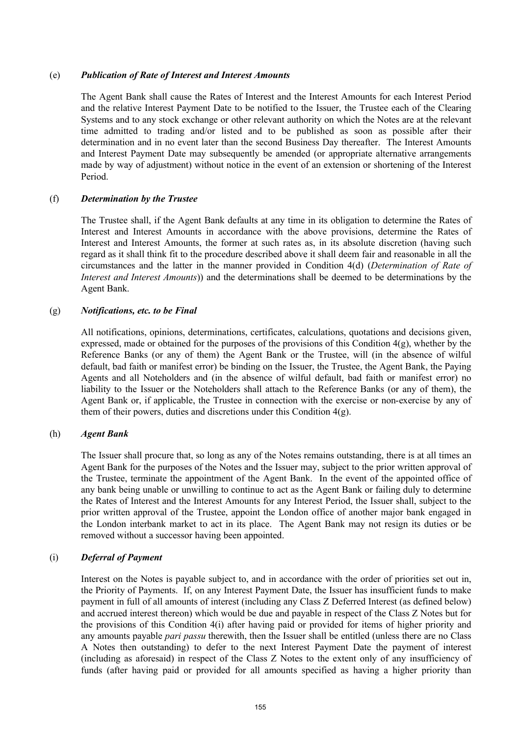## (e) *Publication of Rate of Interest and Interest Amounts*

The Agent Bank shall cause the Rates of Interest and the Interest Amounts for each Interest Period and the relative Interest Payment Date to be notified to the Issuer, the Trustee each of the Clearing Systems and to any stock exchange or other relevant authority on which the Notes are at the relevant time admitted to trading and/or listed and to be published as soon as possible after their determination and in no event later than the second Business Day thereafter. The Interest Amounts and Interest Payment Date may subsequently be amended (or appropriate alternative arrangements made by way of adjustment) without notice in the event of an extension or shortening of the Interest Period.

# (f) *Determination by the Trustee*

The Trustee shall, if the Agent Bank defaults at any time in its obligation to determine the Rates of Interest and Interest Amounts in accordance with the above provisions, determine the Rates of Interest and Interest Amounts, the former at such rates as, in its absolute discretion (having such regard as it shall think fit to the procedure described above it shall deem fair and reasonable in all the circumstances and the latter in the manner provided in Condition 4(d) (*Determination of Rate of Interest and Interest Amounts*)) and the determinations shall be deemed to be determinations by the Agent Bank.

## (g) *Notifications, etc. to be Final*

All notifications, opinions, determinations, certificates, calculations, quotations and decisions given, expressed, made or obtained for the purposes of the provisions of this Condition 4(g), whether by the Reference Banks (or any of them) the Agent Bank or the Trustee, will (in the absence of wilful default, bad faith or manifest error) be binding on the Issuer, the Trustee, the Agent Bank, the Paying Agents and all Noteholders and (in the absence of wilful default, bad faith or manifest error) no liability to the Issuer or the Noteholders shall attach to the Reference Banks (or any of them), the Agent Bank or, if applicable, the Trustee in connection with the exercise or non-exercise by any of them of their powers, duties and discretions under this Condition  $4(g)$ .

# (h) *Agent Bank*

The Issuer shall procure that, so long as any of the Notes remains outstanding, there is at all times an Agent Bank for the purposes of the Notes and the Issuer may, subject to the prior written approval of the Trustee, terminate the appointment of the Agent Bank. In the event of the appointed office of any bank being unable or unwilling to continue to act as the Agent Bank or failing duly to determine the Rates of Interest and the Interest Amounts for any Interest Period, the Issuer shall, subject to the prior written approval of the Trustee, appoint the London office of another major bank engaged in the London interbank market to act in its place. The Agent Bank may not resign its duties or be removed without a successor having been appointed.

## (i) *Deferral of Payment*

Interest on the Notes is payable subject to, and in accordance with the order of priorities set out in, the Priority of Payments. If, on any Interest Payment Date, the Issuer has insufficient funds to make payment in full of all amounts of interest (including any Class Z Deferred Interest (as defined below) and accrued interest thereon) which would be due and payable in respect of the Class Z Notes but for the provisions of this Condition 4(i) after having paid or provided for items of higher priority and any amounts payable *pari passu* therewith, then the Issuer shall be entitled (unless there are no Class A Notes then outstanding) to defer to the next Interest Payment Date the payment of interest (including as aforesaid) in respect of the Class Z Notes to the extent only of any insufficiency of funds (after having paid or provided for all amounts specified as having a higher priority than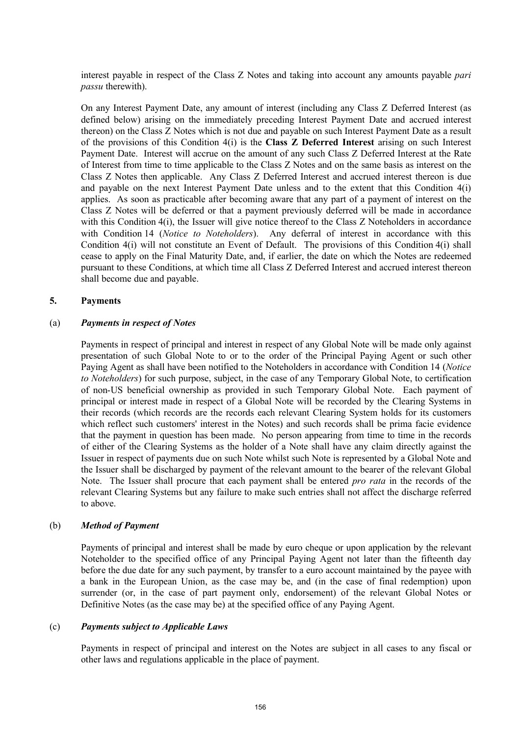interest payable in respect of the Class Z Notes and taking into account any amounts payable *pari passu* therewith).

On any Interest Payment Date, any amount of interest (including any Class Z Deferred Interest (as defined below) arising on the immediately preceding Interest Payment Date and accrued interest thereon) on the Class Z Notes which is not due and payable on such Interest Payment Date as a result of the provisions of this Condition 4(i) is the **Class Z Deferred Interest** arising on such Interest Payment Date. Interest will accrue on the amount of any such Class Z Deferred Interest at the Rate of Interest from time to time applicable to the Class Z Notes and on the same basis as interest on the Class Z Notes then applicable. Any Class Z Deferred Interest and accrued interest thereon is due and payable on the next Interest Payment Date unless and to the extent that this Condition 4(i) applies. As soon as practicable after becoming aware that any part of a payment of interest on the Class Z Notes will be deferred or that a payment previously deferred will be made in accordance with this Condition 4(i), the Issuer will give notice thereof to the Class Z Noteholders in accordance with Condition 14 (*Notice to Noteholders*). Any deferral of interest in accordance with this Condition 4(i) will not constitute an Event of Default. The provisions of this Condition 4(i) shall cease to apply on the Final Maturity Date, and, if earlier, the date on which the Notes are redeemed pursuant to these Conditions, at which time all Class Z Deferred Interest and accrued interest thereon shall become due and payable.

#### **5. Payments**

#### (a) *Payments in respect of Notes*

Payments in respect of principal and interest in respect of any Global Note will be made only against presentation of such Global Note to or to the order of the Principal Paying Agent or such other Paying Agent as shall have been notified to the Noteholders in accordance with Condition 14 (*Notice to Noteholders*) for such purpose, subject, in the case of any Temporary Global Note, to certification of non-US beneficial ownership as provided in such Temporary Global Note. Each payment of principal or interest made in respect of a Global Note will be recorded by the Clearing Systems in their records (which records are the records each relevant Clearing System holds for its customers which reflect such customers' interest in the Notes) and such records shall be prima facie evidence that the payment in question has been made. No person appearing from time to time in the records of either of the Clearing Systems as the holder of a Note shall have any claim directly against the Issuer in respect of payments due on such Note whilst such Note is represented by a Global Note and the Issuer shall be discharged by payment of the relevant amount to the bearer of the relevant Global Note. The Issuer shall procure that each payment shall be entered *pro rata* in the records of the relevant Clearing Systems but any failure to make such entries shall not affect the discharge referred to above.

## (b) *Method of Payment*

Payments of principal and interest shall be made by euro cheque or upon application by the relevant Noteholder to the specified office of any Principal Paying Agent not later than the fifteenth day before the due date for any such payment, by transfer to a euro account maintained by the payee with a bank in the European Union, as the case may be, and (in the case of final redemption) upon surrender (or, in the case of part payment only, endorsement) of the relevant Global Notes or Definitive Notes (as the case may be) at the specified office of any Paying Agent.

#### (c) *Payments subject to Applicable Laws*

Payments in respect of principal and interest on the Notes are subject in all cases to any fiscal or other laws and regulations applicable in the place of payment.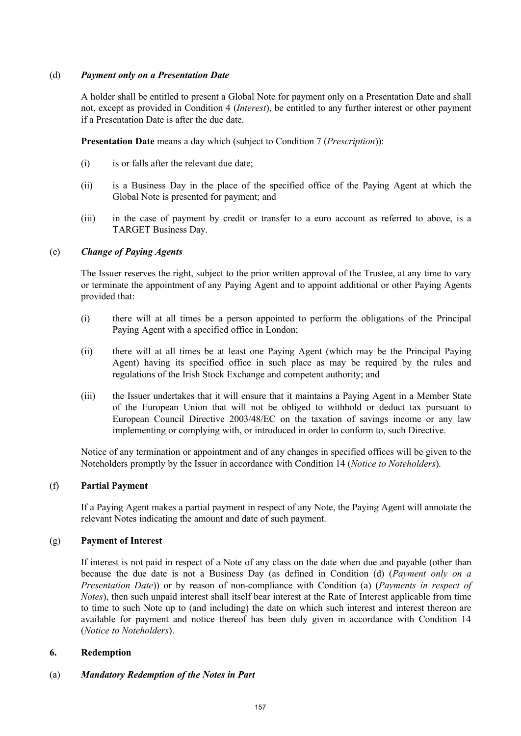## (d) *Payment only on a Presentation Date*

A holder shall be entitled to present a Global Note for payment only on a Presentation Date and shall not, except as provided in Condition 4 (*Interest*), be entitled to any further interest or other payment if a Presentation Date is after the due date.

**Presentation Date** means a day which (subject to Condition 7 (*Prescription*)):

- (i) is or falls after the relevant due date;
- (ii) is a Business Day in the place of the specified office of the Paying Agent at which the Global Note is presented for payment; and
- (iii) in the case of payment by credit or transfer to a euro account as referred to above, is a TARGET Business Day.

## (e) *Change of Paying Agents*

The Issuer reserves the right, subject to the prior written approval of the Trustee, at any time to vary or terminate the appointment of any Paying Agent and to appoint additional or other Paying Agents provided that:

- (i) there will at all times be a person appointed to perform the obligations of the Principal Paying Agent with a specified office in London;
- (ii) there will at all times be at least one Paying Agent (which may be the Principal Paying Agent) having its specified office in such place as may be required by the rules and regulations of the Irish Stock Exchange and competent authority; and
- (iii) the Issuer undertakes that it will ensure that it maintains a Paying Agent in a Member State of the European Union that will not be obliged to withhold or deduct tax pursuant to European Council Directive 2003/48/EC on the taxation of savings income or any law implementing or complying with, or introduced in order to conform to, such Directive.

Notice of any termination or appointment and of any changes in specified offices will be given to the Noteholders promptly by the Issuer in accordance with Condition 14 (*Notice to Noteholders*).

## (f) **Partial Payment**

If a Paying Agent makes a partial payment in respect of any Note, the Paying Agent will annotate the relevant Notes indicating the amount and date of such payment.

## (g) **Payment of Interest**

If interest is not paid in respect of a Note of any class on the date when due and payable (other than because the due date is not a Business Day (as defined in Condition (d) (*Payment only on a Presentation Date*)) or by reason of non-compliance with Condition (a) (*Payments in respect of Notes*), then such unpaid interest shall itself bear interest at the Rate of Interest applicable from time to time to such Note up to (and including) the date on which such interest and interest thereon are available for payment and notice thereof has been duly given in accordance with Condition 14 (*Notice to Noteholders*).

## **6. Redemption**

## (a) *Mandatory Redemption of the Notes in Part*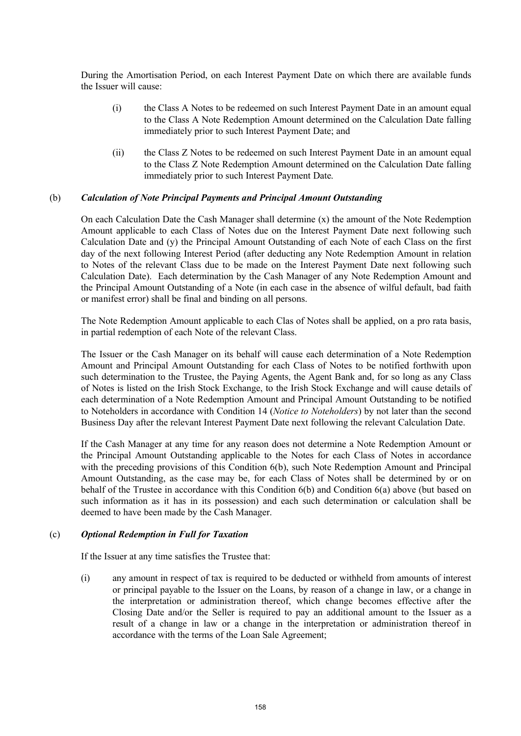During the Amortisation Period, on each Interest Payment Date on which there are available funds the Issuer will cause:

- (i) the Class A Notes to be redeemed on such Interest Payment Date in an amount equal to the Class A Note Redemption Amount determined on the Calculation Date falling immediately prior to such Interest Payment Date; and
- (ii) the Class Z Notes to be redeemed on such Interest Payment Date in an amount equal to the Class Z Note Redemption Amount determined on the Calculation Date falling immediately prior to such Interest Payment Date.

#### (b) *Calculation of Note Principal Payments and Principal Amount Outstanding*

On each Calculation Date the Cash Manager shall determine (x) the amount of the Note Redemption Amount applicable to each Class of Notes due on the Interest Payment Date next following such Calculation Date and (y) the Principal Amount Outstanding of each Note of each Class on the first day of the next following Interest Period (after deducting any Note Redemption Amount in relation to Notes of the relevant Class due to be made on the Interest Payment Date next following such Calculation Date). Each determination by the Cash Manager of any Note Redemption Amount and the Principal Amount Outstanding of a Note (in each case in the absence of wilful default, bad faith or manifest error) shall be final and binding on all persons.

The Note Redemption Amount applicable to each Clas of Notes shall be applied, on a pro rata basis, in partial redemption of each Note of the relevant Class.

The Issuer or the Cash Manager on its behalf will cause each determination of a Note Redemption Amount and Principal Amount Outstanding for each Class of Notes to be notified forthwith upon such determination to the Trustee, the Paying Agents, the Agent Bank and, for so long as any Class of Notes is listed on the Irish Stock Exchange, to the Irish Stock Exchange and will cause details of each determination of a Note Redemption Amount and Principal Amount Outstanding to be notified to Noteholders in accordance with Condition 14 (*Notice to Noteholders*) by not later than the second Business Day after the relevant Interest Payment Date next following the relevant Calculation Date.

If the Cash Manager at any time for any reason does not determine a Note Redemption Amount or the Principal Amount Outstanding applicable to the Notes for each Class of Notes in accordance with the preceding provisions of this Condition 6(b), such Note Redemption Amount and Principal Amount Outstanding, as the case may be, for each Class of Notes shall be determined by or on behalf of the Trustee in accordance with this Condition 6(b) and Condition 6(a) above (but based on such information as it has in its possession) and each such determination or calculation shall be deemed to have been made by the Cash Manager.

#### (c) *Optional Redemption in Full for Taxation*

If the Issuer at any time satisfies the Trustee that:

(i) any amount in respect of tax is required to be deducted or withheld from amounts of interest or principal payable to the Issuer on the Loans, by reason of a change in law, or a change in the interpretation or administration thereof, which change becomes effective after the Closing Date and/or the Seller is required to pay an additional amount to the Issuer as a result of a change in law or a change in the interpretation or administration thereof in accordance with the terms of the Loan Sale Agreement;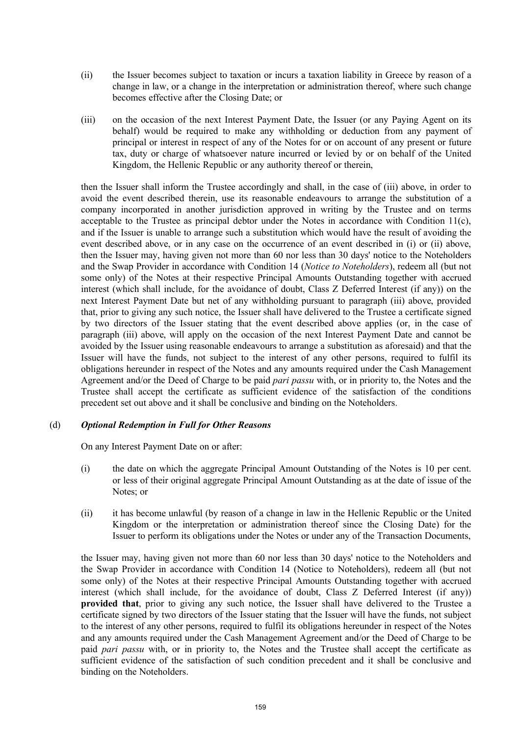- (ii) the Issuer becomes subject to taxation or incurs a taxation liability in Greece by reason of a change in law, or a change in the interpretation or administration thereof, where such change becomes effective after the Closing Date; or
- (iii) on the occasion of the next Interest Payment Date, the Issuer (or any Paying Agent on its behalf) would be required to make any withholding or deduction from any payment of principal or interest in respect of any of the Notes for or on account of any present or future tax, duty or charge of whatsoever nature incurred or levied by or on behalf of the United Kingdom, the Hellenic Republic or any authority thereof or therein,

then the Issuer shall inform the Trustee accordingly and shall, in the case of (iii) above, in order to avoid the event described therein, use its reasonable endeavours to arrange the substitution of a company incorporated in another jurisdiction approved in writing by the Trustee and on terms acceptable to the Trustee as principal debtor under the Notes in accordance with Condition 11(c), and if the Issuer is unable to arrange such a substitution which would have the result of avoiding the event described above, or in any case on the occurrence of an event described in (i) or (ii) above, then the Issuer may, having given not more than 60 nor less than 30 days' notice to the Noteholders and the Swap Provider in accordance with Condition 14 (*Notice to Noteholders*), redeem all (but not some only) of the Notes at their respective Principal Amounts Outstanding together with accrued interest (which shall include, for the avoidance of doubt, Class Z Deferred Interest (if any)) on the next Interest Payment Date but net of any withholding pursuant to paragraph (iii) above, provided that, prior to giving any such notice, the Issuer shall have delivered to the Trustee a certificate signed by two directors of the Issuer stating that the event described above applies (or, in the case of paragraph (iii) above, will apply on the occasion of the next Interest Payment Date and cannot be avoided by the Issuer using reasonable endeavours to arrange a substitution as aforesaid) and that the Issuer will have the funds, not subject to the interest of any other persons, required to fulfil its obligations hereunder in respect of the Notes and any amounts required under the Cash Management Agreement and/or the Deed of Charge to be paid *pari passu* with, or in priority to, the Notes and the Trustee shall accept the certificate as sufficient evidence of the satisfaction of the conditions precedent set out above and it shall be conclusive and binding on the Noteholders.

# (d) *Optional Redemption in Full for Other Reasons*

On any Interest Payment Date on or after:

- (i) the date on which the aggregate Principal Amount Outstanding of the Notes is 10 per cent. or less of their original aggregate Principal Amount Outstanding as at the date of issue of the Notes; or
- (ii) it has become unlawful (by reason of a change in law in the Hellenic Republic or the United Kingdom or the interpretation or administration thereof since the Closing Date) for the Issuer to perform its obligations under the Notes or under any of the Transaction Documents,

the Issuer may, having given not more than 60 nor less than 30 days' notice to the Noteholders and the Swap Provider in accordance with Condition 14 (Notice to Noteholders), redeem all (but not some only) of the Notes at their respective Principal Amounts Outstanding together with accrued interest (which shall include, for the avoidance of doubt, Class Z Deferred Interest (if any)) **provided that**, prior to giving any such notice, the Issuer shall have delivered to the Trustee a certificate signed by two directors of the Issuer stating that the Issuer will have the funds, not subject to the interest of any other persons, required to fulfil its obligations hereunder in respect of the Notes and any amounts required under the Cash Management Agreement and/or the Deed of Charge to be paid *pari passu* with, or in priority to, the Notes and the Trustee shall accept the certificate as sufficient evidence of the satisfaction of such condition precedent and it shall be conclusive and binding on the Noteholders.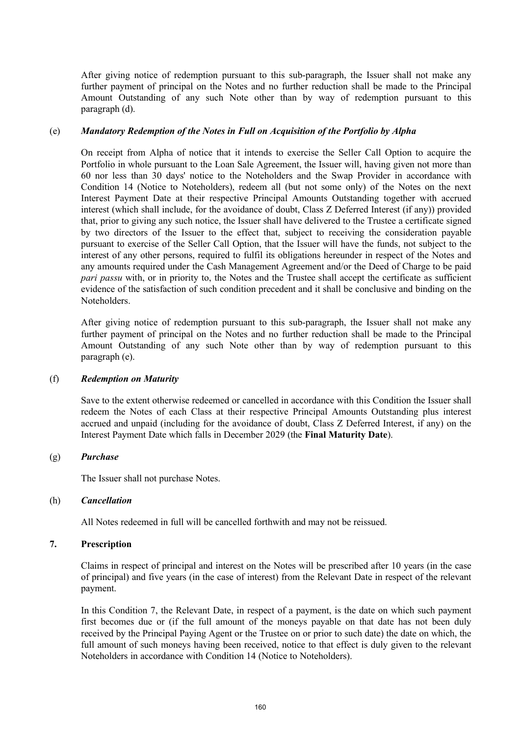After giving notice of redemption pursuant to this sub-paragraph, the Issuer shall not make any further payment of principal on the Notes and no further reduction shall be made to the Principal Amount Outstanding of any such Note other than by way of redemption pursuant to this paragraph (d).

#### (e) *Mandatory Redemption of the Notes in Full on Acquisition of the Portfolio by Alpha*

On receipt from Alpha of notice that it intends to exercise the Seller Call Option to acquire the Portfolio in whole pursuant to the Loan Sale Agreement, the Issuer will, having given not more than 60 nor less than 30 days' notice to the Noteholders and the Swap Provider in accordance with Condition 14 (Notice to Noteholders), redeem all (but not some only) of the Notes on the next Interest Payment Date at their respective Principal Amounts Outstanding together with accrued interest (which shall include, for the avoidance of doubt, Class Z Deferred Interest (if any)) provided that, prior to giving any such notice, the Issuer shall have delivered to the Trustee a certificate signed by two directors of the Issuer to the effect that, subject to receiving the consideration payable pursuant to exercise of the Seller Call Option, that the Issuer will have the funds, not subject to the interest of any other persons, required to fulfil its obligations hereunder in respect of the Notes and any amounts required under the Cash Management Agreement and/or the Deed of Charge to be paid *pari passu* with, or in priority to, the Notes and the Trustee shall accept the certificate as sufficient evidence of the satisfaction of such condition precedent and it shall be conclusive and binding on the Noteholders.

After giving notice of redemption pursuant to this sub-paragraph, the Issuer shall not make any further payment of principal on the Notes and no further reduction shall be made to the Principal Amount Outstanding of any such Note other than by way of redemption pursuant to this paragraph (e).

## (f) *Redemption on Maturity*

Save to the extent otherwise redeemed or cancelled in accordance with this Condition the Issuer shall redeem the Notes of each Class at their respective Principal Amounts Outstanding plus interest accrued and unpaid (including for the avoidance of doubt, Class Z Deferred Interest, if any) on the Interest Payment Date which falls in December 2029 (the **Final Maturity Date**).

## (g) *Purchase*

The Issuer shall not purchase Notes.

## (h) *Cancellation*

All Notes redeemed in full will be cancelled forthwith and may not be reissued.

# **7. Prescription**

Claims in respect of principal and interest on the Notes will be prescribed after 10 years (in the case of principal) and five years (in the case of interest) from the Relevant Date in respect of the relevant payment.

In this Condition 7, the Relevant Date, in respect of a payment, is the date on which such payment first becomes due or (if the full amount of the moneys payable on that date has not been duly received by the Principal Paying Agent or the Trustee on or prior to such date) the date on which, the full amount of such moneys having been received, notice to that effect is duly given to the relevant Noteholders in accordance with Condition 14 (Notice to Noteholders).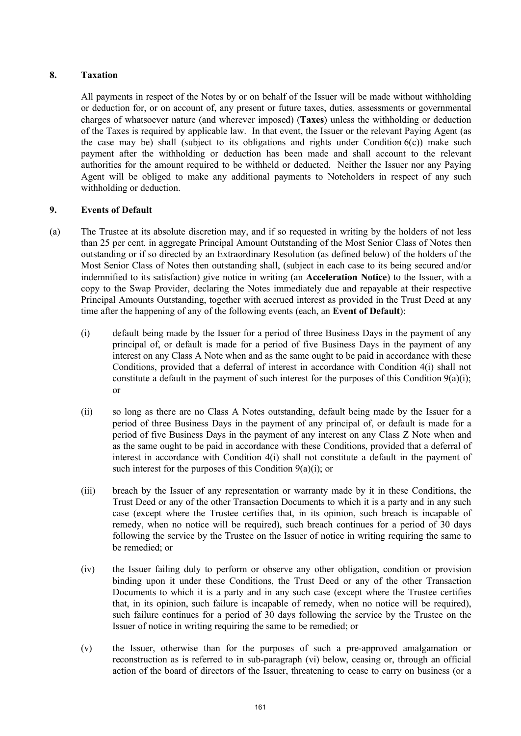# **8. Taxation**

All payments in respect of the Notes by or on behalf of the Issuer will be made without withholding or deduction for, or on account of, any present or future taxes, duties, assessments or governmental charges of whatsoever nature (and wherever imposed) (**Taxes**) unless the withholding or deduction of the Taxes is required by applicable law. In that event, the Issuer or the relevant Paying Agent (as the case may be) shall (subject to its obligations and rights under Condition  $6(c)$ ) make such payment after the withholding or deduction has been made and shall account to the relevant authorities for the amount required to be withheld or deducted. Neither the Issuer nor any Paying Agent will be obliged to make any additional payments to Noteholders in respect of any such withholding or deduction.

## **9. Events of Default**

- (a) The Trustee at its absolute discretion may, and if so requested in writing by the holders of not less than 25 per cent. in aggregate Principal Amount Outstanding of the Most Senior Class of Notes then outstanding or if so directed by an Extraordinary Resolution (as defined below) of the holders of the Most Senior Class of Notes then outstanding shall, (subject in each case to its being secured and/or indemnified to its satisfaction) give notice in writing (an **Acceleration Notice**) to the Issuer, with a copy to the Swap Provider, declaring the Notes immediately due and repayable at their respective Principal Amounts Outstanding, together with accrued interest as provided in the Trust Deed at any time after the happening of any of the following events (each, an **Event of Default**):
	- (i) default being made by the Issuer for a period of three Business Days in the payment of any principal of, or default is made for a period of five Business Days in the payment of any interest on any Class A Note when and as the same ought to be paid in accordance with these Conditions, provided that a deferral of interest in accordance with Condition 4(i) shall not constitute a default in the payment of such interest for the purposes of this Condition 9(a)(i); or
	- (ii) so long as there are no Class A Notes outstanding, default being made by the Issuer for a period of three Business Days in the payment of any principal of, or default is made for a period of five Business Days in the payment of any interest on any Class Z Note when and as the same ought to be paid in accordance with these Conditions, provided that a deferral of interest in accordance with Condition 4(i) shall not constitute a default in the payment of such interest for the purposes of this Condition  $9(a)(i)$ ; or
	- (iii) breach by the Issuer of any representation or warranty made by it in these Conditions, the Trust Deed or any of the other Transaction Documents to which it is a party and in any such case (except where the Trustee certifies that, in its opinion, such breach is incapable of remedy, when no notice will be required), such breach continues for a period of 30 days following the service by the Trustee on the Issuer of notice in writing requiring the same to be remedied; or
	- (iv) the Issuer failing duly to perform or observe any other obligation, condition or provision binding upon it under these Conditions, the Trust Deed or any of the other Transaction Documents to which it is a party and in any such case (except where the Trustee certifies that, in its opinion, such failure is incapable of remedy, when no notice will be required), such failure continues for a period of 30 days following the service by the Trustee on the Issuer of notice in writing requiring the same to be remedied; or
	- (v) the Issuer, otherwise than for the purposes of such a pre-approved amalgamation or reconstruction as is referred to in sub-paragraph (vi) below, ceasing or, through an official action of the board of directors of the Issuer, threatening to cease to carry on business (or a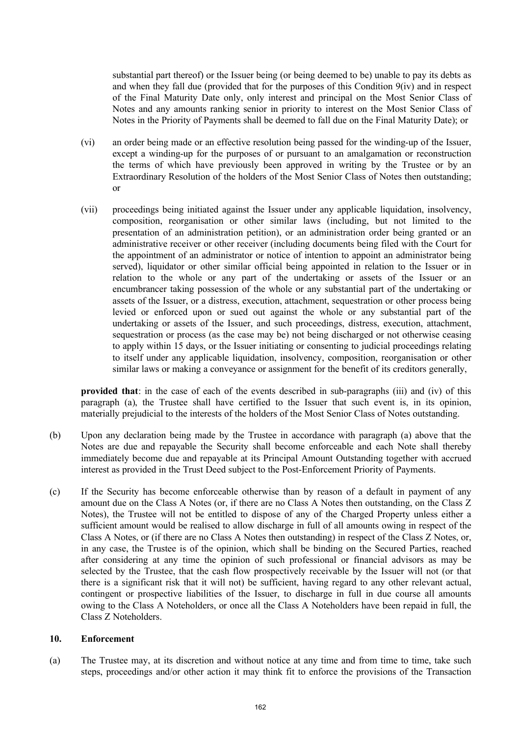substantial part thereof) or the Issuer being (or being deemed to be) unable to pay its debts as and when they fall due (provided that for the purposes of this Condition 9(iv) and in respect of the Final Maturity Date only, only interest and principal on the Most Senior Class of Notes and any amounts ranking senior in priority to interest on the Most Senior Class of Notes in the Priority of Payments shall be deemed to fall due on the Final Maturity Date); or

- (vi) an order being made or an effective resolution being passed for the winding-up of the Issuer, except a winding-up for the purposes of or pursuant to an amalgamation or reconstruction the terms of which have previously been approved in writing by the Trustee or by an Extraordinary Resolution of the holders of the Most Senior Class of Notes then outstanding; or
- (vii) proceedings being initiated against the Issuer under any applicable liquidation, insolvency, composition, reorganisation or other similar laws (including, but not limited to the presentation of an administration petition), or an administration order being granted or an administrative receiver or other receiver (including documents being filed with the Court for the appointment of an administrator or notice of intention to appoint an administrator being served), liquidator or other similar official being appointed in relation to the Issuer or in relation to the whole or any part of the undertaking or assets of the Issuer or an encumbrancer taking possession of the whole or any substantial part of the undertaking or assets of the Issuer, or a distress, execution, attachment, sequestration or other process being levied or enforced upon or sued out against the whole or any substantial part of the undertaking or assets of the Issuer, and such proceedings, distress, execution, attachment, sequestration or process (as the case may be) not being discharged or not otherwise ceasing to apply within 15 days, or the Issuer initiating or consenting to judicial proceedings relating to itself under any applicable liquidation, insolvency, composition, reorganisation or other similar laws or making a conveyance or assignment for the benefit of its creditors generally,

**provided that**: in the case of each of the events described in sub-paragraphs (iii) and (iv) of this paragraph (a), the Trustee shall have certified to the Issuer that such event is, in its opinion, materially prejudicial to the interests of the holders of the Most Senior Class of Notes outstanding.

- (b) Upon any declaration being made by the Trustee in accordance with paragraph (a) above that the Notes are due and repayable the Security shall become enforceable and each Note shall thereby immediately become due and repayable at its Principal Amount Outstanding together with accrued interest as provided in the Trust Deed subject to the Post-Enforcement Priority of Payments.
- (c) If the Security has become enforceable otherwise than by reason of a default in payment of any amount due on the Class A Notes (or, if there are no Class A Notes then outstanding, on the Class Z Notes), the Trustee will not be entitled to dispose of any of the Charged Property unless either a sufficient amount would be realised to allow discharge in full of all amounts owing in respect of the Class A Notes, or (if there are no Class A Notes then outstanding) in respect of the Class Z Notes, or, in any case, the Trustee is of the opinion, which shall be binding on the Secured Parties, reached after considering at any time the opinion of such professional or financial advisors as may be selected by the Trustee, that the cash flow prospectively receivable by the Issuer will not (or that there is a significant risk that it will not) be sufficient, having regard to any other relevant actual, contingent or prospective liabilities of the Issuer, to discharge in full in due course all amounts owing to the Class A Noteholders, or once all the Class A Noteholders have been repaid in full, the Class Z Noteholders.

## **10. Enforcement**

(a) The Trustee may, at its discretion and without notice at any time and from time to time, take such steps, proceedings and/or other action it may think fit to enforce the provisions of the Transaction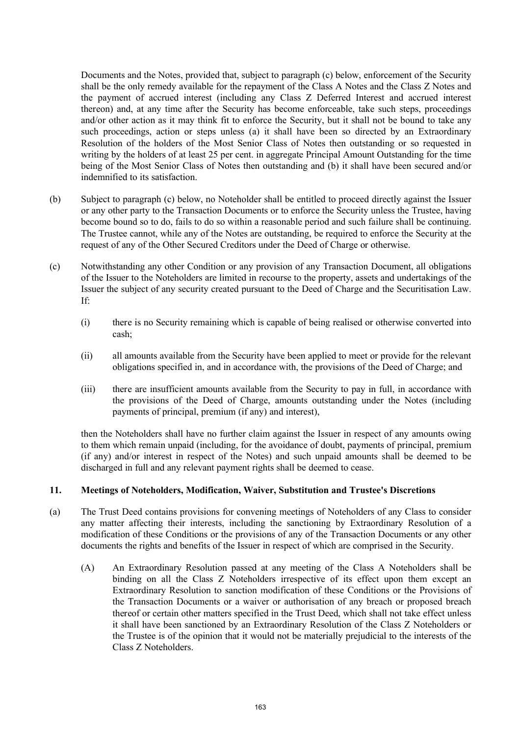Documents and the Notes, provided that, subject to paragraph (c) below, enforcement of the Security shall be the only remedy available for the repayment of the Class A Notes and the Class Z Notes and the payment of accrued interest (including any Class Z Deferred Interest and accrued interest thereon) and, at any time after the Security has become enforceable, take such steps, proceedings and/or other action as it may think fit to enforce the Security, but it shall not be bound to take any such proceedings, action or steps unless (a) it shall have been so directed by an Extraordinary Resolution of the holders of the Most Senior Class of Notes then outstanding or so requested in writing by the holders of at least 25 per cent. in aggregate Principal Amount Outstanding for the time being of the Most Senior Class of Notes then outstanding and (b) it shall have been secured and/or indemnified to its satisfaction.

- (b) Subject to paragraph (c) below, no Noteholder shall be entitled to proceed directly against the Issuer or any other party to the Transaction Documents or to enforce the Security unless the Trustee, having become bound so to do, fails to do so within a reasonable period and such failure shall be continuing. The Trustee cannot, while any of the Notes are outstanding, be required to enforce the Security at the request of any of the Other Secured Creditors under the Deed of Charge or otherwise.
- (c) Notwithstanding any other Condition or any provision of any Transaction Document, all obligations of the Issuer to the Noteholders are limited in recourse to the property, assets and undertakings of the Issuer the subject of any security created pursuant to the Deed of Charge and the Securitisation Law. If:
	- (i) there is no Security remaining which is capable of being realised or otherwise converted into cash;
	- (ii) all amounts available from the Security have been applied to meet or provide for the relevant obligations specified in, and in accordance with, the provisions of the Deed of Charge; and
	- (iii) there are insufficient amounts available from the Security to pay in full, in accordance with the provisions of the Deed of Charge, amounts outstanding under the Notes (including payments of principal, premium (if any) and interest),

then the Noteholders shall have no further claim against the Issuer in respect of any amounts owing to them which remain unpaid (including, for the avoidance of doubt, payments of principal, premium (if any) and/or interest in respect of the Notes) and such unpaid amounts shall be deemed to be discharged in full and any relevant payment rights shall be deemed to cease.

# **11. Meetings of Noteholders, Modification, Waiver, Substitution and Trustee's Discretions**

- (a) The Trust Deed contains provisions for convening meetings of Noteholders of any Class to consider any matter affecting their interests, including the sanctioning by Extraordinary Resolution of a modification of these Conditions or the provisions of any of the Transaction Documents or any other documents the rights and benefits of the Issuer in respect of which are comprised in the Security.
	- (A) An Extraordinary Resolution passed at any meeting of the Class A Noteholders shall be binding on all the Class Z Noteholders irrespective of its effect upon them except an Extraordinary Resolution to sanction modification of these Conditions or the Provisions of the Transaction Documents or a waiver or authorisation of any breach or proposed breach thereof or certain other matters specified in the Trust Deed, which shall not take effect unless it shall have been sanctioned by an Extraordinary Resolution of the Class Z Noteholders or the Trustee is of the opinion that it would not be materially prejudicial to the interests of the Class Z Noteholders.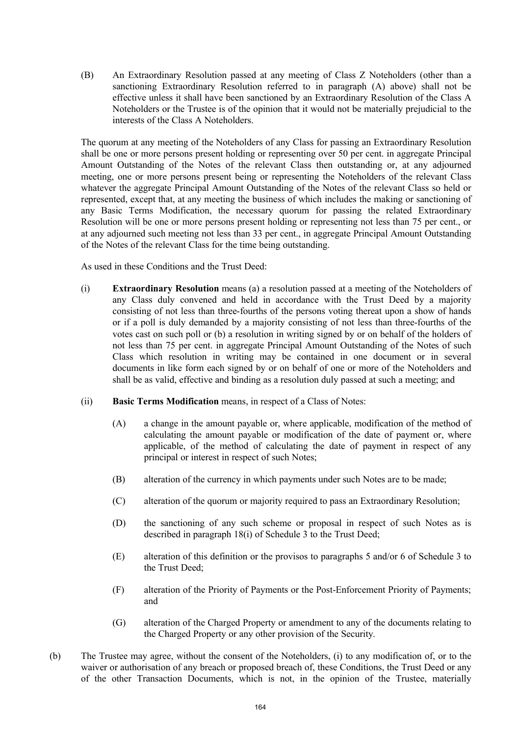(B) An Extraordinary Resolution passed at any meeting of Class Z Noteholders (other than a sanctioning Extraordinary Resolution referred to in paragraph (A) above) shall not be effective unless it shall have been sanctioned by an Extraordinary Resolution of the Class A Noteholders or the Trustee is of the opinion that it would not be materially prejudicial to the interests of the Class A Noteholders.

The quorum at any meeting of the Noteholders of any Class for passing an Extraordinary Resolution shall be one or more persons present holding or representing over 50 per cent. in aggregate Principal Amount Outstanding of the Notes of the relevant Class then outstanding or, at any adjourned meeting, one or more persons present being or representing the Noteholders of the relevant Class whatever the aggregate Principal Amount Outstanding of the Notes of the relevant Class so held or represented, except that, at any meeting the business of which includes the making or sanctioning of any Basic Terms Modification, the necessary quorum for passing the related Extraordinary Resolution will be one or more persons present holding or representing not less than 75 per cent., or at any adjourned such meeting not less than 33 per cent., in aggregate Principal Amount Outstanding of the Notes of the relevant Class for the time being outstanding.

As used in these Conditions and the Trust Deed:

- (i) **Extraordinary Resolution** means (a) a resolution passed at a meeting of the Noteholders of any Class duly convened and held in accordance with the Trust Deed by a majority consisting of not less than three-fourths of the persons voting thereat upon a show of hands or if a poll is duly demanded by a majority consisting of not less than three-fourths of the votes cast on such poll or (b) a resolution in writing signed by or on behalf of the holders of not less than 75 per cent. in aggregate Principal Amount Outstanding of the Notes of such Class which resolution in writing may be contained in one document or in several documents in like form each signed by or on behalf of one or more of the Noteholders and shall be as valid, effective and binding as a resolution duly passed at such a meeting; and
- (ii) **Basic Terms Modification** means, in respect of a Class of Notes:
	- (A) a change in the amount payable or, where applicable, modification of the method of calculating the amount payable or modification of the date of payment or, where applicable, of the method of calculating the date of payment in respect of any principal or interest in respect of such Notes;
	- (B) alteration of the currency in which payments under such Notes are to be made;
	- (C) alteration of the quorum or majority required to pass an Extraordinary Resolution;
	- (D) the sanctioning of any such scheme or proposal in respect of such Notes as is described in paragraph 18(i) of Schedule 3 to the Trust Deed;
	- (E) alteration of this definition or the provisos to paragraphs 5 and/or 6 of Schedule 3 to the Trust Deed;
	- (F) alteration of the Priority of Payments or the Post-Enforcement Priority of Payments; and
	- (G) alteration of the Charged Property or amendment to any of the documents relating to the Charged Property or any other provision of the Security.
- (b) The Trustee may agree, without the consent of the Noteholders, (i) to any modification of, or to the waiver or authorisation of any breach or proposed breach of, these Conditions, the Trust Deed or any of the other Transaction Documents, which is not, in the opinion of the Trustee, materially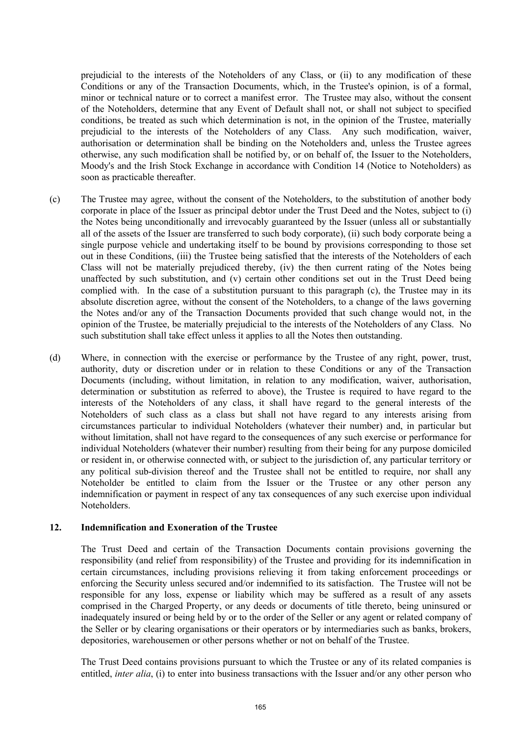prejudicial to the interests of the Noteholders of any Class, or (ii) to any modification of these Conditions or any of the Transaction Documents, which, in the Trustee's opinion, is of a formal, minor or technical nature or to correct a manifest error. The Trustee may also, without the consent of the Noteholders, determine that any Event of Default shall not, or shall not subject to specified conditions, be treated as such which determination is not, in the opinion of the Trustee, materially prejudicial to the interests of the Noteholders of any Class. Any such modification, waiver, authorisation or determination shall be binding on the Noteholders and, unless the Trustee agrees otherwise, any such modification shall be notified by, or on behalf of, the Issuer to the Noteholders, Moody's and the Irish Stock Exchange in accordance with Condition 14 (Notice to Noteholders) as soon as practicable thereafter.

- (c) The Trustee may agree, without the consent of the Noteholders, to the substitution of another body corporate in place of the Issuer as principal debtor under the Trust Deed and the Notes, subject to (i) the Notes being unconditionally and irrevocably guaranteed by the Issuer (unless all or substantially all of the assets of the Issuer are transferred to such body corporate), (ii) such body corporate being a single purpose vehicle and undertaking itself to be bound by provisions corresponding to those set out in these Conditions, (iii) the Trustee being satisfied that the interests of the Noteholders of each Class will not be materially prejudiced thereby, (iv) the then current rating of the Notes being unaffected by such substitution, and (v) certain other conditions set out in the Trust Deed being complied with. In the case of a substitution pursuant to this paragraph (c), the Trustee may in its absolute discretion agree, without the consent of the Noteholders, to a change of the laws governing the Notes and/or any of the Transaction Documents provided that such change would not, in the opinion of the Trustee, be materially prejudicial to the interests of the Noteholders of any Class. No such substitution shall take effect unless it applies to all the Notes then outstanding.
- (d) Where, in connection with the exercise or performance by the Trustee of any right, power, trust, authority, duty or discretion under or in relation to these Conditions or any of the Transaction Documents (including, without limitation, in relation to any modification, waiver, authorisation, determination or substitution as referred to above), the Trustee is required to have regard to the interests of the Noteholders of any class, it shall have regard to the general interests of the Noteholders of such class as a class but shall not have regard to any interests arising from circumstances particular to individual Noteholders (whatever their number) and, in particular but without limitation, shall not have regard to the consequences of any such exercise or performance for individual Noteholders (whatever their number) resulting from their being for any purpose domiciled or resident in, or otherwise connected with, or subject to the jurisdiction of, any particular territory or any political sub-division thereof and the Trustee shall not be entitled to require, nor shall any Noteholder be entitled to claim from the Issuer or the Trustee or any other person any indemnification or payment in respect of any tax consequences of any such exercise upon individual Noteholders.

#### **12. Indemnification and Exoneration of the Trustee**

The Trust Deed and certain of the Transaction Documents contain provisions governing the responsibility (and relief from responsibility) of the Trustee and providing for its indemnification in certain circumstances, including provisions relieving it from taking enforcement proceedings or enforcing the Security unless secured and/or indemnified to its satisfaction. The Trustee will not be responsible for any loss, expense or liability which may be suffered as a result of any assets comprised in the Charged Property, or any deeds or documents of title thereto, being uninsured or inadequately insured or being held by or to the order of the Seller or any agent or related company of the Seller or by clearing organisations or their operators or by intermediaries such as banks, brokers, depositories, warehousemen or other persons whether or not on behalf of the Trustee.

The Trust Deed contains provisions pursuant to which the Trustee or any of its related companies is entitled, *inter alia*, (i) to enter into business transactions with the Issuer and/or any other person who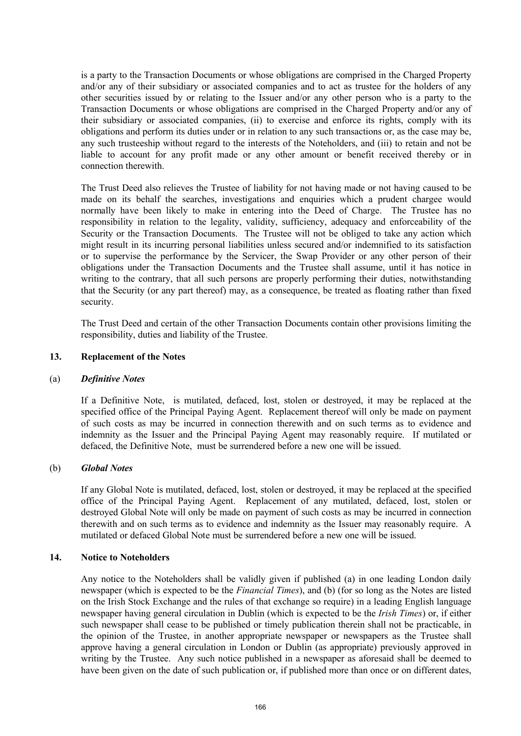is a party to the Transaction Documents or whose obligations are comprised in the Charged Property and/or any of their subsidiary or associated companies and to act as trustee for the holders of any other securities issued by or relating to the Issuer and/or any other person who is a party to the Transaction Documents or whose obligations are comprised in the Charged Property and/or any of their subsidiary or associated companies, (ii) to exercise and enforce its rights, comply with its obligations and perform its duties under or in relation to any such transactions or, as the case may be, any such trusteeship without regard to the interests of the Noteholders, and (iii) to retain and not be liable to account for any profit made or any other amount or benefit received thereby or in connection therewith.

The Trust Deed also relieves the Trustee of liability for not having made or not having caused to be made on its behalf the searches, investigations and enquiries which a prudent chargee would normally have been likely to make in entering into the Deed of Charge. The Trustee has no responsibility in relation to the legality, validity, sufficiency, adequacy and enforceability of the Security or the Transaction Documents. The Trustee will not be obliged to take any action which might result in its incurring personal liabilities unless secured and/or indemnified to its satisfaction or to supervise the performance by the Servicer, the Swap Provider or any other person of their obligations under the Transaction Documents and the Trustee shall assume, until it has notice in writing to the contrary, that all such persons are properly performing their duties, notwithstanding that the Security (or any part thereof) may, as a consequence, be treated as floating rather than fixed security.

The Trust Deed and certain of the other Transaction Documents contain other provisions limiting the responsibility, duties and liability of the Trustee.

## **13. Replacement of the Notes**

#### (a) *Definitive Notes*

If a Definitive Note, is mutilated, defaced, lost, stolen or destroyed, it may be replaced at the specified office of the Principal Paying Agent. Replacement thereof will only be made on payment of such costs as may be incurred in connection therewith and on such terms as to evidence and indemnity as the Issuer and the Principal Paying Agent may reasonably require. If mutilated or defaced, the Definitive Note, must be surrendered before a new one will be issued.

## (b) *Global Notes*

If any Global Note is mutilated, defaced, lost, stolen or destroyed, it may be replaced at the specified office of the Principal Paying Agent. Replacement of any mutilated, defaced, lost, stolen or destroyed Global Note will only be made on payment of such costs as may be incurred in connection therewith and on such terms as to evidence and indemnity as the Issuer may reasonably require. A mutilated or defaced Global Note must be surrendered before a new one will be issued.

#### **14. Notice to Noteholders**

Any notice to the Noteholders shall be validly given if published (a) in one leading London daily newspaper (which is expected to be the *Financial Times*), and (b) (for so long as the Notes are listed on the Irish Stock Exchange and the rules of that exchange so require) in a leading English language newspaper having general circulation in Dublin (which is expected to be the *Irish Times*) or, if either such newspaper shall cease to be published or timely publication therein shall not be practicable, in the opinion of the Trustee, in another appropriate newspaper or newspapers as the Trustee shall approve having a general circulation in London or Dublin (as appropriate) previously approved in writing by the Trustee. Any such notice published in a newspaper as aforesaid shall be deemed to have been given on the date of such publication or, if published more than once or on different dates,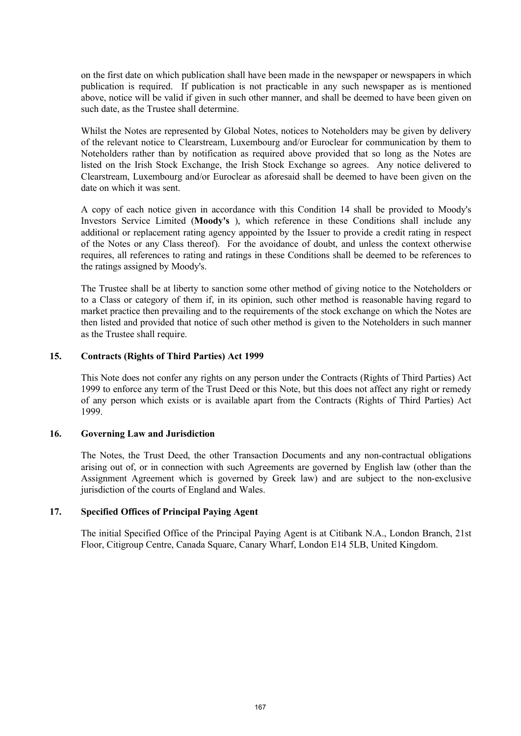on the first date on which publication shall have been made in the newspaper or newspapers in which publication is required. If publication is not practicable in any such newspaper as is mentioned above, notice will be valid if given in such other manner, and shall be deemed to have been given on such date, as the Trustee shall determine.

Whilst the Notes are represented by Global Notes, notices to Noteholders may be given by delivery of the relevant notice to Clearstream, Luxembourg and/or Euroclear for communication by them to Noteholders rather than by notification as required above provided that so long as the Notes are listed on the Irish Stock Exchange, the Irish Stock Exchange so agrees. Any notice delivered to Clearstream, Luxembourg and/or Euroclear as aforesaid shall be deemed to have been given on the date on which it was sent.

A copy of each notice given in accordance with this Condition 14 shall be provided to Moody's Investors Service Limited (**Moody's** ), which reference in these Conditions shall include any additional or replacement rating agency appointed by the Issuer to provide a credit rating in respect of the Notes or any Class thereof). For the avoidance of doubt, and unless the context otherwise requires, all references to rating and ratings in these Conditions shall be deemed to be references to the ratings assigned by Moody's.

The Trustee shall be at liberty to sanction some other method of giving notice to the Noteholders or to a Class or category of them if, in its opinion, such other method is reasonable having regard to market practice then prevailing and to the requirements of the stock exchange on which the Notes are then listed and provided that notice of such other method is given to the Noteholders in such manner as the Trustee shall require.

#### **15. Contracts (Rights of Third Parties) Act 1999**

This Note does not confer any rights on any person under the Contracts (Rights of Third Parties) Act 1999 to enforce any term of the Trust Deed or this Note, but this does not affect any right or remedy of any person which exists or is available apart from the Contracts (Rights of Third Parties) Act 1999.

#### **16. Governing Law and Jurisdiction**

The Notes, the Trust Deed, the other Transaction Documents and any non-contractual obligations arising out of, or in connection with such Agreements are governed by English law (other than the Assignment Agreement which is governed by Greek law) and are subject to the non-exclusive jurisdiction of the courts of England and Wales.

#### **17. Specified Offices of Principal Paying Agent**

The initial Specified Office of the Principal Paying Agent is at Citibank N.A., London Branch, 21st Floor, Citigroup Centre, Canada Square, Canary Wharf, London E14 5LB, United Kingdom.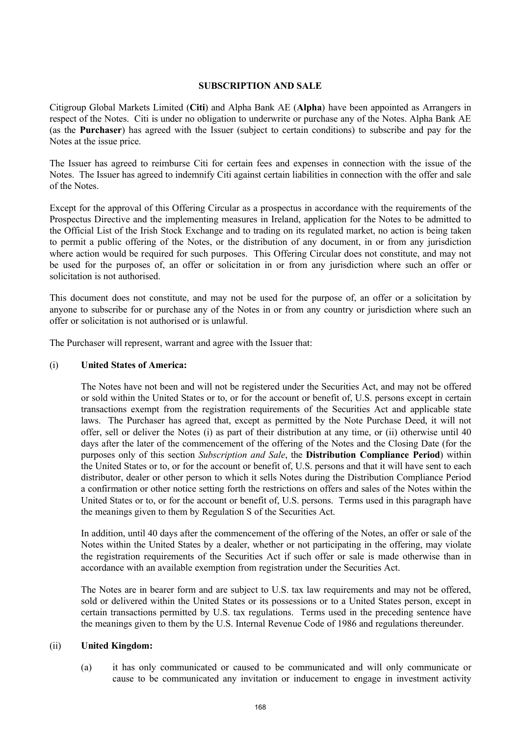#### **SUBSCRIPTION AND SALE**

Citigroup Global Markets Limited (**Citi**) and Alpha Bank AE (**Alpha**) have been appointed as Arrangers in respect of the Notes. Citi is under no obligation to underwrite or purchase any of the Notes. Alpha Bank AE (as the **Purchaser**) has agreed with the Issuer (subject to certain conditions) to subscribe and pay for the Notes at the issue price.

The Issuer has agreed to reimburse Citi for certain fees and expenses in connection with the issue of the Notes. The Issuer has agreed to indemnify Citi against certain liabilities in connection with the offer and sale of the Notes.

Except for the approval of this Offering Circular as a prospectus in accordance with the requirements of the Prospectus Directive and the implementing measures in Ireland, application for the Notes to be admitted to the Official List of the Irish Stock Exchange and to trading on its regulated market, no action is being taken to permit a public offering of the Notes, or the distribution of any document, in or from any jurisdiction where action would be required for such purposes. This Offering Circular does not constitute, and may not be used for the purposes of, an offer or solicitation in or from any jurisdiction where such an offer or solicitation is not authorised.

This document does not constitute, and may not be used for the purpose of, an offer or a solicitation by anyone to subscribe for or purchase any of the Notes in or from any country or jurisdiction where such an offer or solicitation is not authorised or is unlawful.

The Purchaser will represent, warrant and agree with the Issuer that:

#### (i) **United States of America:**

The Notes have not been and will not be registered under the Securities Act, and may not be offered or sold within the United States or to, or for the account or benefit of, U.S. persons except in certain transactions exempt from the registration requirements of the Securities Act and applicable state laws. The Purchaser has agreed that, except as permitted by the Note Purchase Deed, it will not offer, sell or deliver the Notes (i) as part of their distribution at any time, or (ii) otherwise until 40 days after the later of the commencement of the offering of the Notes and the Closing Date (for the purposes only of this section *Subscription and Sale*, the **Distribution Compliance Period**) within the United States or to, or for the account or benefit of, U.S. persons and that it will have sent to each distributor, dealer or other person to which it sells Notes during the Distribution Compliance Period a confirmation or other notice setting forth the restrictions on offers and sales of the Notes within the United States or to, or for the account or benefit of, U.S. persons. Terms used in this paragraph have the meanings given to them by Regulation S of the Securities Act.

In addition, until 40 days after the commencement of the offering of the Notes, an offer or sale of the Notes within the United States by a dealer, whether or not participating in the offering, may violate the registration requirements of the Securities Act if such offer or sale is made otherwise than in accordance with an available exemption from registration under the Securities Act.

The Notes are in bearer form and are subject to U.S. tax law requirements and may not be offered, sold or delivered within the United States or its possessions or to a United States person, except in certain transactions permitted by U.S. tax regulations. Terms used in the preceding sentence have the meanings given to them by the U.S. Internal Revenue Code of 1986 and regulations thereunder.

## (ii) **United Kingdom:**

(a) it has only communicated or caused to be communicated and will only communicate or cause to be communicated any invitation or inducement to engage in investment activity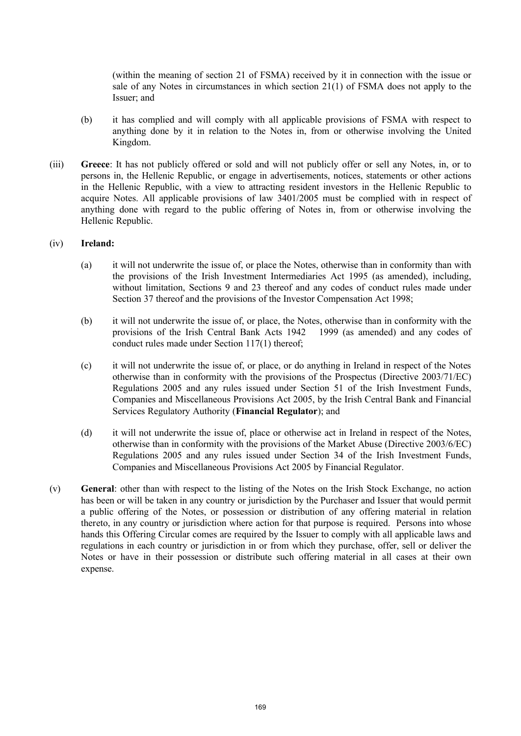(within the meaning of section 21 of FSMA) received by it in connection with the issue or sale of any Notes in circumstances in which section 21(1) of FSMA does not apply to the Issuer; and

- (b) it has complied and will comply with all applicable provisions of FSMA with respect to anything done by it in relation to the Notes in, from or otherwise involving the United Kingdom.
- (iii) **Greece**: It has not publicly offered or sold and will not publicly offer or sell any Notes, in, or to persons in, the Hellenic Republic, or engage in advertisements, notices, statements or other actions in the Hellenic Republic, with a view to attracting resident investors in the Hellenic Republic to acquire Notes. All applicable provisions of law 3401/2005 must be complied with in respect of anything done with regard to the public offering of Notes in, from or otherwise involving the Hellenic Republic.

## (iv) **Ireland:**

- (a) it will not underwrite the issue of, or place the Notes, otherwise than in conformity than with the provisions of the Irish Investment Intermediaries Act 1995 (as amended), including, without limitation, Sections 9 and 23 thereof and any codes of conduct rules made under Section 37 thereof and the provisions of the Investor Compensation Act 1998;
- (b) it will not underwrite the issue of, or place, the Notes, otherwise than in conformity with the provisions of the Irish Central Bank Acts 1942 1999 (as amended) and any codes of conduct rules made under Section 117(1) thereof;
- (c) it will not underwrite the issue of, or place, or do anything in Ireland in respect of the Notes otherwise than in conformity with the provisions of the Prospectus (Directive 2003/71/EC) Regulations 2005 and any rules issued under Section 51 of the Irish Investment Funds, Companies and Miscellaneous Provisions Act 2005, by the Irish Central Bank and Financial Services Regulatory Authority (**Financial Regulator**); and
- (d) it will not underwrite the issue of, place or otherwise act in Ireland in respect of the Notes, otherwise than in conformity with the provisions of the Market Abuse (Directive 2003/6/EC) Regulations 2005 and any rules issued under Section 34 of the Irish Investment Funds, Companies and Miscellaneous Provisions Act 2005 by Financial Regulator.
- (v) **General**: other than with respect to the listing of the Notes on the Irish Stock Exchange, no action has been or will be taken in any country or jurisdiction by the Purchaser and Issuer that would permit a public offering of the Notes, or possession or distribution of any offering material in relation thereto, in any country or jurisdiction where action for that purpose is required. Persons into whose hands this Offering Circular comes are required by the Issuer to comply with all applicable laws and regulations in each country or jurisdiction in or from which they purchase, offer, sell or deliver the Notes or have in their possession or distribute such offering material in all cases at their own expense.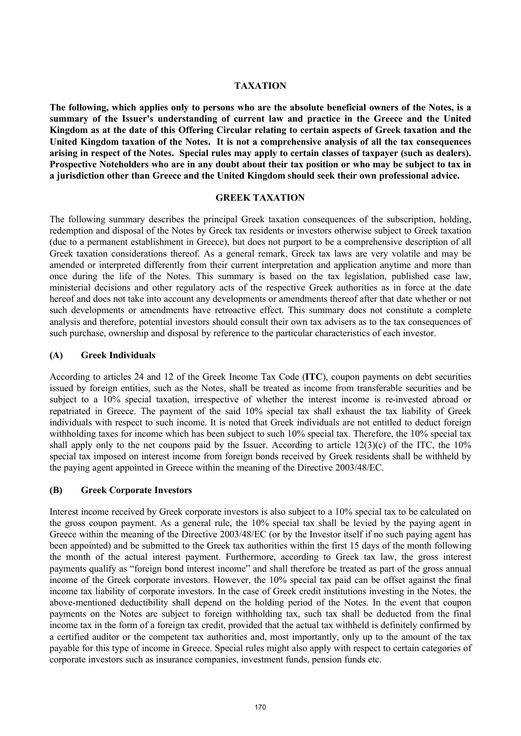## **TAXATION**

**The following, which applies only to persons who are the absolute beneficial owners of the Notes, is a summary of the Issuer's understanding of current law and practice in the Greece and the United Kingdom as at the date of this Offering Circular relating to certain aspects of Greek taxation and the United Kingdom taxation of the Notes. It is not a comprehensive analysis of all the tax consequences arising in respect of the Notes. Special rules may apply to certain classes of taxpayer (such as dealers). Prospective Noteholders who are in any doubt about their tax position or who may be subject to tax in a jurisdiction other than Greece and the United Kingdom should seek their own professional advice.**

#### **GREEK TAXATION**

The following summary describes the principal Greek taxation consequences of the subscription, holding, redemption and disposal of the Notes by Greek tax residents or investors otherwise subject to Greek taxation (due to a permanent establishment in Greece), but does not purport to be a comprehensive description of all Greek taxation considerations thereof. As a general remark, Greek tax laws are very volatile and may be amended or interpreted differently from their current interpretation and application anytime and more than once during the life of the Notes. This summary is based on the tax legislation, published case law, ministerial decisions and other regulatory acts of the respective Greek authorities as in force at the date hereof and does not take into account any developments or amendments thereof after that date whether or not such developments or amendments have retroactive effect. This summary does not constitute a complete analysis and therefore, potential investors should consult their own tax advisers as to the tax consequences of such purchase, ownership and disposal by reference to the particular characteristics of each investor.

## **(A) Greek Individuals**

According to articles 24 and 12 of the Greek Income Tax Code (**ITC**), coupon payments on debt securities issued by foreign entities, such as the Notes, shall be treated as income from transferable securities and be subject to a 10% special taxation, irrespective of whether the interest income is re-invested abroad or repatriated in Greece. The payment of the said 10% special tax shall exhaust the tax liability of Greek individuals with respect to such income. It is noted that Greek individuals are not entitled to deduct foreign withholding taxes for income which has been subject to such 10% special tax. Therefore, the 10% special tax shall apply only to the net coupons paid by the Issuer. According to article  $12(3)(c)$  of the ITC, the  $10\%$ special tax imposed on interest income from foreign bonds received by Greek residents shall be withheld by the paying agent appointed in Greece within the meaning of the Directive 2003/48/EC.

# **(B) Greek Corporate Investors**

Interest income received by Greek corporate investors is also subject to a 10% special tax to be calculated on the gross coupon payment. As a general rule, the 10% special tax shall be levied by the paying agent in Greece within the meaning of the Directive 2003/48/EC (or by the Investor itself if no such paying agent has been appointed) and be submitted to the Greek tax authorities within the first 15 days of the month following the month of the actual interest payment. Furthermore, according to Greek tax law, the gross interest payments qualify as "foreign bond interest income" and shall therefore be treated as part of the gross annual income of the Greek corporate investors. However, the 10% special tax paid can be offset against the final income tax liability of corporate investors. In the case of Greek credit institutions investing in the Notes, the above-mentioned deductibility shall depend on the holding period of the Notes. In the event that coupon payments on the Notes are subject to foreign withholding tax, such tax shall be deducted from the final income tax in the form of a foreign tax credit, provided that the actual tax withheld is definitely confirmed by a certified auditor or the competent tax authorities and, most importantly, only up to the amount of the tax payable for this type of income in Greece. Special rules might also apply with respect to certain categories of corporate investors such as insurance companies, investment funds, pension funds etc.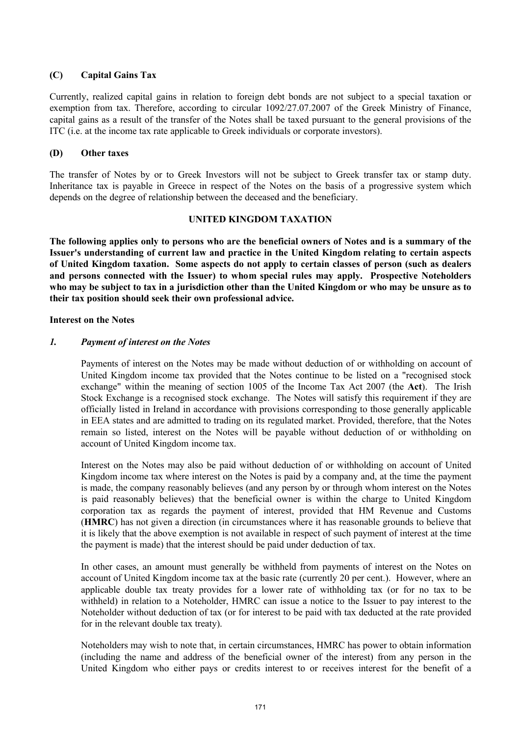# **(C) Capital Gains Tax**

Currently, realized capital gains in relation to foreign debt bonds are not subject to a special taxation or exemption from tax. Therefore, according to circular 1092/27.07.2007 of the Greek Ministry of Finance, capital gains as a result of the transfer of the Notes shall be taxed pursuant to the general provisions of the ITC (i.e. at the income tax rate applicable to Greek individuals or corporate investors).

## **(D) Other taxes**

The transfer of Notes by or to Greek Investors will not be subject to Greek transfer tax or stamp duty. Inheritance tax is payable in Greece in respect of the Notes on the basis of a progressive system which depends on the degree of relationship between the deceased and the beneficiary.

## **UNITED KINGDOM TAXATION**

**The following applies only to persons who are the beneficial owners of Notes and is a summary of the Issuer's understanding of current law and practice in the United Kingdom relating to certain aspects of United Kingdom taxation. Some aspects do not apply to certain classes of person (such as dealers and persons connected with the Issuer) to whom special rules may apply. Prospective Noteholders who may be subject to tax in a jurisdiction other than the United Kingdom or who may be unsure as to their tax position should seek their own professional advice.** 

## **Interest on the Notes**

## *1. Payment of interest on the Notes*

Payments of interest on the Notes may be made without deduction of or withholding on account of United Kingdom income tax provided that the Notes continue to be listed on a "recognised stock exchange" within the meaning of section 1005 of the Income Tax Act 2007 (the **Act**). The Irish Stock Exchange is a recognised stock exchange. The Notes will satisfy this requirement if they are officially listed in Ireland in accordance with provisions corresponding to those generally applicable in EEA states and are admitted to trading on its regulated market. Provided, therefore, that the Notes remain so listed, interest on the Notes will be payable without deduction of or withholding on account of United Kingdom income tax.

Interest on the Notes may also be paid without deduction of or withholding on account of United Kingdom income tax where interest on the Notes is paid by a company and, at the time the payment is made, the company reasonably believes (and any person by or through whom interest on the Notes is paid reasonably believes) that the beneficial owner is within the charge to United Kingdom corporation tax as regards the payment of interest, provided that HM Revenue and Customs (**HMRC**) has not given a direction (in circumstances where it has reasonable grounds to believe that it is likely that the above exemption is not available in respect of such payment of interest at the time the payment is made) that the interest should be paid under deduction of tax.

In other cases, an amount must generally be withheld from payments of interest on the Notes on account of United Kingdom income tax at the basic rate (currently 20 per cent.). However, where an applicable double tax treaty provides for a lower rate of withholding tax (or for no tax to be withheld) in relation to a Noteholder, HMRC can issue a notice to the Issuer to pay interest to the Noteholder without deduction of tax (or for interest to be paid with tax deducted at the rate provided for in the relevant double tax treaty).

Noteholders may wish to note that, in certain circumstances, HMRC has power to obtain information (including the name and address of the beneficial owner of the interest) from any person in the United Kingdom who either pays or credits interest to or receives interest for the benefit of a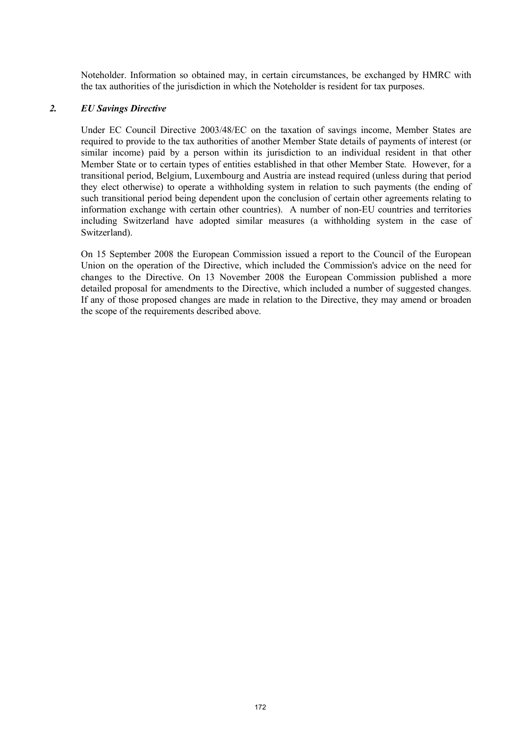Noteholder. Information so obtained may, in certain circumstances, be exchanged by HMRC with the tax authorities of the jurisdiction in which the Noteholder is resident for tax purposes.

#### *2. EU Savings Directive*

Under EC Council Directive 2003/48/EC on the taxation of savings income, Member States are required to provide to the tax authorities of another Member State details of payments of interest (or similar income) paid by a person within its jurisdiction to an individual resident in that other Member State or to certain types of entities established in that other Member State. However, for a transitional period, Belgium, Luxembourg and Austria are instead required (unless during that period they elect otherwise) to operate a withholding system in relation to such payments (the ending of such transitional period being dependent upon the conclusion of certain other agreements relating to information exchange with certain other countries). A number of non-EU countries and territories including Switzerland have adopted similar measures (a withholding system in the case of Switzerland).

On 15 September 2008 the European Commission issued a report to the Council of the European Union on the operation of the Directive, which included the Commission's advice on the need for changes to the Directive. On 13 November 2008 the European Commission published a more detailed proposal for amendments to the Directive, which included a number of suggested changes. If any of those proposed changes are made in relation to the Directive, they may amend or broaden the scope of the requirements described above.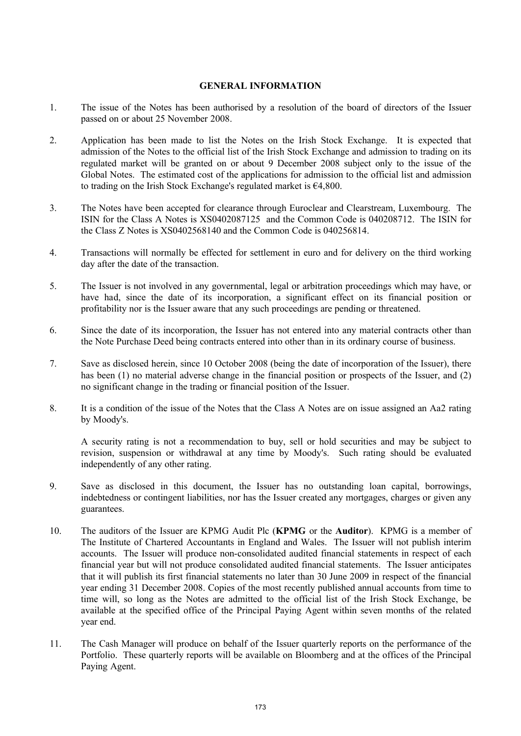#### **GENERAL INFORMATION**

- 1. The issue of the Notes has been authorised by a resolution of the board of directors of the Issuer passed on or about 25 November 2008.
- 2. Application has been made to list the Notes on the Irish Stock Exchange. It is expected that admission of the Notes to the official list of the Irish Stock Exchange and admission to trading on its regulated market will be granted on or about 9 December 2008 subject only to the issue of the Global Notes. The estimated cost of the applications for admission to the official list and admission to trading on the Irish Stock Exchange's regulated market is €4,800.
- 3. The Notes have been accepted for clearance through Euroclear and Clearstream, Luxembourg. The ISIN for the Class A Notes is XS0402087125 and the Common Code is 040208712. The ISIN for the Class Z Notes is XS0402568140 and the Common Code is 040256814.
- 4. Transactions will normally be effected for settlement in euro and for delivery on the third working day after the date of the transaction.
- 5. The Issuer is not involved in any governmental, legal or arbitration proceedings which may have, or have had, since the date of its incorporation, a significant effect on its financial position or profitability nor is the Issuer aware that any such proceedings are pending or threatened.
- 6. Since the date of its incorporation, the Issuer has not entered into any material contracts other than the Note Purchase Deed being contracts entered into other than in its ordinary course of business.
- 7. Save as disclosed herein, since 10 October 2008 (being the date of incorporation of the Issuer), there has been (1) no material adverse change in the financial position or prospects of the Issuer, and (2) no significant change in the trading or financial position of the Issuer.
- 8. It is a condition of the issue of the Notes that the Class A Notes are on issue assigned an Aa2 rating by Moody's.

A security rating is not a recommendation to buy, sell or hold securities and may be subject to revision, suspension or withdrawal at any time by Moody's. Such rating should be evaluated independently of any other rating.

- 9. Save as disclosed in this document, the Issuer has no outstanding loan capital, borrowings, indebtedness or contingent liabilities, nor has the Issuer created any mortgages, charges or given any guarantees.
- 10. The auditors of the Issuer are KPMG Audit Plc (**KPMG** or the **Auditor**). KPMG is a member of The Institute of Chartered Accountants in England and Wales. The Issuer will not publish interim accounts. The Issuer will produce non-consolidated audited financial statements in respect of each financial year but will not produce consolidated audited financial statements. The Issuer anticipates that it will publish its first financial statements no later than 30 June 2009 in respect of the financial year ending 31 December 2008. Copies of the most recently published annual accounts from time to time will, so long as the Notes are admitted to the official list of the Irish Stock Exchange, be available at the specified office of the Principal Paying Agent within seven months of the related year end.
- 11. The Cash Manager will produce on behalf of the Issuer quarterly reports on the performance of the Portfolio. These quarterly reports will be available on Bloomberg and at the offices of the Principal Paying Agent.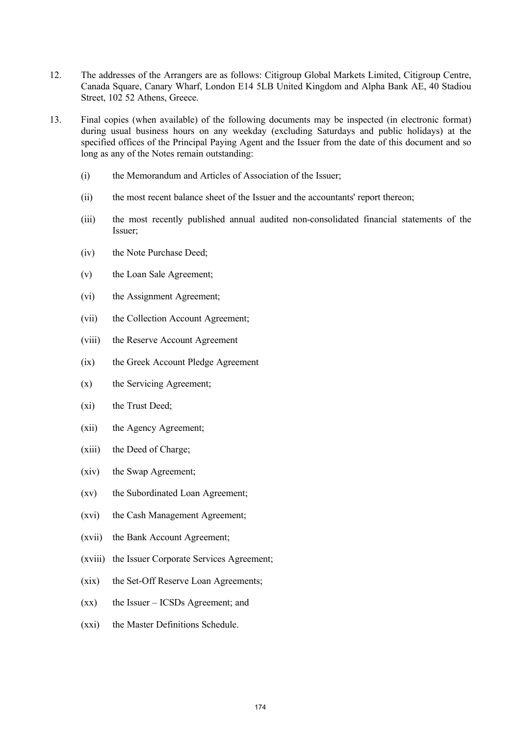- 12. The addresses of the Arrangers are as follows: Citigroup Global Markets Limited, Citigroup Centre, Canada Square, Canary Wharf, London E14 5LB United Kingdom and Alpha Bank AE, 40 Stadiou Street, 102 52 Athens, Greece.
- 13. Final copies (when available) of the following documents may be inspected (in electronic format) during usual business hours on any weekday (excluding Saturdays and public holidays) at the specified offices of the Principal Paying Agent and the Issuer from the date of this document and so long as any of the Notes remain outstanding:
	- (i) the Memorandum and Articles of Association of the Issuer;
	- (ii) the most recent balance sheet of the Issuer and the accountants' report thereon;
	- (iii) the most recently published annual audited non-consolidated financial statements of the Issuer;
	- (iv) the Note Purchase Deed;
	- (v) the Loan Sale Agreement;
	- (vi) the Assignment Agreement;
	- (vii) the Collection Account Agreement;
	- (viii) the Reserve Account Agreement
	- (ix) the Greek Account Pledge Agreement
	- (x) the Servicing Agreement;
	- (xi) the Trust Deed;
	- (xii) the Agency Agreement;
	- (xiii) the Deed of Charge;
	- (xiv) the Swap Agreement;
	- (xv) the Subordinated Loan Agreement;
	- (xvi) the Cash Management Agreement;
	- (xvii) the Bank Account Agreement;
	- (xviii) the Issuer Corporate Services Agreement;
	- (xix) the Set-Off Reserve Loan Agreements;
	- (xx) the Issuer ICSDs Agreement; and
	- (xxi) the Master Definitions Schedule.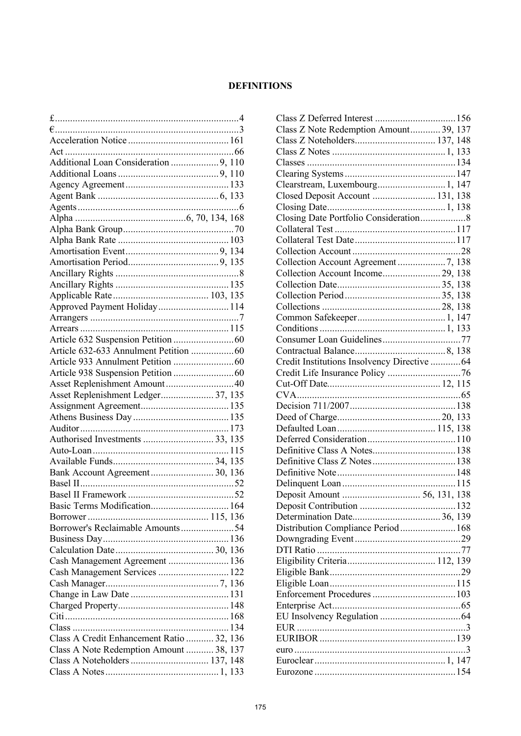# **DEFINITIONS**

| Additional Loan Consideration 9, 110      |  |
|-------------------------------------------|--|
|                                           |  |
|                                           |  |
|                                           |  |
|                                           |  |
|                                           |  |
|                                           |  |
|                                           |  |
|                                           |  |
|                                           |  |
|                                           |  |
|                                           |  |
|                                           |  |
| Approved Payment Holiday 114              |  |
|                                           |  |
|                                           |  |
|                                           |  |
|                                           |  |
|                                           |  |
|                                           |  |
|                                           |  |
|                                           |  |
| Asset Replenishment Ledger 37, 135        |  |
|                                           |  |
|                                           |  |
|                                           |  |
|                                           |  |
|                                           |  |
|                                           |  |
| Bank Account Agreement 30, 136            |  |
|                                           |  |
|                                           |  |
| Basic Terms Modification 164              |  |
| Borrower's Reclaimable Amounts54          |  |
|                                           |  |
|                                           |  |
|                                           |  |
| Cash Management Agreement  136            |  |
| Cash Management Services  122             |  |
|                                           |  |
|                                           |  |
|                                           |  |
|                                           |  |
|                                           |  |
| Class A Credit Enhancement Ratio  32, 136 |  |
| Class A Note Redemption Amount  38, 137   |  |
| Class A Noteholders  137, 148             |  |
|                                           |  |

| Class Z Note Redemption Amount 39, 137       |  |           |
|----------------------------------------------|--|-----------|
|                                              |  |           |
|                                              |  |           |
|                                              |  |           |
|                                              |  |           |
| Clearstream, Luxembourg 1, 147               |  |           |
| Closed Deposit Account  131, 138             |  |           |
|                                              |  |           |
|                                              |  |           |
|                                              |  |           |
|                                              |  |           |
|                                              |  |           |
|                                              |  |           |
| Collection Account Income 29, 138            |  |           |
|                                              |  |           |
|                                              |  |           |
|                                              |  |           |
|                                              |  |           |
|                                              |  |           |
|                                              |  |           |
|                                              |  |           |
| Credit Institutions Insolvency Directive  64 |  |           |
|                                              |  |           |
|                                              |  |           |
|                                              |  |           |
|                                              |  |           |
|                                              |  |           |
|                                              |  |           |
|                                              |  |           |
|                                              |  |           |
|                                              |  |           |
|                                              |  |           |
|                                              |  |           |
|                                              |  |           |
|                                              |  |           |
|                                              |  | 132       |
|                                              |  |           |
| Distribution Compliance Period  168          |  |           |
|                                              |  |           |
|                                              |  |           |
|                                              |  |           |
|                                              |  |           |
|                                              |  |           |
|                                              |  |           |
|                                              |  |           |
|                                              |  |           |
|                                              |  |           |
|                                              |  |           |
|                                              |  |           |
|                                              |  | $\cdot$ 3 |
|                                              |  |           |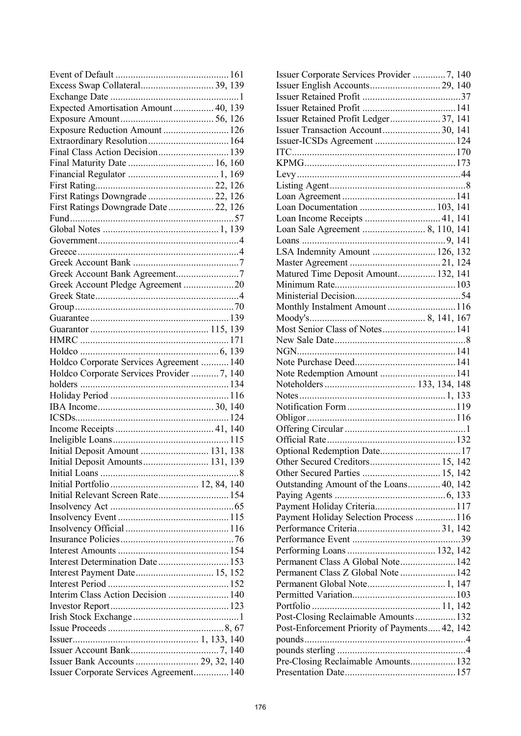| Excess Swap Collateral 39, 139            |  |  |
|-------------------------------------------|--|--|
|                                           |  |  |
| Expected Amortisation Amount 40, 139      |  |  |
|                                           |  |  |
| Exposure Reduction Amount  126            |  |  |
|                                           |  |  |
| Final Class Action Decision 139           |  |  |
|                                           |  |  |
|                                           |  |  |
|                                           |  |  |
| First Ratings Downgrade  22, 126          |  |  |
|                                           |  |  |
| First Ratings Downgrade Date  22, 126     |  |  |
|                                           |  |  |
|                                           |  |  |
|                                           |  |  |
|                                           |  |  |
|                                           |  |  |
|                                           |  |  |
| Greek Account Pledge Agreement 20         |  |  |
|                                           |  |  |
|                                           |  |  |
|                                           |  |  |
|                                           |  |  |
|                                           |  |  |
|                                           |  |  |
| Holdco Corporate Services Agreement  140  |  |  |
| Holdco Corporate Services Provider 7, 140 |  |  |
|                                           |  |  |
|                                           |  |  |
|                                           |  |  |
|                                           |  |  |
|                                           |  |  |
|                                           |  |  |
|                                           |  |  |
| Initial Deposit Amount  131, 138          |  |  |
| Initial Deposit Amounts 131, 139          |  |  |
|                                           |  |  |
|                                           |  |  |
| Initial Relevant Screen Rate 154          |  |  |
|                                           |  |  |
|                                           |  |  |
|                                           |  |  |
|                                           |  |  |
|                                           |  |  |
| Interest Determination Date  153          |  |  |
|                                           |  |  |
|                                           |  |  |
| Interim Class Action Decision  140        |  |  |
|                                           |  |  |
|                                           |  |  |
|                                           |  |  |
|                                           |  |  |
|                                           |  |  |
| Issuer Bank Accounts  29, 32, 140         |  |  |
| Issuer Corporate Services Agreement 140   |  |  |
|                                           |  |  |

| Issuer Corporate Services Provider 7, 140     |  |
|-----------------------------------------------|--|
|                                               |  |
|                                               |  |
|                                               |  |
| Issuer Retained Profit Ledger 37, 141         |  |
| Issuer Transaction Account 30, 141            |  |
|                                               |  |
|                                               |  |
|                                               |  |
|                                               |  |
|                                               |  |
|                                               |  |
|                                               |  |
|                                               |  |
| Loan Income Receipts  41, 141                 |  |
|                                               |  |
|                                               |  |
| LSA Indemnity Amount  126, 132                |  |
|                                               |  |
| Matured Time Deposit Amount 132, 141          |  |
|                                               |  |
|                                               |  |
|                                               |  |
|                                               |  |
| Most Senior Class of Notes 141                |  |
|                                               |  |
|                                               |  |
|                                               |  |
|                                               |  |
|                                               |  |
| Note Redemption Amount  141                   |  |
|                                               |  |
|                                               |  |
|                                               |  |
|                                               |  |
|                                               |  |
|                                               |  |
|                                               |  |
|                                               |  |
|                                               |  |
|                                               |  |
| Outstanding Amount of the Loans 40, 142       |  |
|                                               |  |
| Payment Holiday Criteria117                   |  |
| Payment Holiday Selection Process  116        |  |
|                                               |  |
|                                               |  |
|                                               |  |
| Permanent Class A Global Note 142             |  |
| Permanent Class Z Global Note  142            |  |
|                                               |  |
|                                               |  |
|                                               |  |
| Post-Closing Reclaimable Amounts  132         |  |
| Post-Enforcement Priority of Payments 42, 142 |  |
|                                               |  |
|                                               |  |
| Pre-Closing Reclaimable Amounts 132           |  |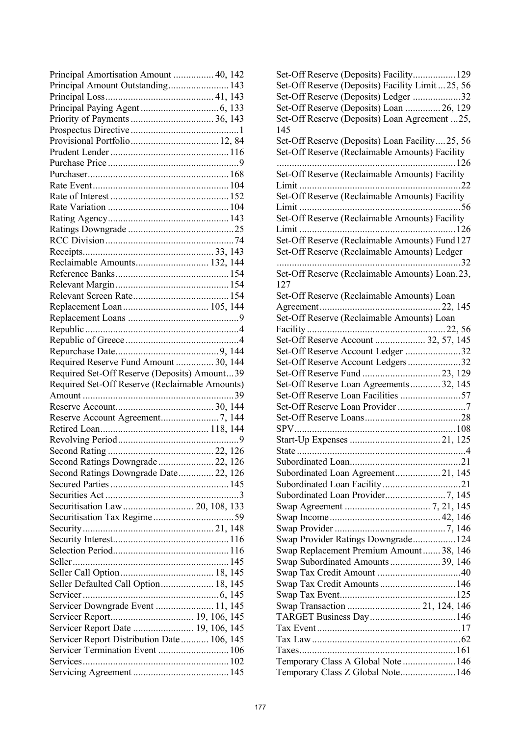| Principal Amortisation Amount  40, 142         |  |
|------------------------------------------------|--|
| Principal Amount Outstanding 143               |  |
|                                                |  |
|                                                |  |
|                                                |  |
|                                                |  |
|                                                |  |
|                                                |  |
|                                                |  |
|                                                |  |
|                                                |  |
|                                                |  |
|                                                |  |
|                                                |  |
|                                                |  |
|                                                |  |
|                                                |  |
| Reclaimable Amounts 132, 144                   |  |
|                                                |  |
|                                                |  |
|                                                |  |
|                                                |  |
|                                                |  |
|                                                |  |
|                                                |  |
|                                                |  |
| Required Reserve Fund Amount  30, 144          |  |
| Required Set-Off Reserve (Deposits) Amount39   |  |
|                                                |  |
|                                                |  |
| Required Set-Off Reserve (Reclaimable Amounts) |  |
|                                                |  |
|                                                |  |
|                                                |  |
|                                                |  |
|                                                |  |
|                                                |  |
| Second Ratings Downgrade 22, 126               |  |
| Second Ratings Downgrade Date 22, 126          |  |
|                                                |  |
|                                                |  |
| Securitisation Law 20, 108, 133                |  |
|                                                |  |
|                                                |  |
|                                                |  |
|                                                |  |
|                                                |  |
|                                                |  |
| Seller Defaulted Call Option 18, 145           |  |
|                                                |  |
| Servicer Downgrade Event  11, 145              |  |
|                                                |  |
| Servicer Report Date  19, 106, 145             |  |
| Servicer Report Distribution Date 106, 145     |  |
| Servicer Termination Event  106                |  |
|                                                |  |

| Set-Off Reserve (Deposits) Facility Limit 25, 56 |
|--------------------------------------------------|
| Set-Off Reserve (Deposits) Ledger 32             |
| Set-Off Reserve (Deposits) Loan  26, 129         |
| Set-Off Reserve (Deposits) Loan Agreement 25,    |
| 145                                              |
| Set-Off Reserve (Deposits) Loan Facility25, 56   |
|                                                  |
| Set-Off Reserve (Reclaimable Amounts) Facility   |
|                                                  |
| Set-Off Reserve (Reclaimable Amounts) Facility   |
|                                                  |
| Set-Off Reserve (Reclaimable Amounts) Facility   |
|                                                  |
| Set-Off Reserve (Reclaimable Amounts) Facility   |
|                                                  |
| Set-Off Reserve (Reclaimable Amounts) Fund 127   |
| Set-Off Reserve (Reclaimable Amounts) Ledger     |
|                                                  |
| Set-Off Reserve (Reclaimable Amounts) Loan.23,   |
| 127                                              |
|                                                  |
| Set-Off Reserve (Reclaimable Amounts) Loan       |
|                                                  |
| Set-Off Reserve (Reclaimable Amounts) Loan       |
|                                                  |
| Set-Off Reserve Account  32, 57, 145             |
| Set-Off Reserve Account Ledger 32                |
| Set-Off Reserve Account Ledgers32                |
|                                                  |
| Set-Off Reserve Loan Agreements 32, 145          |
| Set-Off Reserve Loan Facilities 57               |
|                                                  |
|                                                  |
|                                                  |
|                                                  |
|                                                  |
| Subordinated Loan 21                             |
|                                                  |
|                                                  |
|                                                  |
|                                                  |
|                                                  |
|                                                  |
|                                                  |
| Swap Provider Ratings Downgrade 124              |
| Swap Replacement Premium Amount 38, 146          |
|                                                  |
|                                                  |
|                                                  |
|                                                  |
| Swap Transaction  21, 124, 146                   |
|                                                  |
|                                                  |
|                                                  |
|                                                  |
|                                                  |
| Temporary Class A Global Note  146               |
| Temporary Class Z Global Note 146                |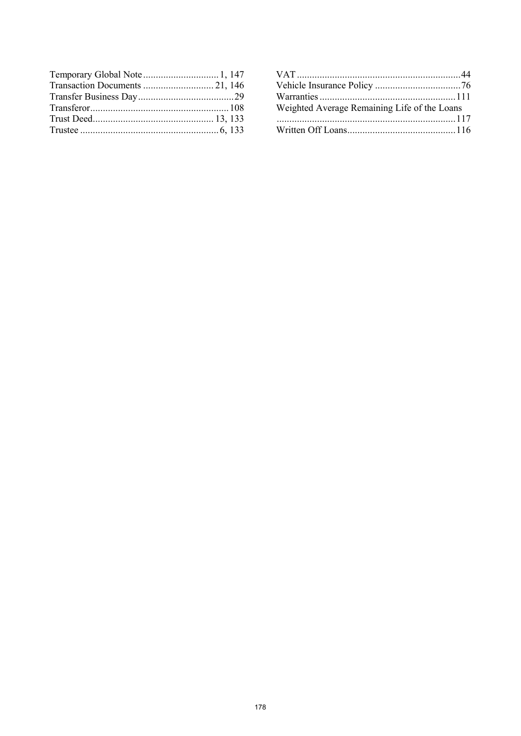| Weighted Average Remaining Life of the Loans |  |
|----------------------------------------------|--|
|                                              |  |
|                                              |  |